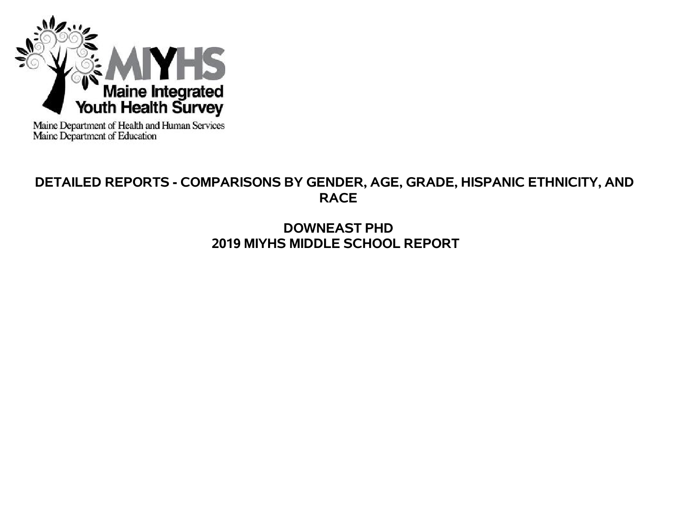

Maine Department of Health and Human Services<br>Maine Department of Education

# **DETAILED REPORTS - COMPARISONS BY GENDER, AGE, GRADE, HISPANIC ETHNICITY, AND RACE**

# **DOWNEAST PHD 2019 MIYHS MIDDLE SCHOOL REPORT**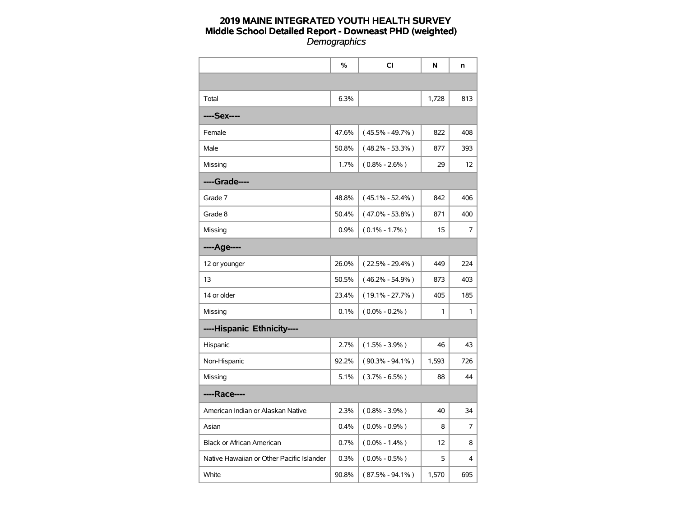|                                           | %     | <b>CI</b>           | N     | n   |
|-------------------------------------------|-------|---------------------|-------|-----|
|                                           |       |                     |       |     |
| Total                                     | 6.3%  |                     | 1,728 | 813 |
| ----Sex----                               |       |                     |       |     |
| Female                                    | 47.6% | $(45.5\% - 49.7\%)$ | 822   | 408 |
| Male                                      | 50.8% | $(48.2\% - 53.3\%)$ | 877   | 393 |
| Missing                                   | 1.7%  | $(0.8\% - 2.6\%)$   | 29    | 12  |
| ----Grade----                             |       |                     |       |     |
| Grade 7                                   | 48.8% | $(45.1\% - 52.4\%)$ | 842   | 406 |
| Grade 8                                   | 50.4% | $(47.0\% - 53.8\%)$ | 871   | 400 |
| Missing                                   | 0.9%  | $(0.1\% - 1.7\%)$   | 15    | 7   |
| ----Age----                               |       |                     |       |     |
| 12 or younger                             | 26.0% | $(22.5\% - 29.4\%)$ | 449   | 224 |
| 13                                        | 50.5% | $(46.2\% - 54.9\%)$ | 873   | 403 |
| 14 or older                               | 23.4% | $(19.1\% - 27.7\%)$ | 405   | 185 |
| Missing                                   | 0.1%  | $(0.0\% - 0.2\%)$   | 1     | 1   |
| ----Hispanic Ethnicity----                |       |                     |       |     |
| Hispanic                                  | 2.7%  | $(1.5\% - 3.9\%)$   | 46    | 43  |
| Non-Hispanic                              | 92.2% | $(90.3\% - 94.1\%)$ | 1,593 | 726 |
| Missing                                   | 5.1%  | $(3.7\% - 6.5\%)$   | 88    | 44  |
| ----Race----                              |       |                     |       |     |
| American Indian or Alaskan Native         | 2.3%  | $(0.8\% - 3.9\%)$   | 40    | 34  |
| Asian                                     | 0.4%  | $(0.0\% - 0.9\%)$   | 8     | 7   |
| <b>Black or African American</b>          | 0.7%  | $(0.0\% - 1.4\%)$   | 12    | 8   |
| Native Hawaiian or Other Pacific Islander | 0.3%  | $(0.0\% - 0.5\%)$   | 5     | 4   |
| White                                     | 90.8% | $(87.5\% - 94.1\%)$ | 1,570 | 695 |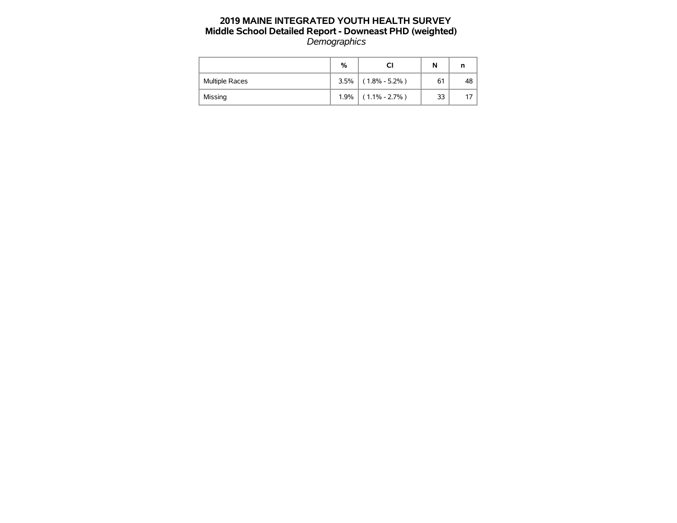|                       | %    |                   | N  | n  |
|-----------------------|------|-------------------|----|----|
| <b>Multiple Races</b> | 3.5% | $(1.8\% - 5.2\%)$ | 61 | 48 |
| Missing               | 1.9% | $(1.1\% - 2.7\%)$ | 33 |    |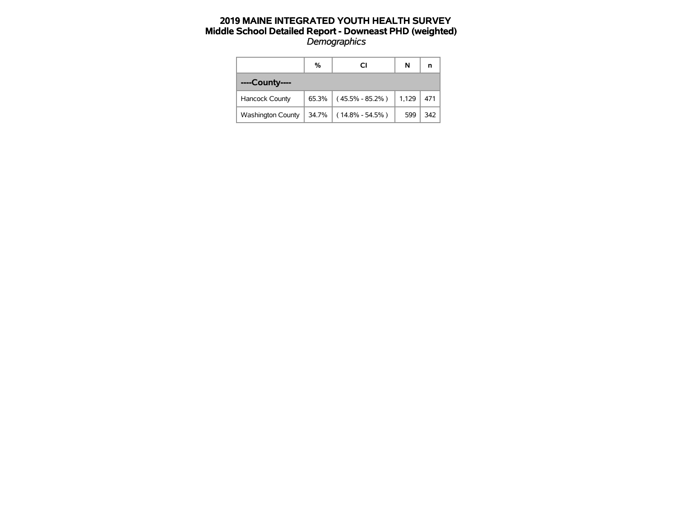|                          | %     | СI                  | N     |     |
|--------------------------|-------|---------------------|-------|-----|
| ----County----           |       |                     |       |     |
| Hancock County           | 65.3% | $(45.5\% - 85.2\%)$ | 1,129 | 471 |
| <b>Washington County</b> | 34.7% | $(14.8\% - 54.5\%)$ | 599   | 342 |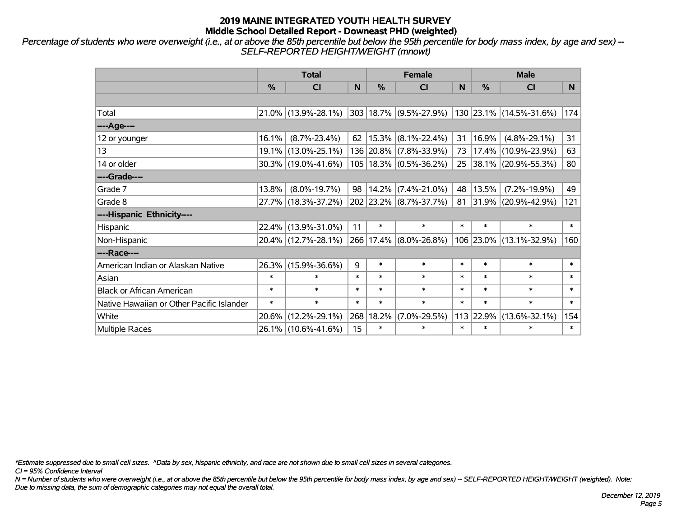*Percentage of students who were overweight (i.e., at or above the 85th percentile but below the 95th percentile for body mass index, by age and sex) -- SELF-REPORTED HEIGHT/WEIGHT (mnowt)*

|                                           |        | <b>Total</b>        |        |        | <b>Female</b>              |        | <b>Male</b> |                                                          |        |  |
|-------------------------------------------|--------|---------------------|--------|--------|----------------------------|--------|-------------|----------------------------------------------------------|--------|--|
|                                           | %      | <b>CI</b>           | N      | %      | <b>CI</b>                  | N      | %           | <b>CI</b>                                                | N.     |  |
|                                           |        |                     |        |        |                            |        |             |                                                          |        |  |
| Total                                     |        | 21.0% (13.9%-28.1%) |        |        |                            |        |             | $ 303 18.7\% $ (9.5%-27.9%) $ 130 23.1\% $ (14.5%-31.6%) | 174    |  |
| ----Age----                               |        |                     |        |        |                            |        |             |                                                          |        |  |
| 12 or younger                             | 16.1%  | $(8.7\% - 23.4\%)$  | 62     |        | $15.3\%$ (8.1%-22.4%)      | 31     | 16.9%       | $(4.8\% - 29.1\%)$                                       | 31     |  |
| 13                                        |        | 19.1% (13.0%-25.1%) |        |        | 136 20.8% (7.8%-33.9%)     | 73     |             | 17.4% (10.9%-23.9%)                                      | 63     |  |
| 14 or older                               |        | 30.3% (19.0%-41.6%) |        |        | $105 18.3\% $ (0.5%-36.2%) | 25     |             | 38.1% (20.9%-55.3%)                                      | 80     |  |
| ----Grade----                             |        |                     |        |        |                            |        |             |                                                          |        |  |
| Grade 7                                   | 13.8%  | $(8.0\% - 19.7\%)$  | 98     |        | $14.2\%$ (7.4%-21.0%)      | 48     | 13.5%       | $(7.2\% - 19.9\%)$                                       | 49     |  |
| Grade 8                                   |        | 27.7% (18.3%-37.2%) |        |        | 202 23.2% (8.7%-37.7%)     | 81     |             | $ 31.9\% $ (20.9%-42.9%)                                 | 121    |  |
| ----Hispanic Ethnicity----                |        |                     |        |        |                            |        |             |                                                          |        |  |
| Hispanic                                  | 22.4%  | $(13.9\% - 31.0\%)$ | 11     | $\ast$ | $\ast$                     | $\ast$ | $\ast$      | $\ast$                                                   | $\ast$ |  |
| Non-Hispanic                              |        | 20.4% (12.7%-28.1%) | 266    |        | $17.4\%$ (8.0%-26.8%)      |        |             | 106 23.0% (13.1%-32.9%)                                  | 160    |  |
| ----Race----                              |        |                     |        |        |                            |        |             |                                                          |        |  |
| American Indian or Alaskan Native         | 26.3%  | $(15.9\% - 36.6\%)$ | 9      | $\ast$ | $\ast$                     | $\ast$ | $\ast$      | $\ast$                                                   | $\ast$ |  |
| Asian                                     | $\ast$ | $\ast$              | $\ast$ | $\ast$ | $\ast$                     | $\ast$ | $\ast$      | $\ast$                                                   | $\ast$ |  |
| <b>Black or African American</b>          | $\ast$ | $\ast$              | $\ast$ | $\ast$ | $\ast$                     | $\ast$ | $\ast$      | $\ast$                                                   | $\ast$ |  |
| Native Hawaiian or Other Pacific Islander | $\ast$ | $\ast$              | $\ast$ | $\ast$ | $\ast$                     | $\ast$ | $\ast$      | $\ast$                                                   | $\ast$ |  |
| White                                     | 20.6%  | $(12.2\% - 29.1\%)$ | 268    | 18.2%  | $(7.0\% - 29.5\%)$         | 113    | 22.9%       | $(13.6\% - 32.1\%)$                                      | 154    |  |
| <b>Multiple Races</b>                     |        | 26.1% (10.6%-41.6%) | 15     | $\ast$ | $\ast$                     | $\ast$ | $\ast$      | $\ast$                                                   | $\ast$ |  |

*\*Estimate suppressed due to small cell sizes. ^Data by sex, hispanic ethnicity, and race are not shown due to small cell sizes in several categories.*

*CI = 95% Confidence Interval*

*N = Number of students who were overweight (i.e., at or above the 85th percentile but below the 95th percentile for body mass index, by age and sex) -- SELF-REPORTED HEIGHT/WEIGHT (weighted). Note: Due to missing data, the sum of demographic categories may not equal the overall total.*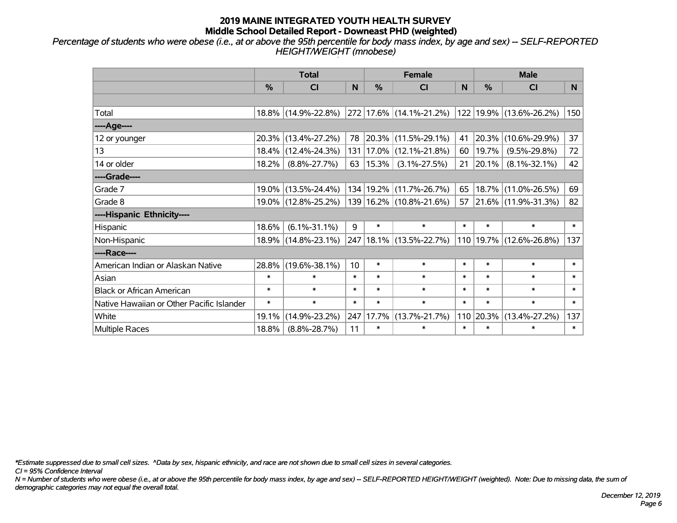*Percentage of students who were obese (i.e., at or above the 95th percentile for body mass index, by age and sex) -- SELF-REPORTED HEIGHT/WEIGHT (mnobese)*

|                                           |               | <b>Total</b>        |        |               | <b>Female</b>               |        | <b>Male</b>             |                          |        |  |
|-------------------------------------------|---------------|---------------------|--------|---------------|-----------------------------|--------|-------------------------|--------------------------|--------|--|
|                                           | $\frac{0}{0}$ | <b>CI</b>           | N      | $\frac{0}{0}$ | <b>CI</b>                   | N      | $\frac{0}{0}$           | <b>CI</b>                | N.     |  |
|                                           |               |                     |        |               |                             |        |                         |                          |        |  |
| Total                                     |               | 18.8% (14.9%-22.8%) |        |               | 272 17.6% (14.1%-21.2%)     |        |                         | 122 19.9% (13.6%-26.2%)  | 150    |  |
| ----Age----                               |               |                     |        |               |                             |        |                         |                          |        |  |
| 12 or younger                             | $20.3\%$      | $(13.4\% - 27.2\%)$ | 78     |               | 20.3% (11.5%-29.1%)         | 41     | 20.3%                   | $(10.6\% - 29.9\%)$      | 37     |  |
| 13                                        |               | 18.4% (12.4%-24.3%) |        |               | 131   17.0%   (12.1%-21.8%) | 60     | 19.7%                   | $(9.5\% - 29.8\%)$       | 72     |  |
| 14 or older                               | 18.2%         | $(8.8\% - 27.7\%)$  | 63     | $ 15.3\% $    | $(3.1\% - 27.5\%)$          |        | $21 \vert 20.1\% \vert$ | $(8.1\% - 32.1\%)$       | 42     |  |
| ----Grade----                             |               |                     |        |               |                             |        |                         |                          |        |  |
| Grade 7                                   | $19.0\%$      | $(13.5\% - 24.4\%)$ |        |               | 134   19.2%   (11.7%-26.7%) | 65     | 18.7%                   | $(11.0\% - 26.5\%)$      | 69     |  |
| Grade 8                                   |               | 19.0% (12.8%-25.2%) |        |               | 139 16.2% (10.8%-21.6%)     | 57     |                         | $ 21.6\% $ (11.9%-31.3%) | 82     |  |
| ----Hispanic Ethnicity----                |               |                     |        |               |                             |        |                         |                          |        |  |
| Hispanic                                  | 18.6%         | $(6.1\% - 31.1\%)$  | 9      | $\ast$        | $\ast$                      | $\ast$ | $\ast$                  | $\ast$                   | $\ast$ |  |
| Non-Hispanic                              |               | 18.9% (14.8%-23.1%) |        |               | 247 18.1% (13.5%-22.7%)     | 110    |                         | 19.7% (12.6%-26.8%)      | 137    |  |
| ----Race----                              |               |                     |        |               |                             |        |                         |                          |        |  |
| American Indian or Alaskan Native         | 28.8%         | $(19.6\% - 38.1\%)$ | 10     | $\ast$        | $\ast$                      | $\ast$ | $\ast$                  | $\ast$                   | $\ast$ |  |
| Asian                                     | $\ast$        | $\ast$              | $\ast$ | $\ast$        | $\ast$                      | $\ast$ | $\ast$                  | $\ast$                   | $\ast$ |  |
| <b>Black or African American</b>          | $\ast$        | $\ast$              | $\ast$ | $\ast$        | $\ast$                      | $\ast$ | $\ast$                  | $\ast$                   | $\ast$ |  |
| Native Hawaiian or Other Pacific Islander | $\ast$        | $\ast$              | $\ast$ | $\ast$        | $\ast$                      | $\ast$ | $\ast$                  | $\ast$                   | $\ast$ |  |
| White                                     | 19.1%         | $(14.9\% - 23.2\%)$ | 247    | 17.7%         | $(13.7\% - 21.7\%)$         | 110    | 20.3%                   | $(13.4\% - 27.2\%)$      | 137    |  |
| <b>Multiple Races</b>                     | 18.8%         | $(8.8\% - 28.7\%)$  | 11     | $\ast$        | $\ast$                      | $\ast$ | $\ast$                  | $\ast$                   | $\ast$ |  |

*\*Estimate suppressed due to small cell sizes. ^Data by sex, hispanic ethnicity, and race are not shown due to small cell sizes in several categories.*

*CI = 95% Confidence Interval*

*N = Number of students who were obese (i.e., at or above the 95th percentile for body mass index, by age and sex) -- SELF-REPORTED HEIGHT/WEIGHT (weighted). Note: Due to missing data, the sum of demographic categories may not equal the overall total.*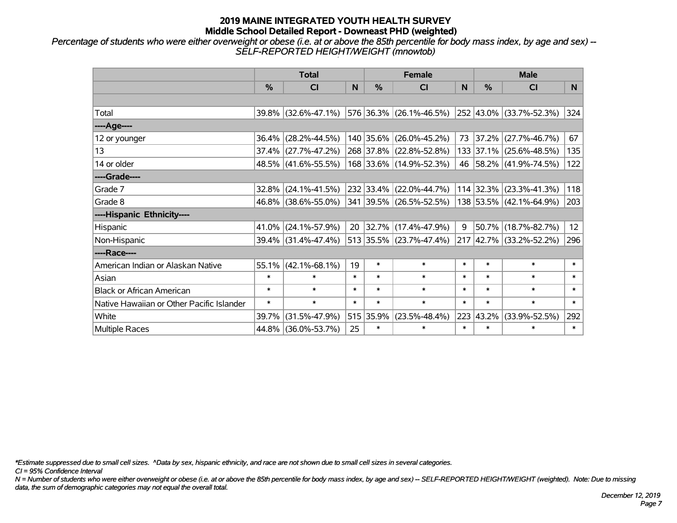*Percentage of students who were either overweight or obese (i.e. at or above the 85th percentile for body mass index, by age and sex) -- SELF-REPORTED HEIGHT/WEIGHT (mnowtob)*

|                                           |               | <b>Total</b>           |        |               | <b>Female</b>            |        | <b>Male</b> |                         |                 |  |
|-------------------------------------------|---------------|------------------------|--------|---------------|--------------------------|--------|-------------|-------------------------|-----------------|--|
|                                           | $\frac{0}{0}$ | CI                     | N      | $\frac{9}{6}$ | <b>CI</b>                | N      | %           | <b>CI</b>               | N.              |  |
|                                           |               |                        |        |               |                          |        |             |                         |                 |  |
| Total                                     |               | 39.8% (32.6%-47.1%)    |        |               | 576 36.3% (26.1%-46.5%)  |        |             | 252 43.0% (33.7%-52.3%) | 324             |  |
| ----Age----                               |               |                        |        |               |                          |        |             |                         |                 |  |
| 12 or younger                             | 36.4%         | $(28.2\% - 44.5\%)$    |        |               | 140 35.6% (26.0%-45.2%)  | 73     | 37.2%       | $(27.7\% - 46.7\%)$     | 67              |  |
| 13                                        |               | $37.4\%$ (27.7%-47.2%) |        |               | 268 37.8% (22.8%-52.8%)  |        |             | 133 37.1% (25.6%-48.5%) | 135             |  |
| 14 or older                               |               | 48.5% (41.6%-55.5%)    |        |               | 168 33.6% (14.9%-52.3%)  |        |             | 46 58.2% (41.9%-74.5%)  | 122             |  |
| ----Grade----                             |               |                        |        |               |                          |        |             |                         |                 |  |
| Grade 7                                   | 32.8%         | $(24.1\% - 41.5\%)$    |        |               | 232 33.4% (22.0%-44.7%)  |        | 114 32.3%   | $(23.3\% - 41.3\%)$     | 118             |  |
| Grade 8                                   |               | 46.8% (38.6%-55.0%)    |        |               | 341 39.5% (26.5%-52.5%)  |        |             | 138 53.5% (42.1%-64.9%) | 203             |  |
| ----Hispanic Ethnicity----                |               |                        |        |               |                          |        |             |                         |                 |  |
| Hispanic                                  | 41.0%         | $(24.1\% - 57.9\%)$    | 20     |               | $ 32.7\% $ (17.4%-47.9%) | 9      | 50.7%       | $(18.7\% - 82.7\%)$     | 12 <sup>2</sup> |  |
| Non-Hispanic                              |               | 39.4% (31.4%-47.4%)    |        |               | 513 35.5% (23.7%-47.4%)  |        |             | 217 42.7% (33.2%-52.2%) | 296             |  |
| ----Race----                              |               |                        |        |               |                          |        |             |                         |                 |  |
| American Indian or Alaskan Native         |               | $55.1\%$ (42.1%-68.1%) | 19     | $\ast$        | $\ast$                   | $\ast$ | $\ast$      | $\ast$                  | $\ast$          |  |
| Asian                                     | $\ast$        | $\ast$                 | $\ast$ | $\ast$        | $\ast$                   | $\ast$ | $\ast$      | $\ast$                  | $\ast$          |  |
| <b>Black or African American</b>          | $\ast$        | $\ast$                 | $\ast$ | $\ast$        | $\ast$                   | $\ast$ | $\ast$      | $\ast$                  | $\ast$          |  |
| Native Hawaiian or Other Pacific Islander | $\ast$        | $\ast$                 | $\ast$ | $\ast$        | $\ast$                   | $\ast$ | $\ast$      | $\ast$                  | $\ast$          |  |
| White                                     | 39.7%         | $(31.5\% - 47.9\%)$    |        | 515 35.9%     | $(23.5\% - 48.4\%)$      | 223    | 43.2%       | $(33.9\% - 52.5\%)$     | 292             |  |
| Multiple Races                            |               | 44.8% (36.0%-53.7%)    | 25     | $\ast$        | $\ast$                   | $\ast$ | $\ast$      | *                       | $\ast$          |  |

*\*Estimate suppressed due to small cell sizes. ^Data by sex, hispanic ethnicity, and race are not shown due to small cell sizes in several categories.*

*CI = 95% Confidence Interval*

*N = Number of students who were either overweight or obese (i.e. at or above the 85th percentile for body mass index, by age and sex) -- SELF-REPORTED HEIGHT/WEIGHT (weighted). Note: Due to missing data, the sum of demographic categories may not equal the overall total.*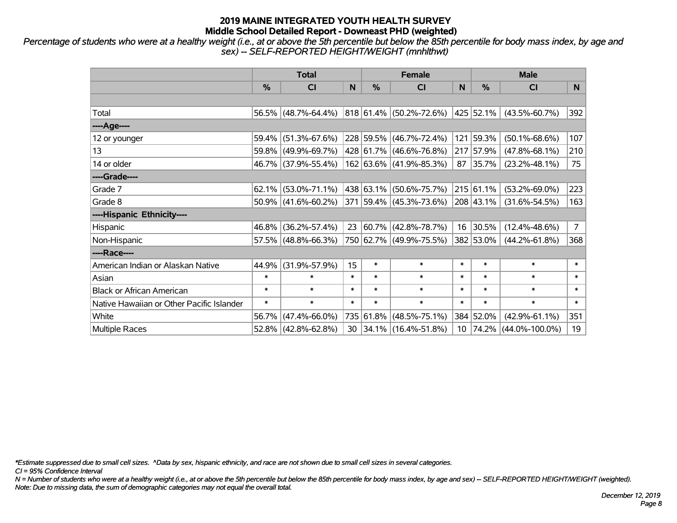*Percentage of students who were at a healthy weight (i.e., at or above the 5th percentile but below the 85th percentile for body mass index, by age and sex) -- SELF-REPORTED HEIGHT/WEIGHT (mnhlthwt)*

|                                           |        | <b>Total</b>        |        |           | <b>Female</b>           |                 | <b>Male</b>   |                      |                |  |
|-------------------------------------------|--------|---------------------|--------|-----------|-------------------------|-----------------|---------------|----------------------|----------------|--|
|                                           | %      | <b>CI</b>           | N      | %         | <b>CI</b>               | N               | $\frac{0}{0}$ | <b>CI</b>            | N.             |  |
|                                           |        |                     |        |           |                         |                 |               |                      |                |  |
| Total                                     |        | 56.5% (48.7%-64.4%) |        |           | 818 61.4% (50.2%-72.6%) |                 | 425 52.1%     | $(43.5\% - 60.7\%)$  | 392            |  |
| ----Age----                               |        |                     |        |           |                         |                 |               |                      |                |  |
| 12 or younger                             | 59.4%  | $(51.3\% - 67.6\%)$ |        | 228 59.5% | $(46.7\% - 72.4\%)$     |                 | 121 59.3%     | $(50.1\% - 68.6\%)$  | 107            |  |
| 13                                        |        | 59.8% (49.9%-69.7%) |        |           | 428 61.7% (46.6%-76.8%) |                 | 217 57.9%     | $(47.8\% - 68.1\%)$  | 210            |  |
| 14 or older                               |        | 46.7% (37.9%-55.4%) |        |           | 162 63.6% (41.9%-85.3%) | 87              | 35.7%         | $(23.2\% - 48.1\%)$  | 75             |  |
| ----Grade----                             |        |                     |        |           |                         |                 |               |                      |                |  |
| Grade 7                                   | 62.1%  | $(53.0\% - 71.1\%)$ |        | 438 63.1% | $(50.6\% - 75.7\%)$     |                 | 215 61.1%     | $(53.2\% - 69.0\%)$  | 223            |  |
| Grade 8                                   |        | 50.9% (41.6%-60.2%) |        |           | 371 59.4% (45.3%-73.6%) |                 | 208 43.1%     | $(31.6\% - 54.5\%)$  | 163            |  |
| ----Hispanic Ethnicity----                |        |                     |        |           |                         |                 |               |                      |                |  |
| Hispanic                                  | 46.8%  | $(36.2\% - 57.4\%)$ | 23     | 60.7%     | $(42.8\% - 78.7\%)$     | 16              | 30.5%         | $(12.4\% - 48.6\%)$  | $\overline{7}$ |  |
| Non-Hispanic                              |        | 57.5% (48.8%-66.3%) |        |           | 750 62.7% (49.9%-75.5%) |                 | 382 53.0%     | $(44.2\% - 61.8\%)$  | 368            |  |
| ----Race----                              |        |                     |        |           |                         |                 |               |                      |                |  |
| American Indian or Alaskan Native         | 44.9%  | $(31.9\% - 57.9\%)$ | 15     | $\ast$    | $\ast$                  | $\ast$          | $\ast$        | $\ast$               | $\ast$         |  |
| Asian                                     | $\ast$ | $\ast$              | $\ast$ | $\ast$    | $\ast$                  | $\ast$          | $\ast$        | $\ast$               | $\ast$         |  |
| <b>Black or African American</b>          | $\ast$ | $\ast$              | $\ast$ | $\ast$    | $\ast$                  | $\ast$          | $\ast$        | $\ast$               | $\ast$         |  |
| Native Hawaiian or Other Pacific Islander | $\ast$ | $\ast$              | $\ast$ | $\ast$    | $\ast$                  | $\ast$          | $\ast$        | $\ast$               | $\ast$         |  |
| White                                     | 56.7%  | $(47.4\% - 66.0\%)$ |        | 735 61.8% | $(48.5\% - 75.1\%)$     |                 | 384 52.0%     | $(42.9\% - 61.1\%)$  | 351            |  |
| Multiple Races                            |        | 52.8% (42.8%-62.8%) |        |           | 30 34.1% (16.4%-51.8%)  | 10 <sup>°</sup> | $ 74.2\% $    | $(44.0\% - 100.0\%)$ | 19             |  |

*\*Estimate suppressed due to small cell sizes. ^Data by sex, hispanic ethnicity, and race are not shown due to small cell sizes in several categories.*

*CI = 95% Confidence Interval*

*N = Number of students who were at a healthy weight (i.e., at or above the 5th percentile but below the 85th percentile for body mass index, by age and sex) -- SELF-REPORTED HEIGHT/WEIGHT (weighted). Note: Due to missing data, the sum of demographic categories may not equal the overall total.*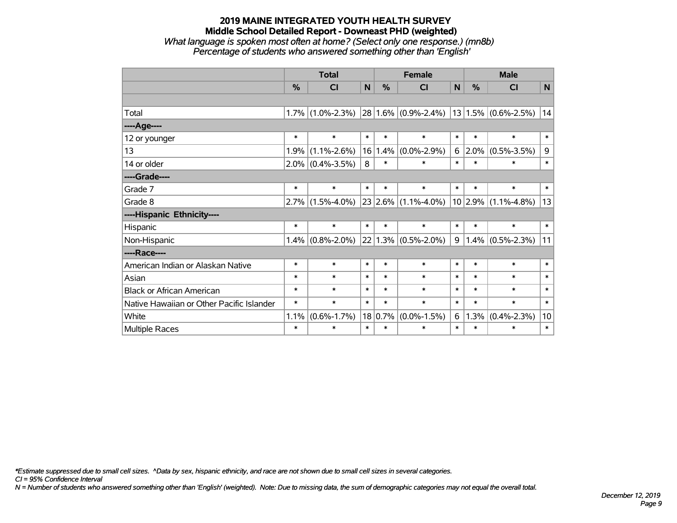# **2019 MAINE INTEGRATED YOUTH HEALTH SURVEY Middle School Detailed Report - Downeast PHD (weighted)** *What language is spoken most often at home? (Select only one response.) (mn8b)*

|                                           | <b>Total</b> |                   |             |         | <b>Female</b>           |        |        | <b>Male</b>              |                 |
|-------------------------------------------|--------------|-------------------|-------------|---------|-------------------------|--------|--------|--------------------------|-----------------|
|                                           | %            | C <sub>l</sub>    | $\mathbf N$ | %       | <b>CI</b>               | N      | %      | CI                       | $\mathsf{N}$    |
|                                           |              |                   |             |         |                         |        |        |                          |                 |
| Total                                     | 1.7%         | $(1.0\% - 2.3\%)$ |             |         | $28 1.6\% $ (0.9%-2.4%) |        |        | $ 13 1.5\% $ (0.6%-2.5%) | 14              |
| ----Age----                               |              |                   |             |         |                         |        |        |                          |                 |
| 12 or younger                             | $\ast$       | $\ast$            | $\ast$      | $\ast$  | $\ast$                  | $\ast$ | $\ast$ | $\ast$                   | $\ast$          |
| 13                                        | 1.9%         | $(1.1\% - 2.6\%)$ | 16          | 1.4%    | $(0.0\% - 2.9\%)$       | 6      | 2.0%   | $(0.5\% - 3.5\%)$        | 9               |
| 14 or older                               | $2.0\%$      | $(0.4\% - 3.5\%)$ | 8           | $\ast$  | $\ast$                  | $\ast$ | $\ast$ | $\ast$                   | $\ast$          |
| ----Grade----                             |              |                   |             |         |                         |        |        |                          |                 |
| Grade 7                                   | $\ast$       | $\ast$            | $\ast$      | *       | $\ast$                  | $\ast$ | $\ast$ | $\ast$                   | $\ast$          |
| Grade 8                                   | 2.7%         | $(1.5\% - 4.0\%)$ |             |         | $23 2.6\% $ (1.1%-4.0%) |        |        | $10 2.9\% $ (1.1%-4.8%)  | 13              |
| ----Hispanic Ethnicity----                |              |                   |             |         |                         |        |        |                          |                 |
| Hispanic                                  | $\ast$       | $\ast$            | $\ast$      | *       | $\ast$                  | $\ast$ | $\ast$ | $\ast$                   | $\ast$          |
| Non-Hispanic                              | 1.4%         | $(0.8\% - 2.0\%)$ |             |         | $22 1.3\% $ (0.5%-2.0%) | 9      |        | $1.4\%$ (0.5%-2.3%)      | 11              |
| ----Race----                              |              |                   |             |         |                         |        |        |                          |                 |
| American Indian or Alaskan Native         | $\ast$       | $\ast$            | $\ast$      | $\ast$  | $\ast$                  | $\ast$ | $\ast$ | $\ast$                   | $\ast$          |
| Asian                                     | $\ast$       | $\ast$            | $\ast$      | $\ast$  | $\ast$                  | $\ast$ | $\ast$ | $\ast$                   | $\ast$          |
| <b>Black or African American</b>          | $\ast$       | $\ast$            | $\ast$      | $\ast$  | $\ast$                  | $\ast$ | $\ast$ | $\ast$                   | $\ast$          |
| Native Hawaiian or Other Pacific Islander | $\ast$       | $\ast$            | $\ast$      | $\ast$  | $\ast$                  | $\ast$ | $\ast$ | $\ast$                   | $\ast$          |
| White                                     | 1.1%         | $(0.6\% - 1.7\%)$ |             | 18 0.7% | $(0.0\% - 1.5\%)$       | 6      | 1.3%   | $(0.4\% - 2.3\%)$        | 10 <sup>1</sup> |
| Multiple Races                            | $\ast$       | $\ast$            | $\ast$      | $\ast$  | $\ast$                  | $\ast$ | $\ast$ | $\ast$                   | $\ast$          |

*Percentage of students who answered something other than 'English'*

*\*Estimate suppressed due to small cell sizes. ^Data by sex, hispanic ethnicity, and race are not shown due to small cell sizes in several categories.*

*CI = 95% Confidence Interval*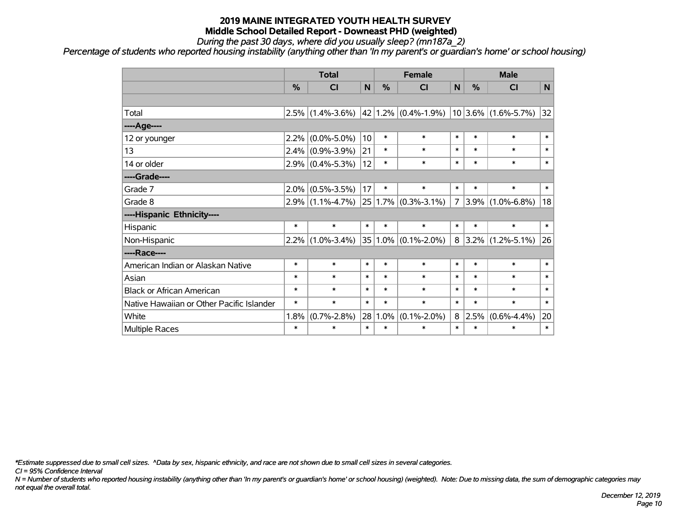*During the past 30 days, where did you usually sleep? (mn187a\_2)*

*Percentage of students who reported housing instability (anything other than 'In my parent's or guardian's home' or school housing)*

|                                           | <b>Total</b>  |                     |        |        | <b>Female</b>            |                |            | <b>Male</b>             |        |
|-------------------------------------------|---------------|---------------------|--------|--------|--------------------------|----------------|------------|-------------------------|--------|
|                                           | $\frac{0}{0}$ | CI                  | N      | %      | <b>CI</b>                | N              | %          | <b>CI</b>               | N      |
|                                           |               |                     |        |        |                          |                |            |                         |        |
| Total                                     | 2.5%          | $(1.4\% - 3.6\%)$   |        |        | $ 42 1.2\% $ (0.4%-1.9%) |                |            | $10 3.6\% $ (1.6%-5.7%) | 32     |
| ----Age----                               |               |                     |        |        |                          |                |            |                         |        |
| 12 or younger                             | 2.2%          | $(0.0\% - 5.0\%)$   | 10     | $\ast$ | $\ast$                   | $\ast$         | $\ast$     | $\ast$                  | $\ast$ |
| 13                                        | $2.4\%$       | $(0.9\% - 3.9\%)$   | 21     | $\ast$ | $\ast$                   | $\ast$         | $\ast$     | $\ast$                  | $\ast$ |
| 14 or older                               |               | $2.9\%$ (0.4%-5.3%) | 12     | $\ast$ | $\ast$                   | $\ast$         | $\ast$     | $\ast$                  | $\ast$ |
| ----Grade----                             |               |                     |        |        |                          |                |            |                         |        |
| Grade 7                                   | 2.0%          | $(0.5\% - 3.5\%)$   | 17     | $\ast$ | $\ast$                   | $\ast$         | $\ast$     | $\ast$                  | $\ast$ |
| Grade 8                                   |               | $2.9\%$ (1.1%-4.7%) |        |        | $25 1.7\% $ (0.3%-3.1%)  | $\overline{7}$ | $3.9\%$    | $(1.0\% - 6.8\%)$       | 18     |
| ----Hispanic Ethnicity----                |               |                     |        |        |                          |                |            |                         |        |
| Hispanic                                  | $\ast$        | $\ast$              | $\ast$ | $\ast$ | $\ast$                   | $\ast$         | $\ast$     | $\ast$                  | $\ast$ |
| Non-Hispanic                              | 2.2%          | $(1.0\% - 3.4\%)$   |        |        | 35 1.0% (0.1%-2.0%)      |                | $8 3.2\% $ | $(1.2\% - 5.1\%)$       | 26     |
| ----Race----                              |               |                     |        |        |                          |                |            |                         |        |
| American Indian or Alaskan Native         | $\ast$        | $\ast$              | $\ast$ | $\ast$ | $\ast$                   | $\ast$         | $\ast$     | $\ast$                  | $\ast$ |
| Asian                                     | $\ast$        | $\ast$              | $\ast$ | $\ast$ | $\ast$                   | $\ast$         | $\ast$     | $\ast$                  | $\ast$ |
| <b>Black or African American</b>          | $\ast$        | $\ast$              | $\ast$ | $\ast$ | $\ast$                   | $\ast$         | $\ast$     | $\ast$                  | $\ast$ |
| Native Hawaiian or Other Pacific Islander | $\ast$        | $\ast$              | $\ast$ | $\ast$ | $\ast$                   | $\ast$         | $\ast$     | $\ast$                  | $\ast$ |
| White                                     | 1.8%          | $(0.7\% - 2.8\%)$   | 28     | 1.0%   | $(0.1\% - 2.0\%)$        | 8              | 2.5%       | $(0.6\% - 4.4\%)$       | 20     |
| <b>Multiple Races</b>                     | $\ast$        | $\ast$              | $\ast$ | $\ast$ | $\ast$                   | $\ast$         | $\ast$     | $\ast$                  | $\ast$ |

*\*Estimate suppressed due to small cell sizes. ^Data by sex, hispanic ethnicity, and race are not shown due to small cell sizes in several categories.*

*CI = 95% Confidence Interval*

*N = Number of students who reported housing instability (anything other than 'In my parent's or guardian's home' or school housing) (weighted). Note: Due to missing data, the sum of demographic categories may not equal the overall total.*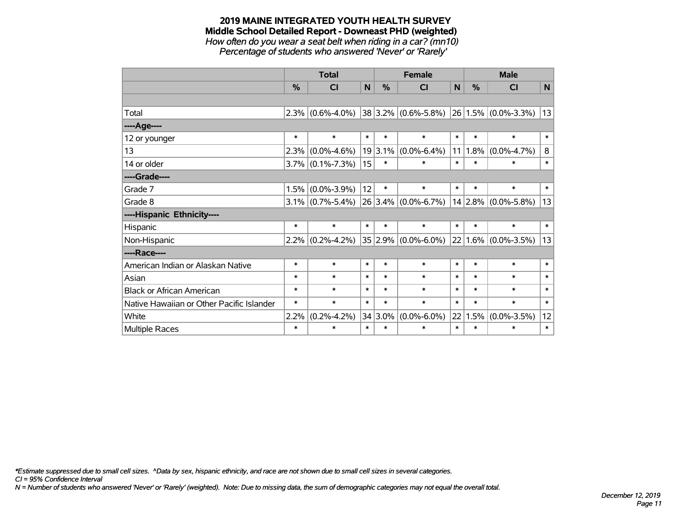#### **2019 MAINE INTEGRATED YOUTH HEALTH SURVEY Middle School Detailed Report - Downeast PHD (weighted)** *How often do you wear a seat belt when riding in a car? (mn10)*

*Percentage of students who answered 'Never' or 'Rarely'*

|                                           |        | <b>Total</b>            |        |               | <b>Female</b>           |        | <b>Male</b> |                                             |        |
|-------------------------------------------|--------|-------------------------|--------|---------------|-------------------------|--------|-------------|---------------------------------------------|--------|
|                                           | $\%$   | $\overline{\mathsf{C}}$ | N      | $\frac{0}{0}$ | <b>CI</b>               | N      | $\%$        | <b>CI</b>                                   | N      |
|                                           |        |                         |        |               |                         |        |             |                                             |        |
| Total                                     | 2.3%   | $(0.6\% - 4.0\%)$       |        |               |                         |        |             | $38 3.2\% $ (0.6%-5.8%) 26 1.5% (0.0%-3.3%) | 13     |
| ----Age----                               |        |                         |        |               |                         |        |             |                                             |        |
| 12 or younger                             | $\ast$ | $\ast$                  | $\ast$ | $\ast$        | $\ast$                  | $\ast$ | $\ast$      | $\ast$                                      | $\ast$ |
| 13                                        | 2.3%   | $(0.0\% - 4.6\%)$       |        | $19 3.1\% $   | $(0.0\% - 6.4\%)$       | 11     |             | $1.8\%$ (0.0%-4.7%)                         | 8      |
| 14 or older                               |        | $3.7\%$ (0.1%-7.3%)     | 15     | $\ast$        | *                       | $\ast$ | $\ast$      | $\ast$                                      | $\ast$ |
| ----Grade----                             |        |                         |        |               |                         |        |             |                                             |        |
| Grade 7                                   | 1.5%   | $(0.0\% - 3.9\%)$       | 12     | $\ast$        | $\ast$                  | $\ast$ | $\ast$      | $\ast$                                      | $\ast$ |
| Grade 8                                   | 3.1%   | $(0.7\% - 5.4\%)$       |        |               | $26 3.4\% $ (0.0%-6.7%) |        |             | $14$ 2.8% (0.0%-5.8%)                       | 13     |
| ----Hispanic Ethnicity----                |        |                         |        |               |                         |        |             |                                             |        |
| Hispanic                                  | $\ast$ | $\ast$                  | $\ast$ | $\ast$        | $\ast$                  | $\ast$ | $\ast$      | $\ast$                                      | $\ast$ |
| Non-Hispanic                              | 2.2%   | $(0.2\% - 4.2\%)$       |        |               | $35 2.9\% $ (0.0%-6.0%) |        |             | $22 1.6\% $ (0.0%-3.5%)                     | 13     |
| ----Race----                              |        |                         |        |               |                         |        |             |                                             |        |
| American Indian or Alaskan Native         | $\ast$ | $\ast$                  | $\ast$ | $\ast$        | *                       | $\ast$ | $\ast$      | $\ast$                                      | $\ast$ |
| Asian                                     | $\ast$ | $\ast$                  | $\ast$ | $\ast$        | *                       | $\ast$ | $\ast$      | $\ast$                                      | $\ast$ |
| <b>Black or African American</b>          | $\ast$ | $\ast$                  | $\ast$ | $\ast$        | $\ast$                  | $\ast$ | $\ast$      | $\ast$                                      | $\ast$ |
| Native Hawaiian or Other Pacific Islander | $\ast$ | $\ast$                  | $\ast$ | $\ast$        | $\ast$                  | $\ast$ | $\ast$      | $\ast$                                      | $\ast$ |
| White                                     | 2.2%   | $(0.2\% - 4.2\%)$       |        | $34 3.0\%$    | $(0.0\% - 6.0\%)$       | 22     | 1.5%        | $(0.0\% - 3.5\%)$                           | 12     |
| <b>Multiple Races</b>                     | $\ast$ | $\ast$                  | $\ast$ | $\ast$        | *                       | $\ast$ | $\ast$      | $\ast$                                      | $\ast$ |

*\*Estimate suppressed due to small cell sizes. ^Data by sex, hispanic ethnicity, and race are not shown due to small cell sizes in several categories.*

*CI = 95% Confidence Interval*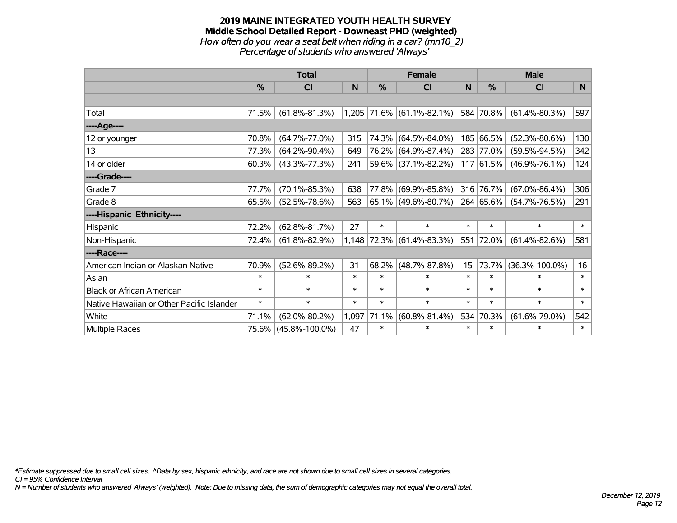#### **2019 MAINE INTEGRATED YOUTH HEALTH SURVEY Middle School Detailed Report - Downeast PHD (weighted)** *How often do you wear a seat belt when riding in a car? (mn10\_2) Percentage of students who answered 'Always'*

|                                           |               | <b>Total</b>         |        |        | <b>Female</b>               |                  | <b>Male</b>   |                      |        |  |
|-------------------------------------------|---------------|----------------------|--------|--------|-----------------------------|------------------|---------------|----------------------|--------|--|
|                                           | $\frac{0}{0}$ | CI                   | N      | %      | <b>CI</b>                   | N                | $\frac{0}{0}$ | <b>CI</b>            | N      |  |
|                                           |               |                      |        |        |                             |                  |               |                      |        |  |
| Total                                     | 71.5%         | $(61.8\% - 81.3\%)$  |        |        | $1,205$ 71.6% (61.1%-82.1%) |                  | 584 70.8%     | $(61.4\% - 80.3\%)$  | 597    |  |
| ----Age----                               |               |                      |        |        |                             |                  |               |                      |        |  |
| 12 or younger                             | 70.8%         | $(64.7\% - 77.0\%)$  | 315    | 74.3%  | $(64.5\% - 84.0\%)$         |                  | 185 66.5%     | $(52.3\% - 80.6\%)$  | 130    |  |
| 13                                        | 77.3%         | $(64.2\% - 90.4\%)$  | 649    | 76.2%  | $(64.9\% - 87.4\%)$         |                  | 283 77.0%     | $(59.5\% - 94.5\%)$  | 342    |  |
| 14 or older                               | 60.3%         | $(43.3\% - 77.3\%)$  | 241    |        | 59.6% (37.1%-82.2%)         |                  | 117 61.5%     | $(46.9\% - 76.1\%)$  | 124    |  |
| ----Grade----                             |               |                      |        |        |                             |                  |               |                      |        |  |
| Grade 7                                   | 77.7%         | $(70.1\% - 85.3\%)$  | 638    | 77.8%  | $(69.9\% - 85.8\%)$         |                  | 316 76.7%     | $(67.0\% - 86.4\%)$  | 306    |  |
| Grade 8                                   | 65.5%         | $(52.5\% - 78.6\%)$  | 563    |        | $65.1\%$ (49.6%-80.7%)      |                  | 264 65.6%     | $(54.7\% - 76.5\%)$  | 291    |  |
| ----Hispanic Ethnicity----                |               |                      |        |        |                             |                  |               |                      |        |  |
| Hispanic                                  | 72.2%         | $(62.8\% - 81.7\%)$  | 27     | $\ast$ | $\ast$                      | $\ast$           | $\ast$        | $\ast$               | $\ast$ |  |
| Non-Hispanic                              | 72.4%         | $(61.8\% - 82.9\%)$  | 1,148  | 72.3%  | $(61.4\% - 83.3\%)$         |                  | 551 72.0%     | $(61.4\% - 82.6\%)$  | 581    |  |
| ----Race----                              |               |                      |        |        |                             |                  |               |                      |        |  |
| American Indian or Alaskan Native         | 70.9%         | $(52.6\% - 89.2\%)$  | 31     | 68.2%  | $(48.7\% - 87.8\%)$         | 15 <sub>15</sub> | 73.7%         | $(36.3\% - 100.0\%)$ | 16     |  |
| Asian                                     | $\ast$        | $\ast$               | $\ast$ | $\ast$ | $\ast$                      | $\ast$           | $\ast$        | $\ast$               | $\ast$ |  |
| <b>Black or African American</b>          | $\ast$        | $\ast$               | $\ast$ | $\ast$ | $\ast$                      | $\ast$           | $\ast$        | $\ast$               | $\ast$ |  |
| Native Hawaiian or Other Pacific Islander | $\ast$        | $\ast$               | $\ast$ | $\ast$ | $\ast$                      | $\ast$           | $\ast$        | $\ast$               | $\ast$ |  |
| White                                     | 71.1%         | $(62.0\% - 80.2\%)$  | 1,097  | 71.1%  | $(60.8\% - 81.4\%)$         | 534              | 70.3%         | $(61.6\% - 79.0\%)$  | 542    |  |
| Multiple Races                            | 75.6%         | $(45.8\% - 100.0\%)$ | 47     | $\ast$ | $\ast$                      | $\ast$           | $\ast$        | $\ast$               | $\ast$ |  |

*\*Estimate suppressed due to small cell sizes. ^Data by sex, hispanic ethnicity, and race are not shown due to small cell sizes in several categories.*

*CI = 95% Confidence Interval*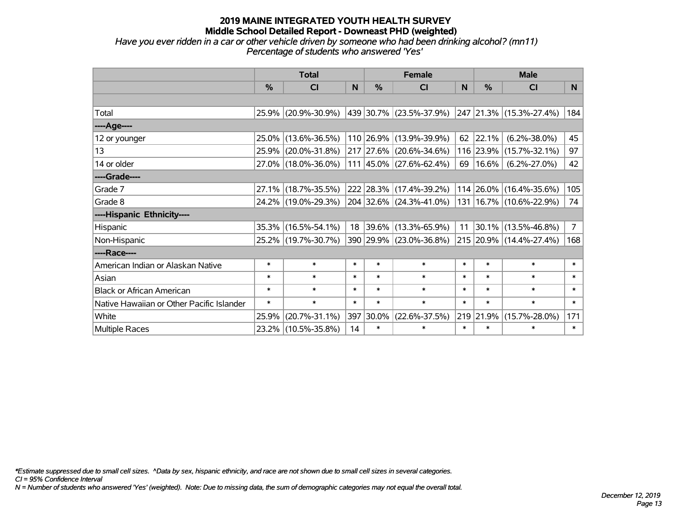*Have you ever ridden in a car or other vehicle driven by someone who had been drinking alcohol? (mn11) Percentage of students who answered 'Yes'*

|                                           |               | <b>Total</b>        |        |        | <b>Female</b>                      |        | <b>Male</b>             |                             |                |  |
|-------------------------------------------|---------------|---------------------|--------|--------|------------------------------------|--------|-------------------------|-----------------------------|----------------|--|
|                                           | $\frac{0}{0}$ | CI                  | N      | $\%$   | <b>CI</b>                          | N      | %                       | <b>CI</b>                   | N.             |  |
|                                           |               |                     |        |        |                                    |        |                         |                             |                |  |
| Total                                     |               | 25.9% (20.9%-30.9%) |        |        | 439   30.7%   (23.5%-37.9%)        |        |                         | 247 21.3% (15.3%-27.4%)     | 184            |  |
| ----Age----                               |               |                     |        |        |                                    |        |                         |                             |                |  |
| 12 or younger                             | 25.0%         | $(13.6\% - 36.5\%)$ |        |        | 110 26.9% (13.9%-39.9%)            | 62     | 22.1%                   | $(6.2\% - 38.0\%)$          | 45             |  |
| 13                                        |               | 25.9% (20.0%-31.8%) |        |        | 217 27.6% (20.6%-34.6%)            |        | 116 23.9%               | $(15.7\% - 32.1\%)$         | 97             |  |
| 14 or older                               |               | 27.0% (18.0%-36.0%) |        |        | $111   45.0\%   (27.6\% - 62.4\%)$ | 69     | $16.6\%$                | $(6.2\% - 27.0\%)$          | 42             |  |
| ----Grade----                             |               |                     |        |        |                                    |        |                         |                             |                |  |
| Grade 7                                   |               | 27.1% (18.7%-35.5%) |        |        | 222 28.3% (17.4%-39.2%)            |        | 114 26.0%               | $(16.4\% - 35.6\%)$         | 105            |  |
| Grade 8                                   |               | 24.2% (19.0%-29.3%) |        |        | 204 32.6% (24.3%-41.0%)            |        |                         | 131   16.7%   (10.6%-22.9%) | 74             |  |
| ----Hispanic Ethnicity----                |               |                     |        |        |                                    |        |                         |                             |                |  |
| Hispanic                                  |               | 35.3% (16.5%-54.1%) |        |        | 18 39.6% (13.3%-65.9%)             |        | $11 \vert 30.1\% \vert$ | $(13.5\% - 46.8\%)$         | 7 <sup>7</sup> |  |
| Non-Hispanic                              |               | 25.2% (19.7%-30.7%) |        |        | 390 29.9% (23.0%-36.8%)            |        |                         | 215 20.9% (14.4%-27.4%)     | 168            |  |
| ----Race----                              |               |                     |        |        |                                    |        |                         |                             |                |  |
| American Indian or Alaskan Native         | $\ast$        | $\ast$              | $\ast$ | $\ast$ | $\ast$                             | $\ast$ | $\ast$                  | $\ast$                      | $\ast$         |  |
| Asian                                     | $\ast$        | $\ast$              | $\ast$ | $\ast$ | $\ast$                             | $\ast$ | $\ast$                  | $\ast$                      | $\ast$         |  |
| <b>Black or African American</b>          | $\ast$        | $\ast$              | $\ast$ | $\ast$ | $\ast$                             | $\ast$ | $\ast$                  | $\ast$                      | $\ast$         |  |
| Native Hawaiian or Other Pacific Islander | $\ast$        | $\ast$              | $\ast$ | $\ast$ | $\ast$                             | $\ast$ | $\ast$                  | $\ast$                      | $\ast$         |  |
| White                                     | 25.9%         | $(20.7\% - 31.1\%)$ | 397    | 30.0%  | $(22.6\% - 37.5\%)$                |        | 219 21.9%               | $(15.7\% - 28.0\%)$         | 171            |  |
| Multiple Races                            | $23.2\%$      | $(10.5\% - 35.8\%)$ | 14     | $\ast$ | $\ast$                             | $\ast$ | $\ast$                  | $\ast$                      | $\ast$         |  |

*\*Estimate suppressed due to small cell sizes. ^Data by sex, hispanic ethnicity, and race are not shown due to small cell sizes in several categories.*

*CI = 95% Confidence Interval*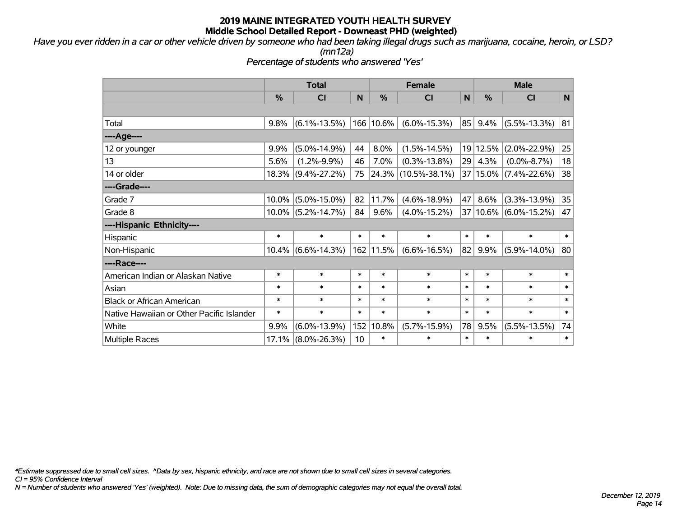*Have you ever ridden in a car or other vehicle driven by someone who had been taking illegal drugs such as marijuana, cocaine, heroin, or LSD?*

*(mn12a)*

*Percentage of students who answered 'Yes'*

|                                           | <b>Total</b> |                                  |        | <b>Female</b> |                          |        | <b>Male</b> |                       |        |  |
|-------------------------------------------|--------------|----------------------------------|--------|---------------|--------------------------|--------|-------------|-----------------------|--------|--|
|                                           | %            | %<br>N<br><b>CI</b><br><b>CI</b> |        |               | N                        | %      | <b>CI</b>   | N                     |        |  |
|                                           |              |                                  |        |               |                          |        |             |                       |        |  |
| Total                                     | 9.8%         | $(6.1\% - 13.5\%)$               |        | 166 10.6%     | $(6.0\% - 15.3\%)$       | 85     | 9.4%        | $(5.5\% - 13.3\%)$    | 81     |  |
| ----Age----                               |              |                                  |        |               |                          |        |             |                       |        |  |
| 12 or younger                             | 9.9%         | $(5.0\% - 14.9\%)$               | 44     | 8.0%          | $(1.5\% - 14.5\%)$       |        | 19 12.5%    | $(2.0\% - 22.9\%)$    | 25     |  |
| 13                                        | 5.6%         | $(1.2\% - 9.9\%)$                | 46     | 7.0%          | $(0.3\% - 13.8\%)$       | 29     | 4.3%        | $(0.0\% - 8.7\%)$     | 18     |  |
| 14 or older                               | 18.3%        | $(9.4\% - 27.2\%)$               | 75     |               | $ 24.3\% $ (10.5%-38.1%) |        |             | 37 15.0% (7.4%-22.6%) | 38     |  |
| ----Grade----                             |              |                                  |        |               |                          |        |             |                       |        |  |
| Grade 7                                   | 10.0%        | $(5.0\% - 15.0\%)$               | 82     | 11.7%         | $(4.6\% - 18.9\%)$       | 47     | 8.6%        | $(3.3\% - 13.9\%)$    | 35     |  |
| Grade 8                                   | $10.0\%$     | $(5.2\% - 14.7\%)$               | 84     | 9.6%          | $(4.0\% - 15.2\%)$       |        |             | 37 10.6% (6.0%-15.2%) | 47     |  |
| ----Hispanic Ethnicity----                |              |                                  |        |               |                          |        |             |                       |        |  |
| Hispanic                                  | $\ast$       | $\ast$                           | $\ast$ | $\ast$        | $\ast$                   | $\ast$ | $\ast$      | $\ast$                | $\ast$ |  |
| Non-Hispanic                              | 10.4%        | $(6.6\% - 14.3\%)$               |        | 162 11.5%     | $(6.6\% - 16.5\%)$       | 82     | 9.9%        | $(5.9\% - 14.0\%)$    | 80     |  |
| ----Race----                              |              |                                  |        |               |                          |        |             |                       |        |  |
| American Indian or Alaskan Native         | $\ast$       | $\ast$                           | $\ast$ | $\ast$        | $\ast$                   | $\ast$ | $\ast$      | $\ast$                | $\ast$ |  |
| Asian                                     | $\ast$       | $\ast$                           | $\ast$ | $\ast$        | $\ast$                   | $\ast$ | $\ast$      | $\ast$                | $\ast$ |  |
| <b>Black or African American</b>          | $\ast$       | $\ast$                           | $\ast$ | $\ast$        | $\ast$                   | $\ast$ | $\ast$      | $\ast$                | $\ast$ |  |
| Native Hawaiian or Other Pacific Islander | $\ast$       | $\ast$                           | $\ast$ | $\ast$        | $\ast$                   | $\ast$ | *           | $\ast$                | $\ast$ |  |
| White                                     | 9.9%         | $(6.0\% - 13.9\%)$               | 152    | 10.8%         | $(5.7\% - 15.9\%)$       | 78     | 9.5%        | $(5.5\% - 13.5\%)$    | 74     |  |
| <b>Multiple Races</b>                     | 17.1%        | $(8.0\% - 26.3\%)$               | 10     | $\ast$        | $\ast$                   | $\ast$ | *           | $\ast$                | $\ast$ |  |

*\*Estimate suppressed due to small cell sizes. ^Data by sex, hispanic ethnicity, and race are not shown due to small cell sizes in several categories.*

*CI = 95% Confidence Interval*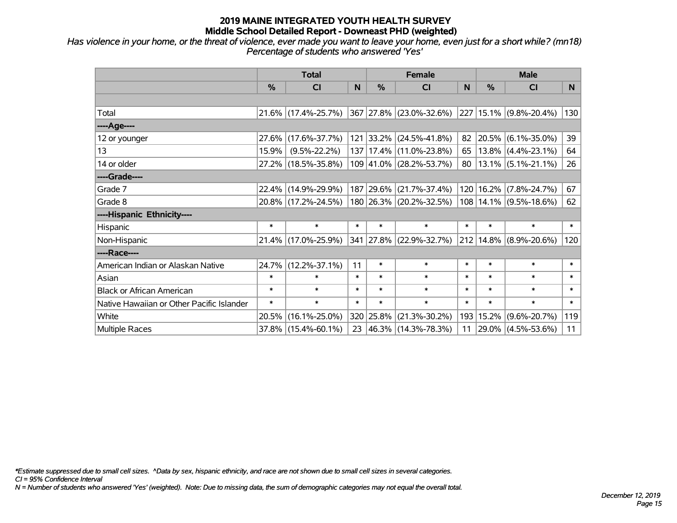*Has violence in your home, or the threat of violence, ever made you want to leave your home, even just for a short while? (mn18) Percentage of students who answered 'Yes'*

|                                           |        | <b>Total</b>        |        |               | <b>Female</b>               | <b>Male</b> |        |                             |        |
|-------------------------------------------|--------|---------------------|--------|---------------|-----------------------------|-------------|--------|-----------------------------|--------|
|                                           | %      | <b>CI</b>           | N      | $\frac{0}{0}$ | <b>CI</b>                   | <b>N</b>    | $\%$   | <b>CI</b>                   | N.     |
|                                           |        |                     |        |               |                             |             |        |                             |        |
| Total                                     |        | 21.6% (17.4%-25.7%) |        |               | 367 27.8% (23.0%-32.6%)     |             |        | $ 227 15.1\% $ (9.8%-20.4%) | 130    |
| ----Age----                               |        |                     |        |               |                             |             |        |                             |        |
| 12 or younger                             | 27.6%  | $(17.6\% - 37.7\%)$ |        | 121 33.2%     | $(24.5\% - 41.8\%)$         | 82          |        | $ 20.5\% $ (6.1%-35.0%)     | 39     |
| 13                                        | 15.9%  | $(9.5\% - 22.2\%)$  |        |               | 137   17.4%   (11.0%-23.8%) | 65          |        | $13.8\%$ (4.4%-23.1%)       | 64     |
| 14 or older                               |        | 27.2% (18.5%-35.8%) |        |               | 109 41.0% (28.2%-53.7%)     | 80          |        | $13.1\%$ (5.1%-21.1%)       | 26     |
| ----Grade----                             |        |                     |        |               |                             |             |        |                             |        |
| Grade 7                                   | 22.4%  | $(14.9\% - 29.9\%)$ |        | 187 29.6%     | $(21.7\% - 37.4\%)$         |             |        | 120 16.2% (7.8%-24.7%)      | 67     |
| Grade 8                                   |        | 20.8% (17.2%-24.5%) |        |               | 180 26.3% (20.2%-32.5%)     |             |        | $108 14.1\% $ (9.5%-18.6%)  | 62     |
| ----Hispanic Ethnicity----                |        |                     |        |               |                             |             |        |                             |        |
| Hispanic                                  | $\ast$ | $\ast$              | $\ast$ | $\ast$        | $\ast$                      | $\ast$      | $\ast$ | $\ast$                      | $\ast$ |
| Non-Hispanic                              |        | 21.4% (17.0%-25.9%) |        |               | 341 27.8% (22.9%-32.7%)     |             |        | $ 212 14.8\% $ (8.9%-20.6%) | 120    |
| ----Race----                              |        |                     |        |               |                             |             |        |                             |        |
| American Indian or Alaskan Native         | 24.7%  | $(12.2\% - 37.1\%)$ | 11     | $\ast$        | $\ast$                      | $\ast$      | $\ast$ | $\ast$                      | $\ast$ |
| Asian                                     | $\ast$ | $\ast$              | $\ast$ | $\ast$        | $\ast$                      | $\ast$      | $\ast$ | $\ast$                      | $\ast$ |
| <b>Black or African American</b>          | $\ast$ | $\ast$              | $\ast$ | $\ast$        | $\ast$                      | $\ast$      | $\ast$ | $\ast$                      | $\ast$ |
| Native Hawaiian or Other Pacific Islander | $\ast$ | $\ast$              | $\ast$ | $\ast$        | $\ast$                      | $\ast$      | $\ast$ | $\ast$                      | $\ast$ |
| White                                     | 20.5%  | $(16.1\% - 25.0\%)$ |        | 320 25.8%     | $(21.3\% - 30.2\%)$         | 193         | 15.2%  | $(9.6\% - 20.7\%)$          | 119    |
| Multiple Races                            |        | 37.8% (15.4%-60.1%) |        |               | 23 46.3% (14.3%-78.3%)      | 11          |        | 29.0% (4.5%-53.6%)          | 11     |

*\*Estimate suppressed due to small cell sizes. ^Data by sex, hispanic ethnicity, and race are not shown due to small cell sizes in several categories.*

*CI = 95% Confidence Interval*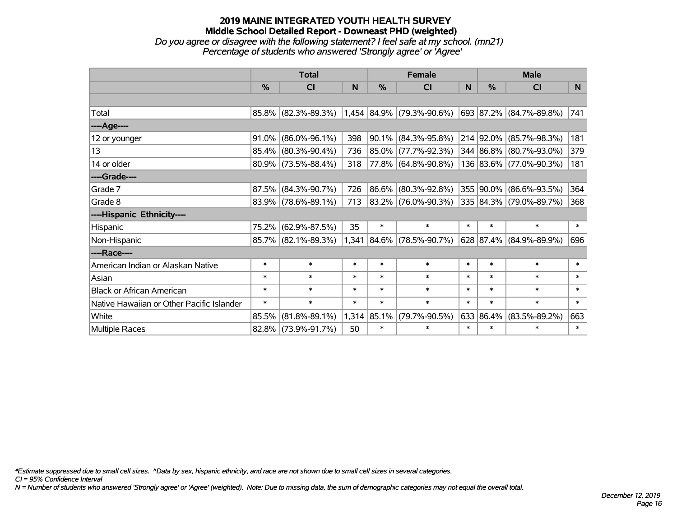## **2019 MAINE INTEGRATED YOUTH HEALTH SURVEY Middle School Detailed Report - Downeast PHD (weighted)** *Do you agree or disagree with the following statement? I feel safe at my school. (mn21)*

| Percentage of students who answered 'Strongly agree' or 'Agree' |  |
|-----------------------------------------------------------------|--|
|                                                                 |  |

|                                           |               | <b>Total</b>           |        |               | <b>Female</b>               |        | <b>Male</b>   |                         |                |  |
|-------------------------------------------|---------------|------------------------|--------|---------------|-----------------------------|--------|---------------|-------------------------|----------------|--|
|                                           | $\frac{0}{0}$ | <b>CI</b>              | N      | %             | <b>CI</b>                   | N      | $\frac{0}{0}$ | <b>CI</b>               | N <sub>1</sub> |  |
|                                           |               |                        |        |               |                             |        |               |                         |                |  |
| Total                                     |               | 85.8% (82.3%-89.3%)    |        |               | $1,454$ 84.9% (79.3%-90.6%) |        |               | 693 87.2% (84.7%-89.8%) | 741            |  |
| ----Age----                               |               |                        |        |               |                             |        |               |                         |                |  |
| 12 or younger                             | 91.0%         | $(86.0\% - 96.1\%)$    | 398    | 90.1%         | $(84.3\% - 95.8\%)$         |        | 214 92.0%     | $(85.7\% - 98.3\%)$     | 181            |  |
| 13                                        |               | 85.4% (80.3%-90.4%)    | 736    |               | 85.0% (77.7%-92.3%)         |        |               | 344 86.8% (80.7%-93.0%) | 379            |  |
| 14 or older                               |               | $80.9\%$ (73.5%-88.4%) | 318    |               | 77.8% (64.8%-90.8%)         |        |               | 136 83.6% (77.0%-90.3%) | 181            |  |
| ----Grade----                             |               |                        |        |               |                             |        |               |                         |                |  |
| Grade 7                                   | 87.5%         | $(84.3\% - 90.7\%)$    | 726    | 86.6%         | $(80.3\% - 92.8\%)$         |        |               | 355 90.0% (86.6%-93.5%) | 364            |  |
| Grade 8                                   |               | $83.9\%$ (78.6%-89.1%) | 713    |               | 83.2% (76.0%-90.3%)         |        |               | 335 84.3% (79.0%-89.7%) | 368            |  |
| ----Hispanic Ethnicity----                |               |                        |        |               |                             |        |               |                         |                |  |
| Hispanic                                  | 75.2%         | $(62.9\% - 87.5\%)$    | 35     | $\ast$        | $\ast$                      | $\ast$ | $\ast$        | $\ast$                  | $\ast$         |  |
| Non-Hispanic                              |               | 85.7% (82.1%-89.3%)    |        | 1,341 84.6%   | $(78.5\% - 90.7\%)$         |        |               | 628 87.4% (84.9%-89.9%) | 696            |  |
| ----Race----                              |               |                        |        |               |                             |        |               |                         |                |  |
| American Indian or Alaskan Native         | $\ast$        | $\ast$                 | $\ast$ | $\ast$        | $\ast$                      | $\ast$ | $\ast$        | $\ast$                  | $\ast$         |  |
| Asian                                     | $\ast$        | $\ast$                 | $\ast$ | $\ast$        | $\ast$                      | $\ast$ | $\ast$        | $\ast$                  | $\ast$         |  |
| <b>Black or African American</b>          | $\ast$        | $\ast$                 | $\ast$ | $\ast$        | $\ast$                      | $\ast$ | $\ast$        | $\ast$                  | $\ast$         |  |
| Native Hawaiian or Other Pacific Islander | $\ast$        | $\ast$                 | $\ast$ | $\ast$        | $\ast$                      | $\ast$ | $\ast$        | $\ast$                  | $\ast$         |  |
| White                                     | 85.5%         | $(81.8\% - 89.1\%)$    |        | $1,314$ 85.1% | $(79.7\% - 90.5\%)$<br>633  |        | 86.4%         | $(83.5\% - 89.2\%)$     | 663            |  |
| Multiple Races                            |               | 82.8% (73.9%-91.7%)    | 50     | $\ast$        | $\ast$                      | $\ast$ | $\ast$        | $\ast$                  | $\ast$         |  |

*\*Estimate suppressed due to small cell sizes. ^Data by sex, hispanic ethnicity, and race are not shown due to small cell sizes in several categories.*

*CI = 95% Confidence Interval*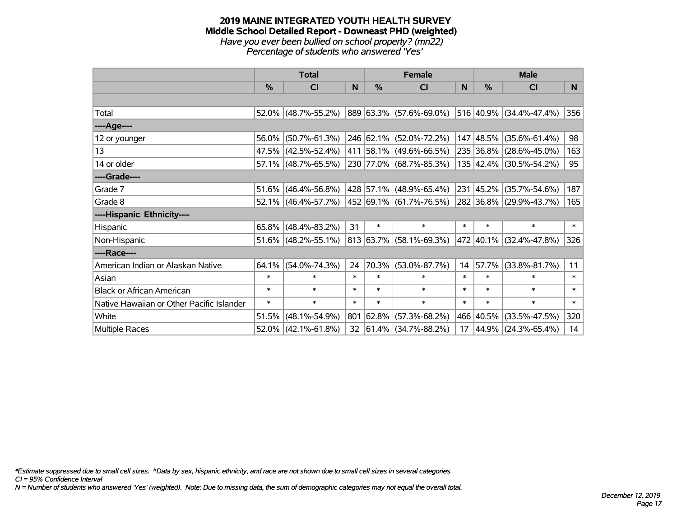#### **2019 MAINE INTEGRATED YOUTH HEALTH SURVEY Middle School Detailed Report - Downeast PHD (weighted)** *Have you ever been bullied on school property? (mn22) Percentage of students who answered 'Yes'*

|                                           |               | <b>Total</b>           |        |                              | <b>Female</b>                           | <b>Male</b>      |        |                         |        |
|-------------------------------------------|---------------|------------------------|--------|------------------------------|-----------------------------------------|------------------|--------|-------------------------|--------|
|                                           | $\frac{0}{0}$ | CI                     | N      | %                            | <b>CI</b>                               | N                | %      | <b>CI</b>               | N.     |
|                                           |               |                        |        |                              |                                         |                  |        |                         |        |
| Total                                     |               | 52.0% (48.7%-55.2%)    |        |                              | 889 63.3% (57.6%-69.0%)                 |                  |        | 516 40.9% (34.4%-47.4%) | 356    |
| ----Age----                               |               |                        |        |                              |                                         |                  |        |                         |        |
| 12 or younger                             | 56.0%         | $(50.7\% - 61.3\%)$    |        |                              | 246 62.1% (52.0%-72.2%)                 |                  |        | 147 48.5% (35.6%-61.4%) | 98     |
| 13                                        |               | 47.5% (42.5%-52.4%)    |        |                              | 411 58.1% (49.6%-66.5%)                 |                  |        | 235 36.8% (28.6%-45.0%) | 163    |
| 14 or older                               |               | 57.1% (48.7%-65.5%)    |        |                              | 230 77.0% (68.7%-85.3%)                 |                  |        | 135 42.4% (30.5%-54.2%) | 95     |
| ----Grade----                             |               |                        |        |                              |                                         |                  |        |                         |        |
| Grade 7                                   | $51.6\%$      | $(46.4\% - 56.8\%)$    |        |                              | 428 57.1% (48.9%-65.4%)                 | 231              | 45.2%  | $(35.7\% - 54.6\%)$     | 187    |
| Grade 8                                   |               | 52.1% (46.4%-57.7%)    |        |                              | 452 69.1% (61.7%-76.5%)                 |                  |        | 282 36.8% (29.9%-43.7%) | 165    |
| ----Hispanic Ethnicity----                |               |                        |        |                              |                                         |                  |        |                         |        |
| Hispanic                                  |               | $65.8\%$ (48.4%-83.2%) | 31     | $\ast$                       | $\ast$                                  | $\ast$           | $\ast$ | $\ast$                  | $\ast$ |
| Non-Hispanic                              |               | 51.6% (48.2%-55.1%)    |        | 813 63.7% (58.1%-69.3%)      |                                         |                  |        | 472 40.1% (32.4%-47.8%) | 326    |
| ----Race----                              |               |                        |        |                              |                                         |                  |        |                         |        |
| American Indian or Alaskan Native         | $64.1\%$      | $(54.0\% - 74.3\%)$    | 24     |                              | 70.3% (53.0%-87.7%)                     | 14               | 57.7%  | $(33.8\% - 81.7\%)$     | 11     |
| Asian                                     | $\ast$        | $\ast$                 | $\ast$ | $\ast$                       | $\ast$                                  | $\ast$           | $\ast$ | $\ast$                  | $\ast$ |
| <b>Black or African American</b>          | $\ast$        | $\ast$                 | $\ast$ | $\ast$                       | $\ast$                                  | $\ast$<br>$\ast$ |        | $\ast$                  | $\ast$ |
| Native Hawaiian or Other Pacific Islander | $\ast$        | $\ast$                 | $\ast$ | $\ast$                       | $\ast$                                  | $\ast$<br>$\ast$ |        | $\ast$                  | $\ast$ |
| White                                     | 51.5%         | $(48.1\% - 54.9\%)$    | 801    | 62.8%<br>$(57.3\% - 68.2\%)$ |                                         | 466              | 40.5%  | $(33.5\% - 47.5\%)$     | 320    |
| <b>Multiple Races</b>                     |               | 52.0% (42.1%-61.8%)    |        |                              | $32   61.4\%   (34.7\% - 88.2\%)$<br>17 |                  |        | 44.9% (24.3%-65.4%)     | 14     |

*\*Estimate suppressed due to small cell sizes. ^Data by sex, hispanic ethnicity, and race are not shown due to small cell sizes in several categories.*

*CI = 95% Confidence Interval*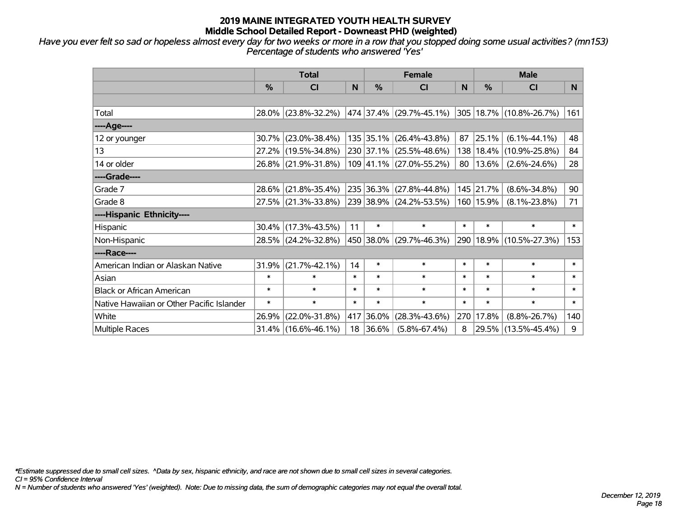*Have you ever felt so sad or hopeless almost every day for two weeks or more in a row that you stopped doing some usual activities? (mn153) Percentage of students who answered 'Yes'*

|                                           |                            | <b>Total</b>                                   |        |               | <b>Female</b>                      |        | <b>Male</b>                 |                              |        |  |
|-------------------------------------------|----------------------------|------------------------------------------------|--------|---------------|------------------------------------|--------|-----------------------------|------------------------------|--------|--|
|                                           | $\frac{0}{0}$              | CI                                             | N      | $\frac{0}{0}$ | <b>CI</b>                          | N      | %                           | <b>CI</b>                    | N.     |  |
|                                           |                            |                                                |        |               |                                    |        |                             |                              |        |  |
| Total                                     |                            | $28.0\%$ (23.8%-32.2%) 474 37.4% (29.7%-45.1%) |        |               |                                    |        |                             | $ 305 18.7\% $ (10.8%-26.7%) | 161    |  |
| ----Age----                               |                            |                                                |        |               |                                    |        |                             |                              |        |  |
| 12 or younger                             | 30.7%                      | $(23.0\% - 38.4\%)$                            |        |               | 135 35.1% (26.4%-43.8%)            | 87     | 25.1%                       | $(6.1\% - 44.1\%)$           | 48     |  |
| 13                                        |                            | 27.2% (19.5%-34.8%)                            |        |               | 230 37.1% (25.5%-48.6%)            |        | 138 <br>18.4%               | $(10.9\% - 25.8\%)$          | 84     |  |
| 14 or older                               |                            | 26.8% (21.9%-31.8%)                            |        |               | $109$ 41.1% (27.0%-55.2%)          |        | 80 <sup>1</sup><br>$13.6\%$ | $(2.6\% - 24.6\%)$           | 28     |  |
| ----Grade----                             |                            |                                                |        |               |                                    |        |                             |                              |        |  |
| Grade 7                                   | $28.6\%$                   | $(21.8\% - 35.4\%)$                            |        |               | 235 36.3% (27.8%-44.8%)            |        | 145 21.7%                   | $(8.6\% - 34.8\%)$           | 90     |  |
| Grade 8                                   |                            | 27.5% (21.3%-33.8%)                            |        |               | 239 38.9% (24.2%-53.5%)            |        | 160 15.9%                   | $(8.1\% - 23.8\%)$           | 71     |  |
| ----Hispanic Ethnicity----                |                            |                                                |        |               |                                    |        |                             |                              |        |  |
| Hispanic                                  |                            | $30.4\%$ (17.3%-43.5%)                         | 11     | $\ast$        | $\ast$                             | $\ast$ | $\ast$                      | $\ast$                       | $\ast$ |  |
| Non-Hispanic                              |                            | 28.5% (24.2%-32.8%)                            |        |               | 450   38.0%   (29.7%-46.3%)<br>290 |        |                             | 18.9% (10.5%-27.3%)          | 153    |  |
| ----Race----                              |                            |                                                |        |               |                                    |        |                             |                              |        |  |
| American Indian or Alaskan Native         | 31.9%                      | $(21.7\% - 42.1\%)$                            | 14     | $\ast$        | $\ast$                             | $\ast$ | $\ast$                      | $\ast$                       | $\ast$ |  |
| Asian                                     | $\ast$                     | $\ast$                                         | $\ast$ | $\ast$        | $\ast$                             | $\ast$ | $\ast$                      | $\ast$                       | $\ast$ |  |
| <b>Black or African American</b>          | $\ast$                     | $\ast$                                         | $\ast$ | $\ast$        | $\ast$                             | $\ast$ | $\ast$                      | $\ast$                       | $\ast$ |  |
| Native Hawaiian or Other Pacific Islander | $\ast$                     | $\ast$                                         | $\ast$ | $\ast$        | $\ast$                             | $\ast$ | $\ast$                      | $\ast$                       | $\ast$ |  |
| White                                     | 26.9%                      | $(22.0\% - 31.8\%)$                            |        | 36.0%         | $(28.3\% - 43.6\%)$                | 270    | 17.8%                       | $(8.8\% - 26.7\%)$           | 140    |  |
| <b>Multiple Races</b>                     | 417<br>31.4% (16.6%-46.1%) |                                                | 18     | 36.6%         | 8<br>$(5.8\% - 67.4\%)$            |        | 29.5%                       | $(13.5\% - 45.4\%)$          |        |  |

*\*Estimate suppressed due to small cell sizes. ^Data by sex, hispanic ethnicity, and race are not shown due to small cell sizes in several categories.*

*CI = 95% Confidence Interval*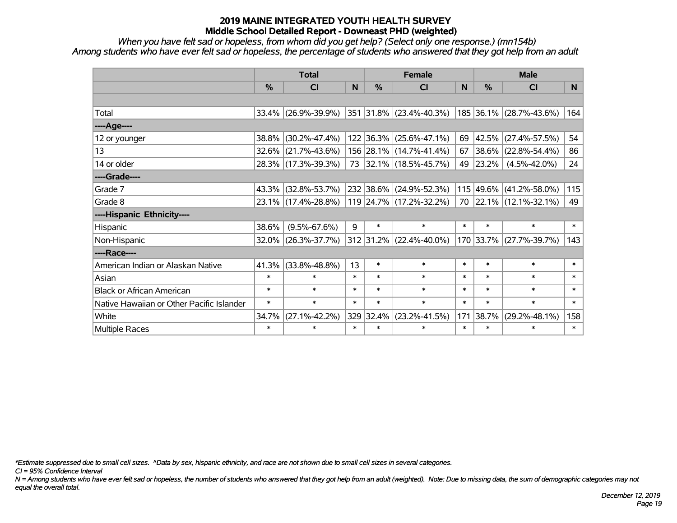*When you have felt sad or hopeless, from whom did you get help? (Select only one response.) (mn154b) Among students who have ever felt sad or hopeless, the percentage of students who answered that they got help from an adult*

|                                           |                     | <b>Total</b>           |        |                                  | <b>Female</b>               |              | <b>Male</b>   |                         |                |  |
|-------------------------------------------|---------------------|------------------------|--------|----------------------------------|-----------------------------|--------------|---------------|-------------------------|----------------|--|
|                                           | $\%$                | <b>CI</b>              | N      | $\%$                             | <b>CI</b>                   | <sub>N</sub> | $\%$          | <b>CI</b>               | N <sub>1</sub> |  |
|                                           |                     |                        |        |                                  |                             |              |               |                         |                |  |
| Total                                     |                     | $33.4\%$ (26.9%-39.9%) |        |                                  | 351 31.8% (23.4%-40.3%)     |              |               | 185 36.1% (28.7%-43.6%) | 164            |  |
| ----Age----                               |                     |                        |        |                                  |                             |              |               |                         |                |  |
| 12 or younger                             | 38.8%               | $(30.2\% - 47.4\%)$    |        |                                  | 122 36.3% (25.6%-47.1%)     | 69           | 42.5%         | $(27.4\% - 57.5\%)$     | 54             |  |
| 13                                        |                     | $32.6\%$ (21.7%-43.6%) |        |                                  | 156 28.1% (14.7%-41.4%)     | 67           | 38.6%         | $(22.8\% - 54.4\%)$     | 86             |  |
| 14 or older                               | 28.3% (17.3%-39.3%) |                        |        |                                  | 73 32.1% (18.5%-45.7%)      |              | 49  <br>23.2% | $(4.5\% - 42.0\%)$      | 24             |  |
| ----Grade----                             |                     |                        |        |                                  |                             |              |               |                         |                |  |
| Grade 7                                   | 43.3%               | $(32.8\% - 53.7\%)$    |        |                                  | 232 38.6% (24.9%-52.3%)     |              | 115 49.6%     | $(41.2\% - 58.0\%)$     | 115            |  |
| Grade 8                                   |                     | 23.1% (17.4%-28.8%)    |        |                                  | 119   24.7%   (17.2%-32.2%) |              |               | 70 22.1% (12.1%-32.1%)  | 49             |  |
| ----Hispanic Ethnicity----                |                     |                        |        |                                  |                             |              |               |                         |                |  |
| Hispanic                                  | 38.6%               | $(9.5\% - 67.6\%)$     | 9      | $\ast$                           | $\ast$                      | $\ast$       | $\ast$        | $\ast$                  | $\ast$         |  |
| Non-Hispanic                              | 32.0%               | $(26.3\% - 37.7\%)$    |        | 312 31.2% (22.4%-40.0%)          |                             |              |               | 170 33.7% (27.7%-39.7%) | 143            |  |
| ----Race----                              |                     |                        |        |                                  |                             |              |               |                         |                |  |
| American Indian or Alaskan Native         | 41.3%               | $(33.8\% - 48.8\%)$    | 13     | $\ast$                           | $\ast$                      | $\ast$       | $\ast$        | $\ast$                  | $\ast$         |  |
| Asian                                     | $\ast$              | $\ast$                 | $\ast$ | $\ast$                           | $\ast$                      | $\ast$       | $\ast$        | $\ast$                  | $\ast$         |  |
| <b>Black or African American</b>          | $\ast$              | $\ast$                 | $\ast$ | $\ast$                           | $\ast$                      | $\ast$       | $\ast$        | $\ast$                  | $\ast$         |  |
| Native Hawaiian or Other Pacific Islander | $\ast$              | $\ast$                 | $\ast$ | $\ast$                           | $\ast$                      | $\ast$       | $\ast$        | $\ast$                  | $\ast$         |  |
| White                                     | 34.7%               | $(27.1\% - 42.2\%)$    |        | 329 32.4%<br>$(23.2\% - 41.5\%)$ |                             | 171          | 38.7%         | $(29.2\% - 48.1\%)$     | 158            |  |
| <b>Multiple Races</b>                     | $\ast$              | $\ast$                 | $\ast$ | $\ast$                           | $\ast$                      | $\ast$       | $\ast$        | $\ast$                  | $\ast$         |  |

*\*Estimate suppressed due to small cell sizes. ^Data by sex, hispanic ethnicity, and race are not shown due to small cell sizes in several categories.*

*CI = 95% Confidence Interval*

*N = Among students who have ever felt sad or hopeless, the number of students who answered that they got help from an adult (weighted). Note: Due to missing data, the sum of demographic categories may not equal the overall total.*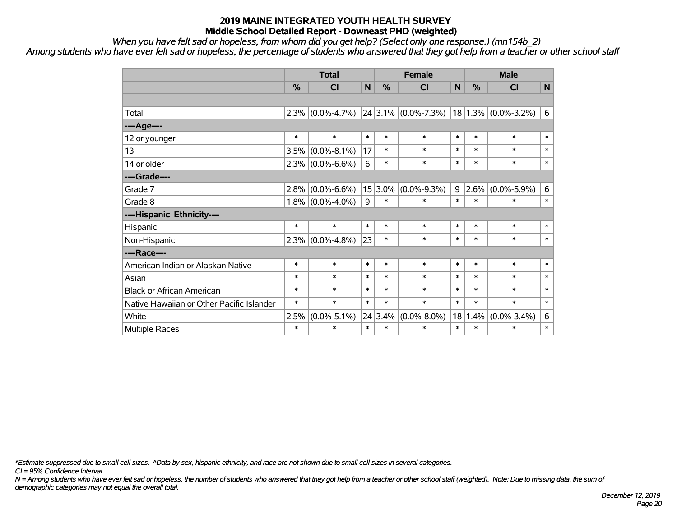*When you have felt sad or hopeless, from whom did you get help? (Select only one response.) (mn154b\_2)*

*Among students who have ever felt sad or hopeless, the percentage of students who answered that they got help from a teacher or other school staff*

|                                           | <b>Total</b> |                                             |                     | <b>Female</b> |                   |        | <b>Male</b> |                         |        |  |
|-------------------------------------------|--------------|---------------------------------------------|---------------------|---------------|-------------------|--------|-------------|-------------------------|--------|--|
|                                           | %            | CI                                          | N<br>%<br><b>CI</b> |               | N                 | %      | CI          | $\mathsf{N}$            |        |  |
|                                           |              |                                             |                     |               |                   |        |             |                         |        |  |
| Total                                     | 2.3%         | $(0.0\% - 4.7\%)$ 24 3.1% $(0.0\% - 7.3\%)$ |                     |               |                   |        |             | $18 1.3\% $ (0.0%-3.2%) | 6      |  |
| ----Age----                               |              |                                             |                     |               |                   |        |             |                         |        |  |
| 12 or younger                             | $\ast$       | $\ast$                                      | $\ast$              | $\ast$        | $\ast$            | $\ast$ | $\ast$      | $\ast$                  | $\ast$ |  |
| 13                                        | 3.5%         | $(0.0\% - 8.1\%)$                           | 17                  | $\ast$        | $\ast$            | $\ast$ | $\ast$      | $\ast$                  | $\ast$ |  |
| 14 or older                               | 2.3%         | $(0.0\% - 6.6\%)$                           | 6                   | $\ast$        | $\ast$            | $\ast$ | $\ast$      | $\ast$                  | $\ast$ |  |
| ----Grade----                             |              |                                             |                     |               |                   |        |             |                         |        |  |
| Grade 7                                   | 2.8%         | $(0.0\% - 6.6\%)$                           | 15                  | 3.0%          | $(0.0\% - 9.3\%)$ | 9      | 2.6%        | $(0.0\% - 5.9\%)$       | 6      |  |
| Grade 8                                   | $1.8\%$      | $(0.0\% - 4.0\%)$                           | 9                   | $\ast$        | $\ast$            | $\ast$ | $\ast$      | $\ast$                  | $\ast$ |  |
| ----Hispanic Ethnicity----                |              |                                             |                     |               |                   |        |             |                         |        |  |
| Hispanic                                  | $\ast$       | $\ast$                                      | $\ast$              | $\ast$        | $\ast$            | $\ast$ | $\ast$      | $\ast$                  | $\ast$ |  |
| Non-Hispanic                              | 2.3%         | $(0.0\% - 4.8\%)$                           | 23                  | $\ast$        | $\ast$            | $\ast$ | $\ast$      | $\ast$                  | $\ast$ |  |
| ----Race----                              |              |                                             |                     |               |                   |        |             |                         |        |  |
| American Indian or Alaskan Native         | $\ast$       | $\ast$                                      | $\ast$              | $\ast$        | $\ast$            | $\ast$ | $\ast$      | $\ast$                  | $\ast$ |  |
| Asian                                     | $\ast$       | $\ast$                                      | $\ast$              | $\ast$        | $\ast$            | $\ast$ | $\ast$      | $\ast$                  | $\ast$ |  |
| <b>Black or African American</b>          | $\ast$       | $\ast$                                      | $\ast$              | $\ast$        | $\ast$            | $\ast$ | $\ast$      | $\ast$                  | $\ast$ |  |
| Native Hawaiian or Other Pacific Islander | $\ast$       | $\ast$                                      | $\ast$              | $\ast$        | $\ast$            | $\ast$ | $\ast$      | $\ast$                  | $\ast$ |  |
| White                                     | 2.5%         | $(0.0\% - 5.1\%)$                           | 24                  | 3.4%          | $(0.0\% - 8.0\%)$ | 18     | 1.4%        | $(0.0\% - 3.4\%)$       | 6      |  |
| Multiple Races                            | $\ast$       | $\ast$                                      | $\ast$              | $\ast$        | $\ast$            | $\ast$ | $\ast$      | $\ast$                  | $\ast$ |  |

*\*Estimate suppressed due to small cell sizes. ^Data by sex, hispanic ethnicity, and race are not shown due to small cell sizes in several categories.*

*CI = 95% Confidence Interval*

*N = Among students who have ever felt sad or hopeless, the number of students who answered that they got help from a teacher or other school staff (weighted). Note: Due to missing data, the sum of demographic categories may not equal the overall total.*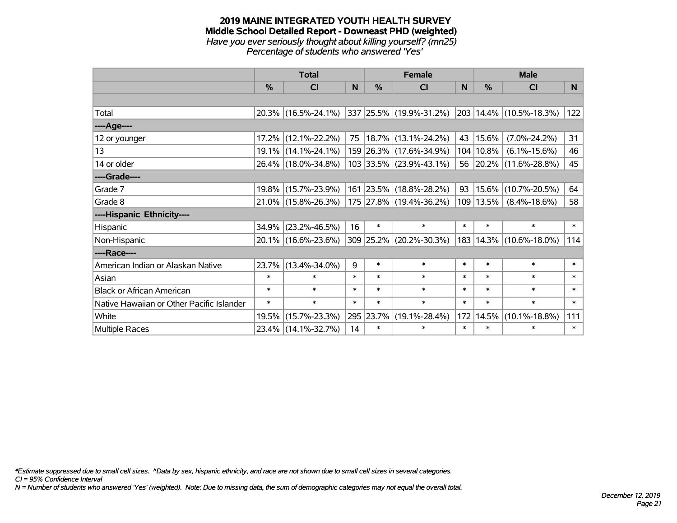#### **2019 MAINE INTEGRATED YOUTH HEALTH SURVEY Middle School Detailed Report - Downeast PHD (weighted)** *Have you ever seriously thought about killing yourself? (mn25) Percentage of students who answered 'Yes'*

|                                           |                     | <b>Total</b>        |        |               | <b>Female</b>           | <b>Male</b>      |           |                             |        |
|-------------------------------------------|---------------------|---------------------|--------|---------------|-------------------------|------------------|-----------|-----------------------------|--------|
|                                           | %                   | CI                  | N      | $\frac{0}{0}$ | <b>CI</b>               | N                | %         | <b>CI</b>                   | N      |
|                                           |                     |                     |        |               |                         |                  |           |                             |        |
| Total                                     |                     | 20.3% (16.5%-24.1%) |        |               | 337 25.5% (19.9%-31.2%) |                  |           | 203 14.4% (10.5%-18.3%)     | 122    |
| ----Age----                               |                     |                     |        |               |                         |                  |           |                             |        |
| 12 or younger                             | 17.2%               | $(12.1\% - 22.2\%)$ | 75     |               | 18.7% (13.1%-24.2%)     | 43               | 15.6%     | $(7.0\% - 24.2\%)$          | 31     |
| 13                                        |                     | 19.1% (14.1%-24.1%) |        |               | 159 26.3% (17.6%-34.9%) | 104              | 10.8%     | $(6.1\% - 15.6\%)$          | 46     |
| 14 or older                               | 26.4% (18.0%-34.8%) |                     |        |               | 103 33.5% (23.9%-43.1%) |                  | 56        | $ 20.2\% $ (11.6%-28.8%)    | 45     |
| ----Grade----                             |                     |                     |        |               |                         |                  |           |                             |        |
| Grade 7                                   | 19.8%               | $(15.7\% - 23.9\%)$ |        |               | 161 23.5% (18.8%-28.2%) | 93               |           | 15.6% (10.7%-20.5%)         | 64     |
| Grade 8                                   |                     | 21.0% (15.8%-26.3%) |        |               | 175 27.8% (19.4%-36.2%) |                  | 109 13.5% | $(8.4\% - 18.6\%)$          | 58     |
| ----Hispanic Ethnicity----                |                     |                     |        |               |                         |                  |           |                             |        |
| Hispanic                                  | 34.9%               | $(23.2\% - 46.5\%)$ | 16     | $\ast$        | $\ast$                  | $\ast$           | $\ast$    | $\ast$                      | $\ast$ |
| Non-Hispanic                              |                     | 20.1% (16.6%-23.6%) |        | 309 25.2%     | $(20.2\% - 30.3\%)$     |                  |           | 183   14.3%   (10.6%-18.0%) | 114    |
| ----Race----                              |                     |                     |        |               |                         |                  |           |                             |        |
| American Indian or Alaskan Native         | 23.7%               | $(13.4\% - 34.0\%)$ | 9      | $\ast$        | $\ast$                  | $\ast$           | $\ast$    | $\ast$                      | $\ast$ |
| Asian                                     | $\ast$              | $\ast$              | $\ast$ | $\ast$        | $\ast$                  | $\ast$           | $\ast$    | $\ast$                      | $\ast$ |
| <b>Black or African American</b>          | $\ast$              | $\ast$              | $\ast$ | $\ast$        | $\ast$                  | $\ast$           | $\ast$    | $\ast$                      | $\ast$ |
| Native Hawaiian or Other Pacific Islander | $\ast$              | $\ast$              | $\ast$ | $\ast$        | $\ast$                  | $\ast$<br>$\ast$ |           | $\ast$                      | $\ast$ |
| White                                     | 19.5%               | $(15.7\% - 23.3\%)$ |        | 295<br>23.7%  | $(19.1\% - 28.4\%)$     |                  | 14.5%     | $(10.1\% - 18.8\%)$         | 111    |
| Multiple Races                            |                     | 23.4% (14.1%-32.7%) | 14     | $\ast$        | $\ast$                  | $\ast$           | $\ast$    | $\ast$                      | $\ast$ |

*\*Estimate suppressed due to small cell sizes. ^Data by sex, hispanic ethnicity, and race are not shown due to small cell sizes in several categories.*

*CI = 95% Confidence Interval*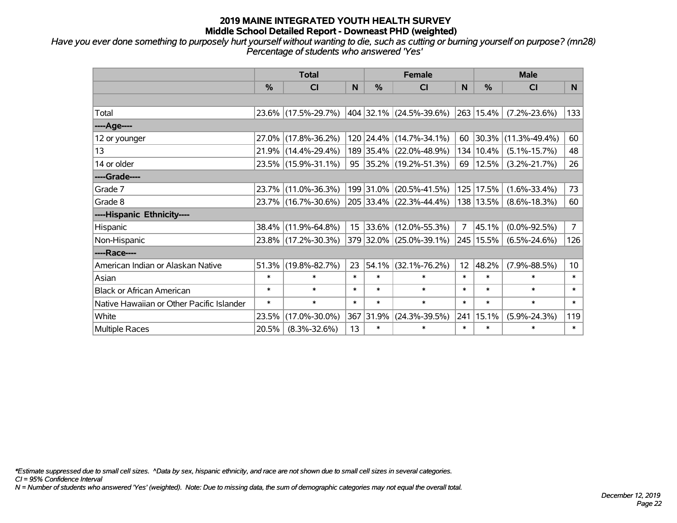*Have you ever done something to purposely hurt yourself without wanting to die, such as cutting or burning yourself on purpose? (mn28) Percentage of students who answered 'Yes'*

|                                           |        | <b>Total</b>           |                 |                         | <b>Female</b>               |                  | <b>Male</b> |                     |                 |  |
|-------------------------------------------|--------|------------------------|-----------------|-------------------------|-----------------------------|------------------|-------------|---------------------|-----------------|--|
|                                           | $\%$   | <b>CI</b>              | N               | $\%$                    | <b>CI</b>                   | <sub>N</sub>     | $\%$        | <b>CI</b>           | N <sub>1</sub>  |  |
|                                           |        |                        |                 |                         |                             |                  |             |                     |                 |  |
| Total                                     |        | 23.6% (17.5%-29.7%)    |                 |                         | 404   32.1%   (24.5%-39.6%) |                  | 263 15.4%   | $(7.2\% - 23.6\%)$  | 133             |  |
| ----Age----                               |        |                        |                 |                         |                             |                  |             |                     |                 |  |
| 12 or younger                             |        | 27.0% (17.8%-36.2%)    |                 |                         | 120 24.4% (14.7%-34.1%)     | 60               | 30.3%       | $(11.3\% - 49.4\%)$ | 60              |  |
| 13                                        |        | $21.9\%$ (14.4%-29.4%) |                 | 189 35.4% (22.0%-48.9%) |                             |                  | 134 10.4%   | $(5.1\% - 15.7\%)$  | 48              |  |
| 14 or older                               |        | 23.5% (15.9%-31.1%)    |                 |                         | 95 35.2% (19.2%-51.3%)      |                  | 12.5%<br>69 | $(3.2\% - 21.7\%)$  | 26              |  |
| ----Grade----                             |        |                        |                 |                         |                             |                  |             |                     |                 |  |
| Grade 7                                   |        | 23.7% (11.0%-36.3%)    |                 | 199 31.0%               | $(20.5\% - 41.5\%)$         | 125              | 17.5%       | $(1.6\% - 33.4\%)$  | 73              |  |
| Grade 8                                   |        | 23.7% (16.7%-30.6%)    |                 |                         | $205$ 33.4% (22.3%-44.4%)   |                  | 138 13.5%   | $(8.6\% - 18.3\%)$  | 60              |  |
| ----Hispanic Ethnicity----                |        |                        |                 |                         |                             |                  |             |                     |                 |  |
| Hispanic                                  |        | 38.4% (11.9%-64.8%)    | 15 <sub>1</sub> |                         | $ 33.6\% $ (12.0%-55.3%)    | $\overline{7}$   | 45.1%       | $(0.0\% - 92.5\%)$  | $\overline{7}$  |  |
| Non-Hispanic                              |        | 23.8% (17.2%-30.3%)    |                 |                         | 379 32.0% (25.0%-39.1%)     | 245              | 15.5%       | $(6.5\% - 24.6\%)$  | 126             |  |
| ----Race----                              |        |                        |                 |                         |                             |                  |             |                     |                 |  |
| American Indian or Alaskan Native         |        | $51.3\%$ (19.8%-82.7%) | 23              | $ 54.1\% $              | $(32.1\% - 76.2\%)$         | 12 <sup>12</sup> | 48.2%       | $(7.9\% - 88.5\%)$  | 10 <sup>1</sup> |  |
| Asian                                     | $\ast$ | $\ast$                 | $\ast$          | $\ast$                  | $\ast$                      | $\ast$           | $\ast$      | $\ast$              | $\ast$          |  |
| <b>Black or African American</b>          | $\ast$ | $\ast$                 | $\ast$          | $\ast$                  | $\ast$                      | $\ast$           | $\ast$      | $\ast$              | $\ast$          |  |
| Native Hawaiian or Other Pacific Islander | $\ast$ | $\ast$                 | $\ast$          | $\ast$                  | $\ast$                      | $\ast$           | $\ast$      | $\ast$              | $\ast$          |  |
| White                                     | 23.5%  | $(17.0\% - 30.0\%)$    |                 | 31.9%<br>367            | $(24.3\% - 39.5\%)$         | 241              | 15.1%       | $(5.9\% - 24.3\%)$  | 119             |  |
| <b>Multiple Races</b>                     | 20.5%  | $(8.3\% - 32.6\%)$     | 13              | $\ast$                  | $\ast$                      | $\ast$           | $\ast$      | $\ast$              | $\ast$          |  |

*\*Estimate suppressed due to small cell sizes. ^Data by sex, hispanic ethnicity, and race are not shown due to small cell sizes in several categories.*

*CI = 95% Confidence Interval*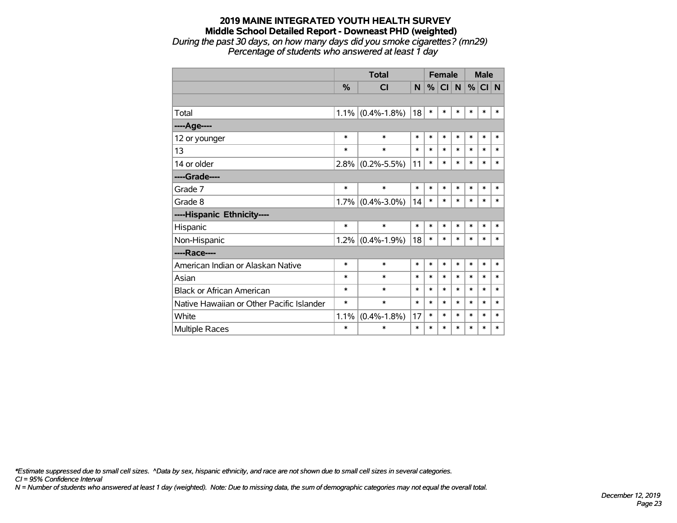#### **2019 MAINE INTEGRATED YOUTH HEALTH SURVEY Middle School Detailed Report - Downeast PHD (weighted)** *During the past 30 days, on how many days did you smoke cigarettes? (mn29)*

*Percentage of students who answered at least 1 day*

|                                           |               | <b>Total</b>        |                | <b>Female</b> |           |        | <b>Male</b> |        |        |
|-------------------------------------------|---------------|---------------------|----------------|---------------|-----------|--------|-------------|--------|--------|
|                                           | $\frac{0}{0}$ | <b>CI</b>           | N <sub>1</sub> | %             | <b>CI</b> | N      | %           | CI N   |        |
|                                           |               |                     |                |               |           |        |             |        |        |
| Total                                     |               | $1.1\%$ (0.4%-1.8%) | 18             | $\ast$        | $\ast$    | $\ast$ | *           | $\ast$ | $\ast$ |
| ---- Age----                              |               |                     |                |               |           |        |             |        |        |
| 12 or younger                             | $\ast$        | $\ast$              | $\ast$         | $\ast$        | $\ast$    | $\ast$ | $\ast$      | $\ast$ | $\ast$ |
| 13                                        | $\ast$        | $\ast$              | $\ast$         | $\ast$        | $\ast$    | $\ast$ | $\ast$      | $\ast$ | $\ast$ |
| 14 or older                               |               | $2.8\%$ (0.2%-5.5%) | 11             | $\ast$        | $\ast$    | $\ast$ | $\ast$      | $\ast$ | $\ast$ |
| ----Grade----                             |               |                     |                |               |           |        |             |        |        |
| Grade 7                                   | $\ast$        | $\ast$              | $\ast$         | $\ast$        | $\ast$    | $\ast$ | $\ast$      | $\ast$ | $\ast$ |
| Grade 8                                   |               | $1.7\%$ (0.4%-3.0%) | 14             | $\ast$        | $\ast$    | $\ast$ | $\ast$      | $\ast$ | $\ast$ |
| ----Hispanic Ethnicity----                |               |                     |                |               |           |        |             |        |        |
| Hispanic                                  | $\ast$        | $\ast$              | $\ast$         | *             | $\ast$    | *      | *           | $\ast$ | *      |
| Non-Hispanic                              |               | $1.2\%$ (0.4%-1.9%) | 18             | $\ast$        | $\ast$    | $\ast$ | $\ast$      | $\ast$ | $\ast$ |
| ----Race----                              |               |                     |                |               |           |        |             |        |        |
| American Indian or Alaskan Native         | $\ast$        | $\ast$              | $\ast$         | $\ast$        | $\ast$    | $\ast$ | $\ast$      | $\ast$ | $\ast$ |
| Asian                                     | $\ast$        | $\ast$              | $\ast$         | $\ast$        | $\ast$    | $\ast$ | $\ast$      | $\ast$ | $\ast$ |
| <b>Black or African American</b>          | $\ast$        | $\ast$              | $\ast$         | $\ast$        | $\ast$    | $\ast$ | $\ast$      | $\ast$ | $\ast$ |
| Native Hawaiian or Other Pacific Islander | $\ast$        | $\ast$              | $\ast$         | $\ast$        | *         | $\ast$ | *           | $\ast$ | $\ast$ |
| White                                     | 1.1%          | $(0.4\% - 1.8\%)$   | 17             | $\ast$        | *         | $\ast$ | *           | $\ast$ | $\ast$ |
| Multiple Races                            | $\ast$        | $\ast$              | $\ast$         | *             | *         | $\ast$ | *           | $\ast$ | $\ast$ |

*\*Estimate suppressed due to small cell sizes. ^Data by sex, hispanic ethnicity, and race are not shown due to small cell sizes in several categories.*

*CI = 95% Confidence Interval*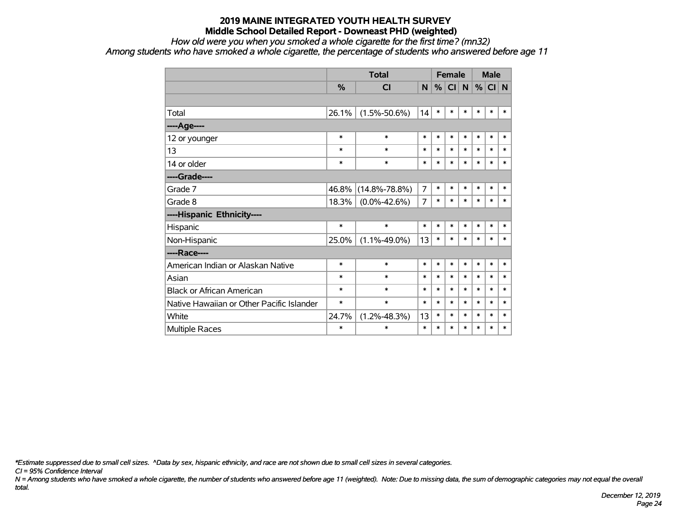#### *How old were you when you smoked a whole cigarette for the first time? (mn32)*

*Among students who have smoked a whole cigarette, the percentage of students who answered before age 11*

|                                           |               | <b>Total</b>        |                |        | <b>Female</b> |        |        | <b>Male</b> |        |
|-------------------------------------------|---------------|---------------------|----------------|--------|---------------|--------|--------|-------------|--------|
|                                           | $\frac{9}{6}$ | <b>CI</b>           | N              | %      | CI            | N      | $\%$   | CI N        |        |
|                                           |               |                     |                |        |               |        |        |             |        |
| Total                                     | 26.1%         | $(1.5\% - 50.6\%)$  | 14             | $\ast$ | $\ast$        | $\ast$ | $\ast$ | $\ast$      | $\ast$ |
| ----Age----                               |               |                     |                |        |               |        |        |             |        |
| 12 or younger                             | $\ast$        | $\ast$              | $\ast$         | $\ast$ | $\ast$        | $\ast$ | $\ast$ | $\ast$      | $\ast$ |
| 13                                        | $\ast$        | $\ast$              | $\ast$         | $\ast$ | $\ast$        | $\ast$ | $\ast$ | $\ast$      | $\ast$ |
| 14 or older                               | ∗             | $\ast$              | $\ast$         | $\ast$ | $\ast$        | $\ast$ | $\ast$ | $\ast$      | $\ast$ |
| ----Grade----                             |               |                     |                |        |               |        |        |             |        |
| Grade 7                                   | 46.8%         | $(14.8\% - 78.8\%)$ | $\overline{7}$ | $\ast$ | $\ast$        | $\ast$ | $\ast$ | $\ast$      | $\ast$ |
| Grade 8                                   | 18.3%         | $(0.0\% - 42.6\%)$  | 7              | $\ast$ | $\ast$        | $\ast$ | $\ast$ | $\ast$      | *      |
| ----Hispanic Ethnicity----                |               |                     |                |        |               |        |        |             |        |
| Hispanic                                  | $\ast$        | $\ast$              | $\ast$         | $\ast$ | $\ast$        | $\ast$ | $\ast$ | $\ast$      | $\ast$ |
| Non-Hispanic                              | 25.0%         | $(1.1\% - 49.0\%)$  | 13             | $\ast$ | $\ast$        | $\ast$ | $\ast$ | $\ast$      | $\ast$ |
| ----Race----                              |               |                     |                |        |               |        |        |             |        |
| American Indian or Alaskan Native         | $\ast$        | $\ast$              | $\ast$         | $\ast$ | $\ast$        | $\ast$ | $\ast$ | $\ast$      | $\ast$ |
| Asian                                     | $\ast$        | $\ast$              | $\ast$         | $\ast$ | $\ast$        | $\ast$ | $\ast$ | $\ast$      | $\ast$ |
| <b>Black or African American</b>          | ∗             | $\ast$              | $\ast$         | $\ast$ | $\ast$        | $\ast$ | $\ast$ | $\ast$      | $\ast$ |
| Native Hawaiian or Other Pacific Islander | *             | $\ast$              | $\ast$         | $\ast$ | $\ast$        | $\ast$ | $\ast$ | $\ast$      | $\ast$ |
| White                                     | 24.7%         | $(1.2\% - 48.3\%)$  | 13             | $\ast$ | $\ast$        | $\ast$ | $\ast$ | $\ast$      | $\ast$ |
| Multiple Races                            | $\ast$        | $\ast$              | $\ast$         | $\ast$ | $\ast$        | $\ast$ | $\ast$ | $\ast$      | $\ast$ |

*\*Estimate suppressed due to small cell sizes. ^Data by sex, hispanic ethnicity, and race are not shown due to small cell sizes in several categories.*

*CI = 95% Confidence Interval*

*N = Among students who have smoked a whole cigarette, the number of students who answered before age 11 (weighted). Note: Due to missing data, the sum of demographic categories may not equal the overall total.*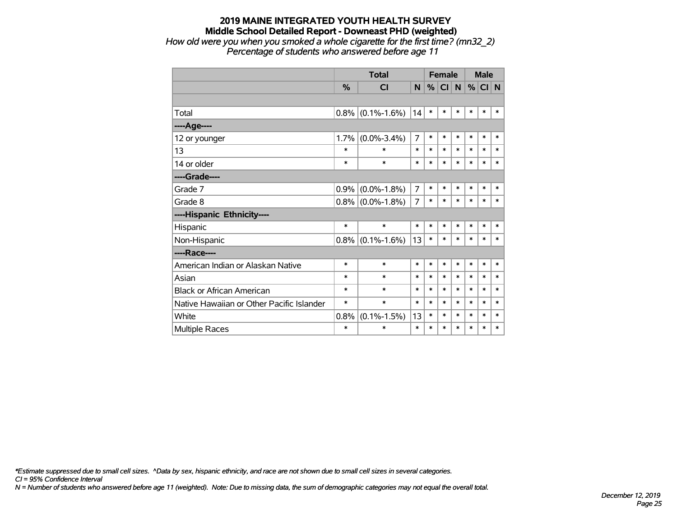*How old were you when you smoked a whole cigarette for the first time? (mn32\_2) Percentage of students who answered before age 11*

|                                           |               | <b>Total</b>      |                |        | <b>Female</b> |        | <b>Male</b> |        |        |
|-------------------------------------------|---------------|-------------------|----------------|--------|---------------|--------|-------------|--------|--------|
|                                           | $\frac{9}{6}$ | <b>CI</b>         | N.             | %      | <b>CI</b>     | N      | %           | CI N   |        |
|                                           |               |                   |                |        |               |        |             |        |        |
| Total                                     | 0.8%          | $(0.1\% - 1.6\%)$ | 14             | $\ast$ | $\ast$        | $\ast$ | $\ast$      | $\ast$ | *      |
| ----Age----                               |               |                   |                |        |               |        |             |        |        |
| 12 or younger                             | 1.7%          | $(0.0\% - 3.4\%)$ | 7              | $\ast$ | $\ast$        | $\ast$ | $\ast$      | $\ast$ | $\ast$ |
| 13                                        | *             | $\ast$            | $\ast$         | $\ast$ | $\ast$        | $\ast$ | $\ast$      | *      | $\ast$ |
| 14 or older                               | $\ast$        | $\ast$            | $\ast$         | $\ast$ | $\ast$        | $\ast$ | $\ast$      | $\ast$ | $\ast$ |
| ----Grade----                             |               |                   |                |        |               |        |             |        |        |
| Grade 7                                   | 0.9%          | $(0.0\% - 1.8\%)$ | $\overline{7}$ | $\ast$ | $\ast$        | $\ast$ | $\ast$      | $\ast$ | $\ast$ |
| Grade 8                                   | 0.8%          | $(0.0\% - 1.8\%)$ | 7              | $\ast$ | $\ast$        | $\ast$ | $\ast$      | $\ast$ | $\ast$ |
| ----Hispanic Ethnicity----                |               |                   |                |        |               |        |             |        |        |
| Hispanic                                  | $\ast$        | $\ast$            | *              | *      | $\ast$        | $\ast$ | $\ast$      | *      | $\ast$ |
| Non-Hispanic                              | 0.8%          | $(0.1\% - 1.6\%)$ | 13             | $\ast$ | $\ast$        | $\ast$ | *           | *      | *      |
| ----Race----                              |               |                   |                |        |               |        |             |        |        |
| American Indian or Alaskan Native         | $\ast$        | $\ast$            | $\ast$         | $\ast$ | $\ast$        | $\ast$ | $\ast$      | $\ast$ | $\ast$ |
| Asian                                     | $\ast$        | $\ast$            | $\ast$         | *      | $\ast$        | $\ast$ | $\ast$      | *      | *      |
| <b>Black or African American</b>          | *             | $\ast$            | $\ast$         | $\ast$ | $\ast$        | $\ast$ | $\ast$      | $\ast$ | $\ast$ |
| Native Hawaiian or Other Pacific Islander | *             | $\ast$            | $\ast$         | $\ast$ | $\ast$        | $\ast$ | $\ast$      | $\ast$ | $\ast$ |
| White                                     | 0.8%          | $(0.1\% - 1.5\%)$ | 13             | $\ast$ | $\ast$        | $\ast$ | $\ast$      | $\ast$ | $\ast$ |
| <b>Multiple Races</b>                     | $\ast$        | $\ast$            | $\ast$         | $\ast$ | $\ast$        | $\ast$ | $\ast$      | $\ast$ | $\ast$ |

*\*Estimate suppressed due to small cell sizes. ^Data by sex, hispanic ethnicity, and race are not shown due to small cell sizes in several categories.*

*CI = 95% Confidence Interval*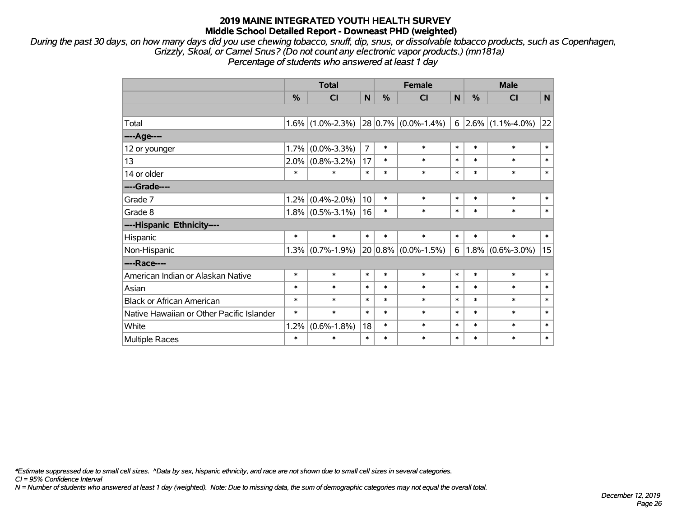*During the past 30 days, on how many days did you use chewing tobacco, snuff, dip, snus, or dissolvable tobacco products, such as Copenhagen, Grizzly, Skoal, or Camel Snus? (Do not count any electronic vapor products.) (mn181a) Percentage of students who answered at least 1 day*

|                                           | <b>Total</b> |                     | <b>Female</b>  |               |                          | <b>Male</b>    |               |                         |        |
|-------------------------------------------|--------------|---------------------|----------------|---------------|--------------------------|----------------|---------------|-------------------------|--------|
|                                           | %            | CI                  | N              | $\frac{0}{0}$ | CI                       | N <sub>1</sub> | $\frac{0}{0}$ | CI                      | N      |
|                                           |              |                     |                |               |                          |                |               |                         |        |
| Total                                     |              | $1.6\%$ (1.0%-2.3%) |                |               | $ 28 0.7\% $ (0.0%-1.4%) |                |               | $6$ 2.6% (1.1%-4.0%) 22 |        |
| ----Age----                               |              |                     |                |               |                          |                |               |                         |        |
| 12 or younger                             | 1.7%         | $(0.0\% - 3.3\%)$   | $\overline{7}$ | $\ast$        | $\ast$                   | $\ast$         | $\ast$        | $\ast$                  | $\ast$ |
| 13                                        | $2.0\%$      | $(0.8\% - 3.2\%)$   | 17             | $\ast$        | $\ast$                   | $\ast$         | $\ast$        | $\ast$                  | $\ast$ |
| 14 or older                               | $\ast$       | $\ast$              | $\ast$         | $\ast$        | $\ast$                   | $\ast$         | $\ast$        | $\ast$                  | $\ast$ |
| ----Grade----                             |              |                     |                |               |                          |                |               |                         |        |
| Grade 7                                   | 1.2%         | $(0.4\% - 2.0\%)$   | 10             | $\ast$        | $\ast$                   | $\ast$         | $\ast$        | $\ast$                  | $\ast$ |
| Grade 8                                   |              | $1.8\%$ (0.5%-3.1%) | 16             | $\ast$        | $\ast$                   | $\ast$         | $\ast$        | $\ast$                  | $\ast$ |
| ----Hispanic Ethnicity----                |              |                     |                |               |                          |                |               |                         |        |
| Hispanic                                  | $\ast$       | $\ast$              | $\ast$         | $\ast$        | $\ast$                   | $\ast$         | $\ast$        | $\ast$                  | $\ast$ |
| Non-Hispanic                              |              | $1.3\%$ (0.7%-1.9%) |                |               | $20 0.8\% $ (0.0%-1.5%)  | 6              |               | $1.8\%$ (0.6%-3.0%)     | 15     |
| ----Race----                              |              |                     |                |               |                          |                |               |                         |        |
| American Indian or Alaskan Native         | $\ast$       | $\ast$              | $\ast$         | $\ast$        | $\ast$                   | $\ast$         | $\ast$        | $\ast$                  | $\ast$ |
| Asian                                     | $\ast$       | $\ast$              | $\ast$         | $\ast$        | $\ast$                   | $\ast$         | $\ast$        | $\ast$                  | $\ast$ |
| <b>Black or African American</b>          | $\ast$       | $\ast$              | $\ast$         | $\ast$        | $\ast$                   | $\ast$         | $\ast$        | $\ast$                  | $\ast$ |
| Native Hawaiian or Other Pacific Islander | $\ast$       | $\ast$              | $\ast$         | $\ast$        | $\ast$                   | $\ast$         | $\ast$        | $\ast$                  | $\ast$ |
| White                                     | 1.2%         | $(0.6\% - 1.8\%)$   | 18             | $\ast$        | $\ast$                   | $\ast$         | $\ast$        | $\ast$                  | $\ast$ |
| Multiple Races                            | $\ast$       | $\ast$              | $\ast$         | $\ast$        | $\ast$                   | $\ast$         | $\ast$        | $\ast$                  | $\ast$ |

*\*Estimate suppressed due to small cell sizes. ^Data by sex, hispanic ethnicity, and race are not shown due to small cell sizes in several categories.*

*CI = 95% Confidence Interval*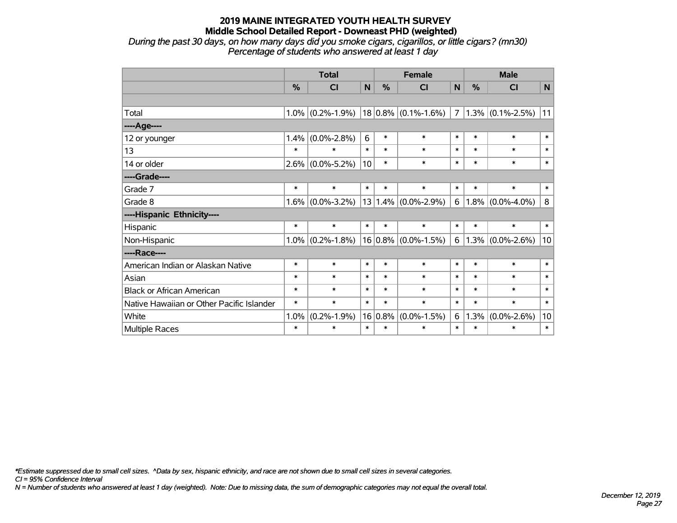*During the past 30 days, on how many days did you smoke cigars, cigarillos, or little cigars? (mn30) Percentage of students who answered at least 1 day*

|                                           | <b>Total</b> |                     | <b>Female</b> |        |                         | <b>Male</b> |        |                     |              |
|-------------------------------------------|--------------|---------------------|---------------|--------|-------------------------|-------------|--------|---------------------|--------------|
|                                           | %            | CI                  | N             | %      | <b>CI</b>               | N           | %      | <b>CI</b>           | $\mathsf{N}$ |
|                                           |              |                     |               |        |                         |             |        |                     |              |
| Total                                     |              | $1.0\%$ (0.2%-1.9%) |               |        | $18 0.8\% $ (0.1%-1.6%) | 7           |        | $1.3\%$ (0.1%-2.5%) | 11           |
| ----Age----                               |              |                     |               |        |                         |             |        |                     |              |
| 12 or younger                             | 1.4%         | $(0.0\% - 2.8\%)$   | 6             | $\ast$ | $\ast$                  | $\ast$      | $\ast$ | $\ast$              | $\ast$       |
| 13                                        | $\ast$       | $\ast$              | $\ast$        | $\ast$ | $\ast$                  | $\ast$      | $\ast$ | $\ast$              | $\ast$       |
| 14 or older                               |              | $2.6\%$ (0.0%-5.2%) | 10            | $\ast$ | $\ast$                  | $\ast$      | $\ast$ | $\ast$              | $\ast$       |
| ----Grade----                             |              |                     |               |        |                         |             |        |                     |              |
| Grade 7                                   | $\ast$       | $\ast$              | $\ast$        | $\ast$ | $\ast$                  | $\ast$      | $\ast$ | $\ast$              | $\ast$       |
| Grade 8                                   | 1.6%         | $(0.0\% - 3.2\%)$   |               |        | $13 1.4\% $ (0.0%-2.9%) | 6           | 1.8%   | $(0.0\% - 4.0\%)$   | 8            |
| ----Hispanic Ethnicity----                |              |                     |               |        |                         |             |        |                     |              |
| Hispanic                                  | $\ast$       | $\ast$              | $\ast$        | $\ast$ | $\ast$                  | $\ast$      | $\ast$ | $\ast$              | $\ast$       |
| Non-Hispanic                              | $1.0\%$      | $(0.2\% - 1.8\%)$   |               |        | $16 0.8\% $ (0.0%-1.5%) | $6^{\circ}$ | 1.3%   | $(0.0\% - 2.6\%)$   | 10           |
| ----Race----                              |              |                     |               |        |                         |             |        |                     |              |
| American Indian or Alaskan Native         | $\ast$       | $\ast$              | $\ast$        | $\ast$ | $\ast$                  | $\ast$      | $\ast$ | $\ast$              | $\ast$       |
| Asian                                     | $\ast$       | $\ast$              | $\ast$        | $\ast$ | $\ast$                  | $\ast$      | $\ast$ | $\ast$              | $\ast$       |
| <b>Black or African American</b>          | $\ast$       | $\ast$              | $\ast$        | $\ast$ | $\ast$                  | $\ast$      | $\ast$ | $\ast$              | $\ast$       |
| Native Hawaiian or Other Pacific Islander | $\ast$       | $\ast$              | $\ast$        | $\ast$ | $\ast$                  | $\ast$      | $\ast$ | $\ast$              | $\ast$       |
| White                                     | 1.0%         | $(0.2\% - 1.9\%)$   | 16            | 0.8%   | $(0.0\% - 1.5\%)$       | 6           | 1.3%   | $(0.0\% - 2.6\%)$   | 10           |
| <b>Multiple Races</b>                     | $\ast$       | $\ast$              | $\ast$        | $\ast$ | $\ast$                  | $\ast$      | $\ast$ | $\ast$              | $\ast$       |

*\*Estimate suppressed due to small cell sizes. ^Data by sex, hispanic ethnicity, and race are not shown due to small cell sizes in several categories.*

*CI = 95% Confidence Interval*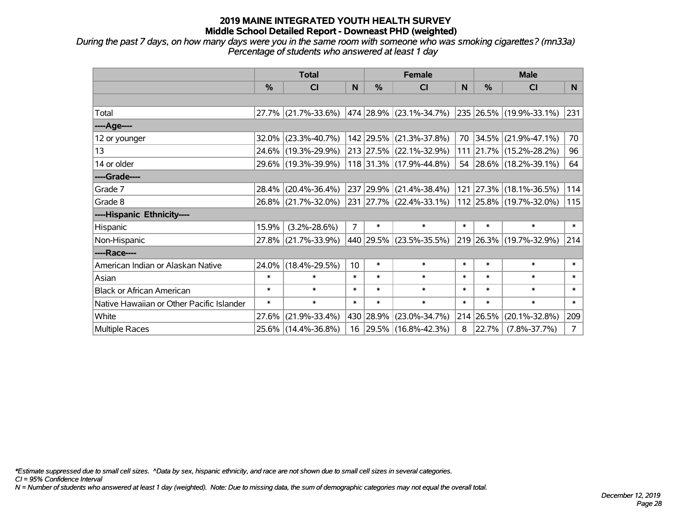*During the past 7 days, on how many days were you in the same room with someone who was smoking cigarettes? (mn33a) Percentage of students who answered at least 1 day*

|                                           | <b>Total</b> |                     |                | <b>Female</b> | <b>Male</b>                 |          |          |                           |                |
|-------------------------------------------|--------------|---------------------|----------------|---------------|-----------------------------|----------|----------|---------------------------|----------------|
|                                           | $\%$         | <b>CI</b>           | N              | $\frac{0}{0}$ | <b>CI</b>                   | <b>N</b> | %        | <b>CI</b>                 | N.             |
|                                           |              |                     |                |               |                             |          |          |                           |                |
| Total                                     |              | 27.7% (21.7%-33.6%) |                |               | 474   28.9%   (23.1%-34.7%) |          |          | 235  26.5%  (19.9%-33.1%) | 231            |
| ----Age----                               |              |                     |                |               |                             |          |          |                           |                |
| 12 or younger                             | 32.0%        | $(23.3\% - 40.7\%)$ |                |               | 142 29.5% (21.3%-37.8%)     |          | 70 34.5% | $(21.9\% - 47.1\%)$       | 70             |
| 13                                        |              | 24.6% (19.3%-29.9%) |                |               | 213 27.5% (22.1%-32.9%)     |          |          | 111 21.7% (15.2%-28.2%)   | 96             |
| 14 or older                               |              | 29.6% (19.3%-39.9%) |                |               | $118$ 31.3% (17.9%-44.8%)   |          |          | 54 28.6% (18.2%-39.1%)    | 64             |
| ----Grade----                             |              |                     |                |               |                             |          |          |                           |                |
| Grade 7                                   | 28.4%        | $(20.4\% - 36.4\%)$ |                |               | 237 29.9% (21.4%-38.4%)     | 121      | 27.3%    | $(18.1\% - 36.5\%)$       | 114            |
| Grade 8                                   |              | 26.8% (21.7%-32.0%) |                |               | 231 27.7% (22.4%-33.1%)     |          |          | 112 25.8% (19.7%-32.0%)   | 115            |
| ----Hispanic Ethnicity----                |              |                     |                |               |                             |          |          |                           |                |
| Hispanic                                  | 15.9%        | $(3.2\% - 28.6\%)$  | $\overline{7}$ | $\ast$        | $\ast$                      | $\ast$   | $\ast$   | $\ast$                    | $\ast$         |
| Non-Hispanic                              | $27.8\%$     | $(21.7\% - 33.9\%)$ |                |               | 440 29.5% (23.5%-35.5%)     |          |          | 219 26.3% (19.7%-32.9%)   | 214            |
| ----Race----                              |              |                     |                |               |                             |          |          |                           |                |
| American Indian or Alaskan Native         |              | 24.0% (18.4%-29.5%) | 10             | $\ast$        | $\ast$                      | $\ast$   | $\ast$   | $\ast$                    | $\ast$         |
| Asian                                     | $\ast$       | $\ast$              | $\ast$         | $\ast$        | $\ast$                      | $\ast$   | $\ast$   | $\ast$                    | $\ast$         |
| <b>Black or African American</b>          | $\ast$       | $\ast$              | $\ast$         | $\ast$        | $\ast$                      | $\ast$   | $\ast$   | $\ast$                    | $\ast$         |
| Native Hawaiian or Other Pacific Islander | $\ast$       | $\ast$              | $\ast$         | $\ast$        | $\ast$                      | $\ast$   | $\ast$   | $\ast$                    | $\ast$         |
| White                                     | 27.6%        | $(21.9\% - 33.4\%)$ |                | 430 28.9%     | $(23.0\% - 34.7\%)$         | 214      | 26.5%    | $(20.1\% - 32.8\%)$       | 209            |
| <b>Multiple Races</b>                     |              | 25.6% (14.4%-36.8%) |                |               | 16 29.5% (16.8%-42.3%)      | 8        | 22.7%    | $(7.8\% - 37.7\%)$        | 7 <sup>1</sup> |

*\*Estimate suppressed due to small cell sizes. ^Data by sex, hispanic ethnicity, and race are not shown due to small cell sizes in several categories.*

*CI = 95% Confidence Interval*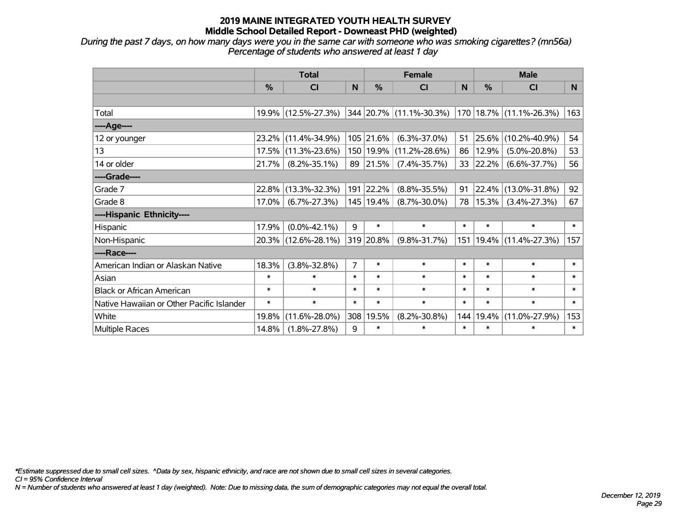*During the past 7 days, on how many days were you in the same car with someone who was smoking cigarettes? (mn56a) Percentage of students who answered at least 1 day*

|                                           | <b>Total</b> |                     |                | <b>Female</b> | <b>Male</b>             |        |               |                               |        |
|-------------------------------------------|--------------|---------------------|----------------|---------------|-------------------------|--------|---------------|-------------------------------|--------|
|                                           | $\%$         | <b>CI</b>           | N              | $\%$          | <b>CI</b>               | N      | $\frac{0}{0}$ | <b>CI</b>                     | N      |
|                                           |              |                     |                |               |                         |        |               |                               |        |
| Total                                     |              | 19.9% (12.5%-27.3%) |                |               | 344 20.7% (11.1%-30.3%) |        |               | $170$   18.7%   (11.1%-26.3%) | 163    |
| ----Age----                               |              |                     |                |               |                         |        |               |                               |        |
| 12 or younger                             | 23.2%        | $(11.4\% - 34.9\%)$ |                | 105 21.6%     | $(6.3\% - 37.0\%)$      | 51     | 25.6%         | $(10.2\% - 40.9\%)$           | 54     |
| 13                                        | 17.5%        | $(11.3\% - 23.6\%)$ |                | 150 19.9%     | $(11.2\% - 28.6\%)$     | 86     | 12.9%         | $(5.0\% - 20.8\%)$            | 53     |
| 14 or older                               | 21.7%        | $(8.2\% - 35.1\%)$  |                | 89 21.5%      | $(7.4\% - 35.7\%)$      | 33     | 22.2%         | $(6.6\% - 37.7\%)$            | 56     |
| ----Grade----                             |              |                     |                |               |                         |        |               |                               |        |
| Grade 7                                   | 22.8%        | $(13.3\% - 32.3\%)$ |                | 191 22.2%     | $(8.8\% - 35.5\%)$      | 91     | 22.4%         | $(13.0\% - 31.8\%)$           | 92     |
| Grade 8                                   | 17.0%        | $(6.7\% - 27.3\%)$  |                | 145   19.4%   | $(8.7\% - 30.0\%)$      | 78     | 15.3%         | $(3.4\% - 27.3\%)$            | 67     |
| ----Hispanic Ethnicity----                |              |                     |                |               |                         |        |               |                               |        |
| Hispanic                                  | 17.9%        | $(0.0\% - 42.1\%)$  | 9              | $\ast$        | $\ast$                  | $\ast$ | $\ast$        | $\ast$                        | $\ast$ |
| Non-Hispanic                              |              | 20.3% (12.6%-28.1%) |                | 319 20.8%     | $(9.8\% - 31.7\%)$      | 151    |               | 19.4% (11.4%-27.3%)           | 157    |
| ----Race----                              |              |                     |                |               |                         |        |               |                               |        |
| American Indian or Alaskan Native         | 18.3%        | $(3.8\% - 32.8\%)$  | $\overline{7}$ | $\ast$        | $\ast$                  | $\ast$ | $\ast$        | $\ast$                        | $\ast$ |
| Asian                                     | $\ast$       | $\ast$              | $\ast$         | $\ast$        | $\ast$                  | $\ast$ | $\ast$        | $\ast$                        | $\ast$ |
| <b>Black or African American</b>          | $\ast$       | $\ast$              | $\ast$         | $\ast$        | $\ast$                  | $\ast$ | $\ast$        | $\ast$                        | $\ast$ |
| Native Hawaiian or Other Pacific Islander | $\ast$       | $\ast$              | $\ast$         | $\ast$        | $\ast$                  | $\ast$ | $\ast$        | $\ast$                        | $\ast$ |
| White                                     | 19.8%        | $(11.6\% - 28.0\%)$ | 308            | 19.5%         | $(8.2\% - 30.8\%)$      | 144    | 19.4%         | $(11.0\% - 27.9\%)$           | 153    |
| Multiple Races                            | 14.8%        | $(1.8\% - 27.8\%)$  | 9              | $\ast$        | $\ast$                  | $\ast$ | $\ast$        | $\ast$                        | $\ast$ |

*\*Estimate suppressed due to small cell sizes. ^Data by sex, hispanic ethnicity, and race are not shown due to small cell sizes in several categories.*

*CI = 95% Confidence Interval*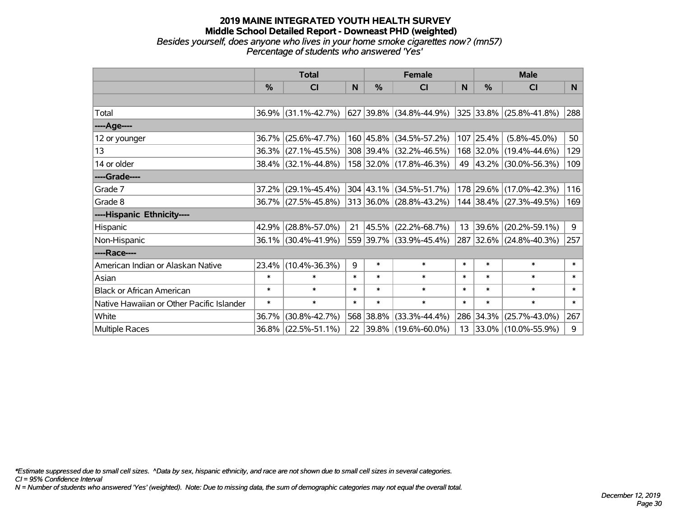#### **2019 MAINE INTEGRATED YOUTH HEALTH SURVEY Middle School Detailed Report - Downeast PHD (weighted)** *Besides yourself, does anyone who lives in your home smoke cigarettes now? (mn57) Percentage of students who answered 'Yes'*

|                                           | <b>Total</b>  |                        |        | <b>Female</b> | <b>Male</b>                              |        |           |                              |        |
|-------------------------------------------|---------------|------------------------|--------|---------------|------------------------------------------|--------|-----------|------------------------------|--------|
|                                           | $\frac{0}{0}$ | CI                     | N      | $\frac{0}{0}$ | <b>CI</b>                                | N      | %         | <b>CI</b>                    | N.     |
|                                           |               |                        |        |               |                                          |        |           |                              |        |
| Total                                     |               | $36.9\%$ (31.1%-42.7%) |        |               | 627 39.8% (34.8%-44.9%)                  |        |           | $ 325 33.8\% $ (25.8%-41.8%) | 288    |
| ----Age----                               |               |                        |        |               |                                          |        |           |                              |        |
| 12 or younger                             | 36.7%         | $(25.6\% - 47.7\%)$    |        |               | 160 45.8% (34.5%-57.2%)                  |        | 107 25.4% | $(5.8\% - 45.0\%)$           | 50     |
| 13                                        |               | 36.3% (27.1%-45.5%)    |        |               | 308 39.4% (32.2%-46.5%)                  |        |           | 168 32.0% (19.4%-44.6%)      | 129    |
| 14 or older                               |               | 38.4% (32.1%-44.8%)    |        |               | 158 32.0% (17.8%-46.3%)                  |        |           | 49 43.2% (30.0%-56.3%)       | 109    |
| ----Grade----                             |               |                        |        |               |                                          |        |           |                              |        |
| Grade 7                                   | 37.2%         | $(29.1\% - 45.4\%)$    |        |               | $304 \mid 43.1\% \mid (34.5\% - 51.7\%)$ |        | 178 29.6% | $(17.0\% - 42.3\%)$          | 116    |
| Grade 8                                   |               | 36.7% (27.5%-45.8%)    |        |               | 313 36.0% (28.8%-43.2%)                  |        |           | 144 38.4% (27.3%-49.5%)      | 169    |
| ----Hispanic Ethnicity----                |               |                        |        |               |                                          |        |           |                              |        |
| Hispanic                                  | 42.9%         | $(28.8\% - 57.0\%)$    | 21     | 45.5%         | $(22.2\% - 68.7\%)$                      |        | 13 39.6%  | $(20.2\% - 59.1\%)$          | 9      |
| Non-Hispanic                              |               | 36.1% (30.4%-41.9%)    |        |               | 559 39.7% (33.9%-45.4%)                  |        |           | 287 32.6% (24.8%-40.3%)      | 257    |
| ----Race----                              |               |                        |        |               |                                          |        |           |                              |        |
| American Indian or Alaskan Native         | $23.4\%$      | $(10.4\% - 36.3\%)$    | 9      | $\ast$        | $\ast$                                   | $\ast$ | $\ast$    | $\ast$                       | $\ast$ |
| Asian                                     | $\ast$        | $\ast$                 | $\ast$ | $\ast$        | $\ast$                                   | $\ast$ | $\ast$    | $\ast$                       | $\ast$ |
| <b>Black or African American</b>          | $\ast$        | $\ast$                 | $\ast$ | $\ast$        | $\ast$                                   | $\ast$ | $\ast$    | $\ast$                       | $\ast$ |
| Native Hawaiian or Other Pacific Islander | $\ast$        | $\ast$                 | $\ast$ | $\ast$        | $\ast$                                   | $\ast$ | $\ast$    | $\ast$                       | $\ast$ |
| White                                     | 36.7%         | $(30.8\% - 42.7\%)$    |        | 568 38.8%     | $(33.3\% - 44.4\%)$                      | 286    | 34.3%     | $(25.7\% - 43.0\%)$          | 267    |
| <b>Multiple Races</b>                     |               | 36.8% (22.5%-51.1%)    | 22     |               | $ 39.8\% $ (19.6%-60.0%)                 |        |           | 13 33.0% (10.0%-55.9%)       | 9      |

*\*Estimate suppressed due to small cell sizes. ^Data by sex, hispanic ethnicity, and race are not shown due to small cell sizes in several categories.*

*CI = 95% Confidence Interval*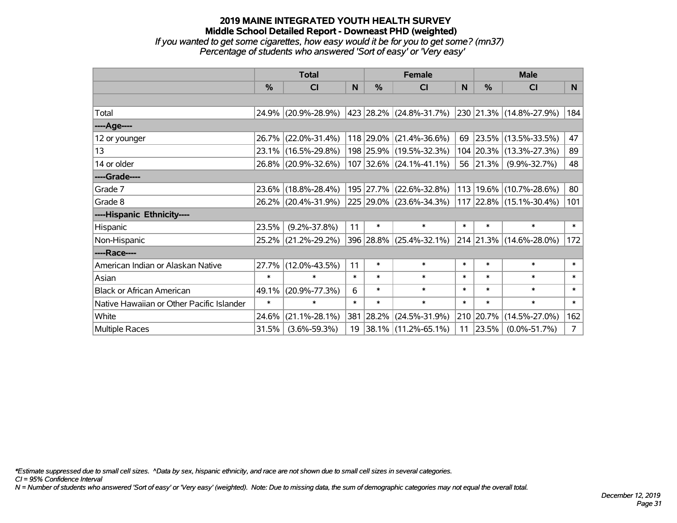### **2019 MAINE INTEGRATED YOUTH HEALTH SURVEY Middle School Detailed Report - Downeast PHD (weighted)** *If you wanted to get some cigarettes, how easy would it be for you to get some? (mn37)*

*Percentage of students who answered 'Sort of easy' or 'Very easy'*

|                                           | <b>Total</b> |                     |        | <b>Female</b> | <b>Male</b>                  |        |               |                         |                |
|-------------------------------------------|--------------|---------------------|--------|---------------|------------------------------|--------|---------------|-------------------------|----------------|
|                                           | $\%$         | <b>CI</b>           | N      | $\%$          | <b>CI</b>                    | N      | $\frac{0}{0}$ | <b>CI</b>               | N.             |
|                                           |              |                     |        |               |                              |        |               |                         |                |
| Total                                     |              | 24.9% (20.9%-28.9%) |        |               | $ 423 28.2\% $ (24.8%-31.7%) |        |               | 230 21.3% (14.8%-27.9%) | 184            |
| ----Age----                               |              |                     |        |               |                              |        |               |                         |                |
| 12 or younger                             | 26.7%        | $(22.0\% - 31.4\%)$ |        |               | 118 29.0% (21.4%-36.6%)      |        | 69 23.5%      | $(13.5\% - 33.5\%)$     | 47             |
| 13                                        |              | 23.1% (16.5%-29.8%) |        |               | 198 25.9% (19.5%-32.3%)      |        | 104 20.3%     | $(13.3\% - 27.3\%)$     | 89             |
| 14 or older                               |              | 26.8% (20.9%-32.6%) |        |               | $107$ 32.6% (24.1%-41.1%)    |        | 56 21.3%      | $(9.9\% - 32.7\%)$      | 48             |
| ----Grade----                             |              |                     |        |               |                              |        |               |                         |                |
| Grade 7                                   | $23.6\%$     | $(18.8\% - 28.4\%)$ |        |               | 195 27.7% (22.6%-32.8%)      | 113    | 19.6%         | $(10.7\% - 28.6\%)$     | 80             |
| Grade 8                                   |              | 26.2% (20.4%-31.9%) |        |               | 225 29.0% (23.6%-34.3%)      |        |               | 117 22.8% (15.1%-30.4%) | 101            |
| ----Hispanic Ethnicity----                |              |                     |        |               |                              |        |               |                         |                |
| Hispanic                                  | 23.5%        | $(9.2\% - 37.8\%)$  | 11     | $\ast$        | $\ast$                       | $\ast$ | $\ast$        | $\ast$                  | $\ast$         |
| Non-Hispanic                              | $25.2\%$     | $(21.2\% - 29.2\%)$ |        |               | 396 28.8% (25.4%-32.1%)      |        |               | 214 21.3% (14.6%-28.0%) | 172            |
| ----Race----                              |              |                     |        |               |                              |        |               |                         |                |
| American Indian or Alaskan Native         | 27.7%        | $(12.0\% - 43.5\%)$ | 11     | $\ast$        | $\ast$                       | $\ast$ | $\ast$        | $\ast$                  | $\ast$         |
| Asian                                     | $\ast$       | $\ast$              | $\ast$ | $\ast$        | $\ast$                       | $\ast$ | $\ast$        | $\ast$                  | $\ast$         |
| <b>Black or African American</b>          | 49.1%        | $(20.9\% - 77.3\%)$ | 6      | $\ast$        | $\ast$                       | $\ast$ | $\ast$        | $\ast$                  | $\ast$         |
| Native Hawaiian or Other Pacific Islander | $\ast$       | $\ast$              | $\ast$ | $\ast$        | $\ast$                       | $\ast$ | $\ast$        | $\ast$                  | $\ast$         |
| White                                     | 24.6%        | $(21.1\% - 28.1\%)$ |        |               | 381 28.2% (24.5%-31.9%)      |        | 210 20.7%     | $(14.5\% - 27.0\%)$     | 162            |
| <b>Multiple Races</b>                     | 31.5%        | $(3.6\% - 59.3\%)$  | 19     |               | $ 38.1\% $ (11.2%-65.1%)     | 11     | 23.5%         | $(0.0\% - 51.7\%)$      | 7 <sup>1</sup> |

*\*Estimate suppressed due to small cell sizes. ^Data by sex, hispanic ethnicity, and race are not shown due to small cell sizes in several categories.*

*CI = 95% Confidence Interval*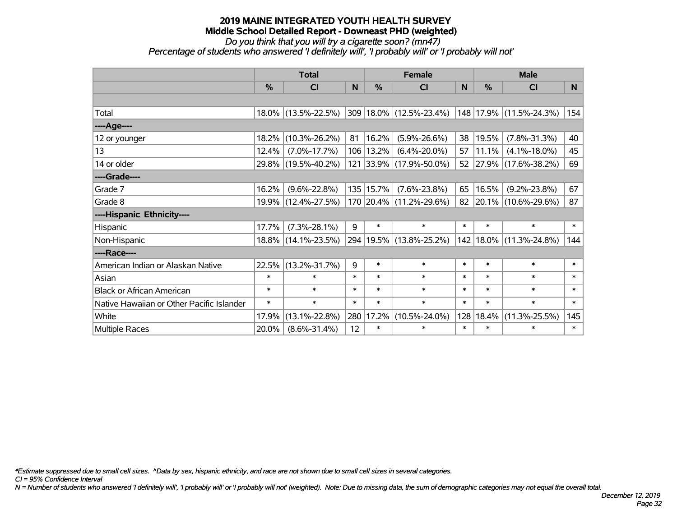# *Do you think that you will try a cigarette soon? (mn47)*

*Percentage of students who answered 'I definitely will', 'I probably will' or 'I probably will not'*

|                                           | <b>Total</b>  |                     |        |               | <b>Female</b>           | <b>Male</b> |               |                         |        |
|-------------------------------------------|---------------|---------------------|--------|---------------|-------------------------|-------------|---------------|-------------------------|--------|
|                                           | $\frac{0}{0}$ | <b>CI</b>           | N      | $\frac{0}{0}$ | <b>CI</b>               | N           | $\frac{0}{0}$ | <b>CI</b>               | N      |
|                                           |               |                     |        |               |                         |             |               |                         |        |
| Total                                     |               | 18.0% (13.5%-22.5%) |        |               | 309 18.0% (12.5%-23.4%) |             |               | 148 17.9% (11.5%-24.3%) | 154    |
| ----Age----                               |               |                     |        |               |                         |             |               |                         |        |
| 12 or younger                             | 18.2%         | $(10.3\% - 26.2\%)$ | 81     | 16.2%         | $(5.9\% - 26.6\%)$      | 38          | 19.5%         | $(7.8\% - 31.3\%)$      | 40     |
| 13                                        | 12.4%         | $(7.0\% - 17.7\%)$  |        | 106 13.2%     | $(6.4\% - 20.0\%)$      | 57          | 11.1%         | $(4.1\% - 18.0\%)$      | 45     |
| 14 or older                               |               | 29.8% (19.5%-40.2%) |        |               | 121 33.9% (17.9%-50.0%) |             |               | 52 27.9% (17.6%-38.2%)  | 69     |
| ----Grade----                             |               |                     |        |               |                         |             |               |                         |        |
| Grade 7                                   | 16.2%         | $(9.6\% - 22.8\%)$  |        | 135 15.7%     | $(7.6\% - 23.8\%)$      | 65          | 16.5%         | $(9.2\% - 23.8\%)$      | 67     |
| Grade 8                                   |               | 19.9% (12.4%-27.5%) |        |               | 170 20.4% (11.2%-29.6%) |             |               | 82 20.1% (10.6%-29.6%)  | 87     |
| ----Hispanic Ethnicity----                |               |                     |        |               |                         |             |               |                         |        |
| Hispanic                                  | 17.7%         | $(7.3\% - 28.1\%)$  | 9      | $\ast$        | $\ast$                  | $\ast$      | $\ast$        | $\ast$                  | $\ast$ |
| Non-Hispanic                              |               | 18.8% (14.1%-23.5%) |        |               | 294 19.5% (13.8%-25.2%) | 142         | $18.0\%$      | $(11.3\% - 24.8\%)$     | 144    |
| ----Race----                              |               |                     |        |               |                         |             |               |                         |        |
| American Indian or Alaskan Native         | 22.5%         | $(13.2\% - 31.7\%)$ | 9      | $\ast$        | $\ast$                  | $\ast$      | $\ast$        | $\ast$                  | $\ast$ |
| Asian                                     | $\ast$        | $\ast$              | $\ast$ | $\ast$        | $\ast$                  | $\ast$      | $\ast$        | $\ast$                  | $\ast$ |
| <b>Black or African American</b>          | $\ast$        | $\ast$              | $\ast$ | $\ast$        | $\ast$                  | $\ast$      | $\ast$        | $\ast$                  | $\ast$ |
| Native Hawaiian or Other Pacific Islander | $\ast$        | $\ast$              | $\ast$ | $\ast$        | $\ast$                  | $\ast$      | $\ast$        | $\ast$                  | $\ast$ |
| White                                     | 17.9%         | $(13.1\% - 22.8\%)$ | 280    | 17.2%         | $(10.5\% - 24.0\%)$     | 128         | 18.4%         | $(11.3\% - 25.5\%)$     | 145    |
| <b>Multiple Races</b>                     | 20.0%         | $(8.6\% - 31.4\%)$  | 12     | $\ast$        | $\ast$                  | $\ast$      | $\ast$        | $\ast$                  | $\ast$ |

*\*Estimate suppressed due to small cell sizes. ^Data by sex, hispanic ethnicity, and race are not shown due to small cell sizes in several categories.*

*CI = 95% Confidence Interval*

*N = Number of students who answered 'I definitely will', 'I probably will' or 'I probably will not' (weighted). Note: Due to missing data, the sum of demographic categories may not equal the overall total.*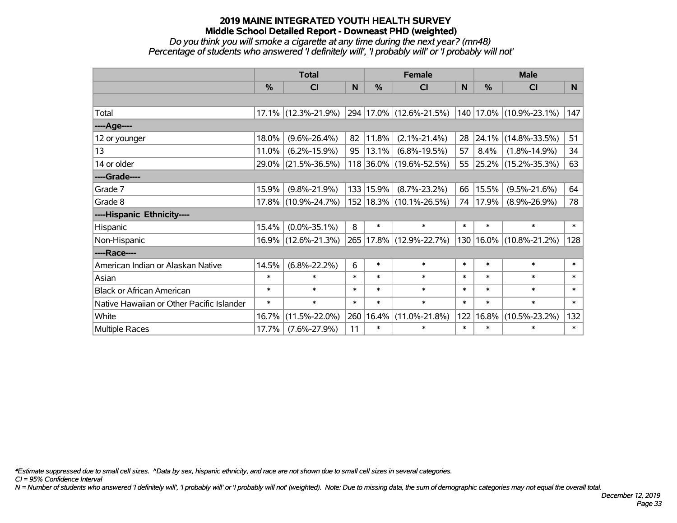#### *Do you think you will smoke a cigarette at any time during the next year? (mn48) Percentage of students who answered 'I definitely will', 'I probably will' or 'I probably will not'*

|                                           | <b>Total</b> |                     |        | <b>Female</b> | <b>Male</b>                 |        |               |                         |        |
|-------------------------------------------|--------------|---------------------|--------|---------------|-----------------------------|--------|---------------|-------------------------|--------|
|                                           | %            | <b>CI</b>           | N      | $\frac{9}{6}$ | <b>CI</b>                   | N      | $\frac{0}{0}$ | <b>CI</b>               | N.     |
|                                           |              |                     |        |               |                             |        |               |                         |        |
| Total                                     |              | 17.1% (12.3%-21.9%) |        |               | 294 17.0% (12.6%-21.5%)     |        |               | 140 17.0% (10.9%-23.1%) | 147    |
| ----Age----                               |              |                     |        |               |                             |        |               |                         |        |
| 12 or younger                             | 18.0%        | $(9.6\% - 26.4\%)$  | 82     | 11.8%         | $(2.1\% - 21.4\%)$          | 28     | 24.1%         | $(14.8\% - 33.5\%)$     | 51     |
| 13                                        | 11.0%        | $(6.2\% - 15.9\%)$  | 95     | 13.1%         | $(6.8\% - 19.5\%)$          | 57     | 8.4%          | $(1.8\% - 14.9\%)$      | 34     |
| 14 or older                               |              | 29.0% (21.5%-36.5%) |        |               | 118 36.0% (19.6%-52.5%)     |        |               | 55 25.2% (15.2%-35.3%)  | 63     |
| ----Grade----                             |              |                     |        |               |                             |        |               |                         |        |
| Grade 7                                   | 15.9%        | $(9.8\% - 21.9\%)$  |        | 133 15.9%     | $(8.7\% - 23.2\%)$          | 66     | 15.5%         | $(9.5\% - 21.6\%)$      | 64     |
| Grade 8                                   |              | 17.8% (10.9%-24.7%) |        |               | 152   18.3%   (10.1%-26.5%) | 74     | 17.9%         | $(8.9\% - 26.9\%)$      | 78     |
| ----Hispanic Ethnicity----                |              |                     |        |               |                             |        |               |                         |        |
| Hispanic                                  | 15.4%        | $(0.0\% - 35.1\%)$  | 8      | $\ast$        | $\ast$                      | $\ast$ | $\ast$        | $\ast$                  | $\ast$ |
| Non-Hispanic                              |              | 16.9% (12.6%-21.3%) |        |               | 265 17.8% (12.9%-22.7%)     | 130    |               | 16.0% (10.8%-21.2%)     | 128    |
| ----Race----                              |              |                     |        |               |                             |        |               |                         |        |
| American Indian or Alaskan Native         | 14.5%        | $(6.8\% - 22.2\%)$  | 6      | $\ast$        | $\ast$                      | $\ast$ | $\ast$        | $\ast$                  | $\ast$ |
| Asian                                     | $\ast$       | $\ast$              | $\ast$ | $\ast$        | $\ast$                      | $\ast$ | $\ast$        | $\ast$                  | $\ast$ |
| <b>Black or African American</b>          | $\ast$       | $\ast$              | $\ast$ | $\ast$        | $\ast$                      | $\ast$ | $\ast$        | $\ast$                  | $\ast$ |
| Native Hawaiian or Other Pacific Islander | $\ast$       | $\ast$              | $\ast$ | $\ast$        | $\ast$                      | $\ast$ | $\ast$        | $\ast$                  | $\ast$ |
| White                                     | 16.7%        | $(11.5\% - 22.0\%)$ | 260    | 16.4%         | $(11.0\% - 21.8\%)$         | 122    | 16.8%         | $(10.5\% - 23.2\%)$     | 132    |
| <b>Multiple Races</b>                     | 17.7%        | $(7.6\% - 27.9\%)$  | 11     | $\ast$        | $\ast$                      | $\ast$ | $\ast$        | $\ast$                  | $\ast$ |

*\*Estimate suppressed due to small cell sizes. ^Data by sex, hispanic ethnicity, and race are not shown due to small cell sizes in several categories.*

*CI = 95% Confidence Interval*

*N = Number of students who answered 'I definitely will', 'I probably will' or 'I probably will not' (weighted). Note: Due to missing data, the sum of demographic categories may not equal the overall total.*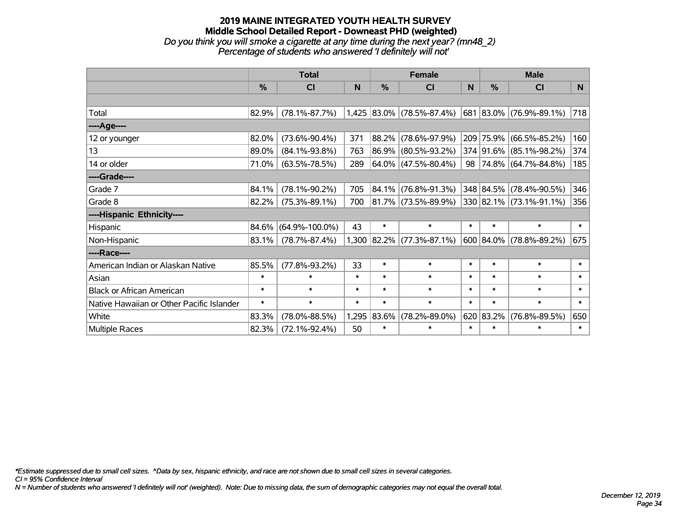## **2019 MAINE INTEGRATED YOUTH HEALTH SURVEY Middle School Detailed Report - Downeast PHD (weighted)** *Do you think you will smoke a cigarette at any time during the next year? (mn48\_2) Percentage of students who answered 'I definitely will not'*

|                                           | <b>Total</b> |                      |        | <b>Female</b> |                             | <b>Male</b> |               |                           |        |
|-------------------------------------------|--------------|----------------------|--------|---------------|-----------------------------|-------------|---------------|---------------------------|--------|
|                                           | %            | <b>CI</b>            | N      | $\frac{0}{0}$ | <b>CI</b>                   | N           | $\frac{9}{6}$ | <b>CI</b>                 | N      |
|                                           |              |                      |        |               |                             |             |               |                           |        |
| Total                                     | 82.9%        | $(78.1\% - 87.7\%)$  |        |               | $1,425$ 83.0% (78.5%-87.4%) |             |               | 681 83.0% (76.9%-89.1%)   | 718    |
| ----Age----                               |              |                      |        |               |                             |             |               |                           |        |
| 12 or younger                             | 82.0%        | $(73.6\% - 90.4\%)$  | 371    | 88.2%         | $(78.6\% - 97.9\%)$         |             |               | 209 75.9% (66.5%-85.2%)   | 160    |
| 13                                        | 89.0%        | $(84.1\% - 93.8\%)$  | 763    | 86.9%         | $(80.5\% - 93.2\%)$         |             |               | 374 91.6% (85.1%-98.2%)   | 374    |
| 14 or older                               | 71.0%        | $(63.5\% - 78.5\%)$  | 289    |               | $64.0\%$ (47.5%-80.4%)      |             |               | 98 74.8% (64.7%-84.8%)    | 185    |
| ----Grade----                             |              |                      |        |               |                             |             |               |                           |        |
| Grade 7                                   | 84.1%        | $(78.1\% - 90.2\%)$  | 705    | 84.1%         | $(76.8\% - 91.3\%)$         |             |               | 348 84.5% (78.4%-90.5%)   | 346    |
| Grade 8                                   | 82.2%        | $(75.3\% - 89.1\%)$  | 700    |               | 81.7% (73.5%-89.9%)         |             |               | 330 82.1% (73.1%-91.1%)   | 356    |
| ----Hispanic Ethnicity----                |              |                      |        |               |                             |             |               |                           |        |
| Hispanic                                  | 84.6%        | $(64.9\% - 100.0\%)$ | 43     | $\ast$        | $\ast$                      | $\ast$      | $\ast$        | $\ast$                    | $\ast$ |
| Non-Hispanic                              | 83.1%        | $(78.7\% - 87.4\%)$  | 1,300  |               | $ 82.2\% $ (77.3%-87.1%)    |             |               | $600$ 84.0% (78.8%-89.2%) | 675    |
| ----Race----                              |              |                      |        |               |                             |             |               |                           |        |
| American Indian or Alaskan Native         | 85.5%        | $(77.8\% - 93.2\%)$  | 33     | $\ast$        | $\ast$                      | $\ast$      | $\ast$        | $\ast$                    | $\ast$ |
| Asian                                     | $\ast$       | $\ast$               | $\ast$ | $\ast$        | $\ast$                      | $\ast$      | $\ast$        | $\ast$                    | $\ast$ |
| <b>Black or African American</b>          | $\ast$       | $\ast$               | $\ast$ | $\ast$        | $\ast$                      | $\ast$      | $\ast$        | $\ast$                    | $\ast$ |
| Native Hawaiian or Other Pacific Islander | $\ast$       | $\ast$               | $\ast$ | $\ast$        | $\ast$                      | $\ast$      | $\ast$        | $\ast$                    | $\ast$ |
| White                                     | 83.3%        | $(78.0\% - 88.5\%)$  | 1,295  | 83.6%         | $(78.2\% - 89.0\%)$         |             | 620 83.2%     | $(76.8\% - 89.5\%)$       | 650    |
| Multiple Races                            | 82.3%        | $(72.1\% - 92.4\%)$  | 50     | $\ast$        | $\ast$                      | $\ast$      | $\ast$        | $\ast$                    | $\ast$ |

*\*Estimate suppressed due to small cell sizes. ^Data by sex, hispanic ethnicity, and race are not shown due to small cell sizes in several categories.*

*CI = 95% Confidence Interval*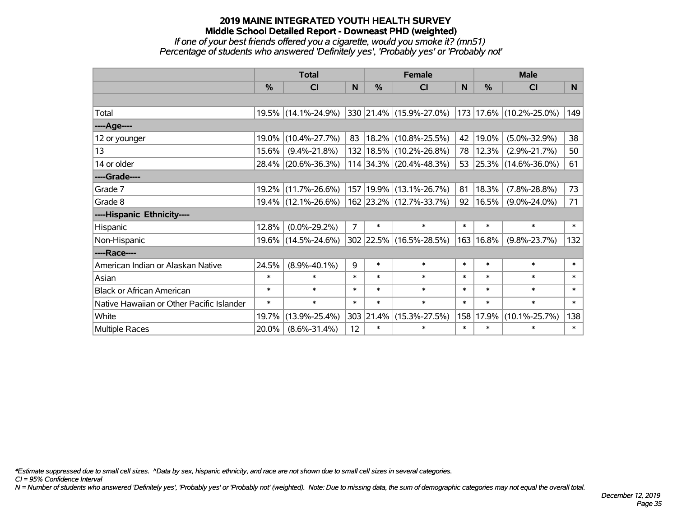#### *If one of your best friends offered you a cigarette, would you smoke it? (mn51) Percentage of students who answered 'Definitely yes', 'Probably yes' or 'Probably not'*

|                                           | <b>Total</b>  |                     |                | <b>Female</b> | <b>Male</b>                 |          |        |                         |                |
|-------------------------------------------|---------------|---------------------|----------------|---------------|-----------------------------|----------|--------|-------------------------|----------------|
|                                           | $\frac{0}{0}$ | <b>CI</b>           | N              | $\frac{9}{6}$ | <b>CI</b>                   | <b>N</b> | %      | <b>CI</b>               | N <sub>1</sub> |
|                                           |               |                     |                |               |                             |          |        |                         |                |
| Total                                     |               | 19.5% (14.1%-24.9%) |                |               | 330 21.4% (15.9%-27.0%)     |          |        | 173 17.6% (10.2%-25.0%) | 149            |
| ----Age----                               |               |                     |                |               |                             |          |        |                         |                |
| 12 or younger                             | 19.0%         | $(10.4\% - 27.7\%)$ | 83             |               | $ 18.2\% $ (10.8%-25.5%)    | 42       | 19.0%  | $(5.0\% - 32.9\%)$      | 38             |
| 13                                        | 15.6%         | $(9.4\% - 21.8\%)$  |                |               | 132 18.5% (10.2%-26.8%)     | 78       | 12.3%  | $(2.9\% - 21.7\%)$      | 50             |
| 14 or older                               | 28.4%         | $(20.6\% - 36.3\%)$ |                |               | 114 34.3% (20.4%-48.3%)     |          |        | 53 25.3% (14.6%-36.0%)  | 61             |
| ----Grade----                             |               |                     |                |               |                             |          |        |                         |                |
| Grade 7                                   | $19.2\%$      | $(11.7\% - 26.6\%)$ |                |               | 157   19.9%   (13.1%-26.7%) | 81       | 18.3%  | $(7.8\% - 28.8\%)$      | 73             |
| Grade 8                                   |               | 19.4% (12.1%-26.6%) |                |               | 162 23.2% (12.7%-33.7%)     | 92       | 16.5%  | $(9.0\% - 24.0\%)$      | 71             |
| ----Hispanic Ethnicity----                |               |                     |                |               |                             |          |        |                         |                |
| Hispanic                                  | 12.8%         | $(0.0\% - 29.2\%)$  | $\overline{7}$ | $\ast$        | $\ast$                      | $\ast$   | $\ast$ | $\ast$                  | $\ast$         |
| Non-Hispanic                              | 19.6%         | $(14.5\% - 24.6\%)$ |                |               | 302 22.5% (16.5%-28.5%)     | 163      | 16.8%  | $(9.8\% - 23.7\%)$      | 132            |
| ----Race----                              |               |                     |                |               |                             |          |        |                         |                |
| American Indian or Alaskan Native         | 24.5%         | $(8.9\% - 40.1\%)$  | 9              | $\ast$        | $\ast$                      | $\ast$   | $\ast$ | $\ast$                  | $\ast$         |
| Asian                                     | $\ast$        | $\ast$              | $\ast$         | $\ast$        | $\ast$                      | $\ast$   | $\ast$ | $\ast$                  | $\ast$         |
| <b>Black or African American</b>          | $\ast$        | $\ast$              | $\ast$         | $\ast$        | $\ast$                      | $\ast$   | $\ast$ | $\ast$                  | $\ast$         |
| Native Hawaiian or Other Pacific Islander | $\ast$        | $\ast$              | $\ast$         | $\ast$        | $\ast$                      | $\ast$   | $\ast$ | $\ast$                  | $\ast$         |
| White                                     | 19.7%         | $(13.9\% - 25.4\%)$ |                | 303 21.4%     | $(15.3\% - 27.5\%)$         | 158      | 17.9%  | $(10.1\% - 25.7\%)$     | 138            |
| <b>Multiple Races</b>                     | 20.0%         | $(8.6\% - 31.4\%)$  | 12             | $\ast$        | $\ast$                      | $\ast$   | $\ast$ | $\ast$                  | $\ast$         |

*\*Estimate suppressed due to small cell sizes. ^Data by sex, hispanic ethnicity, and race are not shown due to small cell sizes in several categories.*

*CI = 95% Confidence Interval*

*N = Number of students who answered 'Definitely yes', 'Probably yes' or 'Probably not' (weighted). Note: Due to missing data, the sum of demographic categories may not equal the overall total.*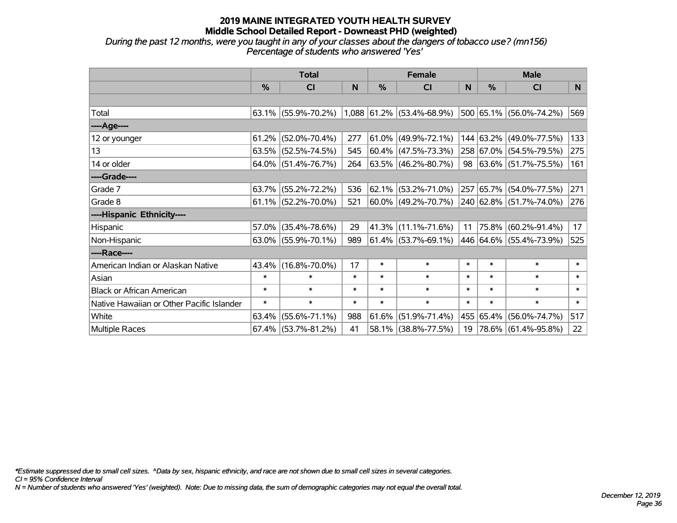*During the past 12 months, were you taught in any of your classes about the dangers of tobacco use? (mn156) Percentage of students who answered 'Yes'*

|                                           | <b>Total</b>  |                        |        |        | <b>Female</b>               |        | <b>Male</b>   |                                 |        |  |
|-------------------------------------------|---------------|------------------------|--------|--------|-----------------------------|--------|---------------|---------------------------------|--------|--|
|                                           | $\frac{0}{0}$ | CI                     | N      | %      | <b>CI</b>                   | N      | $\frac{0}{0}$ | <b>CI</b>                       | N.     |  |
|                                           |               |                        |        |        |                             |        |               |                                 |        |  |
| Total                                     |               | 63.1% (55.9%-70.2%)    |        |        | $1,088$ 61.2% (53.4%-68.9%) |        |               | 500 65.1% (56.0%-74.2%)         | 569    |  |
| ----Age----                               |               |                        |        |        |                             |        |               |                                 |        |  |
| 12 or younger                             | 61.2%         | $(52.0\% - 70.4\%)$    | 277    |        | $61.0\%$ (49.9%-72.1%)      |        |               | 144 63.2% (49.0%-77.5%)         | 133    |  |
| 13                                        |               | $63.5\%$ (52.5%-74.5%) | 545    |        | $ 60.4\% $ (47.5%-73.3%)    |        |               | 258 67.0% (54.5%-79.5%)         | 275    |  |
| 14 or older                               |               | $64.0\%$ (51.4%-76.7%) | 264    |        | $ 63.5\% $ (46.2%-80.7%)    |        |               | 98 $ 63.6\%  (51.7\% - 75.5\%)$ | 161    |  |
| ----Grade----                             |               |                        |        |        |                             |        |               |                                 |        |  |
| Grade 7                                   | 63.7%         | $(55.2\% - 72.2\%)$    | 536    |        | 62.1% (53.2%-71.0%)         |        |               | 257 65.7% (54.0%-77.5%)         | 271    |  |
| Grade 8                                   |               | $61.1\%$ (52.2%-70.0%) | 521    |        | 60.0% (49.2%-70.7%)         |        |               | 240 62.8% (51.7%-74.0%)         | 276    |  |
| ----Hispanic Ethnicity----                |               |                        |        |        |                             |        |               |                                 |        |  |
| Hispanic                                  | 57.0%         | $(35.4\% - 78.6\%)$    | 29     | 41.3%  | $(11.1\% - 71.6\%)$         | 11     | $ 75.8\% $    | $(60.2\% - 91.4\%)$             | 17     |  |
| Non-Hispanic                              |               | $63.0\%$ (55.9%-70.1%) | 989    |        | $ 61.4\% $ (53.7%-69.1%)    |        |               | 446 64.6% (55.4%-73.9%)         | 525    |  |
| ----Race----                              |               |                        |        |        |                             |        |               |                                 |        |  |
| American Indian or Alaskan Native         | 43.4%         | $(16.8\% - 70.0\%)$    | 17     | $\ast$ | $\ast$                      | $\ast$ | $\ast$        | $\ast$                          | $\ast$ |  |
| Asian                                     | $\ast$        | $\ast$                 | $\ast$ | $\ast$ | $\ast$                      | $\ast$ | $\ast$        | $\ast$                          | $\ast$ |  |
| <b>Black or African American</b>          | $\ast$        | $\ast$                 | $\ast$ | $\ast$ | $\ast$                      | $\ast$ | $\ast$        | $\ast$                          | $\ast$ |  |
| Native Hawaiian or Other Pacific Islander | $\ast$        | $\ast$                 | $\ast$ | $\ast$ | $\ast$                      | $\ast$ | $\ast$        | $\ast$                          | $\ast$ |  |
| White                                     | 63.4%         | $(55.6\% - 71.1\%)$    | 988    | 61.6%  | $(51.9\% - 71.4\%)$         |        | 455 65.4%     | $(56.0\% - 74.7\%)$             | 517    |  |
| Multiple Races                            |               | $67.4\%$ (53.7%-81.2%) | 41     |        | 58.1% (38.8%-77.5%)         | 19     |               | $ 78.6\% $ (61.4%-95.8%)        | 22     |  |

*\*Estimate suppressed due to small cell sizes. ^Data by sex, hispanic ethnicity, and race are not shown due to small cell sizes in several categories.*

*CI = 95% Confidence Interval*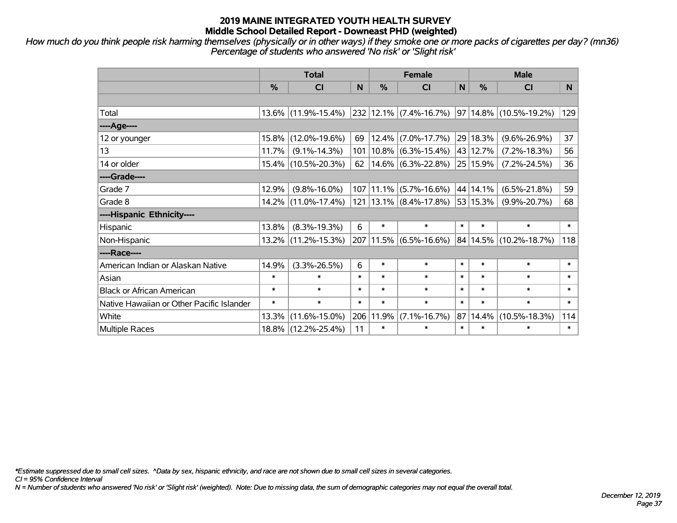*How much do you think people risk harming themselves (physically or in other ways) if they smoke one or more packs of cigarettes per day? (mn36) Percentage of students who answered 'No risk' or 'Slight risk'*

|                                           | <b>Total</b> |                     |        |        | <b>Female</b>                           |              | <b>Male</b> |                             |        |  |
|-------------------------------------------|--------------|---------------------|--------|--------|-----------------------------------------|--------------|-------------|-----------------------------|--------|--|
|                                           | %            | C <sub>l</sub>      | N      | %      | <b>CI</b>                               | $\mathsf{N}$ | %           | <b>CI</b>                   | N      |  |
|                                           |              |                     |        |        |                                         |              |             |                             |        |  |
| Total                                     |              | 13.6% (11.9%-15.4%) |        |        | $232 12.1\% $ (7.4%-16.7%)              |              |             | $ 97 14.8\% $ (10.5%-19.2%) | 129    |  |
| ----Age----                               |              |                     |        |        |                                         |              |             |                             |        |  |
| 12 or younger                             | $15.8\%$     | $(12.0\% - 19.6\%)$ | 69     |        | $12.4\%$ (7.0%-17.7%)                   |              | 29 18.3%    | $(9.6\% - 26.9\%)$          | 37     |  |
| 13                                        | 11.7%        | $(9.1\% - 14.3\%)$  | 101    |        | $10.8\%$ (6.3%-15.4%)                   |              | 43 12.7%    | $(7.2\% - 18.3\%)$          | 56     |  |
| 14 or older                               |              | 15.4% (10.5%-20.3%) | 62     |        | $14.6\%$ (6.3%-22.8%)                   |              | 25 15.9%    | $(7.2\% - 24.5\%)$          | 36     |  |
| ----Grade----                             |              |                     |        |        |                                         |              |             |                             |        |  |
| Grade 7                                   | 12.9%        | $(9.8\% - 16.0\%)$  | 107    |        | $11.1\%$ (5.7%-16.6%)                   |              | 44 14.1%    | $(6.5\% - 21.8\%)$          | 59     |  |
| Grade 8                                   |              | 14.2% (11.0%-17.4%) |        |        | 121   13.1%   (8.4%-17.8%)   53   15.3% |              |             | $(9.9\% - 20.7\%)$          | 68     |  |
| ----Hispanic Ethnicity----                |              |                     |        |        |                                         |              |             |                             |        |  |
| Hispanic                                  | 13.8%        | $(8.3\% - 19.3\%)$  | 6      | $\ast$ | $\ast$                                  | $\ast$       | $\ast$      | $\ast$                      | $\ast$ |  |
| Non-Hispanic                              |              | 13.2% (11.2%-15.3%) |        |        | 207 11.5% (6.5%-16.6%)                  |              | 84 14.5%    | $(10.2\% - 18.7\%)$         | 118    |  |
| ----Race----                              |              |                     |        |        |                                         |              |             |                             |        |  |
| American Indian or Alaskan Native         | 14.9%        | $(3.3\% - 26.5\%)$  | 6      | $\ast$ | $\ast$                                  | $\ast$       | $\ast$      | $\ast$                      | $\ast$ |  |
| Asian                                     | $\ast$       | $\ast$              | $\ast$ | $\ast$ | $\ast$                                  | $\ast$       | $\ast$      | $\ast$                      | $\ast$ |  |
| <b>Black or African American</b>          | $\ast$       | $\ast$              | $\ast$ | $\ast$ | $\ast$                                  | $\ast$       | $\ast$      | $\ast$                      | $\ast$ |  |
| Native Hawaiian or Other Pacific Islander | $\ast$       | $\ast$              | $\ast$ | $\ast$ | $\ast$                                  | $\ast$       | $\ast$      | $\ast$                      | $\ast$ |  |
| White                                     | 13.3%        | $(11.6\% - 15.0\%)$ | 206    | 11.9%  | $(7.1\% - 16.7\%)$                      | 87           | 14.4%       | $(10.5\% - 18.3\%)$         | 114    |  |
| Multiple Races                            |              | 18.8% (12.2%-25.4%) | 11     | $\ast$ | $\ast$                                  | $\ast$       | $\ast$      | $\ast$                      | $\ast$ |  |

*\*Estimate suppressed due to small cell sizes. ^Data by sex, hispanic ethnicity, and race are not shown due to small cell sizes in several categories.*

*CI = 95% Confidence Interval*

*N = Number of students who answered 'No risk' or 'Slight risk' (weighted). Note: Due to missing data, the sum of demographic categories may not equal the overall total.*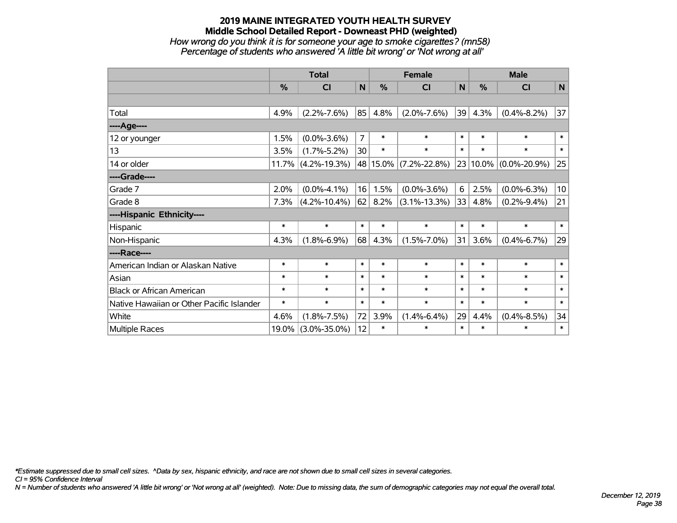#### **2019 MAINE INTEGRATED YOUTH HEALTH SURVEY Middle School Detailed Report - Downeast PHD (weighted)** *How wrong do you think it is for someone your age to smoke cigarettes? (mn58) Percentage of students who answered 'A little bit wrong' or 'Not wrong at all'*

|                                           | <b>Total</b>  |                       |                |          | <b>Female</b>      |        | <b>Male</b> |                    |                 |  |
|-------------------------------------------|---------------|-----------------------|----------------|----------|--------------------|--------|-------------|--------------------|-----------------|--|
|                                           | $\frac{0}{0}$ | C <sub>l</sub>        | $\mathsf{N}$   | %        | <b>CI</b>          | N      | %           | <b>CI</b>          | N               |  |
|                                           |               |                       |                |          |                    |        |             |                    |                 |  |
| Total                                     | 4.9%          | $(2.2\% - 7.6\%)$     | 85             | 4.8%     | $(2.0\% - 7.6\%)$  | 39     | 4.3%        | $(0.4\% - 8.2\%)$  | 37              |  |
| ---- Age----                              |               |                       |                |          |                    |        |             |                    |                 |  |
| 12 or younger                             | 1.5%          | $(0.0\% - 3.6\%)$     | $\overline{7}$ | $\ast$   | $\ast$             | $\ast$ | $\ast$      | $\ast$             | $\ast$          |  |
| 13                                        | 3.5%          | $(1.7\% - 5.2\%)$     | 30             | $\ast$   | $\ast$             | $\ast$ | $\ast$      | $\ast$             | $\ast$          |  |
| 14 or older                               |               | $11.7\%$ (4.2%-19.3%) |                | 48 15.0% | $(7.2\% - 22.8\%)$ | 23     | 10.0%       | $(0.0\% - 20.9\%)$ | 25              |  |
| ----Grade----                             |               |                       |                |          |                    |        |             |                    |                 |  |
| Grade 7                                   | 2.0%          | $(0.0\% - 4.1\%)$     | 16             | 1.5%     | $(0.0\% - 3.6\%)$  | 6      | 2.5%        | $(0.0\% - 6.3\%)$  | 10 <sup>1</sup> |  |
| Grade 8                                   | 7.3%          | $(4.2\% - 10.4\%)$    | 62             | $8.2\%$  | $(3.1\% - 13.3\%)$ | 33     | 4.8%        | $(0.2\% - 9.4\%)$  | 21              |  |
| ----Hispanic Ethnicity----                |               |                       |                |          |                    |        |             |                    |                 |  |
| Hispanic                                  | $\ast$        | $\ast$                | $\ast$         | $\ast$   | $\ast$             | $\ast$ | $\ast$      | $\ast$             | $\ast$          |  |
| Non-Hispanic                              | 4.3%          | $(1.8\% - 6.9\%)$     | 68             | 4.3%     | $(1.5\% - 7.0\%)$  | 31     | 3.6%        | $(0.4\% - 6.7\%)$  | 29              |  |
| ----Race----                              |               |                       |                |          |                    |        |             |                    |                 |  |
| American Indian or Alaskan Native         | $\ast$        | $\ast$                | $\ast$         | $\ast$   | $\ast$             | $\ast$ | $\ast$      | $\ast$             | $\ast$          |  |
| Asian                                     | $\ast$        | $\ast$                | $\ast$         | $\ast$   | $\ast$             | $\ast$ | $\ast$      | $\ast$             | $\pmb{\ast}$    |  |
| <b>Black or African American</b>          | $\ast$        | $\ast$                | $\ast$         | $\ast$   | $\ast$             | $\ast$ | $\ast$      | $\ast$             | $\ast$          |  |
| Native Hawaiian or Other Pacific Islander | $\ast$        | $\ast$                | $\ast$         | $\ast$   | $\ast$             | $\ast$ | $\ast$      | $\ast$             | $\ast$          |  |
| White                                     | 4.6%          | $(1.8\% - 7.5\%)$     | 72             | 3.9%     | $(1.4\% - 6.4\%)$  | 29     | 4.4%        | $(0.4\% - 8.5\%)$  | 34              |  |
| Multiple Races                            |               | 19.0% (3.0%-35.0%)    | 12             | $\ast$   | $\ast$             | $\ast$ | $\ast$      | $\ast$             | $\ast$          |  |

*\*Estimate suppressed due to small cell sizes. ^Data by sex, hispanic ethnicity, and race are not shown due to small cell sizes in several categories.*

*CI = 95% Confidence Interval*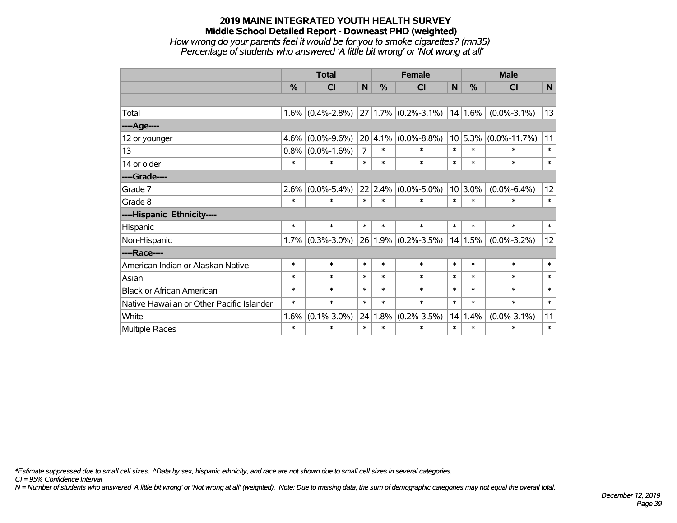#### **2019 MAINE INTEGRATED YOUTH HEALTH SURVEY Middle School Detailed Report - Downeast PHD (weighted)** *How wrong do your parents feel it would be for you to smoke cigarettes? (mn35) Percentage of students who answered 'A little bit wrong' or 'Not wrong at all'*

|                                           | <b>Total</b>  |                     |                |               | <b>Female</b>            |        | <b>Male</b>  |                    |        |  |
|-------------------------------------------|---------------|---------------------|----------------|---------------|--------------------------|--------|--------------|--------------------|--------|--|
|                                           | $\frac{0}{0}$ | CI                  | N              | $\frac{0}{2}$ | CI                       | N      | %            | <b>CI</b>          | N      |  |
|                                           |               |                     |                |               |                          |        |              |                    |        |  |
| Total                                     |               | $1.6\%$ (0.4%-2.8%) |                |               | $ 27 1.7\% $ (0.2%-3.1%) |        | $ 14 1.6\% $ | $(0.0\% - 3.1\%)$  | 13     |  |
| ----Age----                               |               |                     |                |               |                          |        |              |                    |        |  |
| 12 or younger                             | $4.6\%$       | $(0.0\% - 9.6\%)$   |                | 20 4.1%       | $(0.0\% - 8.8\%)$        |        | 10 5.3%      | $(0.0\% - 11.7\%)$ | 11     |  |
| 13                                        |               | $0.8\%$ (0.0%-1.6%) | $\overline{7}$ | $\ast$        | $\ast$                   | $\ast$ | $\ast$       | $\ast$             | $\ast$ |  |
| 14 or older                               | *             | $\ast$              | $\ast$         | $\ast$        | $\ast$                   | $\ast$ | $\ast$       | $\ast$             | $\ast$ |  |
| ----Grade----                             |               |                     |                |               |                          |        |              |                    |        |  |
| Grade 7                                   | $2.6\%$       | $(0.0\% - 5.4\%)$   |                | 22 2.4%       | $(0.0\% - 5.0\%)$        |        | $10 3.0\%$   | $(0.0\% - 6.4\%)$  | 12     |  |
| Grade 8                                   | $\ast$        | $\ast$              | $\ast$         | $\ast$        | $\ast$                   | $\ast$ | $\ast$       | $\ast$             | $\ast$ |  |
| ----Hispanic Ethnicity----                |               |                     |                |               |                          |        |              |                    |        |  |
| Hispanic                                  | $\ast$        | $\ast$              | $\ast$         | $\ast$        | $\ast$                   | $\ast$ | $\ast$       | $\ast$             | $\ast$ |  |
| Non-Hispanic                              |               | $1.7\%$ (0.3%-3.0%) |                |               | $26 1.9\% $ (0.2%-3.5%)  |        | 14 1.5%      | $(0.0\% - 3.2\%)$  | 12     |  |
| ----Race----                              |               |                     |                |               |                          |        |              |                    |        |  |
| American Indian or Alaskan Native         | *             | $\ast$              | $\ast$         | $\ast$        | $\ast$                   | $\ast$ | $\ast$       | $\ast$             | $\ast$ |  |
| Asian                                     | $\ast$        | $\ast$              | $\ast$         | $\ast$        | $\ast$                   | $\ast$ | $\ast$       | $\ast$             | $\ast$ |  |
| <b>Black or African American</b>          | $\ast$        | $\ast$              | $\ast$         | $\ast$        | $\ast$                   | $\ast$ | $\ast$       | $\ast$             | $\ast$ |  |
| Native Hawaiian or Other Pacific Islander | $\ast$        | $\ast$              | $\ast$         | $\ast$        | $\ast$                   | $\ast$ | $\ast$       | $\ast$             | $\ast$ |  |
| White                                     | $1.6\%$       | $(0.1\% - 3.0\%)$   |                | 24 1.8%       | $(0.2\% - 3.5\%)$        | 14     | 1.4%         | $(0.0\% - 3.1\%)$  | 11     |  |
| Multiple Races                            | $\ast$        | $\ast$              | $\ast$         | $\ast$        | $\ast$                   | $\ast$ | $\ast$       | $\ast$             | $\ast$ |  |

*\*Estimate suppressed due to small cell sizes. ^Data by sex, hispanic ethnicity, and race are not shown due to small cell sizes in several categories.*

*CI = 95% Confidence Interval*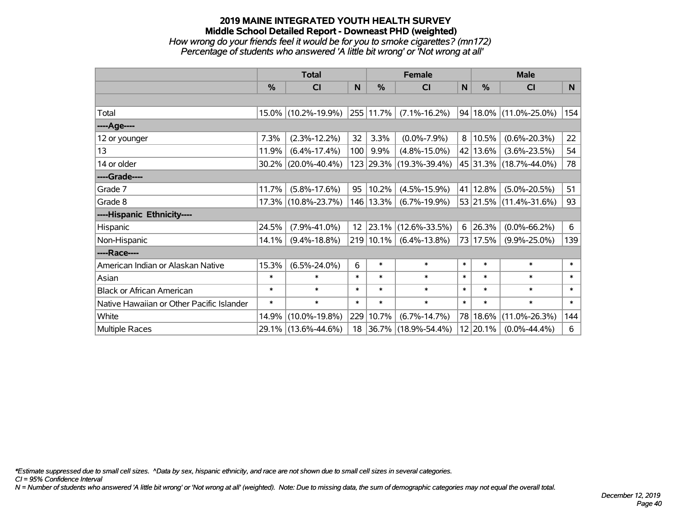#### **2019 MAINE INTEGRATED YOUTH HEALTH SURVEY Middle School Detailed Report - Downeast PHD (weighted)** *How wrong do your friends feel it would be for you to smoke cigarettes? (mn172) Percentage of students who answered 'A little bit wrong' or 'Not wrong at all'*

|                                           | <b>Total</b> |                        |                   |           | <b>Female</b>       | <b>Male</b> |                 |                            |                |
|-------------------------------------------|--------------|------------------------|-------------------|-----------|---------------------|-------------|-----------------|----------------------------|----------------|
|                                           | %            | CI                     | N                 | %         | <b>CI</b>           | N           | $\frac{0}{0}$   | <b>CI</b>                  | N <sub>1</sub> |
|                                           |              |                        |                   |           |                     |             |                 |                            |                |
| Total                                     |              | 15.0% (10.2%-19.9%)    |                   | 255 11.7% | $(7.1\% - 16.2\%)$  |             |                 | 94   18.0%   (11.0%-25.0%) | 154            |
| ----Age----                               |              |                        |                   |           |                     |             |                 |                            |                |
| 12 or younger                             | 7.3%         | $(2.3\% - 12.2\%)$     | 32                | 3.3%      | $(0.0\% - 7.9\%)$   | 8           | 10.5%           | $(0.6\% - 20.3\%)$         | 22             |
| 13                                        | 11.9%        | $(6.4\% - 17.4\%)$     | 100               | $9.9\%$   | $(4.8\% - 15.0\%)$  |             | 42 13.6%        | $(3.6\% - 23.5\%)$         | 54             |
| 14 or older                               |              | $30.2\%$ (20.0%-40.4%) |                   | 123 29.3% | $(19.3\% - 39.4\%)$ |             |                 | 45 31.3% (18.7%-44.0%)     | 78             |
| ----Grade----                             |              |                        |                   |           |                     |             |                 |                            |                |
| Grade 7                                   | 11.7%        | $(5.8\% - 17.6\%)$     | 95                | 10.2%     | $(4.5\% - 15.9\%)$  |             | 41 12.8%        | $(5.0\% - 20.5\%)$         | 51             |
| Grade 8                                   |              | 17.3% (10.8%-23.7%)    |                   | 146 13.3% | $(6.7\% - 19.9\%)$  |             |                 | 53 21.5% (11.4%-31.6%)     | 93             |
| ----Hispanic Ethnicity----                |              |                        |                   |           |                     |             |                 |                            |                |
| Hispanic                                  | 24.5%        | $(7.9\% - 41.0\%)$     | $12 \overline{ }$ | 23.1%     | $(12.6\% - 33.5\%)$ |             | $6 \mid 26.3\%$ | $(0.0\% - 66.2\%)$         | 6              |
| Non-Hispanic                              | 14.1%        | $(9.4\% - 18.8\%)$     |                   | 219 10.1% | $(6.4\% - 13.8\%)$  |             | 73 17.5%        | $(9.9\% - 25.0\%)$         | 139            |
| ----Race----                              |              |                        |                   |           |                     |             |                 |                            |                |
| American Indian or Alaskan Native         | 15.3%        | $(6.5\% - 24.0\%)$     | 6                 | $\ast$    | $\ast$              | $\ast$      | $\ast$          | $\ast$                     | $\ast$         |
| Asian                                     | $\ast$       | $\ast$                 | $\ast$            | $\ast$    | $\ast$              | $\ast$      | $\ast$          | $\ast$                     | $\ast$         |
| <b>Black or African American</b>          | $\ast$       | $\ast$                 | $\ast$            | $\ast$    | $\ast$              | $\ast$      | $\ast$          | $\ast$                     | $\ast$         |
| Native Hawaiian or Other Pacific Islander | $\ast$       | $\ast$                 | $\ast$            | $\ast$    | $\ast$              | $\ast$      | $\ast$          | $\ast$                     | $\ast$         |
| White                                     | 14.9%        | $(10.0\% - 19.8\%)$    | 229               | 10.7%     | $(6.7\% - 14.7\%)$  |             | 78 18.6%        | $(11.0\% - 26.3\%)$        | 144            |
| <b>Multiple Races</b>                     |              | 29.1% (13.6%-44.6%)    | 18                | 36.7%     | $(18.9\% - 54.4\%)$ |             | 12 20.1%        | $(0.0\% - 44.4\%)$         | 6              |

*\*Estimate suppressed due to small cell sizes. ^Data by sex, hispanic ethnicity, and race are not shown due to small cell sizes in several categories.*

*CI = 95% Confidence Interval*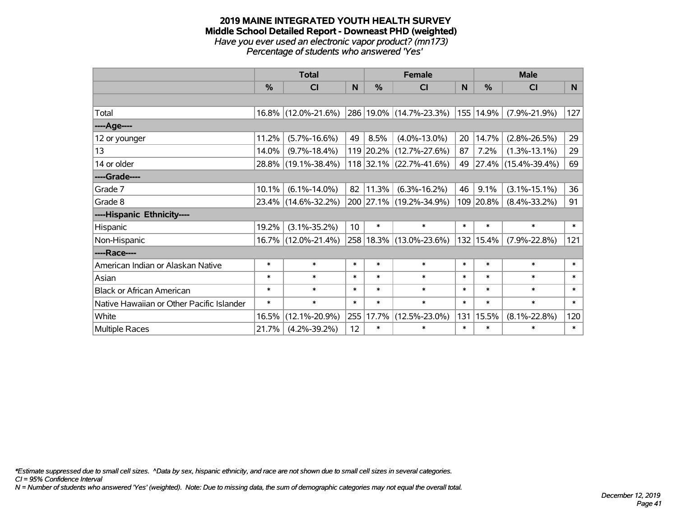#### **2019 MAINE INTEGRATED YOUTH HEALTH SURVEY Middle School Detailed Report - Downeast PHD (weighted)** *Have you ever used an electronic vapor product? (mn173) Percentage of students who answered 'Yes'*

|                                           | <b>Total</b>  |                     |        |               | <b>Female</b>             | <b>Male</b> |           |                     |        |
|-------------------------------------------|---------------|---------------------|--------|---------------|---------------------------|-------------|-----------|---------------------|--------|
|                                           | $\frac{0}{0}$ | CI                  | N      | $\frac{0}{0}$ | <b>CI</b>                 | N           | %         | <b>CI</b>           | N      |
|                                           |               |                     |        |               |                           |             |           |                     |        |
| Total                                     |               | 16.8% (12.0%-21.6%) |        |               | 286 19.0% (14.7%-23.3%)   |             | 155 14.9% | $(7.9\% - 21.9\%)$  | 127    |
| ----Age----                               |               |                     |        |               |                           |             |           |                     |        |
| 12 or younger                             | 11.2%         | $(5.7\% - 16.6\%)$  | 49     | 8.5%          | $(4.0\% - 13.0\%)$        | 20          | 14.7%     | $(2.8\% - 26.5\%)$  | 29     |
| 13                                        | 14.0%         | $(9.7\% - 18.4\%)$  |        |               | 119 20.2% (12.7%-27.6%)   | 87          | 7.2%      | $(1.3\% - 13.1\%)$  | 29     |
| 14 or older                               |               | 28.8% (19.1%-38.4%) |        |               | $118$ 32.1% (22.7%-41.6%) | 49          |           | 27.4% (15.4%-39.4%) | 69     |
| ----Grade----                             |               |                     |        |               |                           |             |           |                     |        |
| Grade 7                                   | 10.1%         | $(6.1\% - 14.0\%)$  | 82     | 11.3%         | $(6.3\% - 16.2\%)$        | 46          | 9.1%      | $(3.1\% - 15.1\%)$  | 36     |
| Grade 8                                   |               | 23.4% (14.6%-32.2%) |        |               | 200 27.1% (19.2%-34.9%)   |             | 109 20.8% | $(8.4\% - 33.2\%)$  | 91     |
| ----Hispanic Ethnicity----                |               |                     |        |               |                           |             |           |                     |        |
| Hispanic                                  | 19.2%         | $(3.1\% - 35.2\%)$  | 10     | $\ast$        | $\ast$                    | $\ast$      | $\ast$    | $\ast$              | $\ast$ |
| Non-Hispanic                              |               | 16.7% (12.0%-21.4%) |        |               | 258 18.3% (13.0%-23.6%)   |             | 132 15.4% | $(7.9\% - 22.8\%)$  | 121    |
| ----Race----                              |               |                     |        |               |                           |             |           |                     |        |
| American Indian or Alaskan Native         | $\ast$        | $\ast$              | $\ast$ | $\ast$        | $\ast$                    | $\ast$      | $\ast$    | $\ast$              | $\ast$ |
| Asian                                     | $\ast$        | $\ast$              | $\ast$ | $\ast$        | $\ast$                    | $\ast$      | $\ast$    | $\ast$              | $\ast$ |
| <b>Black or African American</b>          | $\ast$        | $\ast$              | $\ast$ | $\ast$        | $\ast$                    | $\ast$      | $\ast$    | $\ast$              | $\ast$ |
| Native Hawaiian or Other Pacific Islander | $\ast$        | $\ast$              | $\ast$ | $\ast$        | $\ast$                    | $\ast$      | $\ast$    | $\ast$              | $\ast$ |
| White                                     | 16.5%         | $(12.1\% - 20.9\%)$ | 255    | 17.7%         | $(12.5\% - 23.0\%)$       | 131         | 15.5%     | $(8.1\% - 22.8\%)$  | 120    |
| Multiple Races                            | 21.7%         | $(4.2\% - 39.2\%)$  | 12     | $\ast$        | $\ast$                    | $\ast$      | $\ast$    | $\ast$              | $\ast$ |

*\*Estimate suppressed due to small cell sizes. ^Data by sex, hispanic ethnicity, and race are not shown due to small cell sizes in several categories.*

*CI = 95% Confidence Interval*

*N = Number of students who answered 'Yes' (weighted). Note: Due to missing data, the sum of demographic categories may not equal the overall total.*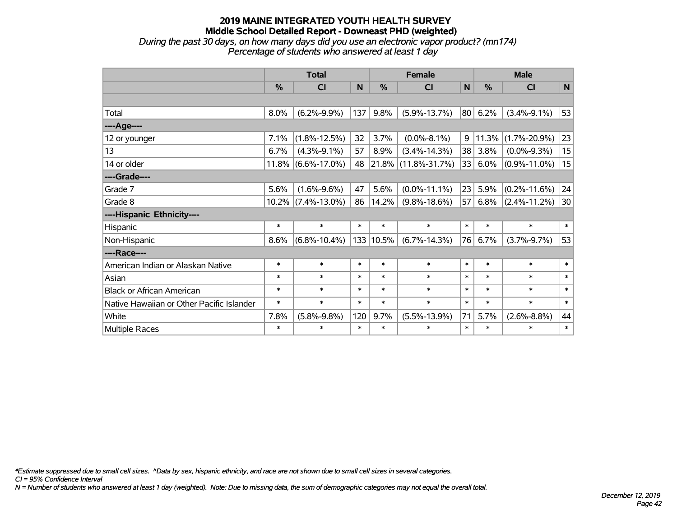#### **2019 MAINE INTEGRATED YOUTH HEALTH SURVEY Middle School Detailed Report - Downeast PHD (weighted)** *During the past 30 days, on how many days did you use an electronic vapor product? (mn174)*

*Percentage of students who answered at least 1 day*

|                                           | <b>Total</b> |                    |        |               | <b>Female</b>            |        | <b>Male</b> |                    |        |  |
|-------------------------------------------|--------------|--------------------|--------|---------------|--------------------------|--------|-------------|--------------------|--------|--|
|                                           | %            | CI                 | N      | $\frac{9}{6}$ | CI                       | N      | %           | CI                 | N      |  |
|                                           |              |                    |        |               |                          |        |             |                    |        |  |
| Total                                     | 8.0%         | $(6.2\% - 9.9\%)$  | 137    | 9.8%          | $(5.9\% - 13.7\%)$       | 80     | 6.2%        | $(3.4\% - 9.1\%)$  | 53     |  |
| ----Age----                               |              |                    |        |               |                          |        |             |                    |        |  |
| 12 or younger                             | 7.1%         | $(1.8\% - 12.5\%)$ | 32     | 3.7%          | $(0.0\% - 8.1\%)$        | 9      | 11.3%       | $(1.7\% - 20.9\%)$ | 23     |  |
| 13                                        | 6.7%         | $(4.3\% - 9.1\%)$  | 57     | 8.9%          | $(3.4\% - 14.3\%)$       | 38     | 3.8%        | $(0.0\% - 9.3\%)$  | 15     |  |
| 14 or older                               | 11.8%        | $(6.6\% - 17.0\%)$ | 48     |               | $ 21.8\% $ (11.8%-31.7%) | 33     | 6.0%        | $(0.9\% - 11.0\%)$ | 15     |  |
| ----Grade----                             |              |                    |        |               |                          |        |             |                    |        |  |
| Grade 7                                   | 5.6%         | $(1.6\% - 9.6\%)$  | 47     | 5.6%          | $(0.0\% - 11.1\%)$       | 23     | 5.9%        | $(0.2\% - 11.6\%)$ | 24     |  |
| Grade 8                                   | $10.2\%$     | $(7.4\% - 13.0\%)$ | 86     | 14.2%         | $(9.8\% - 18.6\%)$       | 57     | 6.8%        | $(2.4\% - 11.2\%)$ | 30     |  |
| ----Hispanic Ethnicity----                |              |                    |        |               |                          |        |             |                    |        |  |
| Hispanic                                  | $\ast$       | $\ast$             | $\ast$ | $\ast$        | $\ast$                   | $\ast$ | $\ast$      | $\ast$             | $\ast$ |  |
| Non-Hispanic                              | 8.6%         | $(6.8\% - 10.4\%)$ |        | 133 10.5%     | $(6.7\% - 14.3\%)$       | 76     | 6.7%        | $(3.7\% - 9.7\%)$  | 53     |  |
| ----Race----                              |              |                    |        |               |                          |        |             |                    |        |  |
| American Indian or Alaskan Native         | $\ast$       | $\ast$             | $\ast$ | $\ast$        | $\ast$                   | $\ast$ | $\ast$      | $\ast$             | $\ast$ |  |
| Asian                                     | $\ast$       | $\ast$             | $\ast$ | $\ast$        | $\ast$                   | $\ast$ | $\ast$      | $\ast$             | $\ast$ |  |
| <b>Black or African American</b>          | $\ast$       | $\ast$             | $\ast$ | $\ast$        | $\ast$                   | $\ast$ | $\ast$      | $\ast$             | $\ast$ |  |
| Native Hawaiian or Other Pacific Islander | $\ast$       | $\ast$             | $\ast$ | $\ast$        | $\ast$                   | $\ast$ | $\ast$      | $\ast$             | $\ast$ |  |
| White                                     | 7.8%         | $(5.8\% - 9.8\%)$  | 120    | 9.7%          | $(5.5\% - 13.9\%)$       | 71     | 5.7%        | $(2.6\% - 8.8\%)$  | 44     |  |
| Multiple Races                            | $\ast$       | $\ast$             | $\ast$ | $\ast$        | $\ast$                   | $\ast$ | $\ast$      | $\ast$             | $\ast$ |  |

*\*Estimate suppressed due to small cell sizes. ^Data by sex, hispanic ethnicity, and race are not shown due to small cell sizes in several categories.*

*CI = 95% Confidence Interval*

*N = Number of students who answered at least 1 day (weighted). Note: Due to missing data, the sum of demographic categories may not equal the overall total.*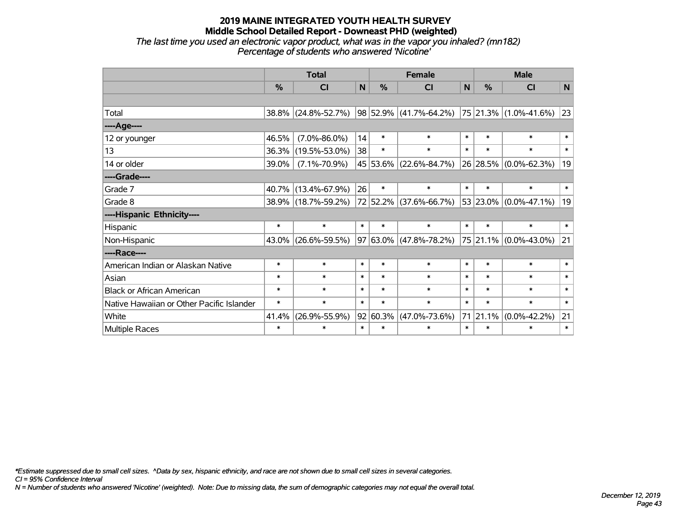*The last time you used an electronic vapor product, what was in the vapor you inhaled? (mn182) Percentage of students who answered 'Nicotine'*

|                                           | <b>Total</b> |                     |        |        | <b>Female</b>               |        | <b>Male</b>   |                               |              |  |
|-------------------------------------------|--------------|---------------------|--------|--------|-----------------------------|--------|---------------|-------------------------------|--------------|--|
|                                           | $\%$         | <b>CI</b>           | N      | $\%$   | <b>CI</b>                   | N      | $\frac{0}{2}$ | <b>CI</b>                     | N            |  |
|                                           |              |                     |        |        |                             |        |               |                               |              |  |
| Total                                     | 38.8%        | $(24.8\% - 52.7\%)$ |        |        | $ 98 52.9\% $ (41.7%-64.2%) |        |               | $ 75 21.3\% (1.0\% - 41.6\%)$ | 23           |  |
| ----Age----                               |              |                     |        |        |                             |        |               |                               |              |  |
| 12 or younger                             | 46.5%        | $(7.0\% - 86.0\%)$  | 14     | $\ast$ | $\ast$                      | $\ast$ | $\ast$        | $\ast$                        | $\ast$       |  |
| 13                                        | 36.3%        | $(19.5\% - 53.0\%)$ | 38     | $\ast$ | $\ast$                      | $\ast$ | $\ast$        | $\ast$                        | $\ast$       |  |
| 14 or older                               | 39.0%        | $(7.1\% - 70.9\%)$  |        |        | 45 53.6% (22.6%-84.7%)      |        |               | 26 28.5% (0.0%-62.3%)         | 19           |  |
| ----Grade----                             |              |                     |        |        |                             |        |               |                               |              |  |
| Grade 7                                   | 40.7%        | $(13.4\% - 67.9\%)$ | 26     | $\ast$ | $\ast$                      | $\ast$ | $\ast$        | $\ast$                        | $\ast$       |  |
| Grade 8                                   | 38.9%        | $(18.7\% - 59.2\%)$ |        |        | 72 52.2% (37.6%-66.7%)      |        | 53 23.0%      | $(0.0\% - 47.1\%)$            | 19           |  |
| ----Hispanic Ethnicity----                |              |                     |        |        |                             |        |               |                               |              |  |
| Hispanic                                  | $\ast$       | $\ast$              | $\ast$ | $\ast$ | $\ast$                      | $\ast$ | $\ast$        | $\ast$                        | $\ast$       |  |
| Non-Hispanic                              | 43.0%        | $(26.6\% - 59.5\%)$ |        |        | 97 63.0% (47.8%-78.2%)      |        |               | 75 21.1% (0.0%-43.0%)         | 21           |  |
| ----Race----                              |              |                     |        |        |                             |        |               |                               |              |  |
| American Indian or Alaskan Native         | $\ast$       | $\ast$              | $\ast$ | $\ast$ | $\ast$                      | $\ast$ | $\ast$        | $\ast$                        | $\ast$       |  |
| Asian                                     | $\ast$       | $\ast$              | $\ast$ | $\ast$ | $\ast$                      | $\ast$ | $\ast$        | $\ast$                        | $\ast$       |  |
| <b>Black or African American</b>          | $\ast$       | $\ast$              | $\ast$ | $\ast$ | $\ast$                      | $\ast$ | $\ast$        | $\ast$                        | $\ast$       |  |
| Native Hawaiian or Other Pacific Islander | $\ast$       | $\ast$              | $\ast$ | $\ast$ | $\ast$                      | $\ast$ | $\ast$        | $\ast$                        | $\pmb{\ast}$ |  |
| White                                     | 41.4%        | $(26.9\% - 55.9\%)$ | 92     | 60.3%  | $(47.0\% - 73.6\%)$         |        | 71 21.1%      | $(0.0\% - 42.2\%)$            | 21           |  |
| Multiple Races                            | $\ast$       | $\ast$              | $\ast$ | $\ast$ | $\ast$                      | $\ast$ | $\ast$        | *                             | $\ast$       |  |

*\*Estimate suppressed due to small cell sizes. ^Data by sex, hispanic ethnicity, and race are not shown due to small cell sizes in several categories.*

*CI = 95% Confidence Interval*

*N = Number of students who answered 'Nicotine' (weighted). Note: Due to missing data, the sum of demographic categories may not equal the overall total.*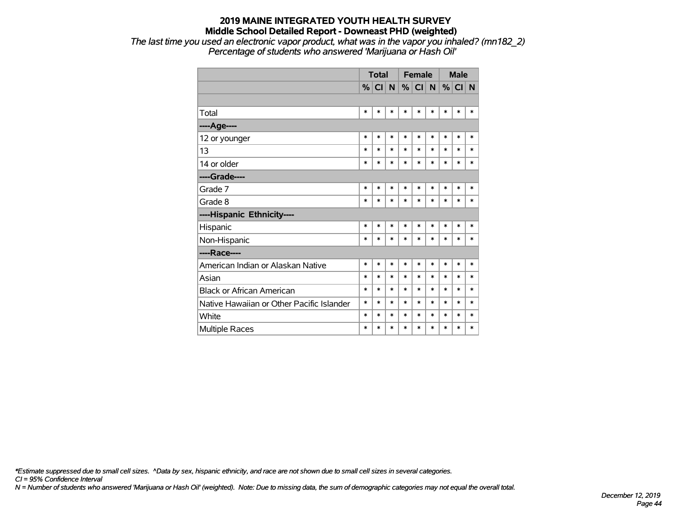*The last time you used an electronic vapor product, what was in the vapor you inhaled? (mn182\_2) Percentage of students who answered 'Marijuana or Hash Oil'*

|                                           | <b>Total</b>  |        |              |        | <b>Female</b> |        | <b>Male</b> |        |        |
|-------------------------------------------|---------------|--------|--------------|--------|---------------|--------|-------------|--------|--------|
|                                           | $\frac{9}{6}$ | CI     | $\mathsf{N}$ |        | $\%$ CI       | N      | %           | CI N   |        |
|                                           |               |        |              |        |               |        |             |        |        |
| Total                                     | $\ast$        | $\ast$ | $\ast$       | $\ast$ | $\ast$        | $\ast$ | $\ast$      | $\ast$ | $\ast$ |
| ---- Age----                              |               |        |              |        |               |        |             |        |        |
| 12 or younger                             | $\ast$        | *      | $\ast$       | $\ast$ | *             | $\ast$ | *           | *      | $\ast$ |
| 13                                        | $\ast$        | $\ast$ | $\ast$       | $\ast$ | $\ast$        | $\ast$ | *           | $\ast$ | $\ast$ |
| 14 or older                               | $\ast$        | *      | $\ast$       | $\ast$ | $\ast$        | $\ast$ | $\ast$      | $\ast$ | $\ast$ |
| ----Grade----                             |               |        |              |        |               |        |             |        |        |
| Grade 7                                   | $\ast$        | $\ast$ | $\ast$       | $\ast$ | $\ast$        | $\ast$ | $\ast$      | $\ast$ | $\ast$ |
| Grade 8                                   | ∗             | *      | $\ast$       | $\ast$ | $\ast$        | $\ast$ | $\ast$      | $\ast$ | $\ast$ |
| ----Hispanic Ethnicity----                |               |        |              |        |               |        |             |        |        |
| Hispanic                                  | $\ast$        | *      | $\ast$       | $\ast$ | $\ast$        | *      | $\ast$      | $\ast$ | $\ast$ |
| Non-Hispanic                              | $\ast$        | $\ast$ | $\ast$       | $\ast$ | $\ast$        | $\ast$ | $\ast$      | $\ast$ | $\ast$ |
| ----Race----                              |               |        |              |        |               |        |             |        |        |
| American Indian or Alaskan Native         | $\ast$        | $\ast$ | $\ast$       | $\ast$ | $\ast$        | $\ast$ | $\ast$      | $\ast$ | $\ast$ |
| Asian                                     | $\ast$        | *      | $\ast$       | $\ast$ | $\ast$        | $\ast$ | $\ast$      | $\ast$ | $\ast$ |
| <b>Black or African American</b>          | $\ast$        | $\ast$ | $\ast$       | $\ast$ | $\ast$        | $\ast$ | $\ast$      | $\ast$ | $\ast$ |
| Native Hawaiian or Other Pacific Islander | $\ast$        | *      | $\ast$       | $\ast$ | $\ast$        | $\ast$ | $\ast$      | $\ast$ | $\ast$ |
| White                                     | $\ast$        | *      | $\ast$       | $\ast$ | $\ast$        | $\ast$ | $\ast$      | $\ast$ | $\ast$ |
| <b>Multiple Races</b>                     | $\ast$        | *      | $\ast$       | $\ast$ | $\ast$        | $\ast$ | $\ast$      | $\ast$ | $\ast$ |

*\*Estimate suppressed due to small cell sizes. ^Data by sex, hispanic ethnicity, and race are not shown due to small cell sizes in several categories.*

*CI = 95% Confidence Interval*

*N = Number of students who answered 'Marijuana or Hash Oil' (weighted). Note: Due to missing data, the sum of demographic categories may not equal the overall total.*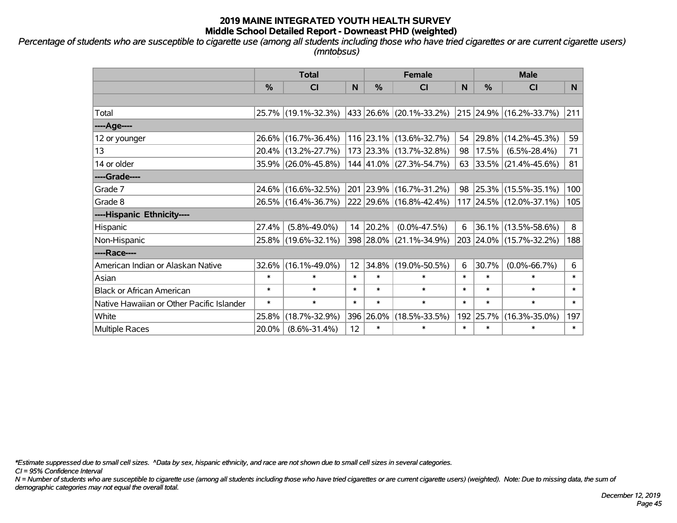*Percentage of students who are susceptible to cigarette use (among all students including those who have tried cigarettes or are current cigarette users) (mntobsus)*

|                                           | <b>Total</b>  |                     |        | <b>Female</b> | <b>Male</b>             |        |           |                              |                |
|-------------------------------------------|---------------|---------------------|--------|---------------|-------------------------|--------|-----------|------------------------------|----------------|
|                                           | $\frac{0}{0}$ | <b>CI</b>           | N      | $\frac{0}{0}$ | CI                      | N      | %         | <b>CI</b>                    | N <sub>1</sub> |
|                                           |               |                     |        |               |                         |        |           |                              |                |
| Total                                     |               | 25.7% (19.1%-32.3%) |        |               | 433 26.6% (20.1%-33.2%) |        |           | 215 24.9% (16.2%-33.7%)      | 211            |
| ----Age----                               |               |                     |        |               |                         |        |           |                              |                |
| 12 or younger                             |               | 26.6% (16.7%-36.4%) |        |               | 116 23.1% (13.6%-32.7%) | 54     | 29.8%     | $(14.2\% - 45.3\%)$          | 59             |
| 13                                        |               | 20.4% (13.2%-27.7%) |        |               | 173 23.3% (13.7%-32.8%) | 98     |           | $17.5\%$ (6.5%-28.4%)        | 71             |
| 14 or older                               |               | 35.9% (26.0%-45.8%) |        |               | 144 41.0% (27.3%-54.7%) |        |           | 63 33.5% $(21.4\% - 45.6\%)$ | 81             |
| ----Grade----                             |               |                     |        |               |                         |        |           |                              |                |
| Grade 7                                   |               | 24.6% (16.6%-32.5%) |        |               | 201 23.9% (16.7%-31.2%) | 98     |           | $ 25.3\% $ (15.5%-35.1%)     | 100            |
| Grade 8                                   |               | 26.5% (16.4%-36.7%) |        |               | 222 29.6% (16.8%-42.4%) |        |           | 117 24.5% (12.0%-37.1%)      | 105            |
| ----Hispanic Ethnicity----                |               |                     |        |               |                         |        |           |                              |                |
| Hispanic                                  | 27.4%         | $(5.8\% - 49.0\%)$  | 14     | 20.2%         | $(0.0\% - 47.5\%)$      | 6      |           | 36.1% (13.5%-58.6%)          | 8              |
| Non-Hispanic                              |               | 25.8% (19.6%-32.1%) |        |               | 398 28.0% (21.1%-34.9%) |        |           | 203 24.0% (15.7%-32.2%)      | 188            |
| ----Race----                              |               |                     |        |               |                         |        |           |                              |                |
| American Indian or Alaskan Native         |               | 32.6% (16.1%-49.0%) | 12     | 34.8%         | $(19.0\% - 50.5\%)$     | 6      | 30.7%     | $(0.0\% - 66.7\%)$           | 6              |
| Asian                                     | $\ast$        | $\ast$              | $\ast$ | $\ast$        | $\ast$                  | $\ast$ | $\ast$    | $\ast$                       | $\ast$         |
| <b>Black or African American</b>          | $\ast$        | $\ast$              | $\ast$ | $\ast$        | $\ast$                  | $\ast$ | $\ast$    | $\ast$                       | $\ast$         |
| Native Hawaiian or Other Pacific Islander | $\ast$        | $\ast$              | $\ast$ | $\ast$        | $\ast$                  | $\ast$ | $\ast$    | $\ast$                       | $\ast$         |
| White                                     | 25.8%         | $(18.7\% - 32.9\%)$ |        | 396 26.0%     | $(18.5\% - 33.5\%)$     |        | 192 25.7% | $(16.3\% - 35.0\%)$          | 197            |
| Multiple Races                            | 20.0%         | $(8.6\% - 31.4\%)$  | 12     | $\ast$        | $\ast$                  | $\ast$ | $\ast$    | $\ast$                       | $\ast$         |

*\*Estimate suppressed due to small cell sizes. ^Data by sex, hispanic ethnicity, and race are not shown due to small cell sizes in several categories.*

*CI = 95% Confidence Interval*

*N = Number of students who are susceptible to cigarette use (among all students including those who have tried cigarettes or are current cigarette users) (weighted). Note: Due to missing data, the sum of demographic categories may not equal the overall total.*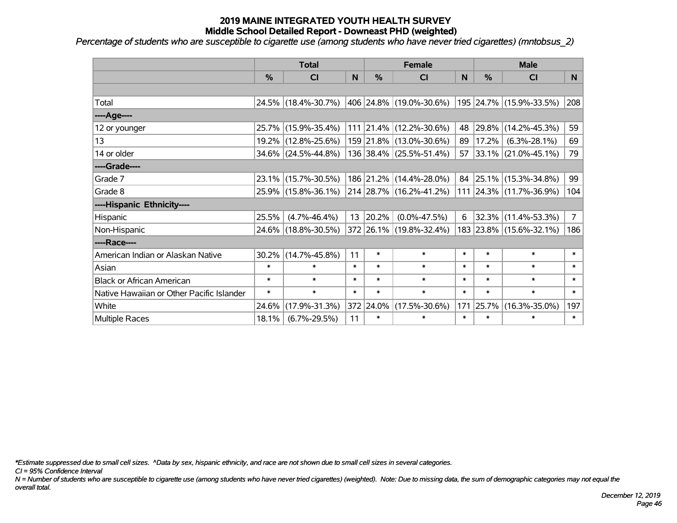*Percentage of students who are susceptible to cigarette use (among students who have never tried cigarettes) (mntobsus\_2)*

|                                           | <b>Total</b>  |                        |        | <b>Female</b> | <b>Male</b>             |        |        |                         |                |
|-------------------------------------------|---------------|------------------------|--------|---------------|-------------------------|--------|--------|-------------------------|----------------|
|                                           | $\frac{0}{0}$ | CI                     | N      | $\frac{9}{6}$ | <b>CI</b>               | N      | %      | <b>CI</b>               | N              |
|                                           |               |                        |        |               |                         |        |        |                         |                |
| Total                                     |               | 24.5% (18.4%-30.7%)    |        |               | 406 24.8% (19.0%-30.6%) |        |        | 195 24.7% (15.9%-33.5%) | 208            |
| ----Age----                               |               |                        |        |               |                         |        |        |                         |                |
| 12 or younger                             |               | 25.7% (15.9%-35.4%)    |        |               | 111 21.4% (12.2%-30.6%) | 48     | 29.8%  | $(14.2\% - 45.3\%)$     | 59             |
| 13                                        |               | 19.2% (12.8%-25.6%)    |        |               | 159 21.8% (13.0%-30.6%) | 89     | 17.2%  | $(6.3\% - 28.1\%)$      | 69             |
| 14 or older                               |               | $34.6\%$ (24.5%-44.8%) |        |               | 136 38.4% (25.5%-51.4%) |        |        | 57 33.1% (21.0%-45.1%)  | 79             |
| ----Grade----                             |               |                        |        |               |                         |        |        |                         |                |
| Grade 7                                   |               | 23.1% (15.7%-30.5%)    |        |               | 186 21.2% (14.4%-28.0%) | 84     |        | 25.1% (15.3%-34.8%)     | 99             |
| Grade 8                                   |               | 25.9% (15.8%-36.1%)    |        |               | 214 28.7% (16.2%-41.2%) |        |        | 111 24.3% (11.7%-36.9%) | 104            |
| ----Hispanic Ethnicity----                |               |                        |        |               |                         |        |        |                         |                |
| Hispanic                                  | 25.5%         | $(4.7\% - 46.4\%)$     | 13     | 20.2%         | $(0.0\% - 47.5\%)$      | 6      | 32.3%  | $(11.4\% - 53.3\%)$     | 7 <sup>1</sup> |
| Non-Hispanic                              |               | 24.6% (18.8%-30.5%)    |        |               | 372 26.1% (19.8%-32.4%) |        |        | 183 23.8% (15.6%-32.1%) | 186            |
| ----Race----                              |               |                        |        |               |                         |        |        |                         |                |
| American Indian or Alaskan Native         | 30.2%         | $(14.7\% - 45.8\%)$    | 11     | $\ast$        | $\ast$                  | $\ast$ | $\ast$ | $\ast$                  | $\ast$         |
| Asian                                     | $\ast$        | $\ast$                 | $\ast$ | $\ast$        | $\ast$                  | $\ast$ | $\ast$ | $\ast$                  | $\ast$         |
| <b>Black or African American</b>          | $\ast$        | $\ast$                 | $\ast$ | $\ast$        | $\ast$                  | $\ast$ | $\ast$ | $\ast$                  | $\ast$         |
| Native Hawaiian or Other Pacific Islander | $\ast$        | $\ast$                 | $\ast$ | $\ast$        | $\ast$                  | $\ast$ | $\ast$ | $\ast$                  | $\ast$         |
| White                                     | 24.6%         | $(17.9\% - 31.3\%)$    |        | 372 24.0%     | $(17.5\% - 30.6\%)$     | 171    | 25.7%  | $(16.3\% - 35.0\%)$     | 197            |
| Multiple Races                            | 18.1%         | $(6.7\% - 29.5\%)$     | 11     | $\ast$        | $\ast$                  | $\ast$ | $\ast$ | *                       | $\ast$         |

*\*Estimate suppressed due to small cell sizes. ^Data by sex, hispanic ethnicity, and race are not shown due to small cell sizes in several categories.*

*CI = 95% Confidence Interval*

*N = Number of students who are susceptible to cigarette use (among students who have never tried cigarettes) (weighted). Note: Due to missing data, the sum of demographic categories may not equal the overall total.*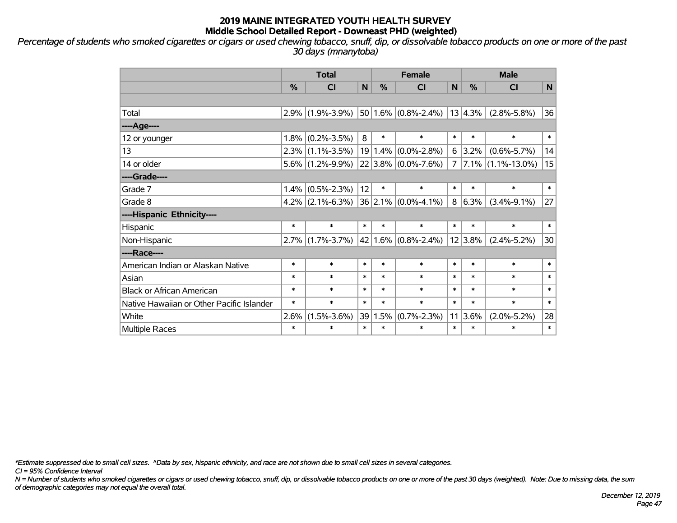*Percentage of students who smoked cigarettes or cigars or used chewing tobacco, snuff, dip, or dissolvable tobacco products on one or more of the past 30 days (mnanytoba)*

|                                           | <b>Total</b> |                     |                |         | <b>Female</b>            |        | <b>Male</b> |                        |                |  |
|-------------------------------------------|--------------|---------------------|----------------|---------|--------------------------|--------|-------------|------------------------|----------------|--|
|                                           | %            | <b>CI</b>           | N <sub>1</sub> | $\%$    | <b>CI</b>                | N      | %           | <b>CI</b>              | N <sub>1</sub> |  |
|                                           |              |                     |                |         |                          |        |             |                        |                |  |
| Total                                     |              | $2.9\%$ (1.9%-3.9%) |                |         | $ 50 1.6\% $ (0.8%-2.4%) |        | 13 4.3%     | $(2.8\% - 5.8\%)$      | 36             |  |
| ----Age----                               |              |                     |                |         |                          |        |             |                        |                |  |
| 12 or younger                             | $1.8\%$      | $(0.2\% - 3.5\%)$   | 8              | $\ast$  | $\ast$                   | $\ast$ | $\ast$      | $\ast$                 | $\ast$         |  |
| 13                                        |              | $2.3\%$ (1.1%-3.5%) |                | 19 1.4% | $(0.0\% - 2.8\%)$        | 6      | $3.2\%$     | $(0.6\% - 5.7\%)$      | 14             |  |
| 14 or older                               |              | $5.6\%$ (1.2%-9.9%) |                |         | $ 22 3.8\% $ (0.0%-7.6%) | 7      |             | $ 7.1\% $ (1.1%-13.0%) | 15             |  |
| ----Grade----                             |              |                     |                |         |                          |        |             |                        |                |  |
| Grade 7                                   |              | $1.4\%$ (0.5%-2.3%) | 12             | $\ast$  | $\ast$                   | $\ast$ | $\ast$      | $\ast$                 | $\ast$         |  |
| Grade 8                                   |              | $4.2\%$ (2.1%-6.3%) |                |         | $ 36 2.1\% $ (0.0%-4.1%) | 8      | $ 6.3\%$    | $(3.4\% - 9.1\%)$      | 27             |  |
| ----Hispanic Ethnicity----                |              |                     |                |         |                          |        |             |                        |                |  |
| Hispanic                                  | $\ast$       | $\ast$              | $\ast$         | $\ast$  | $\ast$                   | $\ast$ | $\ast$      | $\ast$                 | $\ast$         |  |
| Non-Hispanic                              |              | $2.7\%$ (1.7%-3.7%) |                |         | $ 42 1.6\% $ (0.8%-2.4%) |        | 12 3.8%     | $(2.4\% - 5.2\%)$      | 30             |  |
| ----Race----                              |              |                     |                |         |                          |        |             |                        |                |  |
| American Indian or Alaskan Native         | $\ast$       | $\ast$              | $\ast$         | $\ast$  | $\ast$                   | $\ast$ | $\ast$      | $\ast$                 | $\ast$         |  |
| Asian                                     | $\ast$       | $\ast$              | $\ast$         | $\ast$  | $\ast$                   | $\ast$ | $\ast$      | $\ast$                 | $\ast$         |  |
| <b>Black or African American</b>          | $\ast$       | $\ast$              | $\ast$         | $\ast$  | $\ast$                   | $\ast$ | *           | $\ast$                 | $\ast$         |  |
| Native Hawaiian or Other Pacific Islander | $\ast$       | $\ast$              | $\ast$         | $\ast$  | $\ast$                   | $\ast$ | $\ast$      | $\ast$                 | $\ast$         |  |
| White                                     | 2.6%         | $(1.5\% - 3.6\%)$   |                | 39 1.5% | $(0.7\% - 2.3\%)$        | 11     | 3.6%        | $(2.0\% - 5.2\%)$      | 28             |  |
| <b>Multiple Races</b>                     | $\ast$       | *                   | $\ast$         | $\ast$  | $\ast$                   | $\ast$ | $\ast$      | $\ast$                 | $\ast$         |  |

*\*Estimate suppressed due to small cell sizes. ^Data by sex, hispanic ethnicity, and race are not shown due to small cell sizes in several categories.*

*CI = 95% Confidence Interval*

*N = Number of students who smoked cigarettes or cigars or used chewing tobacco, snuff, dip, or dissolvable tobacco products on one or more of the past 30 days (weighted). Note: Due to missing data, the sum of demographic categories may not equal the overall total.*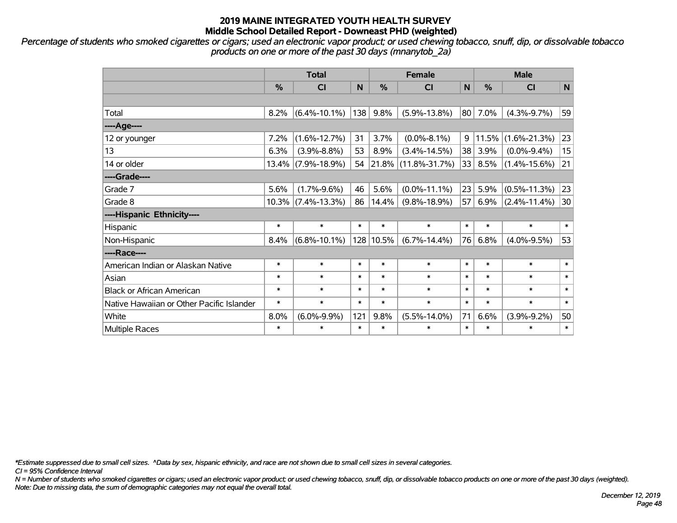*Percentage of students who smoked cigarettes or cigars; used an electronic vapor product; or used chewing tobacco, snuff, dip, or dissolvable tobacco products on one or more of the past 30 days (mnanytob\_2a)*

|                                           | <b>Total</b> |                       |        |               | <b>Female</b>       | <b>Male</b> |               |                    |           |
|-------------------------------------------|--------------|-----------------------|--------|---------------|---------------------|-------------|---------------|--------------------|-----------|
|                                           | $\%$         | CI                    | N      | $\frac{0}{0}$ | CI                  | N           | $\frac{0}{0}$ | <b>CI</b>          | ${\sf N}$ |
|                                           |              |                       |        |               |                     |             |               |                    |           |
| Total                                     | 8.2%         | $(6.4\% - 10.1\%)$    | 138    | 9.8%          | $(5.9\% - 13.8\%)$  | 80          | 7.0%          | $(4.3\% - 9.7\%)$  | 59        |
| ----Age----                               |              |                       |        |               |                     |             |               |                    |           |
| 12 or younger                             | 7.2%         | $(1.6\% - 12.7\%)$    | 31     | 3.7%          | $(0.0\% - 8.1\%)$   | 9           | 11.5%         | $(1.6\% - 21.3\%)$ | 23        |
| 13                                        | 6.3%         | $(3.9\% - 8.8\%)$     | 53     | 8.9%          | $(3.4\% - 14.5\%)$  | 38          | 3.9%          | $(0.0\% - 9.4\%)$  | 15        |
| 14 or older                               | 13.4%        | $(7.9\% - 18.9\%)$    | 54     |               | 21.8% (11.8%-31.7%) | 33          | 8.5%          | $(1.4\% - 15.6\%)$ | 21        |
| ----Grade----                             |              |                       |        |               |                     |             |               |                    |           |
| Grade 7                                   | 5.6%         | $(1.7\% - 9.6\%)$     | 46     | 5.6%          | $(0.0\% - 11.1\%)$  | 23          | 5.9%          | $(0.5\% - 11.3\%)$ | 23        |
| Grade 8                                   |              | $10.3\%$ (7.4%-13.3%) | 86     | 14.4%         | $(9.8\% - 18.9\%)$  | 57          | 6.9%          | $(2.4\% - 11.4\%)$ | 30        |
| ----Hispanic Ethnicity----                |              |                       |        |               |                     |             |               |                    |           |
| Hispanic                                  | $\ast$       | $\ast$                | $\ast$ | $\ast$        | $\ast$              | $\ast$      | $\ast$        | $\ast$             | $\ast$    |
| Non-Hispanic                              | 8.4%         | $(6.8\% - 10.1\%)$    |        | 128 10.5%     | $(6.7\% - 14.4\%)$  | 76          | 6.8%          | $(4.0\% - 9.5\%)$  | 53        |
| ----Race----                              |              |                       |        |               |                     |             |               |                    |           |
| American Indian or Alaskan Native         | $\ast$       | $\ast$                | $\ast$ | $\ast$        | $\ast$              | $\ast$      | $\ast$        | $\ast$             | $\ast$    |
| Asian                                     | $\ast$       | $\ast$                | $\ast$ | $\ast$        | $\ast$              | $\ast$      | $\ast$        | $\ast$             | $\ast$    |
| <b>Black or African American</b>          | $\ast$       | $\ast$                | $\ast$ | $\ast$        | $\ast$              | $\ast$      | $\ast$        | $\ast$             | $\ast$    |
| Native Hawaiian or Other Pacific Islander | $\ast$       | $\ast$                | $\ast$ | $\ast$        | $\ast$              | $\ast$      | $\ast$        | $\ast$             | $\ast$    |
| White                                     | 8.0%         | $(6.0\% - 9.9\%)$     | 121    | 9.8%          | $(5.5\% - 14.0\%)$  | 71          | 6.6%          | $(3.9\% - 9.2\%)$  | 50        |
| Multiple Races                            | $\ast$       | $\ast$                | $\ast$ | $\ast$        | $\ast$              | $\ast$      | $\ast$        | *                  | $\ast$    |

*\*Estimate suppressed due to small cell sizes. ^Data by sex, hispanic ethnicity, and race are not shown due to small cell sizes in several categories.*

*CI = 95% Confidence Interval*

*N = Number of students who smoked cigarettes or cigars; used an electronic vapor product; or used chewing tobacco, snuff, dip, or dissolvable tobacco products on one or more of the past 30 days (weighted). Note: Due to missing data, the sum of demographic categories may not equal the overall total.*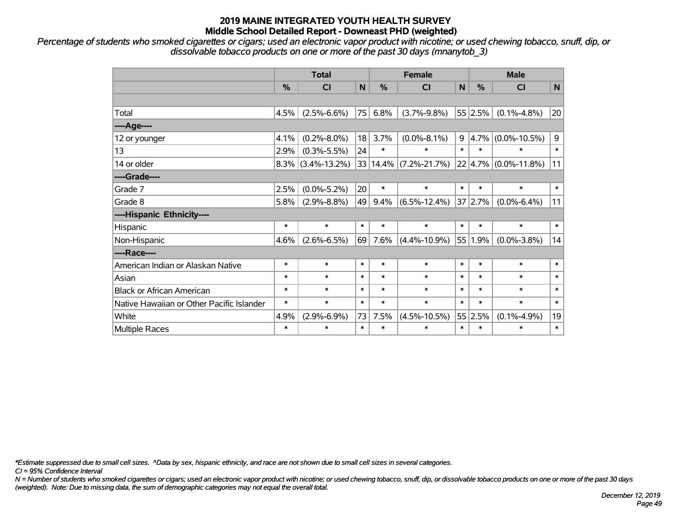*Percentage of students who smoked cigarettes or cigars; used an electronic vapor product with nicotine; or used chewing tobacco, snuff, dip, or dissolvable tobacco products on one or more of the past 30 days (mnanytob\_3)*

|                                           | <b>Total</b>  |                      |        |               | <b>Female</b>      |        | <b>Male</b>   |                                 |        |  |
|-------------------------------------------|---------------|----------------------|--------|---------------|--------------------|--------|---------------|---------------------------------|--------|--|
|                                           | $\frac{9}{6}$ | C <sub>l</sub>       | N      | $\frac{0}{2}$ | C <sub>l</sub>     | N      | $\frac{0}{0}$ | <b>CI</b>                       | N      |  |
|                                           |               |                      |        |               |                    |        |               |                                 |        |  |
| Total                                     | 4.5%          | $(2.5\% - 6.6\%)$    |        | 75 6.8%       | $(3.7\% - 9.8\%)$  |        | 55 2.5%       | $(0.1\% - 4.8\%)$               | 20     |  |
| ---- Age----                              |               |                      |        |               |                    |        |               |                                 |        |  |
| 12 or younger                             | 4.1%          | $(0.2\% - 8.0\%)$    | 18     | 3.7%          | $(0.0\% - 8.1\%)$  |        | $9  4.7\% $   | $(0.0\% - 10.5\%)$              | 9      |  |
| 13                                        | 2.9%          | $(0.3\% - 5.5\%)$    | 24     | $\ast$        | $\ast$             | $\ast$ | $\ast$        | $\ast$                          | $\ast$ |  |
| 14 or older                               |               | $8.3\%$ (3.4%-13.2%) |        | 33 14.4%      | $(7.2\% - 21.7\%)$ |        |               | $22   4.7\%   (0.0\% - 11.8\%)$ | 11     |  |
| ----Grade----                             |               |                      |        |               |                    |        |               |                                 |        |  |
| Grade 7                                   | 2.5%          | $(0.0\% - 5.2\%)$    | 20     | $\ast$        | $\ast$             | $\ast$ | $\ast$        | $\ast$                          | $\ast$ |  |
| Grade 8                                   | 5.8%          | $(2.9\% - 8.8\%)$    | 49     | 9.4%          | $(6.5\% - 12.4\%)$ |        | 37 2.7%       | $(0.0\% - 6.4\%)$               | 11     |  |
| ----Hispanic Ethnicity----                |               |                      |        |               |                    |        |               |                                 |        |  |
| Hispanic                                  | $\ast$        | $\ast$               | $\ast$ | $\ast$        | $\ast$             | $\ast$ | $\ast$        | $\ast$                          | $\ast$ |  |
| Non-Hispanic                              | 4.6%          | $(2.6\% - 6.5\%)$    | 69     | 7.6%          | $(4.4\% - 10.9\%)$ | 55     | 1.9%          | $(0.0\% - 3.8\%)$               | 14     |  |
| ----Race----                              |               |                      |        |               |                    |        |               |                                 |        |  |
| American Indian or Alaskan Native         | $\ast$        | $\ast$               | $\ast$ | $\ast$        | $\ast$             | $\ast$ | $\ast$        | $\ast$                          | $\ast$ |  |
| Asian                                     | $\ast$        | $\ast$               | $\ast$ | $\ast$        | $\ast$             | $\ast$ | $\ast$        | $\ast$                          | $\ast$ |  |
| <b>Black or African American</b>          | $\ast$        | $\ast$               | $\ast$ | $\ast$        | $\ast$             | $\ast$ | $\ast$        | $\ast$                          | $\ast$ |  |
| Native Hawaiian or Other Pacific Islander | $\ast$        | $\ast$               | $\ast$ | $\ast$        | $\ast$             | $\ast$ | $\ast$        | $\ast$                          | $\ast$ |  |
| White                                     | 4.9%          | $(2.9\% - 6.9\%)$    | 73     | 7.5%          | $(4.5\% - 10.5\%)$ |        | 55 2.5%       | $(0.1\% - 4.9\%)$               | 19     |  |
| Multiple Races                            | $\ast$        | $\ast$               | $\ast$ | $\ast$        | $\ast$             | $\ast$ | $\ast$        | $\ast$                          | $\ast$ |  |

*\*Estimate suppressed due to small cell sizes. ^Data by sex, hispanic ethnicity, and race are not shown due to small cell sizes in several categories.*

*CI = 95% Confidence Interval*

*N = Number of students who smoked cigarettes or cigars; used an electronic vapor product with nicotine; or used chewing tobacco, snuff, dip, or dissolvable tobacco products on one or more of the past 30 days (weighted). Note: Due to missing data, the sum of demographic categories may not equal the overall total.*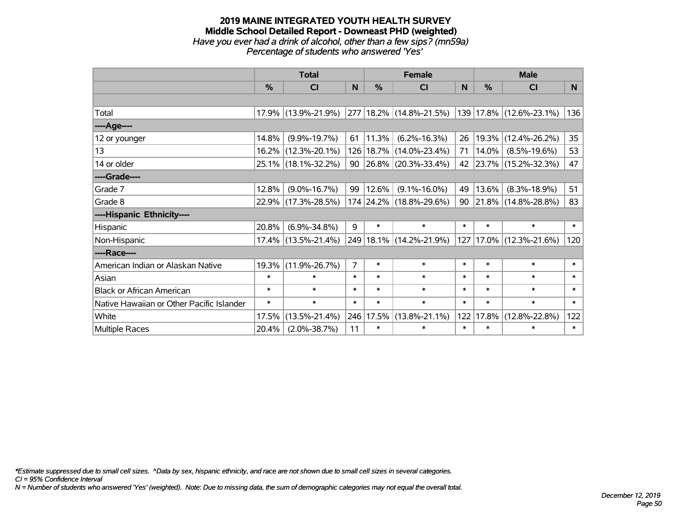#### **2019 MAINE INTEGRATED YOUTH HEALTH SURVEY Middle School Detailed Report - Downeast PHD (weighted)** *Have you ever had a drink of alcohol, other than a few sips? (mn59a) Percentage of students who answered 'Yes'*

|                                           | <b>Total</b>  |                     |                |            | <b>Female</b>                                             |        | <b>Male</b>   |                        |          |  |
|-------------------------------------------|---------------|---------------------|----------------|------------|-----------------------------------------------------------|--------|---------------|------------------------|----------|--|
|                                           | $\frac{0}{0}$ | CI                  | N              | $\%$       | <b>CI</b>                                                 | N      | $\frac{0}{0}$ | <b>CI</b>              | <b>N</b> |  |
|                                           |               |                     |                |            |                                                           |        |               |                        |          |  |
| Total                                     |               | 17.9% (13.9%-21.9%) |                |            | 277   18.2%   (14.8%-21.5%)   139   17.8%   (12.6%-23.1%) |        |               |                        | 136      |  |
| ----Age----                               |               |                     |                |            |                                                           |        |               |                        |          |  |
| 12 or younger                             | 14.8%         | $(9.9\% - 19.7\%)$  | 61             | 11.3%      | $(6.2\% - 16.3\%)$                                        | 26     |               | 19.3% (12.4%-26.2%)    | 35       |  |
| 13                                        |               | 16.2% (12.3%-20.1%) |                |            | 126   18.7%   (14.0%-23.4%)                               | 71     | 14.0%         | $(8.5\% - 19.6\%)$     | 53       |  |
| 14 or older                               |               | 25.1% (18.1%-32.2%) |                |            | 90   26.8%   (20.3%-33.4%)                                |        |               | 42 23.7% (15.2%-32.3%) | 47       |  |
| ----Grade----                             |               |                     |                |            |                                                           |        |               |                        |          |  |
| Grade 7                                   | 12.8%         | $(9.0\% - 16.7\%)$  | 99             | $ 12.6\% $ | $(9.1\% - 16.0\%)$                                        | 49     | 13.6%         | $(8.3\% - 18.9\%)$     | 51       |  |
| Grade 8                                   |               | 22.9% (17.3%-28.5%) |                |            | 174 24.2% (18.8%-29.6%)                                   | 90     |               | 21.8% (14.8%-28.8%)    | 83       |  |
| ----Hispanic Ethnicity----                |               |                     |                |            |                                                           |        |               |                        |          |  |
| Hispanic                                  | 20.8%         | $(6.9\% - 34.8\%)$  | 9              | $\ast$     | $\ast$                                                    | $\ast$ | $\ast$        | $\ast$                 | $\ast$   |  |
| Non-Hispanic                              |               | 17.4% (13.5%-21.4%) |                |            | 249 18.1% (14.2%-21.9%)                                   | 127    |               | $17.0\%$ (12.3%-21.6%) | 120      |  |
| ----Race----                              |               |                     |                |            |                                                           |        |               |                        |          |  |
| American Indian or Alaskan Native         | 19.3%         | $(11.9\% - 26.7\%)$ | $\overline{7}$ | $\ast$     | $\ast$                                                    | $\ast$ | $\ast$        | $\ast$                 | $\ast$   |  |
| Asian                                     | $\ast$        | $\ast$              | $\ast$         | $\ast$     | $\ast$                                                    | $\ast$ | $\ast$        | $\ast$                 | $\ast$   |  |
| <b>Black or African American</b>          | $\ast$        | $\ast$              | $\ast$         | $\ast$     | $\ast$                                                    | $\ast$ | $\ast$        | $\ast$                 | $\ast$   |  |
| Native Hawaiian or Other Pacific Islander | $\ast$        | $\ast$              | $\ast$         | $\ast$     | $\ast$                                                    | $\ast$ | $\ast$        | $\ast$                 | $\ast$   |  |
| White                                     | 17.5%         | $(13.5\% - 21.4\%)$ | 246            | 17.5%      | $(13.8\% - 21.1\%)$                                       | 122    | 17.8%         | $(12.8\% - 22.8\%)$    | 122      |  |
| <b>Multiple Races</b>                     | 20.4%         | $(2.0\% - 38.7\%)$  | 11             | $\ast$     | $\ast$                                                    | $\ast$ | $\ast$        | $\ast$                 | $\ast$   |  |

*\*Estimate suppressed due to small cell sizes. ^Data by sex, hispanic ethnicity, and race are not shown due to small cell sizes in several categories.*

*CI = 95% Confidence Interval*

*N = Number of students who answered 'Yes' (weighted). Note: Due to missing data, the sum of demographic categories may not equal the overall total.*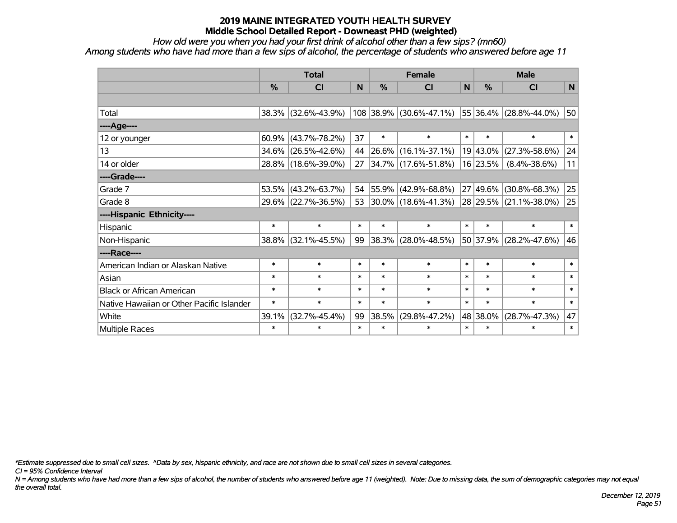*How old were you when you had your first drink of alcohol other than a few sips? (mn60)*

*Among students who have had more than a few sips of alcohol, the percentage of students who answered before age 11*

|                                           | <b>Total</b>  |                     |        | <b>Female</b> |                          | <b>Male</b> |          |                             |        |
|-------------------------------------------|---------------|---------------------|--------|---------------|--------------------------|-------------|----------|-----------------------------|--------|
|                                           | $\frac{0}{0}$ | <b>CI</b>           | N      | %             | <b>CI</b>                | N           | %        | <b>CI</b>                   | N      |
|                                           |               |                     |        |               |                          |             |          |                             |        |
| Total                                     |               | 38.3% (32.6%-43.9%) |        |               | 108 38.9% (30.6%-47.1%)  |             |          | 55 36.4% (28.8%-44.0%)      | 50     |
| ----Age----                               |               |                     |        |               |                          |             |          |                             |        |
| 12 or younger                             | 60.9%         | $(43.7\% - 78.2\%)$ | 37     | $\ast$        | $\ast$                   | $\ast$      | $\ast$   | $\ast$                      | $\ast$ |
| 13                                        | 34.6%         | $(26.5\% - 42.6\%)$ | 44     | 26.6%         | $(16.1\% - 37.1\%)$      |             | 19 43.0% | $(27.3\% - 58.6\%)$         | 24     |
| 14 or older                               |               | 28.8% (18.6%-39.0%) | 27     |               | 34.7% (17.6%-51.8%)      |             | 16 23.5% | $(8.4\% - 38.6\%)$          | 11     |
| ----Grade----                             |               |                     |        |               |                          |             |          |                             |        |
| Grade 7                                   | 53.5%         | $(43.2\% - 63.7\%)$ | 54     | 55.9%         | $(42.9\% - 68.8\%)$      |             | 27 49.6% | $(30.8\% - 68.3\%)$         | 25     |
| Grade 8                                   |               | 29.6% (22.7%-36.5%) | 53     |               | $ 30.0\% $ (18.6%-41.3%) |             |          | $ 28 29.5\% $ (21.1%-38.0%) | 25     |
| ----Hispanic Ethnicity----                |               |                     |        |               |                          |             |          |                             |        |
| Hispanic                                  | $\ast$        | $\ast$              | $\ast$ | $\ast$        | $\ast$                   | $\ast$      | $\ast$   | $\ast$                      | $\ast$ |
| Non-Hispanic                              | 38.8%         | $(32.1\% - 45.5\%)$ | 99     | 38.3%         | $(28.0\% - 48.5\%)$      |             | 50 37.9% | $(28.2\% - 47.6\%)$         | 46     |
| ----Race----                              |               |                     |        |               |                          |             |          |                             |        |
| American Indian or Alaskan Native         | $\ast$        | $\ast$              | $\ast$ | $\ast$        | $\ast$                   | $\ast$      | $\ast$   | $\ast$                      | $\ast$ |
| Asian                                     | $\ast$        | $\ast$              | $\ast$ | $\ast$        | $\ast$                   | $\ast$      | $\ast$   | $\ast$                      | $\ast$ |
| <b>Black or African American</b>          | $\ast$        | $\ast$              | $\ast$ | $\ast$        | $\ast$                   | $\ast$      | $\ast$   | $\ast$                      | $\ast$ |
| Native Hawaiian or Other Pacific Islander | $\ast$        | $\ast$              | $\ast$ | $\ast$        | $\ast$                   | $\ast$      | $\ast$   | $\ast$                      | $\ast$ |
| White                                     | 39.1%         | $(32.7\% - 45.4\%)$ | 99     | 38.5%         | $(29.8\% - 47.2\%)$      |             | 48 38.0% | $(28.7\% - 47.3\%)$         | 47     |
| Multiple Races                            | $\ast$        | $\ast$              | $\ast$ | $\ast$        | $\ast$                   | $\ast$      | $\ast$   | $\ast$                      | $\ast$ |

*\*Estimate suppressed due to small cell sizes. ^Data by sex, hispanic ethnicity, and race are not shown due to small cell sizes in several categories.*

*CI = 95% Confidence Interval*

*N = Among students who have had more than a few sips of alcohol, the number of students who answered before age 11 (weighted). Note: Due to missing data, the sum of demographic categories may not equal the overall total.*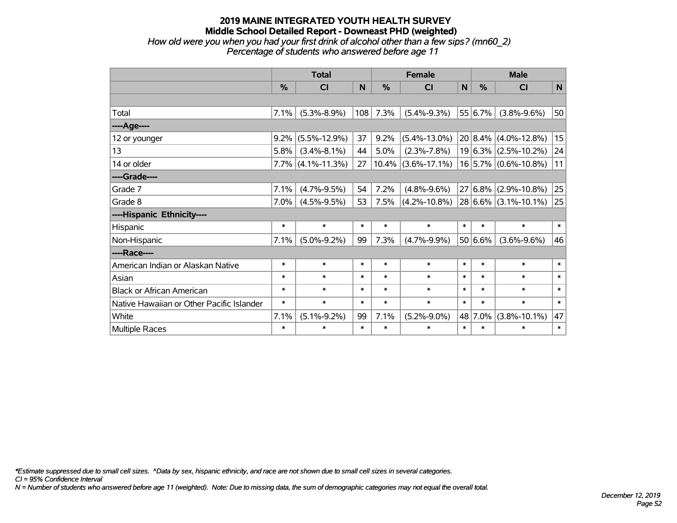## **2019 MAINE INTEGRATED YOUTH HEALTH SURVEY Middle School Detailed Report - Downeast PHD (weighted)** *How old were you when you had your first drink of alcohol other than a few sips? (mn60\_2)*

*Percentage of students who answered before age 11*

|                                           | <b>Total</b> |                      |        |               | <b>Female</b>         | <b>Male</b> |         |                           |        |
|-------------------------------------------|--------------|----------------------|--------|---------------|-----------------------|-------------|---------|---------------------------|--------|
|                                           | %            | CI                   | N      | $\frac{0}{0}$ | CI                    | N           | %       | <b>CI</b>                 | N      |
|                                           |              |                      |        |               |                       |             |         |                           |        |
| Total                                     | 7.1%         | $(5.3\% - 8.9\%)$    | 108    | 7.3%          | $(5.4\% - 9.3\%)$     |             | 55 6.7% | $(3.8\% - 9.6\%)$         | 50     |
| ---- Age----                              |              |                      |        |               |                       |             |         |                           |        |
| 12 or younger                             | 9.2%         | $(5.5\% - 12.9\%)$   | 37     | 9.2%          | $(5.4\% - 13.0\%)$    |             |         | $20 8.4\% $ (4.0%-12.8%)  | 15     |
| 13                                        | 5.8%         | $(3.4\% - 8.1\%)$    | 44     | 5.0%          | $(2.3\% - 7.8\%)$     |             |         | $19 6.3\% $ (2.5%-10.2%)  | 24     |
| 14 or older                               |              | $7.7\%$ (4.1%-11.3%) | 27     |               | $10.4\%$ (3.6%-17.1%) |             |         | $16$ 5.7% (0.6%-10.8%)    | 11     |
| ----Grade----                             |              |                      |        |               |                       |             |         |                           |        |
| Grade 7                                   | 7.1%         | $(4.7\% - 9.5\%)$    | 54     | 7.2%          | $(4.8\% - 9.6\%)$     |             |         | $27 6.8\% $ (2.9%-10.8%)  | 25     |
| Grade 8                                   | $7.0\%$      | $(4.5\% - 9.5\%)$    | 53     | 7.5%          | $(4.2\% - 10.8\%)$    |             |         | $ 28 6.6\% $ (3.1%-10.1%) | 25     |
| ----Hispanic Ethnicity----                |              |                      |        |               |                       |             |         |                           |        |
| Hispanic                                  | $\ast$       | $\ast$               | $\ast$ | $\ast$        | $\ast$                | $\ast$      | $\ast$  | $\ast$                    | $\ast$ |
| Non-Hispanic                              | 7.1%         | $(5.0\% - 9.2\%)$    | 99     | 7.3%          | $(4.7\% - 9.9\%)$     |             | 50 6.6% | $(3.6\% - 9.6\%)$         | 46     |
| ----Race----                              |              |                      |        |               |                       |             |         |                           |        |
| American Indian or Alaskan Native         | $\ast$       | $\ast$               | $\ast$ | $\ast$        | $\ast$                | $\ast$      | $\ast$  | $\ast$                    | $\ast$ |
| Asian                                     | $\ast$       | $\ast$               | $\ast$ | $\ast$        | $\ast$                | $\ast$      | $\ast$  | $\ast$                    | $\ast$ |
| <b>Black or African American</b>          | $\ast$       | $\ast$               | $\ast$ | $\ast$        | $\ast$                | $\ast$      | $\ast$  | $\ast$                    | $\ast$ |
| Native Hawaiian or Other Pacific Islander | $\ast$       | $\ast$               | $\ast$ | $\ast$        | $\ast$                | $\ast$      | $\ast$  | $\ast$                    | $\ast$ |
| White                                     | 7.1%         | $(5.1\% - 9.2\%)$    | 99     | 7.1%          | $(5.2\% - 9.0\%)$     | 48          | 7.0%    | $(3.8\% - 10.1\%)$        | 47     |
| Multiple Races                            | $\ast$       | $\ast$               | $\ast$ | $\ast$        | $\ast$                | $\ast$      | $\ast$  | $\ast$                    | $\ast$ |

*\*Estimate suppressed due to small cell sizes. ^Data by sex, hispanic ethnicity, and race are not shown due to small cell sizes in several categories.*

*CI = 95% Confidence Interval*

*N = Number of students who answered before age 11 (weighted). Note: Due to missing data, the sum of demographic categories may not equal the overall total.*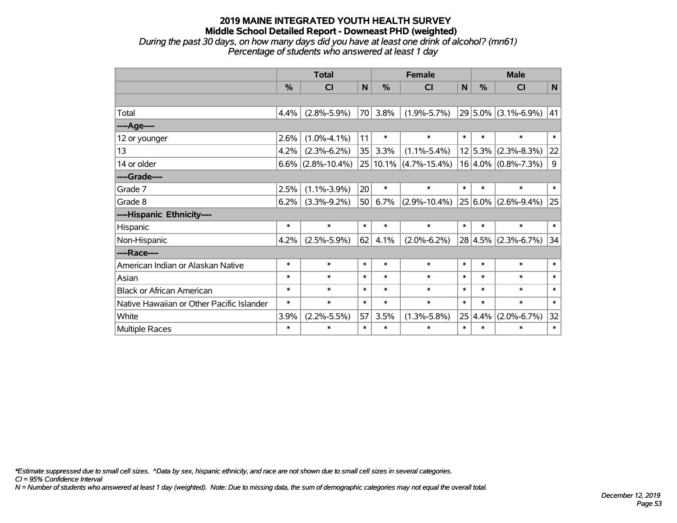*During the past 30 days, on how many days did you have at least one drink of alcohol? (mn61) Percentage of students who answered at least 1 day*

|                                           | <b>Total</b>  |                      |        |               | <b>Female</b>         |        | <b>Male</b> |                         |        |  |
|-------------------------------------------|---------------|----------------------|--------|---------------|-----------------------|--------|-------------|-------------------------|--------|--|
|                                           | $\frac{0}{0}$ | <b>CI</b>            | N      | $\frac{0}{0}$ | <b>CI</b>             | N      | %           | <b>CI</b>               | N      |  |
|                                           |               |                      |        |               |                       |        |             |                         |        |  |
| Total                                     | 4.4%          | $(2.8\% - 5.9\%)$    | 70     | 3.8%          | $(1.9\% - 5.7\%)$     |        |             | $29 5.0\% $ (3.1%-6.9%) | 41     |  |
| ---- Age----                              |               |                      |        |               |                       |        |             |                         |        |  |
| 12 or younger                             | 2.6%          | $(1.0\% - 4.1\%)$    | 11     | $\ast$        | $\ast$                | $\ast$ | $\ast$      | $\ast$                  | $\ast$ |  |
| 13                                        | 4.2%          | $(2.3\% - 6.2\%)$    | 35     | 3.3%          | $(1.1\% - 5.4\%)$     |        |             | $12 5.3\% $ (2.3%-8.3%) | 22     |  |
| 14 or older                               |               | $6.6\%$ (2.8%-10.4%) | 25     |               | $10.1\%$ (4.7%-15.4%) |        |             | $16 4.0\% $ (0.8%-7.3%) | 9      |  |
| ----Grade----                             |               |                      |        |               |                       |        |             |                         |        |  |
| Grade 7                                   | 2.5%          | $(1.1\% - 3.9\%)$    | 20     | $\ast$        | $\ast$                | $\ast$ | $\ast$      | $\ast$                  | $\ast$ |  |
| Grade 8                                   | 6.2%          | $(3.3\% - 9.2\%)$    | 50     | 6.7%          | $(2.9\% - 10.4\%)$    |        |             | $25 6.0\% $ (2.6%-9.4%) | 25     |  |
| ----Hispanic Ethnicity----                |               |                      |        |               |                       |        |             |                         |        |  |
| Hispanic                                  | $\ast$        | $\ast$               | $\ast$ | $\ast$        | $\ast$                | $\ast$ | $\ast$      | $\ast$                  | $\ast$ |  |
| Non-Hispanic                              | 4.2%          | $(2.5\% - 5.9\%)$    | 62     | 4.1%          | $(2.0\% - 6.2\%)$     |        |             | $28 4.5\% $ (2.3%-6.7%) | 34     |  |
| ----Race----                              |               |                      |        |               |                       |        |             |                         |        |  |
| American Indian or Alaskan Native         | $\ast$        | $\ast$               | $\ast$ | $\ast$        | $\ast$                | $\ast$ | $\ast$      | $\ast$                  | $\ast$ |  |
| Asian                                     | $\ast$        | $\ast$               | $\ast$ | $\ast$        | $\ast$                | $\ast$ | $\ast$      | $\ast$                  | $\ast$ |  |
| <b>Black or African American</b>          | $\ast$        | $\ast$               | $\ast$ | $\ast$        | $\ast$                | $\ast$ | $\ast$      | $\ast$                  | $\ast$ |  |
| Native Hawaiian or Other Pacific Islander | $\ast$        | $\ast$               | $\ast$ | $\ast$        | $\ast$                | $\ast$ | $\ast$      | $\ast$                  | $\ast$ |  |
| White                                     | 3.9%          | $(2.2\% - 5.5\%)$    | 57     | 3.5%          | $(1.3\% - 5.8\%)$     | 25     | 4.4%        | $(2.0\% - 6.7\%)$       | 32     |  |
| Multiple Races                            | $\ast$        | $\ast$               | $\ast$ | $\ast$        | $\ast$                | $\ast$ | $\ast$      | $\ast$                  | $\ast$ |  |

*\*Estimate suppressed due to small cell sizes. ^Data by sex, hispanic ethnicity, and race are not shown due to small cell sizes in several categories.*

*CI = 95% Confidence Interval*

*N = Number of students who answered at least 1 day (weighted). Note: Due to missing data, the sum of demographic categories may not equal the overall total.*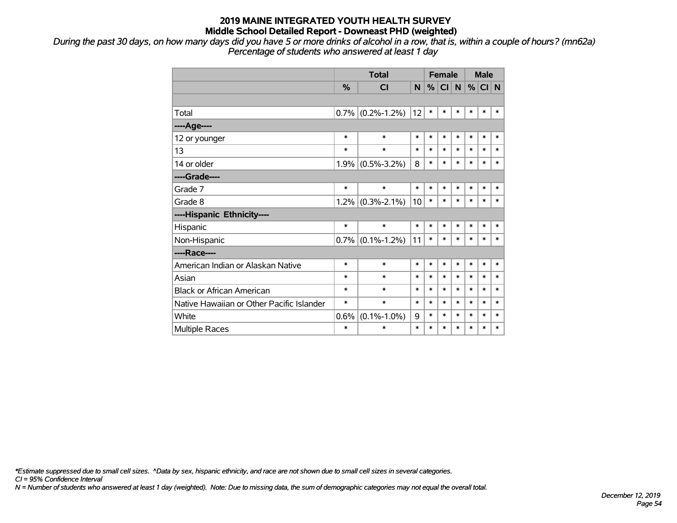*During the past 30 days, on how many days did you have 5 or more drinks of alcohol in a row, that is, within a couple of hours? (mn62a) Percentage of students who answered at least 1 day*

|                                           |               | <b>Total</b>      |        | <b>Female</b> |        |              | <b>Male</b> |          |        |
|-------------------------------------------|---------------|-------------------|--------|---------------|--------|--------------|-------------|----------|--------|
|                                           | $\frac{0}{0}$ | <b>CI</b>         | N      | %             | CI     | $\mathsf{N}$ |             | $%$ CI N |        |
|                                           |               |                   |        |               |        |              |             |          |        |
| Total                                     | 0.7%          | $(0.2\% - 1.2\%)$ | 12     | $\ast$        | $\ast$ | $\ast$       | $\ast$      | $\ast$   | $\ast$ |
| ----Age----                               |               |                   |        |               |        |              |             |          |        |
| 12 or younger                             | $\ast$        | $\ast$            | $\ast$ | $\ast$        | $\ast$ | $\ast$       | $\ast$      | $\ast$   | $\ast$ |
| 13                                        | $\ast$        | $\ast$            | $\ast$ | *             | $\ast$ | $\ast$       | $\ast$      | $\ast$   | $\ast$ |
| 14 or older                               | 1.9%          | $(0.5\% - 3.2\%)$ | 8      | $\ast$        | $\ast$ | $\ast$       | $\ast$      | $\ast$   | $\ast$ |
| ----Grade----                             |               |                   |        |               |        |              |             |          |        |
| Grade 7                                   | $\ast$        | $\ast$            | $\ast$ | $\ast$        | $\ast$ | $\ast$       | $\ast$      | $\ast$   | $\ast$ |
| Grade 8                                   | 1.2%          | $(0.3\% - 2.1\%)$ | 10     | $\ast$        | $\ast$ | $\ast$       | $\ast$      | $\ast$   | $\ast$ |
| ----Hispanic Ethnicity----                |               |                   |        |               |        |              |             |          |        |
| Hispanic                                  | $\ast$        | $\ast$            | $\ast$ | *             | *      | $\ast$       | $\ast$      | *        | ∗      |
| Non-Hispanic                              | $0.7\%$       | $(0.1\% - 1.2\%)$ | 11     | $\ast$        | $\ast$ | $\ast$       | $\ast$      | $\ast$   | $\ast$ |
| ----Race----                              |               |                   |        |               |        |              |             |          |        |
| American Indian or Alaskan Native         | $\ast$        | $\ast$            | $\ast$ | *             | $\ast$ | $\ast$       | $\ast$      | $\ast$   | $\ast$ |
| Asian                                     | $\ast$        | $\ast$            | *      | *             | $\ast$ | $\ast$       | $\ast$      | $\ast$   | $\ast$ |
| <b>Black or African American</b>          | $\ast$        | $\ast$            | $\ast$ | $\ast$        | $\ast$ | $\ast$       | $\ast$      | $\ast$   | $\ast$ |
| Native Hawaiian or Other Pacific Islander | $\ast$        | $\ast$            | $\ast$ | *             | $\ast$ | $\ast$       | $\ast$      | $\ast$   | $\ast$ |
| White                                     | 0.6%          | $(0.1\% - 1.0\%)$ | 9      | $\ast$        | $\ast$ | $\ast$       | $\ast$      | $\ast$   | $\ast$ |
| <b>Multiple Races</b>                     | $\ast$        | $\ast$            | $\ast$ | $\ast$        | $\ast$ | $\ast$       | $\ast$      | $\ast$   | $\ast$ |

*\*Estimate suppressed due to small cell sizes. ^Data by sex, hispanic ethnicity, and race are not shown due to small cell sizes in several categories.*

*CI = 95% Confidence Interval*

*N = Number of students who answered at least 1 day (weighted). Note: Due to missing data, the sum of demographic categories may not equal the overall total.*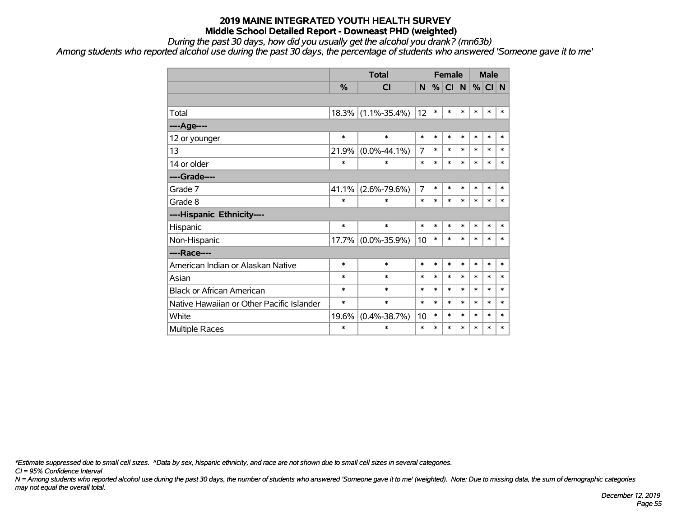*During the past 30 days, how did you usually get the alcohol you drank? (mn63b)*

*Among students who reported alcohol use during the past 30 days, the percentage of students who answered 'Someone gave it to me'*

|                                           |        | <b>Total</b>       |                |        | <b>Female</b> |        | <b>Male</b> |        |        |
|-------------------------------------------|--------|--------------------|----------------|--------|---------------|--------|-------------|--------|--------|
|                                           | %      | <b>CI</b>          | N              | %      | CI            | N      | %           | CI N   |        |
|                                           |        |                    |                |        |               |        |             |        |        |
| Total                                     | 18.3%  | $(1.1\% - 35.4\%)$ | 12             | $\ast$ | *             | $\ast$ | $\ast$      | $\ast$ | $\ast$ |
| ----Age----                               |        |                    |                |        |               |        |             |        |        |
| 12 or younger                             | $\ast$ | $\ast$             | $\ast$         | $\ast$ | $\ast$        | $\ast$ | $\ast$      | $\ast$ | $\ast$ |
| 13                                        | 21.9%  | $(0.0\% - 44.1\%)$ | 7              | $\ast$ | $\ast$        | $\ast$ | $\ast$      | $\ast$ | $\ast$ |
| 14 or older                               | *      | $\ast$             | $\ast$         | $\ast$ | $\ast$        | $\ast$ | $\ast$      | $\ast$ | $\ast$ |
| ----Grade----                             |        |                    |                |        |               |        |             |        |        |
| Grade 7                                   | 41.1%  | $(2.6\% - 79.6\%)$ | $\overline{7}$ | $\ast$ | $\ast$        | $\ast$ | $\ast$      | $\ast$ | $\ast$ |
| Grade 8                                   | $\ast$ | $\ast$             | $\ast$         | $\ast$ | $\ast$        | $\ast$ | $\ast$      | $\ast$ | $\ast$ |
| ----Hispanic Ethnicity----                |        |                    |                |        |               |        |             |        |        |
| Hispanic                                  | $\ast$ | $\ast$             | $\ast$         | $\ast$ | $\ast$        | $\ast$ | $\ast$      | $\ast$ | $\ast$ |
| Non-Hispanic                              | 17.7%  | $(0.0\% - 35.9\%)$ | 10             | $\ast$ | *             | $\ast$ | $\ast$      | $\ast$ | $\ast$ |
| ----Race----                              |        |                    |                |        |               |        |             |        |        |
| American Indian or Alaskan Native         | $\ast$ | $\ast$             | $\ast$         | $\ast$ | *             | $\ast$ | $\ast$      | $\ast$ | $\ast$ |
| Asian                                     | *      | $\ast$             | $\ast$         | $\ast$ | $\ast$        | $\ast$ | $\ast$      | $\ast$ | $\ast$ |
| <b>Black or African American</b>          | *      | $\ast$             | $\ast$         | $\ast$ | $\ast$        | $\ast$ | $\ast$      | $\ast$ | $\ast$ |
| Native Hawaiian or Other Pacific Islander | *      | $\ast$             | $\ast$         | $\ast$ | $\ast$        | $\ast$ | $\ast$      | $\ast$ | $\ast$ |
| White                                     | 19.6%  | $(0.4\% - 38.7\%)$ | 10             | $\ast$ | $\ast$        | $\ast$ | $\ast$      | $\ast$ | $\ast$ |
| <b>Multiple Races</b>                     | *      | $\ast$             | $\ast$         | $\ast$ | $\ast$        | $\ast$ | $\ast$      | $\ast$ | $\ast$ |

*\*Estimate suppressed due to small cell sizes. ^Data by sex, hispanic ethnicity, and race are not shown due to small cell sizes in several categories.*

*CI = 95% Confidence Interval*

*N = Among students who reported alcohol use during the past 30 days, the number of students who answered 'Someone gave it to me' (weighted). Note: Due to missing data, the sum of demographic categories may not equal the overall total.*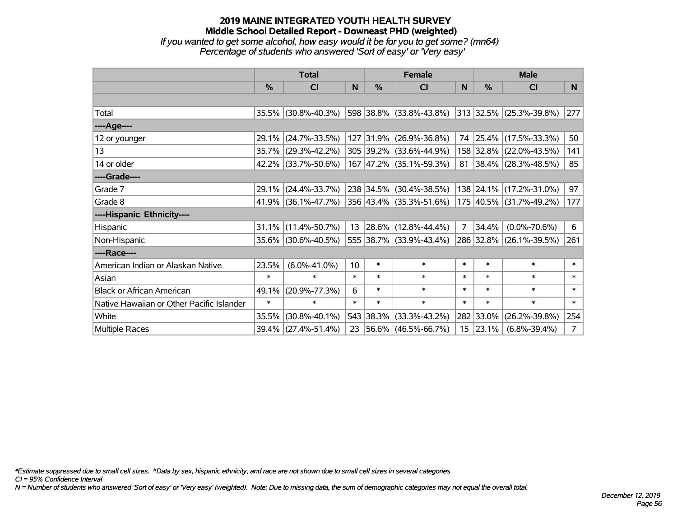# **2019 MAINE INTEGRATED YOUTH HEALTH SURVEY Middle School Detailed Report - Downeast PHD (weighted)** *If you wanted to get some alcohol, how easy would it be for you to get some? (mn64)*

*Percentage of students who answered 'Sort of easy' or 'Very easy'*

|                                           | <b>Total</b>  |                     |                 |           | <b>Female</b>            |                  | <b>Male</b> |                          |                |  |
|-------------------------------------------|---------------|---------------------|-----------------|-----------|--------------------------|------------------|-------------|--------------------------|----------------|--|
|                                           | $\frac{0}{0}$ | CI                  | N               | %         | CI                       | N                | %           | <b>CI</b>                | N              |  |
|                                           |               |                     |                 |           |                          |                  |             |                          |                |  |
| Total                                     |               | 35.5% (30.8%-40.3%) |                 |           | 598 38.8% (33.8%-43.8%)  |                  |             | 313 32.5% (25.3%-39.8%)  | 277            |  |
| ----Age----                               |               |                     |                 |           |                          |                  |             |                          |                |  |
| 12 or younger                             | 29.1%         | $(24.7\% - 33.5\%)$ |                 |           | 127 31.9% (26.9%-36.8%)  | 74               | 25.4%       | $(17.5\% - 33.3\%)$      | 50             |  |
| 13                                        | 35.7%         | $(29.3\% - 42.2\%)$ |                 |           | 305 39.2% (33.6%-44.9%)  |                  |             | 158 32.8% (22.0%-43.5%)  | 141            |  |
| 14 or older                               |               | 42.2% (33.7%-50.6%) |                 |           | 167 47.2% (35.1%-59.3%)  | 81               |             | $ 38.4\% $ (28.3%-48.5%) | 85             |  |
| ----Grade----                             |               |                     |                 |           |                          |                  |             |                          |                |  |
| Grade 7                                   | 29.1%         | $(24.4\% - 33.7\%)$ |                 |           | 238 34.5% (30.4%-38.5%)  |                  | 138 24.1%   | $(17.2\% - 31.0\%)$      | 97             |  |
| Grade 8                                   |               | 41.9% (36.1%-47.7%) |                 |           | 356 43.4% (35.3%-51.6%)  |                  |             | 175 40.5% (31.7%-49.2%)  | 177            |  |
| ----Hispanic Ethnicity----                |               |                     |                 |           |                          |                  |             |                          |                |  |
| Hispanic                                  | 31.1%         | $(11.4\% - 50.7\%)$ | 13              |           | $ 28.6\% $ (12.8%-44.4%) | $\overline{7}$   | 34.4%       | $(0.0\% - 70.6\%)$       | 6              |  |
| Non-Hispanic                              |               | 35.6% (30.6%-40.5%) |                 |           | 555 38.7% (33.9%-43.4%)  |                  |             | 286 32.8% (26.1%-39.5%)  | 261            |  |
| ----Race----                              |               |                     |                 |           |                          |                  |             |                          |                |  |
| American Indian or Alaskan Native         | 23.5%         | $(6.0\% - 41.0\%)$  | 10 <sup>1</sup> | $\ast$    | $\ast$                   | $\ast$           | $\ast$      | $\ast$                   | $\ast$         |  |
| Asian                                     | $\ast$        | $\ast$              | $\ast$          | $\ast$    | $\ast$                   | $\ast$           | $\ast$      | $\ast$                   | $\ast$         |  |
| <b>Black or African American</b>          | 49.1%         | $(20.9\% - 77.3\%)$ | 6               | $\ast$    | $\ast$                   | $\ast$           | $\ast$      | $\ast$                   | $\ast$         |  |
| Native Hawaiian or Other Pacific Islander | $\ast$        | $\ast$              | $\ast$          | $\ast$    | $\ast$                   | $\ast$           | $\ast$      | $\ast$                   | $\ast$         |  |
| White                                     | 35.5%         | $(30.8\% - 40.1\%)$ |                 | 543 38.3% | $(33.3\% - 43.2\%)$      |                  | 282 33.0%   | $(26.2\% - 39.8\%)$      | 254            |  |
| Multiple Races                            |               | 39.4% (27.4%-51.4%) | 23              |           | $ 56.6\% $ (46.5%-66.7%) | 15 <sub>15</sub> | 23.1%       | $(6.8\% - 39.4\%)$       | 7 <sup>1</sup> |  |

*\*Estimate suppressed due to small cell sizes. ^Data by sex, hispanic ethnicity, and race are not shown due to small cell sizes in several categories.*

*CI = 95% Confidence Interval*

*N = Number of students who answered 'Sort of easy' or 'Very easy' (weighted). Note: Due to missing data, the sum of demographic categories may not equal the overall total.*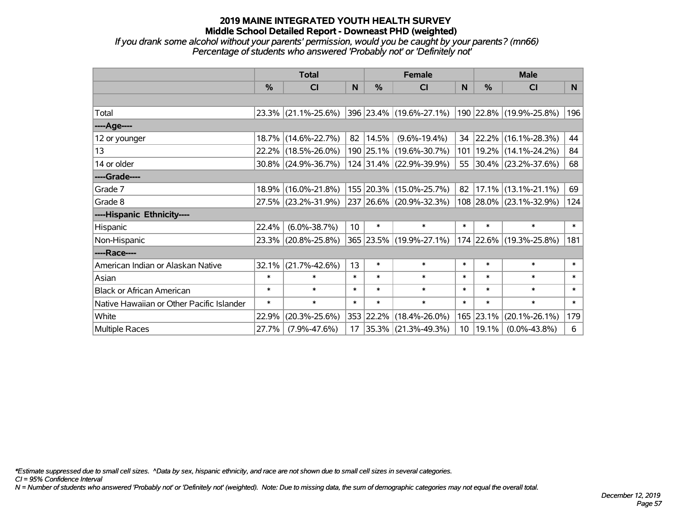*If you drank some alcohol without your parents' permission, would you be caught by your parents? (mn66) Percentage of students who answered 'Probably not' or 'Definitely not'*

|                                           | <b>Total</b>  |                        |        |               | <b>Female</b>            |                 | <b>Male</b> |                         |        |  |
|-------------------------------------------|---------------|------------------------|--------|---------------|--------------------------|-----------------|-------------|-------------------------|--------|--|
|                                           | $\frac{0}{0}$ | <b>CI</b>              | N      | $\frac{0}{0}$ | <b>CI</b>                | <sub>N</sub>    | %           | <b>CI</b>               | N      |  |
|                                           |               |                        |        |               |                          |                 |             |                         |        |  |
| Total                                     |               | $23.3\%$ (21.1%-25.6%) |        |               | 396 23.4% (19.6%-27.1%)  |                 |             | 190 22.8% (19.9%-25.8%) | 196    |  |
| ----Age----                               |               |                        |        |               |                          |                 |             |                         |        |  |
| 12 or younger                             |               | 18.7% (14.6%-22.7%)    | 82     | $ 14.5\% $    | $(9.6\% - 19.4\%)$       | 34              | 22.2%       | $(16.1\% - 28.3\%)$     | 44     |  |
| 13                                        |               | 22.2% (18.5%-26.0%)    |        |               | 190 25.1% (19.6%-30.7%)  | 101             |             | 19.2% (14.1%-24.2%)     | 84     |  |
| 14 or older                               |               | $30.8\%$ (24.9%-36.7%) |        |               | 124 31.4% (22.9%-39.9%)  |                 |             | 55 30.4% (23.2%-37.6%)  | 68     |  |
| ----Grade----                             |               |                        |        |               |                          |                 |             |                         |        |  |
| Grade 7                                   | 18.9%         | $(16.0\% - 21.8\%)$    |        |               | 155 20.3% (15.0%-25.7%)  | 82              | 17.1%       | $(13.1\% - 21.1\%)$     | 69     |  |
| Grade 8                                   |               | 27.5% (23.2%-31.9%)    |        |               | 237 26.6% (20.9%-32.3%)  |                 |             | 108 28.0% (23.1%-32.9%) | 124    |  |
| ----Hispanic Ethnicity----                |               |                        |        |               |                          |                 |             |                         |        |  |
| Hispanic                                  | 22.4%         | $(6.0\% - 38.7\%)$     | 10     | $\ast$        | $\ast$                   | $\ast$          | $\ast$      | $\ast$                  | $\ast$ |  |
| Non-Hispanic                              | $23.3\%$      | $(20.8\% - 25.8\%)$    |        |               | 365 23.5% (19.9%-27.1%)  |                 |             | 174 22.6% (19.3%-25.8%) | 181    |  |
| ----Race----                              |               |                        |        |               |                          |                 |             |                         |        |  |
| American Indian or Alaskan Native         | 32.1%         | $(21.7\% - 42.6\%)$    | 13     | $\ast$        | $\ast$                   | $\ast$          | $\ast$      | $\ast$                  | $\ast$ |  |
| Asian                                     | $\ast$        | $\ast$                 | $\ast$ | $\ast$        | $\ast$                   | $\ast$          | $\ast$      | $\ast$                  | $\ast$ |  |
| <b>Black or African American</b>          | $\ast$        | $\ast$                 | $\ast$ | $\ast$        | $\ast$                   | $\ast$          | $\ast$      | $\ast$                  | $\ast$ |  |
| Native Hawaiian or Other Pacific Islander | $\ast$        | $\ast$                 | $\ast$ | $\ast$        | $\ast$                   | $\ast$          | $\ast$      | $\ast$                  | $\ast$ |  |
| White                                     | 22.9%         | $(20.3\% - 25.6\%)$    |        | 353 22.2%     | $(18.4\% - 26.0\%)$      | 165             | 23.1%       | $(20.1\% - 26.1\%)$     | 179    |  |
| Multiple Races                            | 27.7%         | $(7.9\% - 47.6\%)$     | 17     |               | $ 35.3\% $ (21.3%-49.3%) | 10 <sup>°</sup> | 19.1%       | $(0.0\% - 43.8\%)$      | 6      |  |

*\*Estimate suppressed due to small cell sizes. ^Data by sex, hispanic ethnicity, and race are not shown due to small cell sizes in several categories.*

*CI = 95% Confidence Interval*

*N = Number of students who answered 'Probably not' or 'Definitely not' (weighted). Note: Due to missing data, the sum of demographic categories may not equal the overall total.*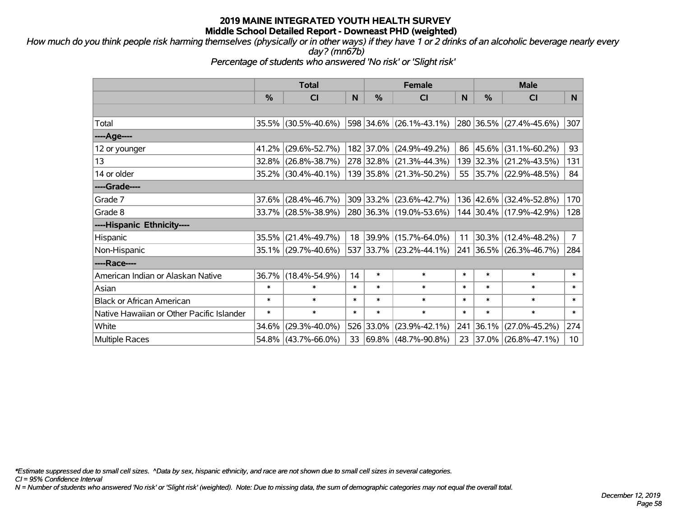*How much do you think people risk harming themselves (physically or in other ways) if they have 1 or 2 drinks of an alcoholic beverage nearly every day? (mn67b)*

*Percentage of students who answered 'No risk' or 'Slight risk'*

|                                           | <b>Total</b> |                        |        | <b>Female</b> |                          |        |               | <b>Male</b>             |                 |  |  |
|-------------------------------------------|--------------|------------------------|--------|---------------|--------------------------|--------|---------------|-------------------------|-----------------|--|--|
|                                           | $\%$         | <b>CI</b>              | N      | $\frac{9}{6}$ | <b>CI</b>                | N      | $\frac{0}{0}$ | <b>CI</b>               | N.              |  |  |
|                                           |              |                        |        |               |                          |        |               |                         |                 |  |  |
| Total                                     |              | 35.5% (30.5%-40.6%)    |        |               | 598 34.6% (26.1%-43.1%)  |        |               | 280 36.5% (27.4%-45.6%) | 307             |  |  |
| ----Age----                               |              |                        |        |               |                          |        |               |                         |                 |  |  |
| 12 or younger                             |              | 41.2% (29.6%-52.7%)    |        | 182 37.0%     | $(24.9\% - 49.2\%)$      |        | 86 45.6%      | $(31.1\% - 60.2\%)$     | 93              |  |  |
| 13                                        |              | 32.8% (26.8%-38.7%)    |        |               | 278 32.8% (21.3%-44.3%)  |        |               | 139 32.3% (21.2%-43.5%) | 131             |  |  |
| 14 or older                               |              | 35.2% (30.4%-40.1%)    |        |               | 139 35.8% (21.3%-50.2%)  |        |               | 55 35.7% (22.9%-48.5%)  | 84              |  |  |
| ----Grade----                             |              |                        |        |               |                          |        |               |                         |                 |  |  |
| Grade 7                                   |              | $37.6\%$ (28.4%-46.7%) |        | 309 33.2%     | $(23.6\% - 42.7\%)$      |        | 136 42.6%     | $(32.4\% - 52.8\%)$     | 170             |  |  |
| Grade 8                                   |              | 33.7% (28.5%-38.9%)    |        |               | 280 36.3% (19.0%-53.6%)  |        |               | 144 30.4% (17.9%-42.9%) | 128             |  |  |
| ----Hispanic Ethnicity----                |              |                        |        |               |                          |        |               |                         |                 |  |  |
| Hispanic                                  |              | 35.5% (21.4%-49.7%)    | 18     | 39.9%         | $(15.7\% - 64.0\%)$      | 11     | $30.3\%$      | $(12.4\% - 48.2\%)$     | 7 <sup>1</sup>  |  |  |
| Non-Hispanic                              |              | 35.1% (29.7%-40.6%)    |        |               | 537 33.7% (23.2%-44.1%)  |        |               | 241 36.5% (26.3%-46.7%) | 284             |  |  |
| ----Race----                              |              |                        |        |               |                          |        |               |                         |                 |  |  |
| American Indian or Alaskan Native         |              | 36.7% (18.4%-54.9%)    | 14     | $\ast$        | $\ast$                   | $\ast$ | $\ast$        | $\ast$                  | $\ast$          |  |  |
| Asian                                     | $\ast$       | $\ast$                 | $\ast$ | $\ast$        | $\ast$                   | $\ast$ | $\ast$        | $\ast$                  | $\ast$          |  |  |
| <b>Black or African American</b>          | $\ast$       | $\ast$                 | $\ast$ | $\ast$        | $\ast$                   | $\ast$ | $\ast$        | $\ast$                  | $\ast$          |  |  |
| Native Hawaiian or Other Pacific Islander | $\ast$       | $\ast$                 | $\ast$ | $\ast$        | $\ast$                   | $\ast$ | $\ast$        | $\ast$                  | $\ast$          |  |  |
| White                                     | 34.6%        | $(29.3\% - 40.0\%)$    |        | 526 33.0%     | $(23.9\% - 42.1\%)$      | 241    | 36.1%         | $(27.0\% - 45.2\%)$     | 274             |  |  |
| <b>Multiple Races</b>                     |              | $54.8\%$ (43.7%-66.0%) | 33     |               | $ 69.8\% $ (48.7%-90.8%) |        |               | 23 37.0% (26.8%-47.1%)  | 10 <sup>1</sup> |  |  |

*\*Estimate suppressed due to small cell sizes. ^Data by sex, hispanic ethnicity, and race are not shown due to small cell sizes in several categories.*

*CI = 95% Confidence Interval*

*N = Number of students who answered 'No risk' or 'Slight risk' (weighted). Note: Due to missing data, the sum of demographic categories may not equal the overall total.*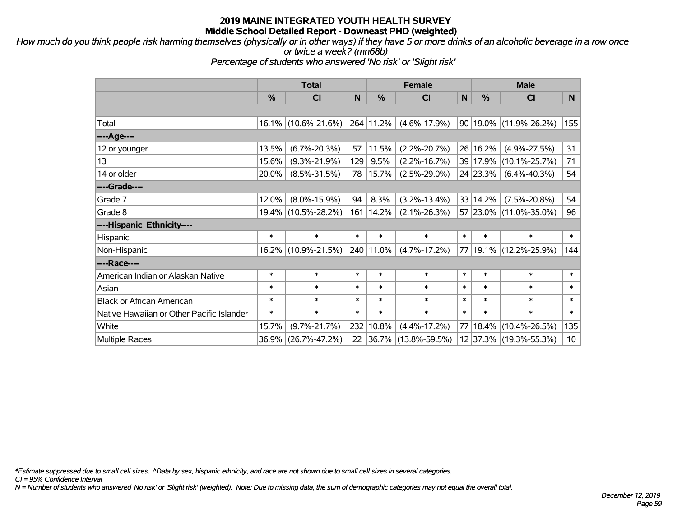*How much do you think people risk harming themselves (physically or in other ways) if they have 5 or more drinks of an alcoholic beverage in a row once or twice a week? (mn68b)*

*Percentage of students who answered 'No risk' or 'Slight risk'*

|                                           | <b>Total</b> |                     |        | <b>Female</b> |                          | <b>Male</b> |          |                        |        |
|-------------------------------------------|--------------|---------------------|--------|---------------|--------------------------|-------------|----------|------------------------|--------|
|                                           | %            | <b>CI</b>           | N      | %             | <b>CI</b>                | N           | %        | <b>CI</b>              | N.     |
|                                           |              |                     |        |               |                          |             |          |                        |        |
| Total                                     |              | 16.1% (10.6%-21.6%) |        | 264 11.2%     | $(4.6\% - 17.9\%)$       |             |          | 90 19.0% (11.9%-26.2%) | 155    |
| ----Age----                               |              |                     |        |               |                          |             |          |                        |        |
| 12 or younger                             | 13.5%        | $(6.7\% - 20.3\%)$  | 57     | 11.5%         | $(2.2\% - 20.7\%)$       |             | 26 16.2% | $(4.9\% - 27.5\%)$     | 31     |
| 13                                        | 15.6%        | $(9.3\% - 21.9\%)$  | 129    | 9.5%          | $(2.2\% - 16.7\%)$       |             | 39 17.9% | $(10.1\% - 25.7\%)$    | 71     |
| 14 or older                               | $20.0\%$     | $(8.5\% - 31.5\%)$  | 78     | 15.7%         | $(2.5\% - 29.0\%)$       |             | 24 23.3% | $(6.4\% - 40.3\%)$     | 54     |
| ----Grade----                             |              |                     |        |               |                          |             |          |                        |        |
| Grade 7                                   | 12.0%        | $(8.0\% - 15.9\%)$  | 94     | 8.3%          | $(3.2\% - 13.4\%)$       | 33          | 14.2%    | $(7.5\% - 20.8\%)$     | 54     |
| Grade 8                                   |              | 19.4% (10.5%-28.2%) | 161    | 14.2%         | $(2.1\% - 26.3\%)$       |             |          | 57 23.0% (11.0%-35.0%) | 96     |
| ----Hispanic Ethnicity----                |              |                     |        |               |                          |             |          |                        |        |
| Hispanic                                  | $\ast$       | $\ast$              | $\ast$ | $\ast$        | $\ast$                   | $\ast$      | $\ast$   | $\ast$                 | $\ast$ |
| Non-Hispanic                              |              | 16.2% (10.9%-21.5%) |        | 240 11.0%     | $(4.7\% - 17.2\%)$       |             |          | 77 19.1% (12.2%-25.9%) | 144    |
| ----Race----                              |              |                     |        |               |                          |             |          |                        |        |
| American Indian or Alaskan Native         | $\ast$       | $\ast$              | $\ast$ | $\ast$        | $\ast$                   | $\ast$      | $\ast$   | $\ast$                 | $\ast$ |
| Asian                                     | $\ast$       | $\ast$              | $\ast$ | $\ast$        | $\ast$                   | $\ast$      | $\ast$   | $\ast$                 | $\ast$ |
| <b>Black or African American</b>          | $\ast$       | $\ast$              | $\ast$ | $\ast$        | $\ast$                   | $\ast$      | $\ast$   | $\ast$                 | $\ast$ |
| Native Hawaiian or Other Pacific Islander | $\ast$       | $\ast$              | $\ast$ | $\ast$        | $\ast$                   | $\ast$      | $\ast$   | $\ast$                 | $\ast$ |
| White                                     | 15.7%        | $(9.7\% - 21.7\%)$  | 232    | 10.8%         | $(4.4\% - 17.2\%)$       | 77          | 18.4%    | $(10.4\% - 26.5\%)$    | 135    |
| <b>Multiple Races</b>                     | 36.9%        | $(26.7\% - 47.2\%)$ | 22     |               | $ 36.7\% $ (13.8%-59.5%) |             |          | 12 37.3% (19.3%-55.3%) | 10     |

*\*Estimate suppressed due to small cell sizes. ^Data by sex, hispanic ethnicity, and race are not shown due to small cell sizes in several categories.*

*CI = 95% Confidence Interval*

*N = Number of students who answered 'No risk' or 'Slight risk' (weighted). Note: Due to missing data, the sum of demographic categories may not equal the overall total.*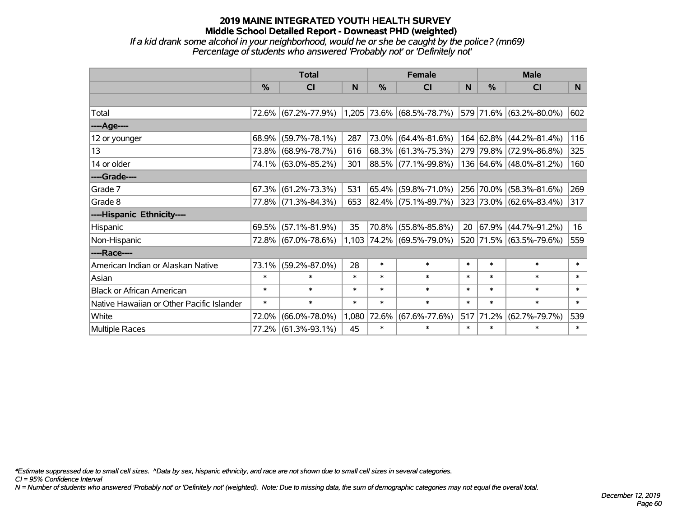*If a kid drank some alcohol in your neighborhood, would he or she be caught by the police? (mn69) Percentage of students who answered 'Probably not' or 'Definitely not'*

|                                           | <b>Total</b>  |                     |        |        | <b>Female</b>             |        | <b>Male</b>   |                         |                |  |
|-------------------------------------------|---------------|---------------------|--------|--------|---------------------------|--------|---------------|-------------------------|----------------|--|
|                                           | $\frac{0}{0}$ | <b>CI</b>           | N      | $\%$   | <b>CI</b>                 | N      | $\frac{0}{0}$ | <b>CI</b>               | N <sub>1</sub> |  |
|                                           |               |                     |        |        |                           |        |               |                         |                |  |
| Total                                     |               | 72.6% (67.2%-77.9%) |        |        | 1,205 73.6% (68.5%-78.7%) |        |               | 579 71.6% (63.2%-80.0%) | 602            |  |
| ----Age----                               |               |                     |        |        |                           |        |               |                         |                |  |
| 12 or younger                             | 68.9%         | $(59.7\% - 78.1\%)$ | 287    | 73.0%  | $(64.4\% - 81.6\%)$       |        |               | 164 62.8% (44.2%-81.4%) | 116            |  |
| 13                                        |               | 73.8% (68.9%-78.7%) | 616    |        | 68.3% (61.3%-75.3%)       |        |               | 279 79.8% (72.9%-86.8%) | 325            |  |
| 14 or older                               |               | 74.1% (63.0%-85.2%) | 301    |        | 88.5% (77.1%-99.8%)       |        |               | 136 64.6% (48.0%-81.2%) | 160            |  |
| ----Grade----                             |               |                     |        |        |                           |        |               |                         |                |  |
| Grade 7                                   | 67.3%         | $(61.2\% - 73.3\%)$ | 531    | 65.4%  | $(59.8\% - 71.0\%)$       |        |               | 256 70.0% (58.3%-81.6%) | 269            |  |
| Grade 8                                   |               | 77.8% (71.3%-84.3%) | 653    |        | 82.4% (75.1%-89.7%)       |        |               | 323 73.0% (62.6%-83.4%) | 317            |  |
| ----Hispanic Ethnicity----                |               |                     |        |        |                           |        |               |                         |                |  |
| Hispanic                                  | 69.5%         | $(57.1\% - 81.9\%)$ | 35     | 70.8%  | $(55.8\% - 85.8\%)$       | 20     |               | 67.9% (44.7%-91.2%)     | 16             |  |
| Non-Hispanic                              |               | 72.8% (67.0%-78.6%) |        |        | 1,103 74.2% (69.5%-79.0%) |        |               | 520 71.5% (63.5%-79.6%) | 559            |  |
| ----Race----                              |               |                     |        |        |                           |        |               |                         |                |  |
| American Indian or Alaskan Native         | 73.1%         | $(59.2\% - 87.0\%)$ | 28     | $\ast$ | $\ast$                    | $\ast$ | $\ast$        | $\ast$                  | $\ast$         |  |
| Asian                                     | $\ast$        | $\ast$              | $\ast$ | $\ast$ | $\ast$                    | $\ast$ | $\ast$        | $\ast$                  | $\ast$         |  |
| <b>Black or African American</b>          | $\ast$        | $\ast$              | $\ast$ | $\ast$ | $\ast$                    | $\ast$ | $\ast$        | $\ast$                  | $\ast$         |  |
| Native Hawaiian or Other Pacific Islander | $\ast$        | $\ast$              | $\ast$ | $\ast$ | $\ast$                    | $\ast$ | $\ast$        | $\ast$                  | $\ast$         |  |
| White                                     | 72.0%         | $(66.0\% - 78.0\%)$ | 1,080  | 72.6%  | $(67.6\% - 77.6\%)$       | 517    | 71.2%         | $(62.7\% - 79.7\%)$     | 539            |  |
| <b>Multiple Races</b>                     |               | 77.2% (61.3%-93.1%) | 45     | $\ast$ | $\ast$                    | $\ast$ | $\ast$        | $\ast$                  | $\ast$         |  |

*\*Estimate suppressed due to small cell sizes. ^Data by sex, hispanic ethnicity, and race are not shown due to small cell sizes in several categories.*

*CI = 95% Confidence Interval*

*N = Number of students who answered 'Probably not' or 'Definitely not' (weighted). Note: Due to missing data, the sum of demographic categories may not equal the overall total.*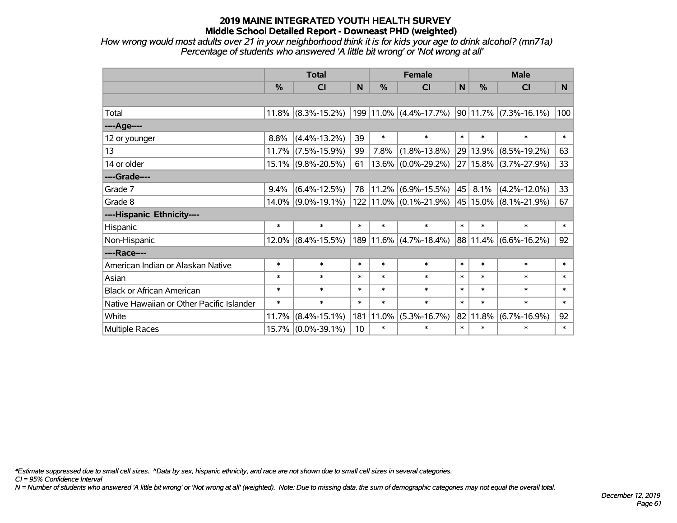*How wrong would most adults over 21 in your neighborhood think it is for kids your age to drink alcohol? (mn71a) Percentage of students who answered 'A little bit wrong' or 'Not wrong at all'*

|                                           | <b>Total</b> |                       |        |            | <b>Female</b>                                |              | <b>Male</b>   |                           |        |  |
|-------------------------------------------|--------------|-----------------------|--------|------------|----------------------------------------------|--------------|---------------|---------------------------|--------|--|
|                                           | %            | <b>CI</b>             | N      | %          | <b>CI</b>                                    | $\mathsf{N}$ | $\frac{0}{0}$ | <b>CI</b>                 | N.     |  |
|                                           |              |                       |        |            |                                              |              |               |                           |        |  |
| Total                                     |              | $11.8\%$ (8.3%-15.2%) |        |            | 199 11.0% (4.4%-17.7%) 90 11.7% (7.3%-16.1%) |              |               |                           | 100    |  |
| ----Age----                               |              |                       |        |            |                                              |              |               |                           |        |  |
| 12 or younger                             | 8.8%         | $(4.4\% - 13.2\%)$    | 39     | $\ast$     | $\ast$                                       | $\ast$       | $\ast$        | $\ast$                    | $\ast$ |  |
| 13                                        |              | 11.7% (7.5%-15.9%)    | 99     | 7.8%       | $(1.8\% - 13.8\%)$                           |              | 29 13.9%      | $(8.5\% - 19.2\%)$        | 63     |  |
| 14 or older                               |              | 15.1% (9.8%-20.5%)    | 61     |            | $\vert 13.6\% \vert (0.0\%$ -29.2%) $\vert$  |              |               | 27   15.8%   (3.7%-27.9%) | 33     |  |
| ----Grade----                             |              |                       |        |            |                                              |              |               |                           |        |  |
| Grade 7                                   | 9.4%         | $(6.4\% - 12.5\%)$    | 78     |            | $ 11.2\% $ (6.9%-15.5%) $ 45 $               |              | 8.1%          | $(4.2\% - 12.0\%)$        | 33     |  |
| Grade 8                                   |              | $14.0\%$ (9.0%-19.1%) |        |            | 122 11.0% (0.1%-21.9%) 45 15.0% (8.1%-21.9%) |              |               |                           | 67     |  |
| ----Hispanic Ethnicity----                |              |                       |        |            |                                              |              |               |                           |        |  |
| Hispanic                                  | $\ast$       | $\ast$                | $\ast$ | $\ast$     | $\ast$                                       | $\ast$       | $\ast$        | $\ast$                    | $\ast$ |  |
| Non-Hispanic                              |              | $12.0\%$ (8.4%-15.5%) |        |            | 189 11.6% (4.7%-18.4%) 88 11.4% (6.6%-16.2%) |              |               |                           | 92     |  |
| ----Race----                              |              |                       |        |            |                                              |              |               |                           |        |  |
| American Indian or Alaskan Native         | $\ast$       | $\ast$                | $\ast$ | $\ast$     | $\ast$                                       | $\ast$       | $\ast$        | $\ast$                    | $\ast$ |  |
| Asian                                     | $\ast$       | $\ast$                | $\ast$ | $\ast$     | $\ast$                                       | $\ast$       | $\ast$        | $\ast$                    | $\ast$ |  |
| <b>Black or African American</b>          | $\ast$       | $\ast$                | $\ast$ | $\ast$     | $\ast$                                       | $\ast$       | $\ast$        | $\ast$                    | $\ast$ |  |
| Native Hawaiian or Other Pacific Islander | $\ast$       | $\ast$                | $\ast$ | $\ast$     | $\ast$                                       | $\ast$       | $\ast$        | $\ast$                    | $\ast$ |  |
| White                                     | 11.7%        | $(8.4\% - 15.1\%)$    | 181    | $ 11.0\% $ | $(5.3\% - 16.7\%)$                           |              | 82 11.8%      | $(6.7\% - 16.9\%)$        | 92     |  |
| Multiple Races                            |              | 15.7% (0.0%-39.1%)    | 10     | $\ast$     | $\ast$                                       | $\ast$       | $\ast$        | $\ast$                    | $\ast$ |  |

*\*Estimate suppressed due to small cell sizes. ^Data by sex, hispanic ethnicity, and race are not shown due to small cell sizes in several categories.*

*CI = 95% Confidence Interval*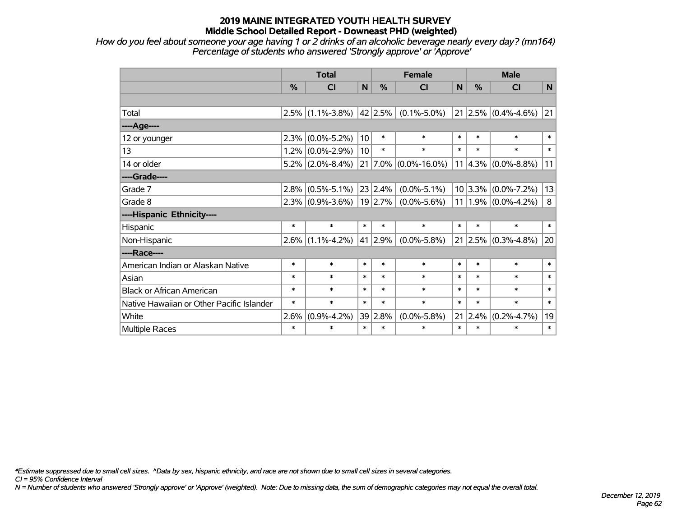*How do you feel about someone your age having 1 or 2 drinks of an alcoholic beverage nearly every day? (mn164) Percentage of students who answered 'Strongly approve' or 'Approve'*

|                                           | <b>Total</b>  |                               |        |               | <b>Female</b>                   | <b>Male</b> |               |                         |        |
|-------------------------------------------|---------------|-------------------------------|--------|---------------|---------------------------------|-------------|---------------|-------------------------|--------|
|                                           | $\frac{0}{0}$ | <b>CI</b>                     | N      | $\frac{0}{2}$ | <b>CI</b>                       | N           | $\frac{0}{2}$ | <b>CI</b>               | N      |
|                                           |               |                               |        |               |                                 |             |               |                         |        |
| Total                                     |               | $2.5\%$ (1.1%-3.8%)           |        | 42 2.5%       | $(0.1\% - 5.0\%)$               |             |               | $21 2.5\% $ (0.4%-4.6%) | 21     |
| ----Age----                               |               |                               |        |               |                                 |             |               |                         |        |
| 12 or younger                             | 2.3%          | $(0.0\% - 5.2\%)$             | 10     | $\ast$        | $\ast$                          | $\ast$      | $\ast$        | $\ast$                  | $\ast$ |
| 13                                        |               | $1.2\%$ (0.0%-2.9%)           | 10     | $\ast$        | $\ast$                          | $\ast$      | $\ast$        | $\ast$                  | $\ast$ |
| 14 or older                               |               | $5.2\%$ (2.0%-8.4%)           |        |               | $21   7.0\%   (0.0\% - 16.0\%)$ | 11          |               | $4.3\%$ (0.0%-8.8%)     | 11     |
| ----Grade----                             |               |                               |        |               |                                 |             |               |                         |        |
| Grade 7                                   |               | $2.8\%$ (0.5%-5.1%)           |        | 23 2.4%       | $(0.0\% - 5.1\%)$               |             | $10 3.3\% $   | $(0.0\% - 7.2\%)$       | 13     |
| Grade 8                                   |               | $2.3\%$ (0.9%-3.6%)   19 2.7% |        |               | $(0.0\% - 5.6\%)$               |             |               | $11 1.9\% $ (0.0%-4.2%) | 8      |
| ----Hispanic Ethnicity----                |               |                               |        |               |                                 |             |               |                         |        |
| Hispanic                                  | $\ast$        | $\ast$                        | $\ast$ | $\ast$        | $\ast$                          | $\ast$      | $\ast$        | $\ast$                  | $\ast$ |
| Non-Hispanic                              |               | $2.6\%$ (1.1%-4.2%)           |        | 41 2.9%       | $(0.0\% - 5.8\%)$               | 21          | $ 2.5\% $     | $(0.3\% - 4.8\%)$       | 20     |
| ----Race----                              |               |                               |        |               |                                 |             |               |                         |        |
| American Indian or Alaskan Native         | $\ast$        | $\ast$                        | $\ast$ | $\ast$        | $\ast$                          | $\ast$      | $\ast$        | $\ast$                  | $\ast$ |
| Asian                                     | $\ast$        | $\ast$                        | $\ast$ | $\ast$        | $\ast$                          | $\ast$      | $\ast$        | $\ast$                  | $\ast$ |
| <b>Black or African American</b>          | $\ast$        | $\ast$                        | $\ast$ | $\ast$        | $\ast$                          | $\ast$      | $\ast$        | $\ast$                  | $\ast$ |
| Native Hawaiian or Other Pacific Islander | $\ast$        | $\ast$                        | $\ast$ | $\ast$        | $\ast$                          | $\ast$      | $\ast$        | $\ast$                  | $\ast$ |
| White                                     | 2.6%          | $(0.9\% - 4.2\%)$             | 39     | 2.8%          | $(0.0\% - 5.8\%)$               | 21          | 2.4%          | $(0.2\% - 4.7\%)$       | 19     |
| <b>Multiple Races</b>                     | $\ast$        | $\ast$                        | $\ast$ | $\ast$        | $\ast$                          | $\ast$      | $\ast$        | $\ast$                  | $\ast$ |

*\*Estimate suppressed due to small cell sizes. ^Data by sex, hispanic ethnicity, and race are not shown due to small cell sizes in several categories.*

*CI = 95% Confidence Interval*

*N = Number of students who answered 'Strongly approve' or 'Approve' (weighted). Note: Due to missing data, the sum of demographic categories may not equal the overall total.*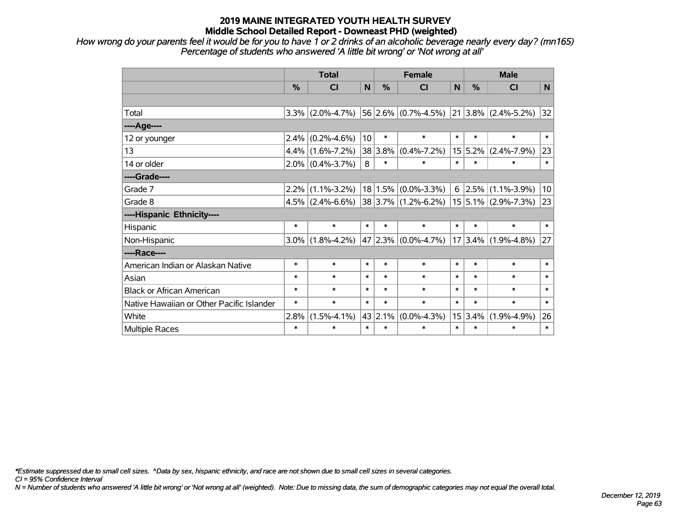*How wrong do your parents feel it would be for you to have 1 or 2 drinks of an alcoholic beverage nearly every day? (mn165) Percentage of students who answered 'A little bit wrong' or 'Not wrong at all'*

|                                           | <b>Total</b> |                     |        |        | <b>Female</b>                                     |        | <b>Male</b>   |                          |                |  |
|-------------------------------------------|--------------|---------------------|--------|--------|---------------------------------------------------|--------|---------------|--------------------------|----------------|--|
|                                           | %            | <b>CI</b>           | N      | %      | CI                                                | N      | $\frac{0}{0}$ | <b>CI</b>                | N <sub>1</sub> |  |
|                                           |              |                     |        |        |                                                   |        |               |                          |                |  |
| Total                                     | 3.3%         | $(2.0\% - 4.7\%)$   |        |        | $56 2.6\% $ (0.7%-4.5%)                           |        |               | $ 21 3.8\% $ (2.4%-5.2%) | 32             |  |
| ----Age----                               |              |                     |        |        |                                                   |        |               |                          |                |  |
| 12 or younger                             | 2.4%         | $(0.2\% - 4.6\%)$   | 10     | $\ast$ | $\ast$                                            | $\ast$ | $\ast$        | $\ast$                   | $\ast$         |  |
| 13                                        |              | $4.4\%$ (1.6%-7.2%) | 38     | 3.8%   | $(0.4\% - 7.2\%)$                                 |        | 15 5.2%       | $(2.4\% - 7.9\%)$        | 23             |  |
| 14 or older                               |              | $2.0\%$ (0.4%-3.7%) | 8      | $\ast$ | $\ast$                                            | $\ast$ | $\ast$        | $\ast$                   | $\ast$         |  |
| ----Grade----                             |              |                     |        |        |                                                   |        |               |                          |                |  |
| Grade 7                                   | $2.2\%$      | $(1.1\% - 3.2\%)$   |        |        | $18 1.5\% $ (0.0%-3.3%)                           |        | $6$   2.5%    | $(1.1\% - 3.9\%)$        | 10             |  |
| Grade 8                                   |              | $4.5\%$ (2.4%-6.6%) |        |        | $ 38 3.7\% $ (1.2%-6.2%) $ 15 5.1\% $ (2.9%-7.3%) |        |               |                          | 23             |  |
| ----Hispanic Ethnicity----                |              |                     |        |        |                                                   |        |               |                          |                |  |
| Hispanic                                  | $\ast$       | $\ast$              | $\ast$ | $\ast$ | $\ast$                                            | $\ast$ | $\ast$        | $\ast$                   | $\ast$         |  |
| Non-Hispanic                              | $3.0\%$      | $(1.8\% - 4.2\%)$   |        |        | 47 2.3% $(0.0\% - 4.7\%)$                         |        | $ 17 3.4\% $  | $(1.9\% - 4.8\%)$        | 27             |  |
| ----Race----                              |              |                     |        |        |                                                   |        |               |                          |                |  |
| American Indian or Alaskan Native         | $\ast$       | $\ast$              | $\ast$ | $\ast$ | $\ast$                                            | $\ast$ | $\ast$        | $\ast$                   | $\ast$         |  |
| Asian                                     | $\ast$       | $\ast$              | $\ast$ | $\ast$ | $\ast$                                            | $\ast$ | $\ast$        | $\ast$                   | $\ast$         |  |
| <b>Black or African American</b>          | $\ast$       | $\ast$              | $\ast$ | $\ast$ | $\ast$                                            | $\ast$ | $\ast$        | $\ast$                   | $\ast$         |  |
| Native Hawaiian or Other Pacific Islander | $\ast$       | $\ast$              | $\ast$ | $\ast$ | $\ast$                                            | $\ast$ | $\ast$        | $\ast$                   | $\ast$         |  |
| White                                     | 2.8%         | $(1.5\% - 4.1\%)$   | 43     | 2.1%   | $(0.0\% - 4.3\%)$                                 |        | 15 3.4%       | $(1.9\% - 4.9\%)$        | 26             |  |
| <b>Multiple Races</b>                     | $\ast$       | $\ast$              | $\ast$ | $\ast$ | $\ast$                                            | $\ast$ | $\ast$        | $\ast$                   | $\ast$         |  |

*\*Estimate suppressed due to small cell sizes. ^Data by sex, hispanic ethnicity, and race are not shown due to small cell sizes in several categories.*

*CI = 95% Confidence Interval*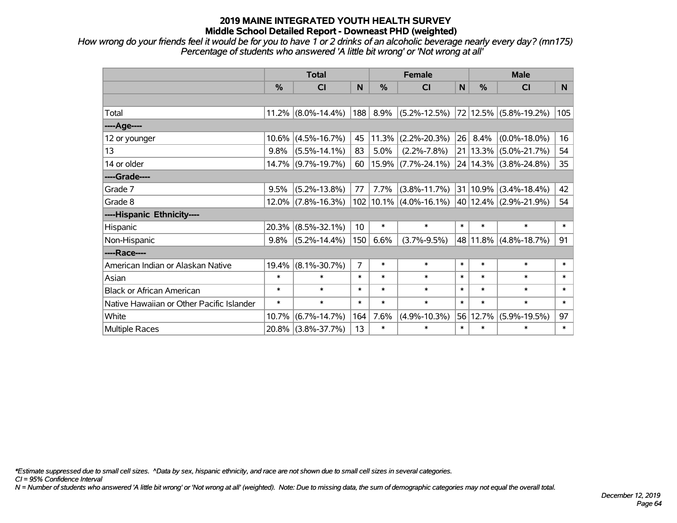*How wrong do your friends feel it would be for you to have 1 or 2 drinks of an alcoholic beverage nearly every day? (mn175) Percentage of students who answered 'A little bit wrong' or 'Not wrong at all'*

|                                           | <b>Total</b>  |                    |                 |               | <b>Female</b>                                    |        | <b>Male</b> |                            |          |  |
|-------------------------------------------|---------------|--------------------|-----------------|---------------|--------------------------------------------------|--------|-------------|----------------------------|----------|--|
|                                           | $\frac{0}{0}$ | CI                 | N               | $\frac{0}{0}$ | CI                                               | N      | %           | <b>CI</b>                  | <b>N</b> |  |
|                                           |               |                    |                 |               |                                                  |        |             |                            |          |  |
| Total                                     | 11.2%         | $(8.0\% - 14.4\%)$ | 188             | 8.9%          | $(5.2\% - 12.5\%)$                               |        |             | 72 12.5% (5.8%-19.2%)      | 105      |  |
| ----Age----                               |               |                    |                 |               |                                                  |        |             |                            |          |  |
| 12 or younger                             | 10.6%         | $(4.5\% - 16.7\%)$ | 45              |               | $11.3\%$ (2.2%-20.3%)                            | 26     | 8.4%        | $(0.0\% - 18.0\%)$         | 16       |  |
| 13                                        | 9.8%          | $(5.5\% - 14.1\%)$ | 83              | 5.0%          | $(2.2\% - 7.8\%)$                                |        |             | 21   13.3%   (5.0%-21.7%)  | 54       |  |
| 14 or older                               | 14.7%         | $(9.7\% - 19.7\%)$ | 60              |               | $ 15.9\% $ (7.7%-24.1%)                          |        |             | 24   14.3%   (3.8%-24.8%)  | 35       |  |
| ----Grade----                             |               |                    |                 |               |                                                  |        |             |                            |          |  |
| Grade 7                                   | 9.5%          | $(5.2\% - 13.8\%)$ | 77              | 7.7%          | $(3.8\% - 11.7\%)$                               |        |             | $ 31 10.9\% $ (3.4%-18.4%) | 42       |  |
| Grade 8                                   | $12.0\%$      | $(7.8\% - 16.3\%)$ |                 |               | $102 10.1\% $ (4.0%-16.1%) 40 12.4% (2.9%-21.9%) |        |             |                            | 54       |  |
| ----Hispanic Ethnicity----                |               |                    |                 |               |                                                  |        |             |                            |          |  |
| Hispanic                                  | 20.3%         | $(8.5\% - 32.1\%)$ | 10 <sup>°</sup> | $\ast$        | $\ast$                                           | $\ast$ | $\ast$      | $\ast$                     | $\ast$   |  |
| Non-Hispanic                              | 9.8%          | $(5.2\% - 14.4\%)$ | 150             | 6.6%          | $(3.7\% - 9.5\%)$                                |        |             | 48 11.8% (4.8%-18.7%)      | 91       |  |
| ----Race----                              |               |                    |                 |               |                                                  |        |             |                            |          |  |
| American Indian or Alaskan Native         | 19.4%         | $(8.1\% - 30.7\%)$ | $\overline{7}$  | $\ast$        | $\ast$                                           | $\ast$ | $\ast$      | $\ast$                     | $\ast$   |  |
| Asian                                     | $\ast$        | $\ast$             | $\ast$          | $\ast$        | $\ast$                                           | $\ast$ | $\ast$      | $\ast$                     | $\ast$   |  |
| <b>Black or African American</b>          | $\ast$        | $\ast$             | $\ast$          | $\ast$        | $\ast$                                           | $\ast$ | $\ast$      | $\ast$                     | $\ast$   |  |
| Native Hawaiian or Other Pacific Islander | $\ast$        | $\ast$             | $\ast$          | $\ast$        | $\ast$                                           | $\ast$ | $\ast$      | $\ast$                     | $\ast$   |  |
| White                                     | 10.7%         | $(6.7\% - 14.7\%)$ | 164             | 7.6%          | $(4.9\% - 10.3\%)$                               | 56     | 12.7%       | $(5.9\% - 19.5\%)$         | 97       |  |
| Multiple Races                            | 20.8%         | $(3.8\% - 37.7\%)$ | 13              | $\ast$        | $\ast$                                           | $\ast$ | $\ast$      | $\ast$                     | $\ast$   |  |

*\*Estimate suppressed due to small cell sizes. ^Data by sex, hispanic ethnicity, and race are not shown due to small cell sizes in several categories.*

*CI = 95% Confidence Interval*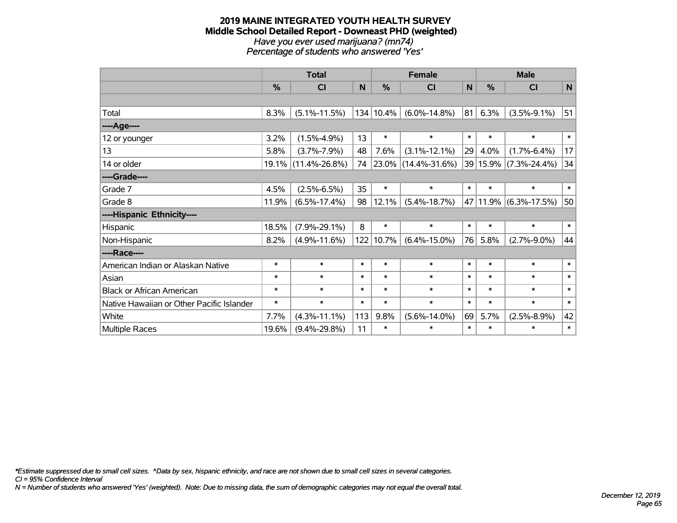#### **2019 MAINE INTEGRATED YOUTH HEALTH SURVEY Middle School Detailed Report - Downeast PHD (weighted)** *Have you ever used marijuana? (mn74) Percentage of students who answered 'Yes'*

|                                           | <b>Total</b> |                     |        |           | <b>Female</b>       |             | <b>Male</b>   |                           |             |  |
|-------------------------------------------|--------------|---------------------|--------|-----------|---------------------|-------------|---------------|---------------------------|-------------|--|
|                                           | %            | CI                  | N      | %         | <b>CI</b>           | $\mathbf N$ | $\frac{0}{0}$ | <b>CI</b>                 | $\mathbf N$ |  |
|                                           |              |                     |        |           |                     |             |               |                           |             |  |
| Total                                     | 8.3%         | $(5.1\% - 11.5\%)$  |        | 134 10.4% | $(6.0\% - 14.8\%)$  | 81          | 6.3%          | $(3.5\% - 9.1\%)$         | 51          |  |
| ----Age----                               |              |                     |        |           |                     |             |               |                           |             |  |
| 12 or younger                             | 3.2%         | $(1.5\% - 4.9\%)$   | 13     | $\ast$    | $\ast$              | $\ast$      | $\ast$        | $\ast$                    | $\ast$      |  |
| 13                                        | 5.8%         | $(3.7\% - 7.9\%)$   | 48     | 7.6%      | $(3.1\% - 12.1\%)$  | 29          | 4.0%          | $(1.7\% - 6.4\%)$         | 17          |  |
| 14 or older                               | $19.1\%$     | $(11.4\% - 26.8\%)$ | 74     |           | 23.0% (14.4%-31.6%) |             |               | 39 15.9% (7.3%-24.4%)     | 34          |  |
| ----Grade----                             |              |                     |        |           |                     |             |               |                           |             |  |
| Grade 7                                   | 4.5%         | $(2.5\% - 6.5\%)$   | 35     | $\ast$    | $\ast$              | $\ast$      | $\ast$        | $\ast$                    | $\ast$      |  |
| Grade 8                                   | 11.9%        | $(6.5\% - 17.4\%)$  | 98     | 12.1%     | $(5.4\% - 18.7\%)$  |             |               | 47   11.9%   (6.3%-17.5%) | 50          |  |
| ----Hispanic Ethnicity----                |              |                     |        |           |                     |             |               |                           |             |  |
| Hispanic                                  | 18.5%        | $(7.9\% - 29.1\%)$  | 8      | $\ast$    | $\ast$              | $\ast$      | $\ast$        | $\ast$                    | $\ast$      |  |
| Non-Hispanic                              | 8.2%         | $(4.9\% - 11.6\%)$  |        | 122 10.7% | $(6.4\% - 15.0\%)$  | 76          | 5.8%          | $(2.7\% - 9.0\%)$         | 44          |  |
| ----Race----                              |              |                     |        |           |                     |             |               |                           |             |  |
| American Indian or Alaskan Native         | $\ast$       | $\ast$              | $\ast$ | $\ast$    | $\ast$              | $\ast$      | $\ast$        | $\ast$                    | $\ast$      |  |
| Asian                                     | $\ast$       | $\ast$              | $\ast$ | $\ast$    | $\ast$              | $\ast$      | $\ast$        | $\ast$                    | $\ast$      |  |
| <b>Black or African American</b>          | $\ast$       | $\ast$              | $\ast$ | $\ast$    | $\ast$              | $\ast$      | $\ast$        | $\ast$                    | $\ast$      |  |
| Native Hawaiian or Other Pacific Islander | $\ast$       | $\ast$              | $\ast$ | $\ast$    | $\ast$              | $\ast$      | $\ast$        | $\ast$                    | $\ast$      |  |
| White                                     | 7.7%         | $(4.3\% - 11.1\%)$  | 113    | 9.8%      | $(5.6\% - 14.0\%)$  | 69          | 5.7%          | $(2.5\% - 8.9\%)$         | 42          |  |
| <b>Multiple Races</b>                     | 19.6%        | $(9.4\% - 29.8\%)$  | 11     | $\ast$    | $\ast$              | $\ast$      | $\ast$        | $\ast$                    | $\ast$      |  |

*\*Estimate suppressed due to small cell sizes. ^Data by sex, hispanic ethnicity, and race are not shown due to small cell sizes in several categories.*

*CI = 95% Confidence Interval*

*N = Number of students who answered 'Yes' (weighted). Note: Due to missing data, the sum of demographic categories may not equal the overall total.*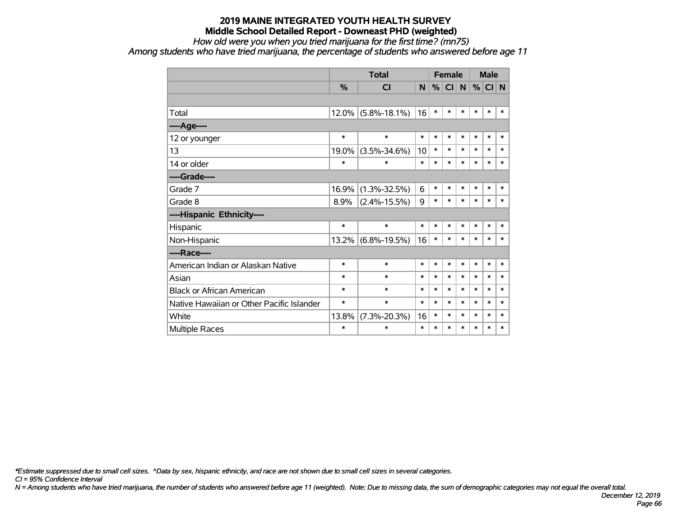## *How old were you when you tried marijuana for the first time? (mn75)*

*Among students who have tried marijuana, the percentage of students who answered before age 11*

|                                           |        | <b>Total</b>       |        |        | <b>Female</b> |        |        | <b>Male</b> |        |
|-------------------------------------------|--------|--------------------|--------|--------|---------------|--------|--------|-------------|--------|
|                                           | %      | <b>CI</b>          | N      | %      | <b>CI</b>     | N      | %      | CI N        |        |
|                                           |        |                    |        |        |               |        |        |             |        |
| Total                                     | 12.0%  | $(5.8\% - 18.1\%)$ | 16     | $\ast$ | $\ast$        | $\ast$ | $\ast$ | $\ast$      | $\ast$ |
| ----Age----                               |        |                    |        |        |               |        |        |             |        |
| 12 or younger                             | $\ast$ | $\ast$             | $\ast$ | $\ast$ | $\ast$        | $\ast$ | $\ast$ | $\ast$      | $\ast$ |
| 13                                        | 19.0%  | $(3.5\% - 34.6\%)$ | 10     | $\ast$ | $\ast$        | $\ast$ | $\ast$ | $\ast$      | $\ast$ |
| 14 or older                               | $\ast$ | $\ast$             | $\ast$ | $\ast$ | *             | $\ast$ | $\ast$ | $\ast$      | $\ast$ |
| ----Grade----                             |        |                    |        |        |               |        |        |             |        |
| Grade 7                                   | 16.9%  | $(1.3\% - 32.5\%)$ | 6      | $\ast$ | $\ast$        | $\ast$ | $\ast$ | $\ast$      | $\ast$ |
| Grade 8                                   | 8.9%   | $(2.4\% - 15.5\%)$ | 9      | $\ast$ | $\ast$        | $\ast$ | $\ast$ | $\ast$      | $\ast$ |
| ----Hispanic Ethnicity----                |        |                    |        |        |               |        |        |             |        |
| Hispanic                                  | $\ast$ | $\ast$             | $\ast$ | $\ast$ | $\ast$        | $\ast$ | $\ast$ | $\ast$      | $\ast$ |
| Non-Hispanic                              | 13.2%  | $(6.8\% - 19.5\%)$ | 16     | $\ast$ | $\ast$        | $\ast$ | $\ast$ | $\ast$      | $\ast$ |
| ----Race----                              |        |                    |        |        |               |        |        |             |        |
| American Indian or Alaskan Native         | $\ast$ | $\ast$             | $\ast$ | $\ast$ | *             | $\ast$ | $\ast$ | $\ast$      | $\ast$ |
| Asian                                     | $\ast$ | $\ast$             | $\ast$ | $\ast$ | $\ast$        | $\ast$ | $\ast$ | $\ast$      | $\ast$ |
| <b>Black or African American</b>          | $\ast$ | $\ast$             | $\ast$ | $\ast$ | $\ast$        | $\ast$ | $\ast$ | $\ast$      | $\ast$ |
| Native Hawaiian or Other Pacific Islander | $\ast$ | $\ast$             | $\ast$ | $\ast$ | $\ast$        | $\ast$ | $\ast$ | $\ast$      | $\ast$ |
| White                                     | 13.8%  | $(7.3\% - 20.3\%)$ | 16     | $\ast$ | *             | $\ast$ | $\ast$ | $\ast$      | $\ast$ |
| <b>Multiple Races</b>                     | $\ast$ | $\ast$             | $\ast$ | $\ast$ | $\ast$        | $\ast$ | $\ast$ | $\ast$      | $\ast$ |

*\*Estimate suppressed due to small cell sizes. ^Data by sex, hispanic ethnicity, and race are not shown due to small cell sizes in several categories.*

*CI = 95% Confidence Interval*

*N = Among students who have tried marijuana, the number of students who answered before age 11 (weighted). Note: Due to missing data, the sum of demographic categories may not equal the overall total.*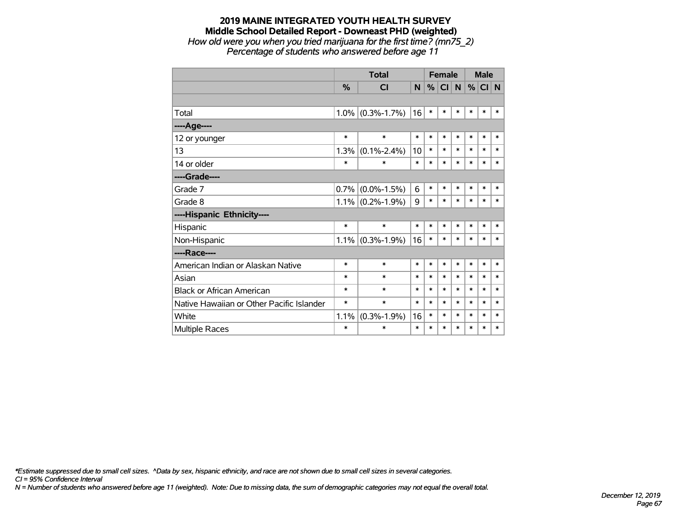*How old were you when you tried marijuana for the first time? (mn75\_2) Percentage of students who answered before age 11*

|                                           |               | <b>Total</b>      |        | <b>Female</b> |           |        |        | <b>Male</b> |        |
|-------------------------------------------|---------------|-------------------|--------|---------------|-----------|--------|--------|-------------|--------|
|                                           | $\frac{9}{6}$ | <b>CI</b>         | N      | %             | <b>CI</b> | N      | %      | CI N        |        |
|                                           |               |                   |        |               |           |        |        |             |        |
| Total                                     | 1.0%          | $(0.3\% - 1.7\%)$ | 16     | $\ast$        | $\ast$    | $\ast$ | $\ast$ | $\ast$      | *      |
| ----Age----                               |               |                   |        |               |           |        |        |             |        |
| 12 or younger                             | $\ast$        | $\ast$            | $\ast$ | $\ast$        | $\ast$    | $\ast$ | $\ast$ | $\ast$      | $\ast$ |
| 13                                        | 1.3%          | $(0.1\% - 2.4\%)$ | 10     | $\ast$        | $\ast$    | $\ast$ | $\ast$ | *           | $\ast$ |
| 14 or older                               | $\ast$        | $\ast$            | $\ast$ | $\ast$        | $\ast$    | $\ast$ | $\ast$ | $\ast$      | $\ast$ |
| ----Grade----                             |               |                   |        |               |           |        |        |             |        |
| Grade 7                                   | 0.7%          | $(0.0\% - 1.5\%)$ | 6      | $\ast$        | $\ast$    | $\ast$ | $\ast$ | $\ast$      | $\ast$ |
| Grade 8                                   | 1.1%          | $(0.2\% - 1.9\%)$ | 9      | $\ast$        | $\ast$    | $\ast$ | $\ast$ | $\ast$      | $\ast$ |
| ----Hispanic Ethnicity----                |               |                   |        |               |           |        |        |             |        |
| Hispanic                                  | $\ast$        | $\ast$            | *      | $\ast$        | $\ast$    | $\ast$ | $\ast$ | *           | $\ast$ |
| Non-Hispanic                              | 1.1%          | $(0.3\% - 1.9\%)$ | 16     | $\ast$        | $\ast$    | $\ast$ | $\ast$ | *           | *      |
| ----Race----                              |               |                   |        |               |           |        |        |             |        |
| American Indian or Alaskan Native         | $\ast$        | $\ast$            | $\ast$ | $\ast$        | $\ast$    | $\ast$ | $\ast$ | $\ast$      | $\ast$ |
| Asian                                     | $\ast$        | $\ast$            | $\ast$ | *             | $\ast$    | $\ast$ | $\ast$ | *           | *      |
| <b>Black or African American</b>          | *             | $\ast$            | $\ast$ | $\ast$        | $\ast$    | $\ast$ | $\ast$ | $\ast$      | $\ast$ |
| Native Hawaiian or Other Pacific Islander | *             | $\ast$            | $\ast$ | $\ast$        | $\ast$    | $\ast$ | $\ast$ | $\ast$      | $\ast$ |
| White                                     | 1.1%          | $(0.3\% - 1.9\%)$ | 16     | $\ast$        | $\ast$    | $\ast$ | $\ast$ | $\ast$      | $\ast$ |
| <b>Multiple Races</b>                     | $\ast$        | $\ast$            | $\ast$ | $\ast$        | $\ast$    | $\ast$ | $\ast$ | $\ast$      | $\ast$ |

*\*Estimate suppressed due to small cell sizes. ^Data by sex, hispanic ethnicity, and race are not shown due to small cell sizes in several categories.*

*CI = 95% Confidence Interval*

*N = Number of students who answered before age 11 (weighted). Note: Due to missing data, the sum of demographic categories may not equal the overall total.*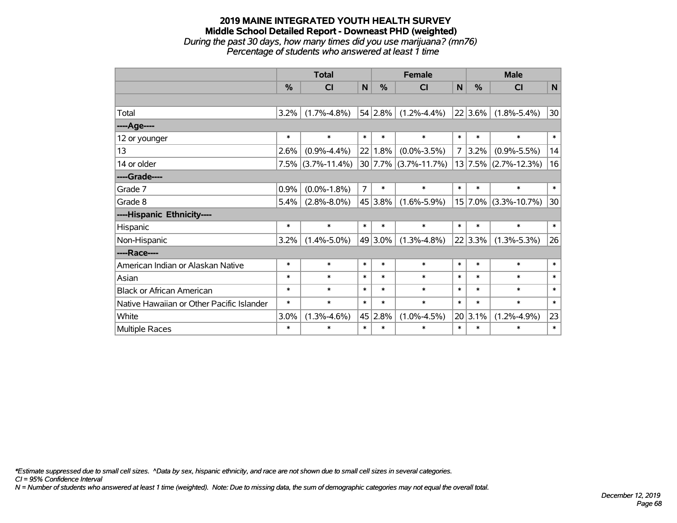## **2019 MAINE INTEGRATED YOUTH HEALTH SURVEY Middle School Detailed Report - Downeast PHD (weighted)** *During the past 30 days, how many times did you use marijuana? (mn76)*

*Percentage of students who answered at least 1 time*

|                                           | <b>Total</b> |                    |                |         | <b>Female</b>            |        | <b>Male</b> |                          |              |  |
|-------------------------------------------|--------------|--------------------|----------------|---------|--------------------------|--------|-------------|--------------------------|--------------|--|
|                                           | %            | CI                 | N              | $\%$    | CI                       | N      | %           | CI                       | $\mathsf{N}$ |  |
|                                           |              |                    |                |         |                          |        |             |                          |              |  |
| Total                                     | 3.2%         | $(1.7\% - 4.8\%)$  |                | 54 2.8% | $(1.2\% - 4.4\%)$        |        | $22 3.6\% $ | $(1.8\% - 5.4\%)$        | 30           |  |
| ---- Age----                              |              |                    |                |         |                          |        |             |                          |              |  |
| 12 or younger                             | $\ast$       | $\ast$             | $\ast$         | $\ast$  | $\ast$                   | $\ast$ | $\ast$      | $\ast$                   | $\ast$       |  |
| 13                                        | 2.6%         | $(0.9\% - 4.4\%)$  | 22             | 1.8%    | $(0.0\% - 3.5\%)$        | 7      | $3.2\%$     | $(0.9\% - 5.5\%)$        | 14           |  |
| 14 or older                               | 7.5%         | $(3.7\% - 11.4\%)$ |                |         | $30 7.7\% $ (3.7%-11.7%) |        |             | $13 7.5\% $ (2.7%-12.3%) | 16           |  |
| ----Grade----                             |              |                    |                |         |                          |        |             |                          |              |  |
| Grade 7                                   | 0.9%         | $(0.0\% - 1.8\%)$  | $\overline{7}$ | $\ast$  | $\ast$                   | $\ast$ | $\ast$      | $\ast$                   | $\ast$       |  |
| Grade 8                                   | 5.4%         | $(2.8\% - 8.0\%)$  |                | 45 3.8% | $(1.6\% - 5.9\%)$        |        |             | $15$ 7.0% (3.3%-10.7%)   | 30           |  |
| ----Hispanic Ethnicity----                |              |                    |                |         |                          |        |             |                          |              |  |
| Hispanic                                  | $\ast$       | $\ast$             | $\ast$         | $\ast$  | $\ast$                   | $\ast$ | $\ast$      | $\ast$                   | $\ast$       |  |
| Non-Hispanic                              | 3.2%         | $(1.4\% - 5.0\%)$  |                | 49 3.0% | $(1.3\% - 4.8\%)$        |        | 22 3.3%     | $(1.3\% - 5.3\%)$        | 26           |  |
| ----Race----                              |              |                    |                |         |                          |        |             |                          |              |  |
| American Indian or Alaskan Native         | $\ast$       | $\ast$             | $\ast$         | $\ast$  | $\ast$                   | $\ast$ | $\ast$      | $\ast$                   | $\ast$       |  |
| Asian                                     | $\ast$       | $\ast$             | $\ast$         | $\ast$  | $\ast$                   | $\ast$ | $\ast$      | $\ast$                   | $\ast$       |  |
| <b>Black or African American</b>          | $\ast$       | $\ast$             | $\ast$         | $\ast$  | $\ast$                   | $\ast$ | $\ast$      | $\ast$                   | $\ast$       |  |
| Native Hawaiian or Other Pacific Islander | $\ast$       | $\ast$             | $\ast$         | $\ast$  | $\ast$                   | $\ast$ | $\ast$      | $\ast$                   | $\ast$       |  |
| White                                     | 3.0%         | $(1.3\% - 4.6\%)$  |                | 45 2.8% | $(1.0\% - 4.5\%)$        |        | 20 3.1%     | $(1.2\% - 4.9\%)$        | 23           |  |
| Multiple Races                            | $\ast$       | $\ast$             | $\ast$         | $\ast$  | $\ast$                   | $\ast$ | $\ast$      | $\ast$                   | $\ast$       |  |

*\*Estimate suppressed due to small cell sizes. ^Data by sex, hispanic ethnicity, and race are not shown due to small cell sizes in several categories.*

*CI = 95% Confidence Interval*

*N = Number of students who answered at least 1 time (weighted). Note: Due to missing data, the sum of demographic categories may not equal the overall total.*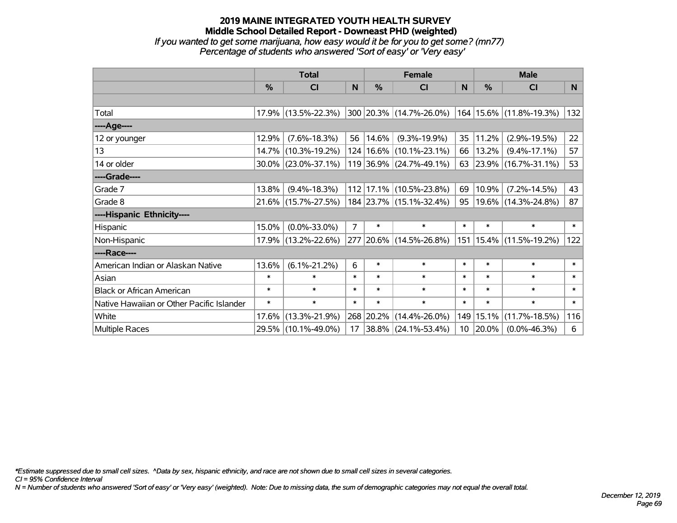*If you wanted to get some marijuana, how easy would it be for you to get some? (mn77) Percentage of students who answered 'Sort of easy' or 'Very easy'*

|                                           | <b>Total</b>  |                        |                |            | <b>Female</b>               | <b>Male</b>     |        |                             |        |
|-------------------------------------------|---------------|------------------------|----------------|------------|-----------------------------|-----------------|--------|-----------------------------|--------|
|                                           | $\frac{0}{0}$ | CI                     | N              | %          | CI                          | N               | %      | <b>CI</b>                   | N      |
|                                           |               |                        |                |            |                             |                 |        |                             |        |
| Total                                     |               | 17.9% (13.5%-22.3%)    |                |            | 300 20.3% (14.7%-26.0%)     |                 |        | 164   15.6%   (11.8%-19.3%) | 132    |
| ----Age----                               |               |                        |                |            |                             |                 |        |                             |        |
| 12 or younger                             | 12.9%         | $(7.6\% - 18.3\%)$     | 56             | $ 14.6\% $ | $(9.3\% - 19.9\%)$          | 35              | 11.2%  | $(2.9\% - 19.5\%)$          | 22     |
| 13                                        | 14.7%         | $(10.3\% - 19.2\%)$    |                |            | 124   16.6%   (10.1%-23.1%) | 66              | 13.2%  | $(9.4\% - 17.1\%)$          | 57     |
| 14 or older                               |               | $30.0\%$ (23.0%-37.1%) |                |            | $119$ 36.9% (24.7%-49.1%)   |                 |        | 63 23.9% (16.7%-31.1%)      | 53     |
| ----Grade----                             |               |                        |                |            |                             |                 |        |                             |        |
| Grade 7                                   | 13.8%         | $(9.4\% - 18.3\%)$     |                |            | 112 17.1% (10.5%-23.8%)     | 69              | 10.9%  | $(7.2\% - 14.5\%)$          | 43     |
| Grade 8                                   |               | 21.6% (15.7%-27.5%)    |                |            | 184 23.7% (15.1%-32.4%)     | 95              |        | 19.6% (14.3%-24.8%)         | 87     |
| ----Hispanic Ethnicity----                |               |                        |                |            |                             |                 |        |                             |        |
| Hispanic                                  | 15.0%         | $(0.0\% - 33.0\%)$     | $\overline{7}$ | $\ast$     | $\ast$                      | $\ast$          | $\ast$ | $\ast$                      | $\ast$ |
| Non-Hispanic                              |               | 17.9% (13.2%-22.6%)    |                |            | 277 20.6% (14.5%-26.8%)     | 151             |        | $15.4\%$ (11.5%-19.2%)      | 122    |
| ----Race----                              |               |                        |                |            |                             |                 |        |                             |        |
| American Indian or Alaskan Native         | 13.6%         | $(6.1\% - 21.2\%)$     | 6              | $\ast$     | $\ast$                      | $\ast$          | $\ast$ | $\ast$                      | $\ast$ |
| Asian                                     | $\ast$        | $\ast$                 | $\ast$         | $\ast$     | $\ast$                      | $\ast$          | $\ast$ | $\ast$                      | $\ast$ |
| <b>Black or African American</b>          | $\ast$        | $\ast$                 | $\ast$         | $\ast$     | $\ast$                      | $\ast$          | $\ast$ | $\ast$                      | $\ast$ |
| Native Hawaiian or Other Pacific Islander | $\ast$        | $\ast$                 | $\ast$         | $\ast$     | $\ast$                      | $\ast$          | $\ast$ | $\ast$                      | $\ast$ |
| White                                     | 17.6%         | $(13.3\% - 21.9\%)$    |                | 268 20.2%  | $(14.4\% - 26.0\%)$         | 149             | 15.1%  | $(11.7\% - 18.5\%)$         | 116    |
| Multiple Races                            |               | 29.5% (10.1%-49.0%)    | 17             |            | $ 38.8\% $ (24.1%-53.4%)    | 10 <sup>°</sup> | 20.0%  | $(0.0\% - 46.3\%)$          | 6      |

*\*Estimate suppressed due to small cell sizes. ^Data by sex, hispanic ethnicity, and race are not shown due to small cell sizes in several categories.*

*CI = 95% Confidence Interval*

*N = Number of students who answered 'Sort of easy' or 'Very easy' (weighted). Note: Due to missing data, the sum of demographic categories may not equal the overall total.*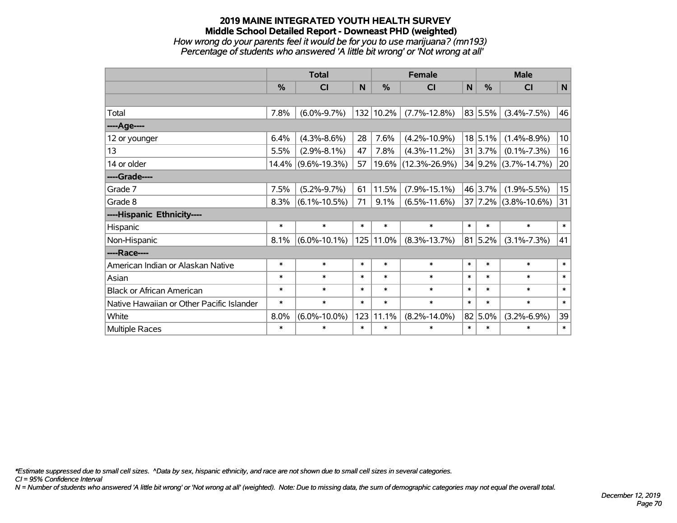#### **2019 MAINE INTEGRATED YOUTH HEALTH SURVEY Middle School Detailed Report - Downeast PHD (weighted)** *How wrong do your parents feel it would be for you to use marijuana? (mn193)*

*Percentage of students who answered 'A little bit wrong' or 'Not wrong at all'*

|                                           | <b>Total</b> |                       |        | <b>Female</b> | <b>Male</b>          |              |         |                                 |        |
|-------------------------------------------|--------------|-----------------------|--------|---------------|----------------------|--------------|---------|---------------------------------|--------|
|                                           | %            | <b>CI</b>             | N      | %             | <b>CI</b>            | $\mathsf{N}$ | %       | <b>CI</b>                       | N      |
|                                           |              |                       |        |               |                      |              |         |                                 |        |
| Total                                     | 7.8%         | $(6.0\% - 9.7\%)$     |        | 132 10.2%     | $(7.7\% - 12.8\%)$   |              | 83 5.5% | $(3.4\% - 7.5\%)$               | 46     |
| ----Age----                               |              |                       |        |               |                      |              |         |                                 |        |
| 12 or younger                             | 6.4%         | $(4.3\% - 8.6\%)$     | 28     | 7.6%          | $(4.2\% - 10.9\%)$   |              | 18 5.1% | $(1.4\% - 8.9\%)$               | 10     |
| 13                                        | 5.5%         | $(2.9\% - 8.1\%)$     | 47     | 7.8%          | $(4.3\% - 11.2\%)$   |              | 31 3.7% | $(0.1\% - 7.3\%)$               | 16     |
| 14 or older                               |              | $14.4\%$ (9.6%-19.3%) | 57     |               | 19.6%  (12.3%-26.9%) |              |         | 34 9.2% (3.7%-14.7%)            | 20     |
| ----Grade----                             |              |                       |        |               |                      |              |         |                                 |        |
| Grade 7                                   | 7.5%         | $(5.2\% - 9.7\%)$     | 61     | 11.5%         | $(7.9\% - 15.1\%)$   |              | 46 3.7% | $(1.9\% - 5.5\%)$               | 15     |
| Grade 8                                   | 8.3%         | $(6.1\% - 10.5\%)$    | 71     | 9.1%          | $(6.5\% - 11.6\%)$   |              |         | $37   7.2\%   (3.8\% - 10.6\%)$ | 31     |
| ----Hispanic Ethnicity----                |              |                       |        |               |                      |              |         |                                 |        |
| Hispanic                                  | $\ast$       | $\ast$                | $\ast$ | $\ast$        | $\ast$               | $\ast$       | $\ast$  | $\ast$                          | $\ast$ |
| Non-Hispanic                              | 8.1%         | $(6.0\% - 10.1\%)$    |        | 125 11.0%     | $(8.3\% - 13.7\%)$   |              | 81 5.2% | $(3.1\% - 7.3\%)$               | 41     |
| ----Race----                              |              |                       |        |               |                      |              |         |                                 |        |
| American Indian or Alaskan Native         | $\ast$       | $\ast$                | $\ast$ | $\ast$        | $\ast$               | $\ast$       | $\ast$  | $\ast$                          | $\ast$ |
| Asian                                     | $\ast$       | $\ast$                | $\ast$ | $\ast$        | $\ast$               | $\ast$       | $\ast$  | $\ast$                          | $\ast$ |
| <b>Black or African American</b>          | $\ast$       | $\ast$                | $\ast$ | $\ast$        | $\ast$               | $\ast$       | $\ast$  | $\ast$                          | $\ast$ |
| Native Hawaiian or Other Pacific Islander | $\ast$       | $\ast$                | $\ast$ | $\ast$        | $\ast$               | $\ast$       | $\ast$  | $\ast$                          | $\ast$ |
| White                                     | 8.0%         | $(6.0\% - 10.0\%)$    | 123    | 11.1%         | $(8.2\% - 14.0\%)$   |              | 82 5.0% | $(3.2\% - 6.9\%)$               | 39     |
| <b>Multiple Races</b>                     | $\ast$       | $\ast$                | $\ast$ | $\ast$        | $\ast$               | $\ast$       | $\ast$  | $\ast$                          | $\ast$ |

*\*Estimate suppressed due to small cell sizes. ^Data by sex, hispanic ethnicity, and race are not shown due to small cell sizes in several categories.*

*CI = 95% Confidence Interval*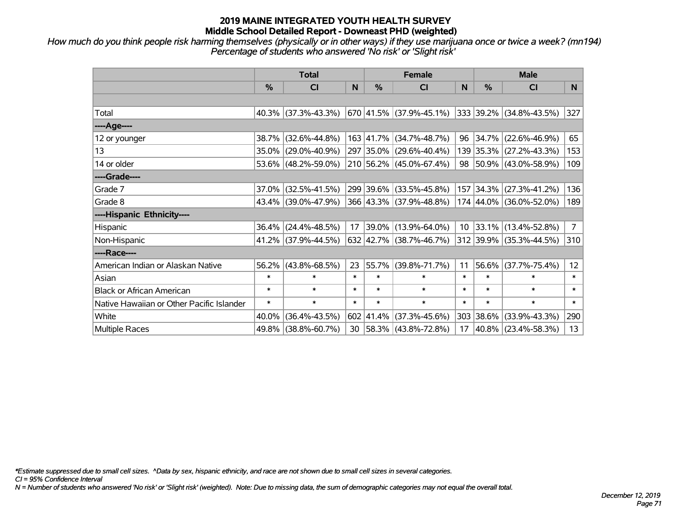*How much do you think people risk harming themselves (physically or in other ways) if they use marijuana once or twice a week? (mn194) Percentage of students who answered 'No risk' or 'Slight risk'*

|                                           | <b>Total</b>  |                        |        |               | <b>Female</b>             |        | <b>Male</b>   |                              |                 |  |
|-------------------------------------------|---------------|------------------------|--------|---------------|---------------------------|--------|---------------|------------------------------|-----------------|--|
|                                           | $\frac{0}{0}$ | CI                     | N      | $\frac{0}{0}$ | <b>CI</b>                 | N      | $\frac{0}{0}$ | <b>CI</b>                    | N.              |  |
|                                           |               |                        |        |               |                           |        |               |                              |                 |  |
| Total                                     |               | $40.3\%$ (37.3%-43.3%) |        |               | 670  41.5%  (37.9%-45.1%) |        |               | $ 333 39.2\% $ (34.8%-43.5%) | 327             |  |
| ----Age----                               |               |                        |        |               |                           |        |               |                              |                 |  |
| 12 or younger                             | 38.7%         | $(32.6\% - 44.8\%)$    |        |               | 163 41.7% (34.7%-48.7%)   | 96     | $ 34.7\% $    | $(22.6\% - 46.9\%)$          | 65              |  |
| 13                                        |               | 35.0% (29.0%-40.9%)    |        |               | 297 35.0% (29.6%-40.4%)   |        |               | 139 35.3% (27.2%-43.3%)      | 153             |  |
| 14 or older                               |               | 53.6% (48.2%-59.0%)    |        |               | 210 56.2% (45.0%-67.4%)   |        |               | 98 50.9% (43.0%-58.9%)       | 109             |  |
| ----Grade----                             |               |                        |        |               |                           |        |               |                              |                 |  |
| Grade 7                                   | $37.0\%$      | $(32.5\% - 41.5\%)$    |        |               | 299 39.6% (33.5%-45.8%)   |        | 157 34.3%     | $(27.3\% - 41.2\%)$          | 136             |  |
| Grade 8                                   |               | 43.4% (39.0%-47.9%)    |        |               | 366 43.3% (37.9%-48.8%)   |        |               | 174 44.0% (36.0%-52.0%)      | 189             |  |
| ----Hispanic Ethnicity----                |               |                        |        |               |                           |        |               |                              |                 |  |
| Hispanic                                  |               | 36.4% (24.4%-48.5%)    | 17     |               | $ 39.0\% $ (13.9%-64.0%)  |        |               | 10 33.1% (13.4%-52.8%)       | $\overline{7}$  |  |
| Non-Hispanic                              |               | 41.2% (37.9%-44.5%)    |        |               | 632 42.7% (38.7%-46.7%)   |        |               | 312 39.9% (35.3%-44.5%)      | 310             |  |
| ----Race----                              |               |                        |        |               |                           |        |               |                              |                 |  |
| American Indian or Alaskan Native         |               | $56.2\%$ (43.8%-68.5%) | 23     | 55.7%         | $(39.8\% - 71.7\%)$       | 11     | 56.6%         | $(37.7\% - 75.4\%)$          | 12 <sup>2</sup> |  |
| Asian                                     | $\ast$        | $\ast$                 | $\ast$ | $\ast$        | $\ast$                    | $\ast$ | $\ast$        | $\ast$                       | $\ast$          |  |
| <b>Black or African American</b>          | $\ast$        | $\ast$                 | $\ast$ | $\ast$        | $\ast$                    | $\ast$ | $\ast$        | $\ast$                       | $\ast$          |  |
| Native Hawaiian or Other Pacific Islander | $\ast$        | $\ast$                 | $\ast$ | $\ast$        | $\ast$                    | $\ast$ | $\ast$        | $\ast$                       | $\ast$          |  |
| White                                     | 40.0%         | $(36.4\% - 43.5\%)$    | 602    | 41.4%         | $(37.3\% - 45.6\%)$       | 303    | 38.6%         | $(33.9\% - 43.3\%)$          | 290             |  |
| Multiple Races                            |               | 49.8% (38.8%-60.7%)    |        |               | 30 58.3% (43.8%-72.8%)    | 17     |               | 40.8% (23.4%-58.3%)          | 13              |  |

*\*Estimate suppressed due to small cell sizes. ^Data by sex, hispanic ethnicity, and race are not shown due to small cell sizes in several categories.*

*CI = 95% Confidence Interval*

*N = Number of students who answered 'No risk' or 'Slight risk' (weighted). Note: Due to missing data, the sum of demographic categories may not equal the overall total.*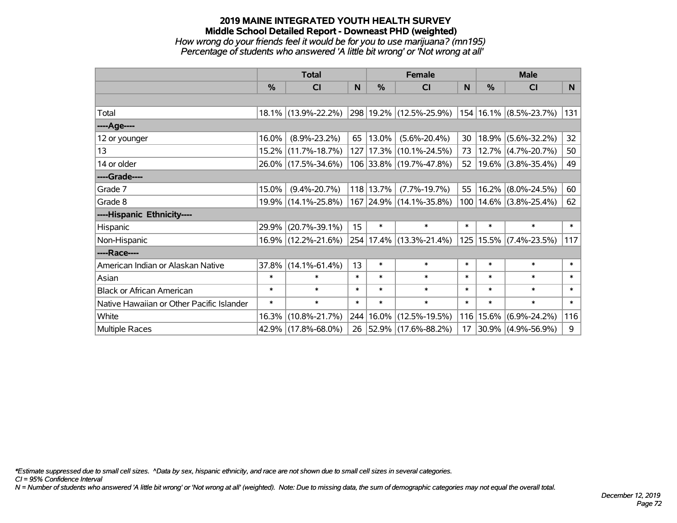#### **2019 MAINE INTEGRATED YOUTH HEALTH SURVEY Middle School Detailed Report - Downeast PHD (weighted)** *How wrong do your friends feel it would be for you to use marijuana? (mn195) Percentage of students who answered 'A little bit wrong' or 'Not wrong at all'*

|                                           | <b>Total</b> |                     |        | <b>Female</b> | <b>Male</b>                                    |        |             |                            |        |
|-------------------------------------------|--------------|---------------------|--------|---------------|------------------------------------------------|--------|-------------|----------------------------|--------|
|                                           | %            | <b>CI</b>           | N      | $\frac{0}{0}$ | CI                                             | N      | $\%$        | <b>CI</b>                  | N      |
|                                           |              |                     |        |               |                                                |        |             |                            |        |
| Total                                     |              | 18.1% (13.9%-22.2%) |        |               | 298 19.2% (12.5%-25.9%) 154 16.1% (8.5%-23.7%) |        |             |                            | 131    |
| ----Age----                               |              |                     |        |               |                                                |        |             |                            |        |
| 12 or younger                             | 16.0%        | $(8.9\% - 23.2\%)$  | 65     | 13.0%         | $(5.6\% - 20.4\%)$                             | 30     | 18.9%       | $(5.6\% - 32.2\%)$         | 32     |
| 13                                        |              | 15.2% (11.7%-18.7%) |        |               | 127   17.3%   (10.1%-24.5%)                    | 73     |             | 12.7% (4.7%-20.7%)         | 50     |
| 14 or older                               |              | 26.0% (17.5%-34.6%) |        |               | 106 33.8% (19.7%-47.8%)                        | 52     |             | 19.6% (3.8%-35.4%)         | 49     |
| ----Grade----                             |              |                     |        |               |                                                |        |             |                            |        |
| Grade 7                                   | 15.0%        | $(9.4\% - 20.7\%)$  |        | 118 13.7%     | $(7.7\% - 19.7\%)$                             | 55     | 16.2%       | $(8.0\% - 24.5\%)$         | 60     |
| Grade 8                                   |              | 19.9% (14.1%-25.8%) |        |               | 167 24.9% (14.1%-35.8%)                        |        |             | 100   14.6%   (3.8%-25.4%) | 62     |
| ----Hispanic Ethnicity----                |              |                     |        |               |                                                |        |             |                            |        |
| Hispanic                                  | 29.9%        | $(20.7\% - 39.1\%)$ | 15     | $\ast$        | $\ast$                                         | $\ast$ | $\ast$      | $\ast$                     | $\ast$ |
| Non-Hispanic                              |              | 16.9% (12.2%-21.6%) |        |               | 254 17.4% (13.3%-21.4%)                        |        | 125   15.5% | $(7.4\% - 23.5\%)$         | 117    |
| ----Race----                              |              |                     |        |               |                                                |        |             |                            |        |
| American Indian or Alaskan Native         | 37.8%        | $(14.1\% - 61.4\%)$ | 13     | $\ast$        | $\ast$                                         | $\ast$ | $\ast$      | $\ast$                     | $\ast$ |
| Asian                                     | $\ast$       | $\ast$              | $\ast$ | $\ast$        | $\ast$                                         | $\ast$ | $\ast$      | $\ast$                     | $\ast$ |
| <b>Black or African American</b>          | $\ast$       | $\ast$              | $\ast$ | $\ast$        | $\ast$                                         | $\ast$ | $\ast$      | $\ast$                     | $\ast$ |
| Native Hawaiian or Other Pacific Islander | $\ast$       | $\ast$              | $\ast$ | $\ast$        | $\ast$                                         | $\ast$ | $\ast$      | $\ast$                     | $\ast$ |
| White                                     | 16.3%        | $(10.8\% - 21.7\%)$ | 244    | 16.0%         | $(12.5\% - 19.5\%)$                            | 116    | 15.6%       | $(6.9\% - 24.2\%)$         | 116    |
| Multiple Races                            |              | 42.9% (17.8%-68.0%) | 26     |               | $ 52.9\% $ (17.6%-88.2%)                       | 17     |             | 30.9% (4.9%-56.9%)         | 9      |

*\*Estimate suppressed due to small cell sizes. ^Data by sex, hispanic ethnicity, and race are not shown due to small cell sizes in several categories.*

*CI = 95% Confidence Interval*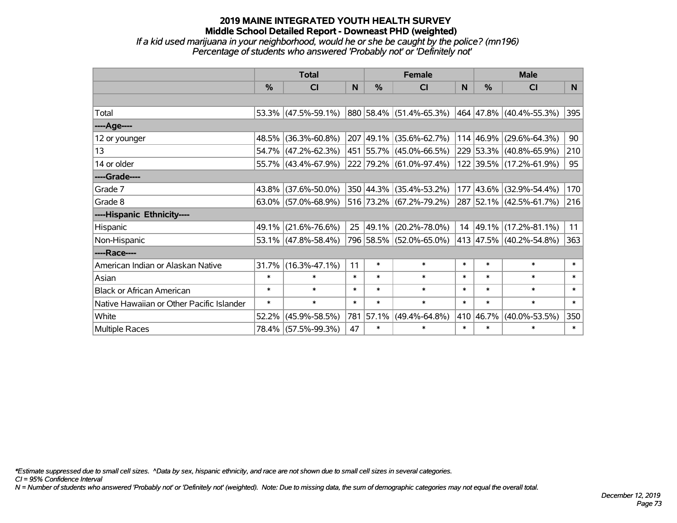*If a kid used marijuana in your neighborhood, would he or she be caught by the police? (mn196) Percentage of students who answered 'Probably not' or 'Definitely not'*

|                                           | <b>Total</b>  |                                                |        |               | <b>Female</b>                    |        | <b>Male</b>   |                              |        |  |
|-------------------------------------------|---------------|------------------------------------------------|--------|---------------|----------------------------------|--------|---------------|------------------------------|--------|--|
|                                           | $\frac{0}{0}$ | <b>CI</b>                                      | N      | $\frac{0}{0}$ | <b>CI</b>                        | N      | $\frac{0}{0}$ | <b>CI</b>                    | N.     |  |
|                                           |               |                                                |        |               |                                  |        |               |                              |        |  |
| Total                                     |               | 53.3% (47.5%-59.1%)                            |        |               | $ 880 58.4\%  (51.4\% - 65.3\%)$ |        |               | $ 464 47.8\% $ (40.4%-55.3%) | 395    |  |
| ----Age----                               |               |                                                |        |               |                                  |        |               |                              |        |  |
| 12 or younger                             | 48.5%         | $(36.3\% - 60.8\%)$                            |        |               | 207 49.1% (35.6%-62.7%)          |        | 114 46.9%     | $(29.6\% - 64.3\%)$          | 90     |  |
| 13                                        |               | 54.7% (47.2%-62.3%)                            |        |               | 451 55.7% (45.0%-66.5%)          |        |               | 229 53.3% (40.8%-65.9%)      | 210    |  |
| 14 or older                               |               | 55.7% (43.4%-67.9%)                            |        |               | 222 79.2% (61.0%-97.4%)          |        |               | 122 39.5% (17.2%-61.9%)      | 95     |  |
| ----Grade----                             |               |                                                |        |               |                                  |        |               |                              |        |  |
| Grade 7                                   | $43.8\%$      | $(37.6\% - 50.0\%)$                            |        |               | 350 44.3% (35.4%-53.2%)          |        | 177 43.6%     | $(32.9\% - 54.4\%)$          | 170    |  |
| Grade 8                                   |               | $63.0\%$ (57.0%-68.9%) 516 73.2% (67.2%-79.2%) |        |               |                                  |        |               | 287 52.1% (42.5%-61.7%)      | 216    |  |
| ----Hispanic Ethnicity----                |               |                                                |        |               |                                  |        |               |                              |        |  |
| Hispanic                                  | 49.1%         | $(21.6\% - 76.6\%)$                            | 25     | 49.1%         | $(20.2\% - 78.0\%)$              |        | 14 49.1%      | $(17.2\% - 81.1\%)$          | 11     |  |
| Non-Hispanic                              |               | 53.1% (47.8%-58.4%)                            |        |               | 796 58.5% (52.0%-65.0%)          |        |               | 413 47.5% (40.2%-54.8%)      | 363    |  |
| ----Race----                              |               |                                                |        |               |                                  |        |               |                              |        |  |
| American Indian or Alaskan Native         | 31.7%         | $(16.3\% - 47.1\%)$                            | 11     | $\ast$        | $\ast$                           | $\ast$ | $\ast$        | $\ast$                       | $\ast$ |  |
| Asian                                     | $\ast$        | $\ast$                                         | $\ast$ | $\ast$        | $\ast$                           | $\ast$ | $\ast$        | $\ast$                       | $\ast$ |  |
| <b>Black or African American</b>          | $\ast$        | $\ast$                                         | $\ast$ | $\ast$        | $\ast$                           | $\ast$ | $\ast$        | $\ast$                       | $\ast$ |  |
| Native Hawaiian or Other Pacific Islander | $\ast$        | $\ast$                                         | $\ast$ | $\ast$        | $\ast$                           | $\ast$ | $\ast$        | $\ast$                       | $\ast$ |  |
| White                                     | 52.2%         | $(45.9\% - 58.5\%)$                            | 781    | 57.1%         | $(49.4\% - 64.8\%)$              | 410    | 46.7%         | $(40.0\% - 53.5\%)$          | 350    |  |
| <b>Multiple Races</b>                     |               | 78.4% (57.5%-99.3%)                            | 47     | $\ast$        | $\ast$                           | $\ast$ | $\ast$        | $\ast$                       | $\ast$ |  |

*\*Estimate suppressed due to small cell sizes. ^Data by sex, hispanic ethnicity, and race are not shown due to small cell sizes in several categories.*

*CI = 95% Confidence Interval*

*N = Number of students who answered 'Probably not' or 'Definitely not' (weighted). Note: Due to missing data, the sum of demographic categories may not equal the overall total.*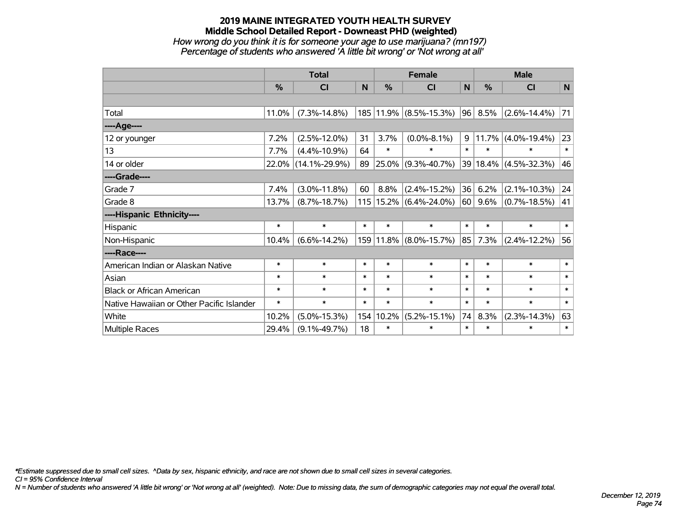*How wrong do you think it is for someone your age to use marijuana? (mn197) Percentage of students who answered 'A little bit wrong' or 'Not wrong at all'*

|                                           | <b>Total</b> |                     |        |        | <b>Female</b>              | <b>Male</b> |               |                       |              |
|-------------------------------------------|--------------|---------------------|--------|--------|----------------------------|-------------|---------------|-----------------------|--------------|
|                                           | $\%$         | <b>CI</b>           | N      | %      | <b>CI</b>                  | N           | $\frac{0}{0}$ | <b>CI</b>             | N            |
|                                           |              |                     |        |        |                            |             |               |                       |              |
| Total                                     | 11.0%        | $(7.3\% - 14.8\%)$  |        |        | 185   11.9%   (8.5%-15.3%) | 96          | 8.5%          | $(2.6\% - 14.4\%)$    | 71           |
| ----Age----                               |              |                     |        |        |                            |             |               |                       |              |
| 12 or younger                             | 7.2%         | $(2.5\% - 12.0\%)$  | 31     | 3.7%   | $(0.0\% - 8.1\%)$          | 9           | 11.7%         | $(4.0\% - 19.4\%)$    | 23           |
| 13                                        | 7.7%         | $(4.4\% - 10.9\%)$  | 64     | $\ast$ | $\ast$                     | $\ast$      | $\ast$        | $\ast$                | $\ast$       |
| 14 or older                               | 22.0%        | $(14.1\% - 29.9\%)$ | 89     |        | $25.0\%$ (9.3%-40.7%)      |             |               | 39 18.4% (4.5%-32.3%) | 46           |
| ----Grade----                             |              |                     |        |        |                            |             |               |                       |              |
| Grade 7                                   | 7.4%         | $(3.0\% - 11.8\%)$  | 60     | 8.8%   | $(2.4\% - 15.2\%)$         | 36          | 6.2%          | $(2.1\% - 10.3\%)$    | 24           |
| Grade 8                                   | 13.7%        | $(8.7\% - 18.7\%)$  |        |        | $115$   15.2% (6.4%-24.0%) | 60          | $9.6\%$       | $(0.7\% - 18.5\%)$    | 41           |
| ----Hispanic Ethnicity----                |              |                     |        |        |                            |             |               |                       |              |
| Hispanic                                  | $\ast$       | $\ast$              | $\ast$ | $\ast$ | $\ast$                     | $\ast$      | $\ast$        | $\ast$                | $\ast$       |
| Non-Hispanic                              | 10.4%        | $(6.6\% - 14.2\%)$  |        |        | 159 11.8% (8.0%-15.7%)     | 85          | 7.3%          | $(2.4\% - 12.2\%)$    | 56           |
| ----Race----                              |              |                     |        |        |                            |             |               |                       |              |
| American Indian or Alaskan Native         | $\ast$       | $\ast$              | $\ast$ | $\ast$ | $\ast$                     | $\ast$      | $\ast$        | $\ast$                | $\ast$       |
| Asian                                     | $\ast$       | $\ast$              | $\ast$ | $\ast$ | $\ast$                     | $\ast$      | $\ast$        | $\ast$                | $\ast$       |
| <b>Black or African American</b>          | $\ast$       | $\ast$              | $\ast$ | $\ast$ | $\ast$                     | $\ast$      | $\ast$        | $\ast$                | $\ast$       |
| Native Hawaiian or Other Pacific Islander | $\ast$       | $\ast$              | $\ast$ | $\ast$ | $\ast$                     | $\ast$      | $\ast$        | $\ast$                | $\pmb{\ast}$ |
| White                                     | 10.2%        | $(5.0\% - 15.3\%)$  | 154    | 10.2%  | $(5.2\% - 15.1\%)$         | 74          | 8.3%          | $(2.3\% - 14.3\%)$    | 63           |
| Multiple Races                            | 29.4%        | $(9.1\% - 49.7\%)$  | 18     | $\ast$ | $\ast$                     | $\ast$      | $\ast$        | *                     | $\ast$       |

*\*Estimate suppressed due to small cell sizes. ^Data by sex, hispanic ethnicity, and race are not shown due to small cell sizes in several categories.*

*CI = 95% Confidence Interval*

*N = Number of students who answered 'A little bit wrong' or 'Not wrong at all' (weighted). Note: Due to missing data, the sum of demographic categories may not equal the overall total.*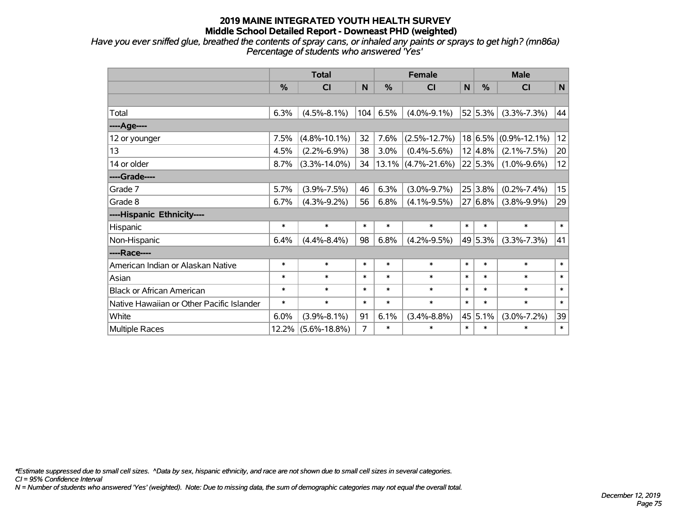*Have you ever sniffed glue, breathed the contents of spray cans, or inhaled any paints or sprays to get high? (mn86a) Percentage of students who answered 'Yes'*

|                                           | <b>Total</b> |                    |        |        | <b>Female</b>         | <b>Male</b> |         |                    |             |
|-------------------------------------------|--------------|--------------------|--------|--------|-----------------------|-------------|---------|--------------------|-------------|
|                                           | %            | <b>CI</b>          | N      | %      | CI                    | N           | %       | <b>CI</b>          | $\mathbf N$ |
|                                           |              |                    |        |        |                       |             |         |                    |             |
| Total                                     | 6.3%         | $(4.5\% - 8.1\%)$  | 104    | 6.5%   | $(4.0\% - 9.1\%)$     |             | 52 5.3% | $(3.3\% - 7.3\%)$  | 44          |
| ----Age----                               |              |                    |        |        |                       |             |         |                    |             |
| 12 or younger                             | 7.5%         | $(4.8\% - 10.1\%)$ | 32     | 7.6%   | $(2.5\% - 12.7\%)$    |             | 18 6.5% | $(0.9\% - 12.1\%)$ | 12          |
| 13                                        | 4.5%         | $(2.2\% - 6.9\%)$  | 38     | 3.0%   | $(0.4\% - 5.6\%)$     |             | 12 4.8% | $(2.1\% - 7.5\%)$  | 20          |
| 14 or older                               | 8.7%         | $(3.3\% - 14.0\%)$ | 34     |        | $13.1\%$ (4.7%-21.6%) |             | 22 5.3% | $(1.0\% - 9.6\%)$  | 12          |
| ----Grade----                             |              |                    |        |        |                       |             |         |                    |             |
| Grade 7                                   | 5.7%         | $(3.9\% - 7.5\%)$  | 46     | 6.3%   | $(3.0\% - 9.7\%)$     |             | 25 3.8% | $(0.2\% - 7.4\%)$  | 15          |
| Grade 8                                   | 6.7%         | $(4.3\% - 9.2\%)$  | 56     | 6.8%   | $(4.1\% - 9.5\%)$     |             | 27 6.8% | $(3.8\% - 9.9\%)$  | 29          |
| ----Hispanic Ethnicity----                |              |                    |        |        |                       |             |         |                    |             |
| Hispanic                                  | $\ast$       | $\ast$             | $\ast$ | $\ast$ | $\ast$                | $\ast$      | $\ast$  | $\ast$             | $\ast$      |
| Non-Hispanic                              | 6.4%         | $(4.4\% - 8.4\%)$  | 98     | 6.8%   | $(4.2\% - 9.5\%)$     |             | 49 5.3% | $(3.3\% - 7.3\%)$  | 41          |
| ----Race----                              |              |                    |        |        |                       |             |         |                    |             |
| American Indian or Alaskan Native         | $\ast$       | $\ast$             | $\ast$ | $\ast$ | $\ast$                | $\ast$      | $\ast$  | $\ast$             | $\ast$      |
| Asian                                     | $\ast$       | $\ast$             | $\ast$ | $\ast$ | $\ast$                | $\ast$      | $\ast$  | $\ast$             | $\ast$      |
| <b>Black or African American</b>          | $\ast$       | $\ast$             | $\ast$ | $\ast$ | $\ast$                | $\ast$      | $\ast$  | $\ast$             | $\ast$      |
| Native Hawaiian or Other Pacific Islander | $\ast$       | $\ast$             | $\ast$ | $\ast$ | $\ast$                | $\ast$      | $\ast$  | $\ast$             | $\ast$      |
| White                                     | 6.0%         | $(3.9\% - 8.1\%)$  | 91     | 6.1%   | $(3.4\% - 8.8\%)$     |             | 45 5.1% | $(3.0\% - 7.2\%)$  | 39          |
| <b>Multiple Races</b>                     | 12.2%        | $(5.6\% - 18.8\%)$ | 7      | $\ast$ | $\ast$                | $\ast$      | $\ast$  | $\ast$             | $\ast$      |

*\*Estimate suppressed due to small cell sizes. ^Data by sex, hispanic ethnicity, and race are not shown due to small cell sizes in several categories.*

*CI = 95% Confidence Interval*

*N = Number of students who answered 'Yes' (weighted). Note: Due to missing data, the sum of demographic categories may not equal the overall total.*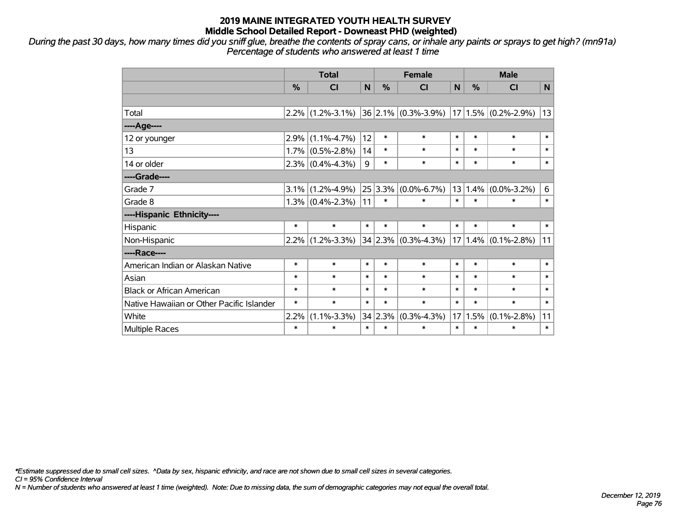*During the past 30 days, how many times did you sniff glue, breathe the contents of spray cans, or inhale any paints or sprays to get high? (mn91a) Percentage of students who answered at least 1 time*

|                                           | <b>Total</b> |                     |        | <b>Female</b> |                              |        | <b>Male</b> |                         |        |  |
|-------------------------------------------|--------------|---------------------|--------|---------------|------------------------------|--------|-------------|-------------------------|--------|--|
|                                           | $\%$         | <b>CI</b>           | N      | $\frac{0}{0}$ | <b>CI</b>                    | N      | $\%$        | <b>CI</b>               | N      |  |
|                                           |              |                     |        |               |                              |        |             |                         |        |  |
| Total                                     |              | $2.2\%$ (1.2%-3.1%) |        |               | $ 36 2.1\%  (0.3\% - 3.9\%)$ |        |             | $17 1.5\% $ (0.2%-2.9%) | 13     |  |
| ----Age----                               |              |                     |        |               |                              |        |             |                         |        |  |
| 12 or younger                             | 2.9%         | $(1.1\% - 4.7\%)$   | 12     | $\ast$        | $\ast$                       | $\ast$ | $\ast$      | $\ast$                  | $\ast$ |  |
| 13                                        | 1.7%         | $(0.5\% - 2.8\%)$   | 14     | $\ast$        | $\ast$                       | $\ast$ | $\ast$      | $\ast$                  | $\ast$ |  |
| 14 or older                               |              | $2.3\%$ (0.4%-4.3%) | 9      | $\ast$        | $\ast$                       | $\ast$ | $\ast$      | $\ast$                  | $\ast$ |  |
| ----Grade----                             |              |                     |        |               |                              |        |             |                         |        |  |
| Grade 7                                   | 3.1%         | $(1.2\% - 4.9\%)$   |        |               | $25 3.3\% $ (0.0%-6.7%)      |        | 13 1.4%     | $(0.0\% - 3.2\%)$       | 6      |  |
| Grade 8                                   |              | $1.3\%$ (0.4%-2.3%) | 11     | $\ast$        | $\ast$                       | $\ast$ | $\ast$      | $\ast$                  | $\ast$ |  |
| ----Hispanic Ethnicity----                |              |                     |        |               |                              |        |             |                         |        |  |
| Hispanic                                  | $\ast$       | $\ast$              | $\ast$ | $\ast$        | $\ast$                       | $\ast$ | $\ast$      | $\ast$                  | $\ast$ |  |
| Non-Hispanic                              | 2.2%         | $(1.2\% - 3.3\%)$   |        |               | $34 2.3\% $ (0.3%-4.3%)      |        | $17 1.4\% $ | $(0.1\% - 2.8\%)$       | 11     |  |
| ----Race----                              |              |                     |        |               |                              |        |             |                         |        |  |
| American Indian or Alaskan Native         | $\ast$       | $\ast$              | $\ast$ | $\ast$        | $\ast$                       | $\ast$ | $\ast$      | $\ast$                  | $\ast$ |  |
| Asian                                     | $\ast$       | $\ast$              | $\ast$ | $\ast$        | $\ast$                       | $\ast$ | $\ast$      | $\ast$                  | $\ast$ |  |
| <b>Black or African American</b>          | $\ast$       | $\ast$              | $\ast$ | $\ast$        | $\ast$                       | $\ast$ | $\ast$      | $\ast$                  | $\ast$ |  |
| Native Hawaiian or Other Pacific Islander | $\ast$       | $\ast$              | $\ast$ | $\ast$        | $\ast$                       | $\ast$ | $\ast$      | $\ast$                  | $\ast$ |  |
| White                                     | 2.2%         | $(1.1\% - 3.3\%)$   | 34     | 2.3%          | $(0.3\% - 4.3\%)$            | 17     | 1.5%        | $(0.1\% - 2.8\%)$       | 11     |  |
| Multiple Races                            | $\ast$       | $\ast$              | $\ast$ | $\ast$        | $\ast$                       | $\ast$ | $\ast$      | $\ast$                  | $\ast$ |  |

*\*Estimate suppressed due to small cell sizes. ^Data by sex, hispanic ethnicity, and race are not shown due to small cell sizes in several categories.*

*CI = 95% Confidence Interval*

*N = Number of students who answered at least 1 time (weighted). Note: Due to missing data, the sum of demographic categories may not equal the overall total.*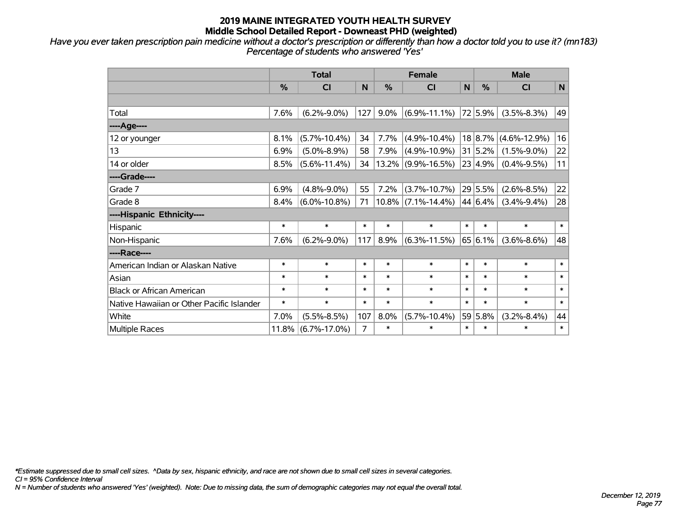*Have you ever taken prescription pain medicine without a doctor's prescription or differently than how a doctor told you to use it? (mn183) Percentage of students who answered 'Yes'*

|                                           | <b>Total</b> |                    |        |          | <b>Female</b>         | <b>Male</b>  |         |                    |             |
|-------------------------------------------|--------------|--------------------|--------|----------|-----------------------|--------------|---------|--------------------|-------------|
|                                           | %            | C <sub>l</sub>     | N      | %        | <b>CI</b>             | $\mathsf{N}$ | %       | <b>CI</b>          | $\mathbf N$ |
|                                           |              |                    |        |          |                       |              |         |                    |             |
| Total                                     | 7.6%         | $(6.2\% - 9.0\%)$  | 127    | 9.0%     | $(6.9\% - 11.1\%)$    |              | 72 5.9% | $(3.5\% - 8.3\%)$  | 49          |
| ---- Age----                              |              |                    |        |          |                       |              |         |                    |             |
| 12 or younger                             | 8.1%         | $(5.7\% - 10.4\%)$ | 34     | 7.7%     | $(4.9\% - 10.4\%)$    |              | 18 8.7% | $(4.6\% - 12.9\%)$ | 16          |
| 13                                        | 6.9%         | $(5.0\% - 8.9\%)$  | 58     | 7.9%     | $(4.9\% - 10.9\%)$    |              | 31 5.2% | $(1.5\% - 9.0\%)$  | 22          |
| 14 or older                               | 8.5%         | $(5.6\% - 11.4\%)$ | 34     | $13.2\%$ | $(9.9\% - 16.5\%)$    |              | 23 4.9% | $(0.4\% - 9.5\%)$  | 11          |
| ----Grade----                             |              |                    |        |          |                       |              |         |                    |             |
| Grade 7                                   | 6.9%         | $(4.8\% - 9.0\%)$  | 55     | 7.2%     | $(3.7\% - 10.7\%)$    |              | 29 5.5% | $(2.6\% - 8.5\%)$  | 22          |
| Grade 8                                   | 8.4%         | $(6.0\% - 10.8\%)$ | 71     |          | $10.8\%$ (7.1%-14.4%) |              | 44 6.4% | $(3.4\% - 9.4\%)$  | 28          |
| ----Hispanic Ethnicity----                |              |                    |        |          |                       |              |         |                    |             |
| Hispanic                                  | $\ast$       | $\ast$             | $\ast$ | $\ast$   | $\ast$                | $\ast$       | $\ast$  | $\ast$             | $\ast$      |
| Non-Hispanic                              | 7.6%         | $(6.2\% - 9.0\%)$  | 117    | 8.9%     | $(6.3\% - 11.5\%)$    |              | 65 6.1% | $(3.6\% - 8.6\%)$  | 48          |
| ----Race----                              |              |                    |        |          |                       |              |         |                    |             |
| American Indian or Alaskan Native         | $\ast$       | $\ast$             | $\ast$ | $\ast$   | $\ast$                | $\ast$       | $\ast$  | $\ast$             | $\ast$      |
| Asian                                     | $\ast$       | $\ast$             | $\ast$ | $\ast$   | $\ast$                | $\ast$       | $\ast$  | $\ast$             | $\ast$      |
| <b>Black or African American</b>          | $\ast$       | $\ast$             | $\ast$ | $\ast$   | $\ast$                | $\ast$       | $\ast$  | $\ast$             | $\ast$      |
| Native Hawaiian or Other Pacific Islander | $\ast$       | $\ast$             | $\ast$ | $\ast$   | $\ast$                | $\ast$       | $\ast$  | $\ast$             | $\ast$      |
| White                                     | 7.0%         | $(5.5\% - 8.5\%)$  | 107    | 8.0%     | $(5.7\% - 10.4\%)$    |              | 59 5.8% | $(3.2\% - 8.4\%)$  | 44          |
| Multiple Races                            | $11.8\%$     | $(6.7\% - 17.0\%)$ | 7      | $\ast$   | $\ast$                | $\ast$       | $\ast$  | $\ast$             | $\ast$      |

*\*Estimate suppressed due to small cell sizes. ^Data by sex, hispanic ethnicity, and race are not shown due to small cell sizes in several categories.*

*CI = 95% Confidence Interval*

*N = Number of students who answered 'Yes' (weighted). Note: Due to missing data, the sum of demographic categories may not equal the overall total.*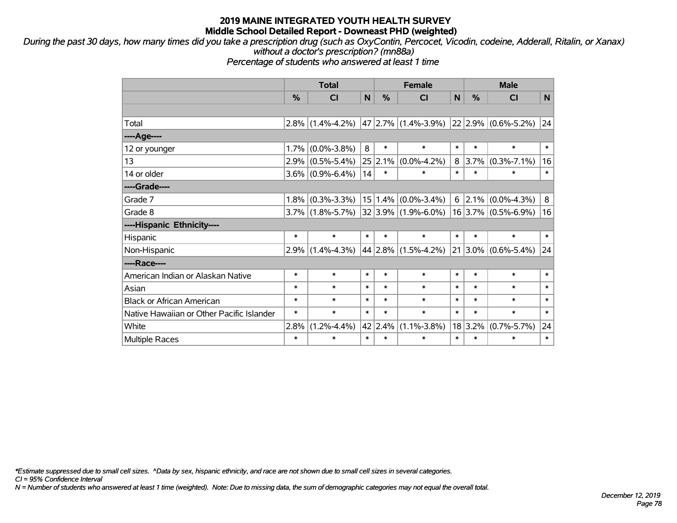*During the past 30 days, how many times did you take a prescription drug (such as OxyContin, Percocet, Vicodin, codeine, Adderall, Ritalin, or Xanax) without a doctor's prescription? (mn88a)*

*Percentage of students who answered at least 1 time*

|                                           | <b>Total</b> |                     |        |         | <b>Female</b>           | <b>Male</b> |             |                       |        |
|-------------------------------------------|--------------|---------------------|--------|---------|-------------------------|-------------|-------------|-----------------------|--------|
|                                           | %            | <b>CI</b>           | N      | %       | <b>CI</b>               | N           | %           | <b>CI</b>             | N      |
|                                           |              |                     |        |         |                         |             |             |                       |        |
| Total                                     | 2.8%         | $(1.4\% - 4.2\%)$   |        |         | $47 2.7\% $ (1.4%-3.9%) |             |             | 22 2.9% (0.6%-5.2%)   | 24     |
| ----Age----                               |              |                     |        |         |                         |             |             |                       |        |
| 12 or younger                             | 1.7%         | $(0.0\% - 3.8\%)$   | 8      | $\ast$  | $\ast$                  | $\ast$      | $\ast$      | $\ast$                | $\ast$ |
| 13                                        | 2.9%         | $(0.5\% - 5.4\%)$   | 25     | 2.1%    | $(0.0\% - 4.2\%)$       |             | 8 3.7%      | $(0.3\% - 7.1\%)$     | 16     |
| 14 or older                               |              | $3.6\%$ (0.9%-6.4%) | 14     | $\ast$  | $\ast$                  | $\ast$      | $\ast$      | $\ast$                | $\ast$ |
| ----Grade----                             |              |                     |        |         |                         |             |             |                       |        |
| Grade 7                                   | 1.8%         | $(0.3\% - 3.3\%)$   |        |         | $15 1.4\% $ (0.0%-3.4%) |             | $6$   2.1%  | $(0.0\% - 4.3\%)$     | 8      |
| Grade 8                                   |              | $3.7\%$ (1.8%-5.7%) |        |         | $32 3.9\% $ (1.9%-6.0%) |             |             | $16$ 3.7% (0.5%-6.9%) | 16     |
| ----Hispanic Ethnicity----                |              |                     |        |         |                         |             |             |                       |        |
| Hispanic                                  | $\ast$       | $\ast$              | $\ast$ | $\ast$  | $\ast$                  | $\ast$      | $\ast$      | $\ast$                | $\ast$ |
| Non-Hispanic                              | 2.9%         | $(1.4\% - 4.3\%)$   |        |         | 44 2.8% (1.5%-4.2%)     |             | $21 3.0\% $ | $(0.6\% - 5.4\%)$     | 24     |
| ----Race----                              |              |                     |        |         |                         |             |             |                       |        |
| American Indian or Alaskan Native         | $\ast$       | $\ast$              | $\ast$ | $\ast$  | $\ast$                  | $\ast$      | $\ast$      | $\ast$                | $\ast$ |
| Asian                                     | $\ast$       | $\ast$              | $\ast$ | $\ast$  | $\ast$                  | $\ast$      | $\ast$      | $\ast$                | $\ast$ |
| <b>Black or African American</b>          | $\ast$       | $\ast$              | $\ast$ | $\ast$  | $\ast$                  | $\ast$      | $\ast$      | $\ast$                | $\ast$ |
| Native Hawaiian or Other Pacific Islander | $\ast$       | $\ast$              | $\ast$ | $\ast$  | $\ast$                  | $\ast$      | $\ast$      | $\ast$                | $\ast$ |
| White                                     | 2.8%         | $(1.2\% - 4.4\%)$   |        | 42 2.4% | $(1.1\% - 3.8\%)$       |             | 18 3.2%     | $(0.7\% - 5.7\%)$     | 24     |
| Multiple Races                            | $\ast$       | $\ast$              | $\ast$ | $\ast$  | $\ast$                  | $\ast$      | $\ast$      | $\ast$                | $\ast$ |

*\*Estimate suppressed due to small cell sizes. ^Data by sex, hispanic ethnicity, and race are not shown due to small cell sizes in several categories.*

*CI = 95% Confidence Interval*

*N = Number of students who answered at least 1 time (weighted). Note: Due to missing data, the sum of demographic categories may not equal the overall total.*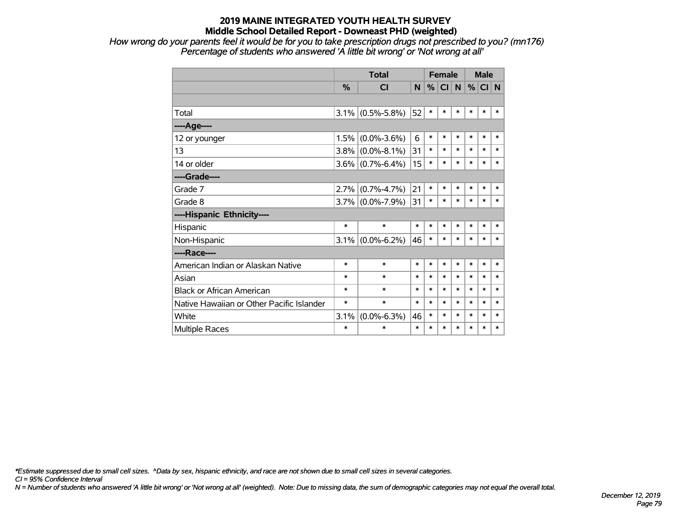*How wrong do your parents feel it would be for you to take prescription drugs not prescribed to you? (mn176) Percentage of students who answered 'A little bit wrong' or 'Not wrong at all'*

|                                           |               | <b>Total</b>      |        |        | <b>Female</b> |        |        | <b>Male</b> |        |  |
|-------------------------------------------|---------------|-------------------|--------|--------|---------------|--------|--------|-------------|--------|--|
|                                           | $\frac{9}{6}$ | <b>CI</b>         | N      | %      | <b>CI</b>     | N      | %      | CI N        |        |  |
|                                           |               |                   |        |        |               |        |        |             |        |  |
| Total                                     | 3.1%          | $(0.5\% - 5.8\%)$ | 52     | $\ast$ | $\ast$        | $\ast$ | $\ast$ | $\ast$      | *      |  |
| ---- Age----                              |               |                   |        |        |               |        |        |             |        |  |
| 12 or younger                             | 1.5%          | $(0.0\% - 3.6\%)$ | 6      | $\ast$ | $\ast$        | $\ast$ | $\ast$ | $\ast$      | $\ast$ |  |
| 13                                        | 3.8%          | $(0.0\% - 8.1\%)$ | 31     | $\ast$ | $\ast$        | $\ast$ | $\ast$ | $\ast$      | $\ast$ |  |
| 14 or older                               | $3.6\%$       | $(0.7\% - 6.4\%)$ | 15     | $\ast$ | $\ast$        | $\ast$ | $\ast$ | $\ast$      | $\ast$ |  |
| ----Grade----                             |               |                   |        |        |               |        |        |             |        |  |
| Grade 7                                   | 2.7%          | $(0.7\% - 4.7\%)$ | 21     | $\ast$ | $\ast$        | $\ast$ | $\ast$ | $\ast$      | $\ast$ |  |
| Grade 8                                   | $3.7\%$       | $(0.0\% - 7.9\%)$ | 31     | $\ast$ | $\ast$        | $\ast$ | $\ast$ | $\ast$      | $\ast$ |  |
| ----Hispanic Ethnicity----                |               |                   |        |        |               |        |        |             |        |  |
| Hispanic                                  | *             | $\ast$            | $\ast$ | $\ast$ | $\ast$        | $\ast$ | $\ast$ | $\ast$      | $\ast$ |  |
| Non-Hispanic                              | 3.1%          | $(0.0\% - 6.2\%)$ | 46     | $\ast$ | $\ast$        | $\ast$ | $\ast$ | $\ast$      | $\ast$ |  |
| ----Race----                              |               |                   |        |        |               |        |        |             |        |  |
| American Indian or Alaskan Native         | $\ast$        | $\ast$            | $\ast$ | $\ast$ | $\ast$        | $\ast$ | $\ast$ | $\ast$      | $\ast$ |  |
| Asian                                     | $\ast$        | $\ast$            | $\ast$ | $\ast$ | $\ast$        | $\ast$ | $\ast$ | $\ast$      | $\ast$ |  |
| <b>Black or African American</b>          | $\ast$        | $\ast$            | $\ast$ | $\ast$ | $\ast$        | $\ast$ | $\ast$ | $\ast$      | $\ast$ |  |
| Native Hawaiian or Other Pacific Islander | $\ast$        | $\ast$            | $\ast$ | $\ast$ | $\ast$        | $\ast$ | $\ast$ | $\ast$      | $\ast$ |  |
| White                                     | 3.1%          | $(0.0\% - 6.3\%)$ | 46     | $\ast$ | $\ast$        | $\ast$ | $\ast$ | $\ast$      | $\ast$ |  |
| <b>Multiple Races</b>                     | $\ast$        | $\ast$            | $\ast$ | $\ast$ | $\ast$        | $\ast$ | *      | $\ast$      | $\ast$ |  |

*\*Estimate suppressed due to small cell sizes. ^Data by sex, hispanic ethnicity, and race are not shown due to small cell sizes in several categories.*

*CI = 95% Confidence Interval*

*N = Number of students who answered 'A little bit wrong' or 'Not wrong at all' (weighted). Note: Due to missing data, the sum of demographic categories may not equal the overall total.*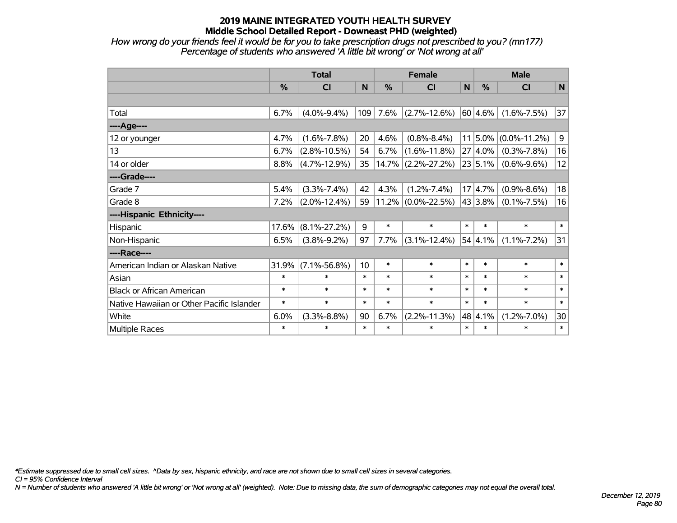*How wrong do your friends feel it would be for you to take prescription drugs not prescribed to you? (mn177) Percentage of students who answered 'A little bit wrong' or 'Not wrong at all'*

|                                           | <b>Total</b> |                    |        |               | <b>Female</b>         | <b>Male</b>     |            |                    |             |
|-------------------------------------------|--------------|--------------------|--------|---------------|-----------------------|-----------------|------------|--------------------|-------------|
|                                           | $\%$         | CI                 | N      | $\frac{0}{0}$ | <b>CI</b>             | $\mathsf{N}$    | $\%$       | <b>CI</b>          | N           |
|                                           |              |                    |        |               |                       |                 |            |                    |             |
| Total                                     | 6.7%         | $(4.0\% - 9.4\%)$  | 109    | 7.6%          | $(2.7\% - 12.6\%)$    |                 | 60 4.6%    | $(1.6\% - 7.5\%)$  | 37          |
| ----Age----                               |              |                    |        |               |                       |                 |            |                    |             |
| 12 or younger                             | 4.7%         | $(1.6\% - 7.8\%)$  | 20     | 4.6%          | $(0.8\% - 8.4\%)$     | 11 <sup>1</sup> | 5.0%       | $(0.0\% - 11.2\%)$ | $\mathsf g$ |
| 13                                        | 6.7%         | $(2.8\% - 10.5\%)$ | 54     | 6.7%          | $(1.6\% - 11.8\%)$    |                 | $27 4.0\%$ | $(0.3\% - 7.8\%)$  | 16          |
| 14 or older                               | 8.8%         | $(4.7\% - 12.9\%)$ | 35     | 14.7%         | $(2.2\% - 27.2\%)$    |                 | 23 5.1%    | $(0.6\% - 9.6\%)$  | 12          |
| ----Grade----                             |              |                    |        |               |                       |                 |            |                    |             |
| Grade 7                                   | 5.4%         | $(3.3\% - 7.4\%)$  | 42     | 4.3%          | $(1.2\% - 7.4\%)$     |                 | 17 4.7%    | $(0.9\% - 8.6\%)$  | 18          |
| Grade 8                                   | 7.2%         | $(2.0\% - 12.4\%)$ | 59     |               | $11.2\%$ (0.0%-22.5%) |                 | 43 3.8%    | $(0.1\% - 7.5\%)$  | 16          |
| ----Hispanic Ethnicity----                |              |                    |        |               |                       |                 |            |                    |             |
| Hispanic                                  | 17.6%        | $(8.1\% - 27.2\%)$ | 9      | $\ast$        | $\ast$                | $\ast$          | $\ast$     | $\ast$             | $\ast$      |
| Non-Hispanic                              | 6.5%         | $(3.8\% - 9.2\%)$  | 97     | 7.7%          | $(3.1\% - 12.4\%)$    |                 | 54 4.1%    | $(1.1\% - 7.2\%)$  | 31          |
| ----Race----                              |              |                    |        |               |                       |                 |            |                    |             |
| American Indian or Alaskan Native         | 31.9%        | $(7.1\% - 56.8\%)$ | 10     | $\ast$        | $\ast$                | $\ast$          | $\ast$     | $\ast$             | $\ast$      |
| Asian                                     | $\ast$       | $\ast$             | $\ast$ | $\ast$        | $\ast$                | $\ast$          | $\ast$     | $\ast$             | $\ast$      |
| <b>Black or African American</b>          | $\ast$       | $\ast$             | $\ast$ | $\ast$        | $\ast$                | $\ast$          | $\ast$     | $\ast$             | $\ast$      |
| Native Hawaiian or Other Pacific Islander | $\ast$       | $\ast$             | $\ast$ | $\ast$        | $\ast$                | $\ast$          | $\ast$     | $\ast$             | $\ast$      |
| White                                     | 6.0%         | $(3.3\% - 8.8\%)$  | 90     | 6.7%          | $(2.2\% - 11.3\%)$    |                 | 48 4.1%    | $(1.2\% - 7.0\%)$  | 30          |
| Multiple Races                            | $\ast$       | $\ast$             | $\ast$ | $\ast$        | $\ast$                | $\ast$          | $\ast$     | $\ast$             | $\ast$      |

*\*Estimate suppressed due to small cell sizes. ^Data by sex, hispanic ethnicity, and race are not shown due to small cell sizes in several categories.*

*CI = 95% Confidence Interval*

*N = Number of students who answered 'A little bit wrong' or 'Not wrong at all' (weighted). Note: Due to missing data, the sum of demographic categories may not equal the overall total.*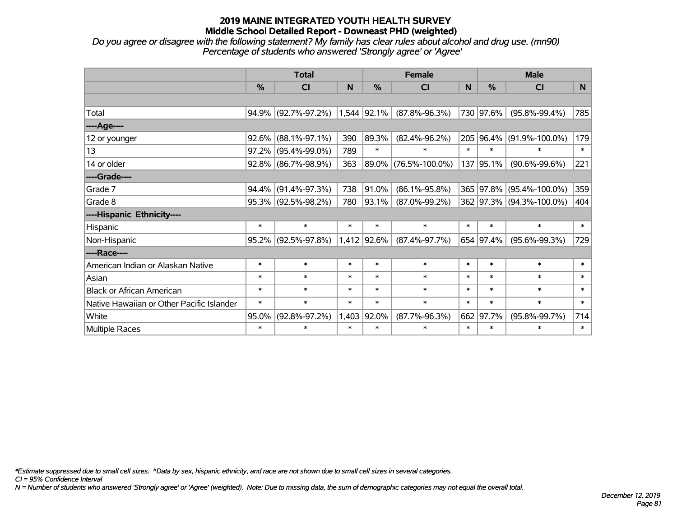*Do you agree or disagree with the following statement? My family has clear rules about alcohol and drug use. (mn90) Percentage of students who answered 'Strongly agree' or 'Agree'*

|                                           | <b>Total</b> |                        |        |             | <b>Female</b>        |        | <b>Male</b>   |                          |        |  |
|-------------------------------------------|--------------|------------------------|--------|-------------|----------------------|--------|---------------|--------------------------|--------|--|
|                                           | %            | <b>CI</b>              | N      | %           | <b>CI</b>            | N      | $\frac{0}{0}$ | <b>CI</b>                | N.     |  |
|                                           |              |                        |        |             |                      |        |               |                          |        |  |
| Total                                     |              | 94.9% (92.7%-97.2%)    |        | 1,544 92.1% | $(87.8\% - 96.3\%)$  |        | 730 97.6%     | $(95.8\% - 99.4\%)$      | 785    |  |
| ----Age----                               |              |                        |        |             |                      |        |               |                          |        |  |
| 12 or younger                             | 92.6%        | $(88.1\% - 97.1\%)$    | 390    | 89.3%       | $(82.4\% - 96.2\%)$  |        | 205 96.4%     | $(91.9\% - 100.0\%)$     | 179    |  |
| 13                                        | 97.2%        | $(95.4\% - 99.0\%)$    | 789    | $\ast$      | $\ast$               | $\ast$ | $\ast$        | $\ast$                   | $\ast$ |  |
| 14 or older                               |              | 92.8% (86.7%-98.9%)    | 363    | 89.0%       | $(76.5\% - 100.0\%)$ |        | 137 95.1%     | $(90.6\% - 99.6\%)$      | 221    |  |
| ----Grade----                             |              |                        |        |             |                      |        |               |                          |        |  |
| Grade 7                                   | 94.4%        | $(91.4\% - 97.3\%)$    | 738    | 91.0%       | $(86.1\% - 95.8\%)$  |        | 365 97.8%     | $(95.4\% - 100.0\%)$     | 359    |  |
| Grade 8                                   |              | $95.3\%$ (92.5%-98.2%) | 780    | $ 93.1\% $  | $(87.0\% - 99.2\%)$  |        |               | 362 97.3% (94.3%-100.0%) | 404    |  |
| ----Hispanic Ethnicity----                |              |                        |        |             |                      |        |               |                          |        |  |
| Hispanic                                  | $\ast$       | $\ast$                 | $\ast$ | $\ast$      | $\ast$               | $\ast$ | $\ast$        | $\ast$                   | $\ast$ |  |
| Non-Hispanic                              | 95.2%        | $(92.5\% - 97.8\%)$    |        | 1,412 92.6% | $(87.4\% - 97.7\%)$  |        | 654 97.4%     | $(95.6\% - 99.3\%)$      | 729    |  |
| ----Race----                              |              |                        |        |             |                      |        |               |                          |        |  |
| American Indian or Alaskan Native         | $\ast$       | $\ast$                 | $\ast$ | $\ast$      | $\ast$               | $\ast$ | $\ast$        | $\ast$                   | $\ast$ |  |
| Asian                                     | $\ast$       | $\ast$                 | $\ast$ | $\ast$      | $\ast$               | $\ast$ | $\ast$        | $\ast$                   | $\ast$ |  |
| <b>Black or African American</b>          | $\ast$       | $\ast$                 | $\ast$ | $\ast$      | $\ast$               | $\ast$ | $\ast$        | $\ast$                   | $\ast$ |  |
| Native Hawaiian or Other Pacific Islander | $\ast$       | $\ast$                 | $\ast$ | $\ast$      | $\ast$               | $\ast$ | $\ast$        | $\ast$                   | $\ast$ |  |
| White                                     | 95.0%        | $(92.8\% - 97.2\%)$    | 1,403  | 92.0%       | $(87.7\% - 96.3\%)$  | 662    | 97.7%         | $(95.8\% - 99.7\%)$      | 714    |  |
| Multiple Races                            | $\ast$       | $\ast$                 | $\ast$ | $\ast$      | $\ast$               | $\ast$ | $\ast$        | $\ast$                   | $\ast$ |  |

*\*Estimate suppressed due to small cell sizes. ^Data by sex, hispanic ethnicity, and race are not shown due to small cell sizes in several categories.*

*CI = 95% Confidence Interval*

*N = Number of students who answered 'Strongly agree' or 'Agree' (weighted). Note: Due to missing data, the sum of demographic categories may not equal the overall total.*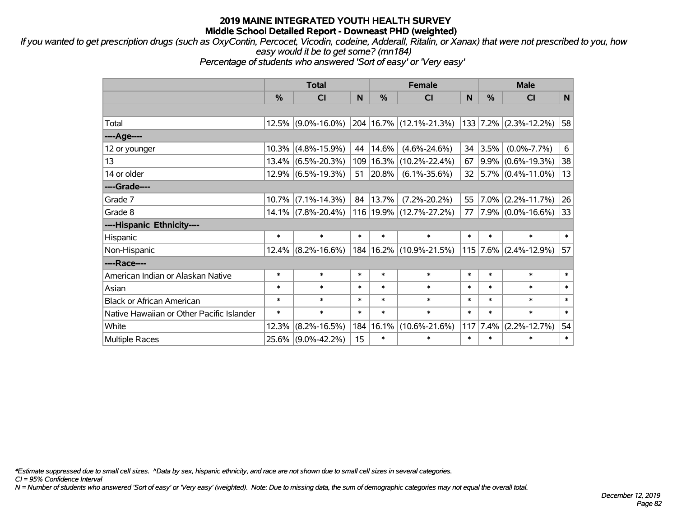*If you wanted to get prescription drugs (such as OxyContin, Percocet, Vicodin, codeine, Adderall, Ritalin, or Xanax) that were not prescribed to you, how easy would it be to get some? (mn184)*

*Percentage of students who answered 'Sort of easy' or 'Very easy'*

|                                           | <b>Total</b> |                       |        | <b>Female</b> | <b>Male</b>                 |        |            |                         |              |
|-------------------------------------------|--------------|-----------------------|--------|---------------|-----------------------------|--------|------------|-------------------------|--------------|
|                                           | %            | <b>CI</b>             | N      | %             | <b>CI</b>                   | N      | %          | <b>CI</b>               | $\mathsf{N}$ |
|                                           |              |                       |        |               |                             |        |            |                         |              |
| Total                                     |              | $12.5\%$ (9.0%-16.0%) |        |               | 204 16.7% (12.1%-21.3%)     |        |            | $133$ 7.2% (2.3%-12.2%) | 58           |
| ----Age----                               |              |                       |        |               |                             |        |            |                         |              |
| 12 or younger                             | 10.3%        | $(4.8\% - 15.9\%)$    | 44     | 14.6%         | $(4.6\% - 24.6\%)$          | 34     | 3.5%       | $(0.0\% - 7.7\%)$       | 6            |
| 13                                        | 13.4%        | $(6.5\% - 20.3\%)$    |        | 109 16.3%     | $(10.2\% - 22.4\%)$         | 67     |            | $9.9\%$ (0.6%-19.3%)    | 38           |
| 14 or older                               |              | 12.9% (6.5%-19.3%)    | 51     | $ 20.8\% $    | $(6.1\% - 35.6\%)$          | 32     |            | $ 5.7\% $ (0.4%-11.0%)  | 13           |
| ----Grade----                             |              |                       |        |               |                             |        |            |                         |              |
| Grade 7                                   | 10.7%        | $(7.1\% - 14.3\%)$    | 84     | 13.7%         | $(7.2\% - 20.2\%)$          | 55     | $7.0\%$    | $(2.2\% - 11.7\%)$      | 26           |
| Grade 8                                   |              | 14.1% (7.8%-20.4%)    |        |               | 116 19.9% (12.7%-27.2%)     | 77     |            | $7.9\%$ (0.0%-16.6%)    | 33           |
| ----Hispanic Ethnicity----                |              |                       |        |               |                             |        |            |                         |              |
| Hispanic                                  | $\ast$       | $\ast$                | $\ast$ | $\ast$        | $\ast$                      | $\ast$ | $\ast$     | $\ast$                  | $\ast$       |
| Non-Hispanic                              | $12.4\%$     | $(8.2\% - 16.6\%)$    |        |               | 184   16.2%   (10.9%-21.5%) |        | $115$ 7.6% | $(2.4\% - 12.9\%)$      | 57           |
| ----Race----                              |              |                       |        |               |                             |        |            |                         |              |
| American Indian or Alaskan Native         | $\ast$       | $\ast$                | $\ast$ | $\ast$        | $\ast$                      | $\ast$ | $\ast$     | $\ast$                  | $\ast$       |
| Asian                                     | $\ast$       | $\ast$                | $\ast$ | $\ast$        | $\ast$                      | $\ast$ | $\ast$     | $\ast$                  | $\ast$       |
| <b>Black or African American</b>          | $\ast$       | $\ast$                | $\ast$ | $\ast$        | $\ast$                      | $\ast$ | $\ast$     | $\ast$                  | $\ast$       |
| Native Hawaiian or Other Pacific Islander | $\ast$       | $\ast$                | $\ast$ | $\ast$        | $\ast$                      | $\ast$ | $\ast$     | $\ast$                  | $\ast$       |
| White                                     | 12.3%        | $(8.2\% - 16.5\%)$    | 184    | 16.1%         | $(10.6\% - 21.6\%)$         | 117    | 7.4%       | $(2.2\% - 12.7\%)$      | 54           |
| Multiple Races                            | 25.6%        | $(9.0\% - 42.2\%)$    | 15     | $\ast$        | $\ast$                      | $\ast$ | $\ast$     | *                       | $\ast$       |

*\*Estimate suppressed due to small cell sizes. ^Data by sex, hispanic ethnicity, and race are not shown due to small cell sizes in several categories.*

*CI = 95% Confidence Interval*

*N = Number of students who answered 'Sort of easy' or 'Very easy' (weighted). Note: Due to missing data, the sum of demographic categories may not equal the overall total.*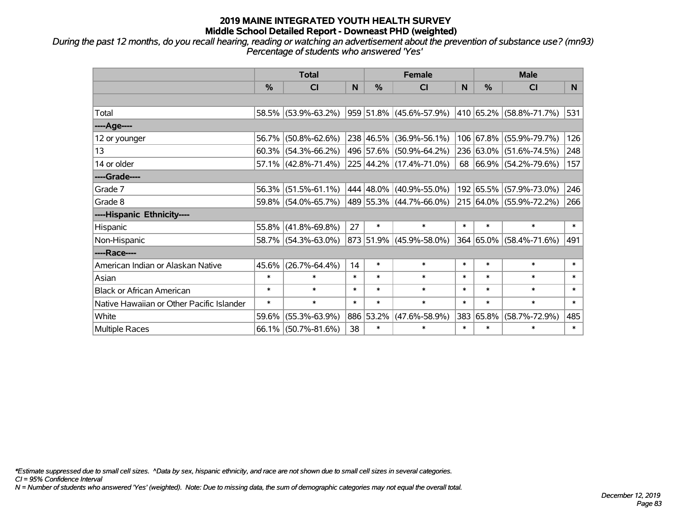*During the past 12 months, do you recall hearing, reading or watching an advertisement about the prevention of substance use? (mn93) Percentage of students who answered 'Yes'*

|                                           | <b>Total</b>  |                        |        |               | <b>Female</b>                |        | <b>Male</b> |                         |        |  |
|-------------------------------------------|---------------|------------------------|--------|---------------|------------------------------|--------|-------------|-------------------------|--------|--|
|                                           | $\frac{0}{0}$ | <b>CI</b>              | N      | $\frac{9}{6}$ | <b>CI</b>                    | N      | %           | <b>CI</b>               | N.     |  |
|                                           |               |                        |        |               |                              |        |             |                         |        |  |
| Total                                     |               | 58.5% (53.9%-63.2%)    |        |               | $ 959 51.8\% $ (45.6%-57.9%) |        |             | 410 65.2% (58.8%-71.7%) | 531    |  |
| ----Age----                               |               |                        |        |               |                              |        |             |                         |        |  |
| 12 or younger                             | 56.7%         | $(50.8\% - 62.6\%)$    |        |               | 238 46.5% (36.9%-56.1%)      |        | 106 67.8%   | $(55.9\% - 79.7\%)$     | 126    |  |
| 13                                        |               | $60.3\%$ (54.3%-66.2%) |        |               | 496 57.6% (50.9%-64.2%)      |        |             | 236 63.0% (51.6%-74.5%) | 248    |  |
| 14 or older                               |               | 57.1% (42.8%-71.4%)    |        |               | 225 44.2% (17.4%-71.0%)      |        |             | 68 66.9% (54.2%-79.6%)  | 157    |  |
| ----Grade----                             |               |                        |        |               |                              |        |             |                         |        |  |
| Grade 7                                   | $56.3\%$      | $(51.5\% - 61.1\%)$    |        |               | 444 48.0% (40.9%-55.0%)      |        | 192 65.5%   | $(57.9\% - 73.0\%)$     | 246    |  |
| Grade 8                                   |               | 59.8% (54.0%-65.7%)    |        |               | $ 489 55.3\% $ (44.7%-66.0%) |        |             | 215 64.0% (55.9%-72.2%) | 266    |  |
| ----Hispanic Ethnicity----                |               |                        |        |               |                              |        |             |                         |        |  |
| Hispanic                                  | 55.8%         | $(41.8\% - 69.8\%)$    | 27     | $\ast$        | $\ast$                       | $\ast$ | $\ast$      | $\ast$                  | $\ast$ |  |
| Non-Hispanic                              |               | 58.7% (54.3%-63.0%)    |        |               | 873  51.9%  (45.9%-58.0%)    |        |             | 364 65.0% (58.4%-71.6%) | 491    |  |
| ----Race----                              |               |                        |        |               |                              |        |             |                         |        |  |
| American Indian or Alaskan Native         | 45.6%         | $(26.7\% - 64.4\%)$    | 14     | $\ast$        | $\ast$                       | $\ast$ | $\ast$      | $\ast$                  | $\ast$ |  |
| Asian                                     | $\ast$        | $\ast$                 | $\ast$ | $\ast$        | $\ast$                       | $\ast$ | $\ast$      | $\ast$                  | $\ast$ |  |
| <b>Black or African American</b>          | $\ast$        | $\ast$                 | $\ast$ | $\ast$        | $\ast$                       | $\ast$ | $\ast$      | $\ast$                  | $\ast$ |  |
| Native Hawaiian or Other Pacific Islander | $\ast$        | $\ast$                 | $\ast$ | $\ast$        | $\ast$                       | $\ast$ | $\ast$      | $\ast$                  | $\ast$ |  |
| White                                     | 59.6%         | $(55.3\% - 63.9\%)$    |        | 886 53.2%     | $(47.6\% - 58.9\%)$          | 383    | 65.8%       | $(58.7\% - 72.9\%)$     | 485    |  |
| Multiple Races                            |               | 66.1% (50.7%-81.6%)    | 38     | $\ast$        | $\ast$                       | $\ast$ | $\ast$      | *                       | $\ast$ |  |

*\*Estimate suppressed due to small cell sizes. ^Data by sex, hispanic ethnicity, and race are not shown due to small cell sizes in several categories.*

*CI = 95% Confidence Interval*

*N = Number of students who answered 'Yes' (weighted). Note: Due to missing data, the sum of demographic categories may not equal the overall total.*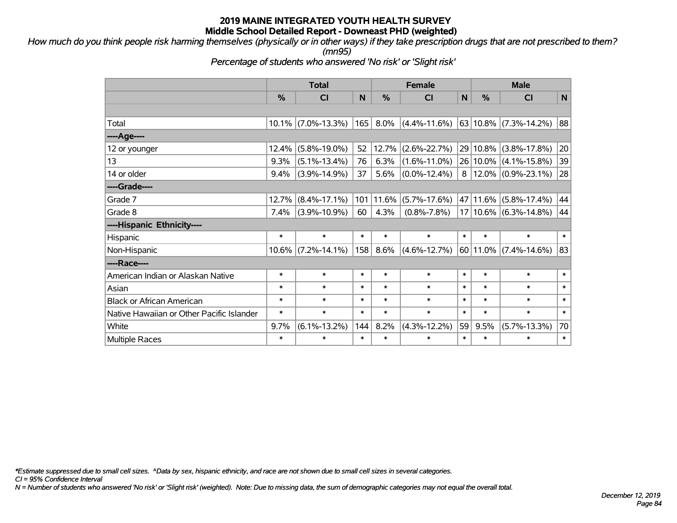*How much do you think people risk harming themselves (physically or in other ways) if they take prescription drugs that are not prescribed to them? (mn95)*

*Percentage of students who answered 'No risk' or 'Slight risk'*

|                                           | <b>Total</b> |                    |        |               | <b>Female</b>      |        | <b>Male</b>   |                           |        |  |
|-------------------------------------------|--------------|--------------------|--------|---------------|--------------------|--------|---------------|---------------------------|--------|--|
|                                           | %            | CI                 | N      | $\frac{0}{0}$ | CI                 | N      | $\frac{0}{0}$ | CI                        | N      |  |
|                                           |              |                    |        |               |                    |        |               |                           |        |  |
| Total                                     | $10.1\%$     | $(7.0\% - 13.3\%)$ | 165    | 8.0%          | $(4.4\% - 11.6\%)$ |        | 63 10.8%      | $(7.3\% - 14.2\%)$        | 88     |  |
| ----Age----                               |              |                    |        |               |                    |        |               |                           |        |  |
| 12 or younger                             | 12.4%        | $(5.8\% - 19.0\%)$ | 52     | 12.7%         | $(2.6\% - 22.7\%)$ |        | 29 10.8%      | $(3.8\% - 17.8\%)$        | 20     |  |
| 13                                        | 9.3%         | $(5.1\% - 13.4\%)$ | 76     | 6.3%          | $(1.6\% - 11.0\%)$ |        | 26 10.0%      | $(4.1\% - 15.8\%)$        | 39     |  |
| 14 or older                               | 9.4%         | $(3.9\% - 14.9\%)$ | 37     | 5.6%          | $(0.0\% - 12.4\%)$ | 8      | 12.0%         | $(0.9\% - 23.1\%)$        | 28     |  |
| ----Grade----                             |              |                    |        |               |                    |        |               |                           |        |  |
| Grade 7                                   | 12.7%        | $(8.4\% - 17.1\%)$ | 101    | 11.6%         | $(5.7\% - 17.6\%)$ |        | 47 11.6%      | $(5.8\% - 17.4\%)$        | 44     |  |
| Grade 8                                   | 7.4%         | $(3.9\% - 10.9\%)$ | 60     | 4.3%          | $(0.8\% - 7.8\%)$  |        | 17 10.6%      | $(6.3\% - 14.8\%)$        | 44     |  |
| ----Hispanic Ethnicity----                |              |                    |        |               |                    |        |               |                           |        |  |
| Hispanic                                  | $\ast$       | $\ast$             | $\ast$ | $\ast$        | $\ast$             | $\ast$ | $\ast$        | $\ast$                    | $\ast$ |  |
| Non-Hispanic                              | $10.6\%$     | $(7.2\% - 14.1\%)$ | 158    | 8.6%          | $(4.6\% - 12.7\%)$ |        |               | $60 11.0\% $ (7.4%-14.6%) | 83     |  |
| ----Race----                              |              |                    |        |               |                    |        |               |                           |        |  |
| American Indian or Alaskan Native         | $\ast$       | $\ast$             | $\ast$ | $\ast$        | $\ast$             | $\ast$ | $\ast$        | $\ast$                    | $\ast$ |  |
| Asian                                     | $\ast$       | $\ast$             | $\ast$ | $\ast$        | $\ast$             | $\ast$ | $\ast$        | $\ast$                    | $\ast$ |  |
| <b>Black or African American</b>          | $\ast$       | $\ast$             | $\ast$ | $\ast$        | $\ast$             | $\ast$ | $\ast$        | $\ast$                    | $\ast$ |  |
| Native Hawaiian or Other Pacific Islander | $\ast$       | $\ast$             | $\ast$ | $\ast$        | $\ast$             | $\ast$ | $\ast$        | $\ast$                    | $\ast$ |  |
| White                                     | 9.7%         | $(6.1\% - 13.2\%)$ | 144    | 8.2%          | $(4.3\% - 12.2\%)$ | 59     | 9.5%          | $(5.7\% - 13.3\%)$        | 70     |  |
| <b>Multiple Races</b>                     | $\ast$       | $\ast$             | $\ast$ | $\ast$        | $\ast$             | $\ast$ | $\ast$        | $\ast$                    | $\ast$ |  |

*\*Estimate suppressed due to small cell sizes. ^Data by sex, hispanic ethnicity, and race are not shown due to small cell sizes in several categories.*

*CI = 95% Confidence Interval*

*N = Number of students who answered 'No risk' or 'Slight risk' (weighted). Note: Due to missing data, the sum of demographic categories may not equal the overall total.*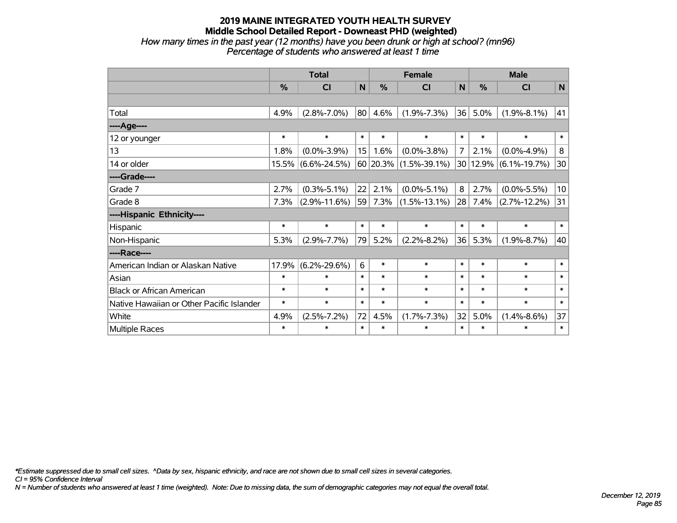## **2019 MAINE INTEGRATED YOUTH HEALTH SURVEY Middle School Detailed Report - Downeast PHD (weighted)** *How many times in the past year (12 months) have you been drunk or high at school? (mn96)*

*Percentage of students who answered at least 1 time*

|                                           | <b>Total</b> |                    |                  | <b>Female</b> | <b>Male</b>        |              |        |                    |             |
|-------------------------------------------|--------------|--------------------|------------------|---------------|--------------------|--------------|--------|--------------------|-------------|
|                                           | %            | CI                 | N                | $\frac{0}{0}$ | <b>CI</b>          | $\mathsf{N}$ | %      | <b>CI</b>          | $\mathbf N$ |
|                                           |              |                    |                  |               |                    |              |        |                    |             |
| Total                                     | 4.9%         | $(2.8\% - 7.0\%)$  | 80               | 4.6%          | $(1.9\% - 7.3\%)$  | 36           | 5.0%   | $(1.9\% - 8.1\%)$  | 41          |
| ----Age----                               |              |                    |                  |               |                    |              |        |                    |             |
| 12 or younger                             | $\ast$       | $\ast$             | $\ast$           | $\ast$        | $\ast$             | $\ast$       | $\ast$ | $\ast$             | $\ast$      |
| 13                                        | 1.8%         | $(0.0\% - 3.9\%)$  | 15 <sub>15</sub> | 1.6%          | $(0.0\% - 3.8\%)$  | 7            | 2.1%   | $(0.0\% - 4.9\%)$  | 8           |
| 14 or older                               | 15.5%        | $(6.6\% - 24.5\%)$ |                  | 60 20.3%      | $(1.5\% - 39.1\%)$ | 30           | 12.9%  | $(6.1\% - 19.7\%)$ | 30          |
| ----Grade----                             |              |                    |                  |               |                    |              |        |                    |             |
| Grade 7                                   | 2.7%         | $(0.3\% - 5.1\%)$  | 22               | 2.1%          | $(0.0\% - 5.1\%)$  | 8            | 2.7%   | $(0.0\% - 5.5\%)$  | 10          |
| Grade 8                                   | 7.3%         | $(2.9\% - 11.6\%)$ | 59               | $7.3\%$       | $(1.5\% - 13.1\%)$ | 28           | 7.4%   | $(2.7\% - 12.2\%)$ | 31          |
| ----Hispanic Ethnicity----                |              |                    |                  |               |                    |              |        |                    |             |
| Hispanic                                  | $\ast$       | $\ast$             | $\ast$           | $\ast$        | $\ast$             | $\ast$       | $\ast$ | $\ast$             | $\ast$      |
| Non-Hispanic                              | 5.3%         | $(2.9\% - 7.7\%)$  | 79               | 5.2%          | $(2.2\% - 8.2\%)$  | 36           | 5.3%   | $(1.9\% - 8.7\%)$  | 40          |
| ----Race----                              |              |                    |                  |               |                    |              |        |                    |             |
| American Indian or Alaskan Native         | 17.9%        | $(6.2\% - 29.6\%)$ | 6                | $\ast$        | $\ast$             | $\ast$       | $\ast$ | $\ast$             | $\ast$      |
| Asian                                     | $\ast$       | $\ast$             | $\ast$           | $\ast$        | $\ast$             | $\ast$       | $\ast$ | $\ast$             | $\ast$      |
| <b>Black or African American</b>          | $\ast$       | $\ast$             | $\ast$           | $\ast$        | $\ast$             | $\ast$       | $\ast$ | $\ast$             | $\ast$      |
| Native Hawaiian or Other Pacific Islander | $\ast$       | $\ast$             | $\ast$           | $\ast$        | $\ast$             | $\ast$       | $\ast$ | $\ast$             | $\ast$      |
| White                                     | 4.9%         | $(2.5\% - 7.2\%)$  | 72               | 4.5%          | $(1.7\% - 7.3\%)$  | 32           | 5.0%   | $(1.4\% - 8.6\%)$  | 37          |
| Multiple Races                            | $\ast$       | $\ast$             | $\ast$           | $\ast$        | $\ast$             | $\ast$       | $\ast$ | $\ast$             | $\ast$      |

*\*Estimate suppressed due to small cell sizes. ^Data by sex, hispanic ethnicity, and race are not shown due to small cell sizes in several categories.*

*CI = 95% Confidence Interval*

*N = Number of students who answered at least 1 time (weighted). Note: Due to missing data, the sum of demographic categories may not equal the overall total.*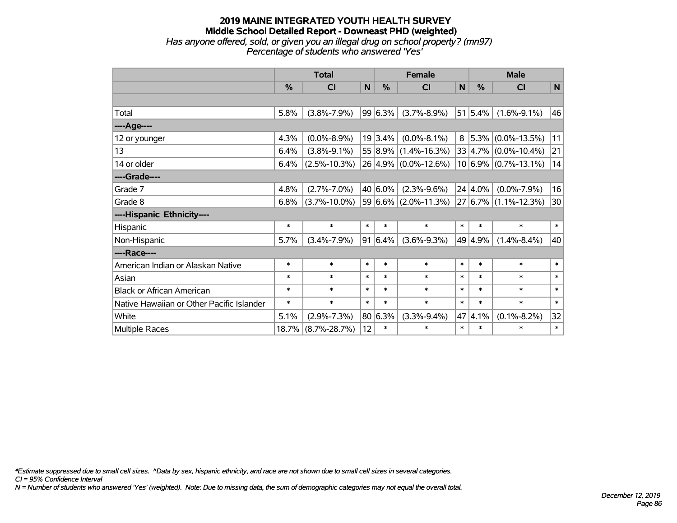## **2019 MAINE INTEGRATED YOUTH HEALTH SURVEY Middle School Detailed Report - Downeast PHD (weighted)** *Has anyone offered, sold, or given you an illegal drug on school property? (mn97) Percentage of students who answered 'Yes'*

|                                           | <b>Total</b>  |                    |             |         | <b>Female</b>        | <b>Male</b> |             |                          |              |
|-------------------------------------------|---------------|--------------------|-------------|---------|----------------------|-------------|-------------|--------------------------|--------------|
|                                           | $\frac{0}{0}$ | <b>CI</b>          | $\mathbf N$ | $\%$    | <b>CI</b>            | N           | $\%$        | <b>CI</b>                | $\mathsf{N}$ |
|                                           |               |                    |             |         |                      |             |             |                          |              |
| Total                                     | 5.8%          | $(3.8\% - 7.9\%)$  |             | 99 6.3% | $(3.7\% - 8.9\%)$    |             | $51 5.4\% $ | $(1.6\% - 9.1\%)$        | 46           |
| ----Age----                               |               |                    |             |         |                      |             |             |                          |              |
| 12 or younger                             | 4.3%          | $(0.0\% - 8.9\%)$  |             | 19 3.4% | $(0.0\% - 8.1\%)$    | 8           |             | $ 5.3\% $ (0.0%-13.5%)   | 11           |
| 13                                        | 6.4%          | $(3.8\% - 9.1\%)$  |             | 55 8.9% | $(1.4\% - 16.3\%)$   |             |             | $33 4.7\% $ (0.0%-10.4%) | 21           |
| 14 or older                               | 6.4%          | $(2.5\% - 10.3\%)$ |             |         | 26 4.9% (0.0%-12.6%) |             |             | $10 6.9\% $ (0.7%-13.1%) | 14           |
| ----Grade----                             |               |                    |             |         |                      |             |             |                          |              |
| Grade 7                                   | 4.8%          | $(2.7\% - 7.0\%)$  |             | 40 6.0% | $(2.3\% - 9.6\%)$    |             | $24 4.0\% $ | $(0.0\% - 7.9\%)$        | 16           |
| Grade 8                                   | 6.8%          | $(3.7\% - 10.0\%)$ |             |         | 59 6.6% (2.0%-11.3%) |             |             | 27 6.7% (1.1%-12.3%)     | 30           |
| ----Hispanic Ethnicity----                |               |                    |             |         |                      |             |             |                          |              |
| Hispanic                                  | $\ast$        | $\ast$             | $\ast$      | $\ast$  | $\ast$               | $\ast$      | $\ast$      | $\ast$                   | $\ast$       |
| Non-Hispanic                              | 5.7%          | $(3.4\% - 7.9\%)$  | 91          | 6.4%    | $(3.6\% - 9.3\%)$    |             | 49 4.9%     | $(1.4\% - 8.4\%)$        | 40           |
| ----Race----                              |               |                    |             |         |                      |             |             |                          |              |
| American Indian or Alaskan Native         | $\ast$        | $\ast$             | $\ast$      | $\ast$  | $\ast$               | $\ast$      | $\ast$      | $\ast$                   | $\ast$       |
| Asian                                     | $\ast$        | $\ast$             | $\ast$      | $\ast$  | $\ast$               | $\ast$      | $\ast$      | $\ast$                   | $\ast$       |
| <b>Black or African American</b>          | $\ast$        | $\ast$             | $\ast$      | $\ast$  | $\ast$               | $\ast$      | $\ast$      | $\ast$                   | $\ast$       |
| Native Hawaiian or Other Pacific Islander | $\ast$        | $\ast$             | $\ast$      | $\ast$  | $\ast$               | $\ast$      | $\ast$      | $\ast$                   | $\ast$       |
| White                                     | 5.1%          | $(2.9\% - 7.3\%)$  | 80          | 6.3%    | $(3.3\% - 9.4\%)$    |             | 47 4.1%     | $(0.1\% - 8.2\%)$        | 32           |
| Multiple Races                            | 18.7%         | $(8.7\% - 28.7\%)$ | 12          | $\ast$  | $\ast$               | $\ast$      | $\ast$      | $\ast$                   | $\ast$       |

*\*Estimate suppressed due to small cell sizes. ^Data by sex, hispanic ethnicity, and race are not shown due to small cell sizes in several categories.*

*CI = 95% Confidence Interval*

*N = Number of students who answered 'Yes' (weighted). Note: Due to missing data, the sum of demographic categories may not equal the overall total.*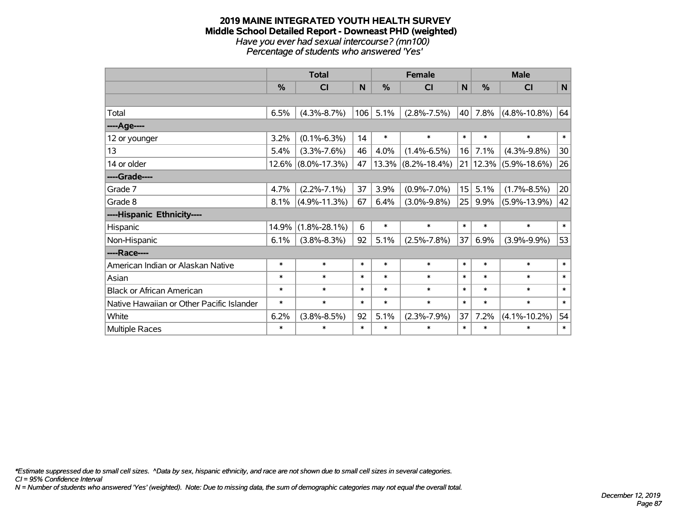#### **2019 MAINE INTEGRATED YOUTH HEALTH SURVEY Middle School Detailed Report - Downeast PHD (weighted)** *Have you ever had sexual intercourse? (mn100) Percentage of students who answered 'Yes'*

|                                           | <b>Total</b> |                    |        | <b>Female</b> |                       |                 | <b>Male</b> |                    |              |  |
|-------------------------------------------|--------------|--------------------|--------|---------------|-----------------------|-----------------|-------------|--------------------|--------------|--|
|                                           | %            | <b>CI</b>          | N      | %             | C <sub>1</sub>        | $\mathsf{N}$    | %           | <b>CI</b>          | $\mathsf{N}$ |  |
|                                           |              |                    |        |               |                       |                 |             |                    |              |  |
| Total                                     | 6.5%         | $(4.3\% - 8.7\%)$  | 106    | 5.1%          | $(2.8\% - 7.5\%)$     | 40              | 7.8%        | $(4.8\% - 10.8\%)$ | 64           |  |
| ----Age----                               |              |                    |        |               |                       |                 |             |                    |              |  |
| 12 or younger                             | 3.2%         | $(0.1\% - 6.3\%)$  | 14     | $\ast$        | $\ast$                | $\ast$          | $\ast$      | $\ast$             | $\ast$       |  |
| 13                                        | 5.4%         | $(3.3\% - 7.6\%)$  | 46     | 4.0%          | $(1.4\% - 6.5\%)$     | 16              | 7.1%        | $(4.3\% - 9.8\%)$  | 30           |  |
| 14 or older                               | 12.6%        | $(8.0\% - 17.3\%)$ | 47     |               | $13.3\%$ (8.2%-18.4%) | 21              | 12.3%       | $(5.9\% - 18.6\%)$ | 26           |  |
| ----Grade----                             |              |                    |        |               |                       |                 |             |                    |              |  |
| Grade 7                                   | 4.7%         | $(2.2\% - 7.1\%)$  | 37     | 3.9%          | $(0.9\% - 7.0\%)$     | 15 <sup>1</sup> | 5.1%        | $(1.7\% - 8.5\%)$  | 20           |  |
| Grade 8                                   | 8.1%         | $(4.9\% - 11.3\%)$ | 67     | 6.4%          | $(3.0\% - 9.8\%)$     | 25              | 9.9%        | $(5.9\% - 13.9\%)$ | 42           |  |
| ----Hispanic Ethnicity----                |              |                    |        |               |                       |                 |             |                    |              |  |
| Hispanic                                  | 14.9%        | $(1.8\% - 28.1\%)$ | 6      | $\ast$        | $\ast$                | $\ast$          | $\ast$      | $\ast$             | $\ast$       |  |
| Non-Hispanic                              | 6.1%         | $(3.8\% - 8.3\%)$  | 92     | 5.1%          | $(2.5\% - 7.8\%)$     | 37              | 6.9%        | $(3.9\% - 9.9\%)$  | 53           |  |
| ----Race----                              |              |                    |        |               |                       |                 |             |                    |              |  |
| American Indian or Alaskan Native         | $\ast$       | $\ast$             | $\ast$ | $\ast$        | $\ast$                | $\ast$          | $\ast$      | $\ast$             | $\ast$       |  |
| Asian                                     | $\ast$       | $\ast$             | $\ast$ | $\ast$        | $\ast$                | $\ast$          | $\ast$      | $\ast$             | $\ast$       |  |
| <b>Black or African American</b>          | $\ast$       | $\ast$             | $\ast$ | $\ast$        | $\ast$                | $\ast$          | $\ast$      | $\ast$             | $\ast$       |  |
| Native Hawaiian or Other Pacific Islander | $\ast$       | $\ast$             | $\ast$ | $\ast$        | $\ast$                | $\ast$          | $\ast$      | $\ast$             | $\ast$       |  |
| White                                     | 6.2%         | $(3.8\% - 8.5\%)$  | 92     | 5.1%          | $(2.3\% - 7.9\%)$     | 37              | 7.2%        | $(4.1\% - 10.2\%)$ | 54           |  |
| <b>Multiple Races</b>                     | $\ast$       | $\ast$             | $\ast$ | $\ast$        | $\ast$                | $\ast$          | $\ast$      | $\ast$             | $\ast$       |  |

*\*Estimate suppressed due to small cell sizes. ^Data by sex, hispanic ethnicity, and race are not shown due to small cell sizes in several categories.*

*CI = 95% Confidence Interval*

*N = Number of students who answered 'Yes' (weighted). Note: Due to missing data, the sum of demographic categories may not equal the overall total.*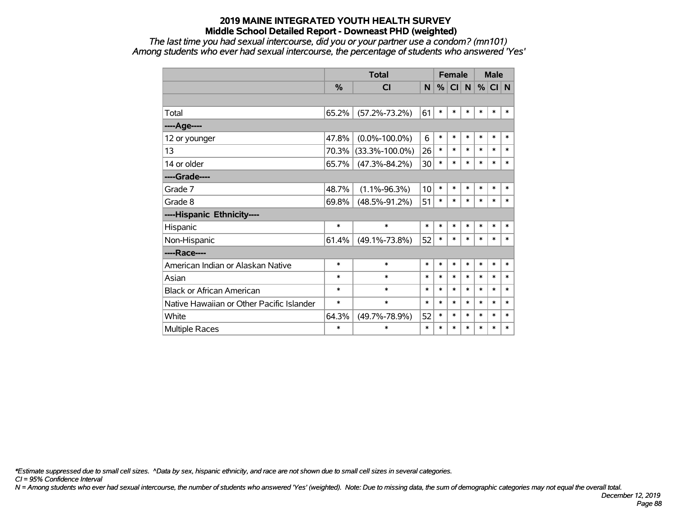*The last time you had sexual intercourse, did you or your partner use a condom? (mn101) Among students who ever had sexual intercourse, the percentage of students who answered 'Yes'*

|                                           |               | <b>Total</b>         |        | <b>Female</b> |                      |        |        | <b>Male</b> |        |
|-------------------------------------------|---------------|----------------------|--------|---------------|----------------------|--------|--------|-------------|--------|
|                                           | $\frac{0}{2}$ | СI                   | N      |               | $%$ CI $\mid N \mid$ |        | %      | CI N        |        |
|                                           |               |                      |        |               |                      |        |        |             |        |
| Total                                     | 65.2%         | $(57.2\% - 73.2\%)$  | 61     | $\ast$        | $\ast$               | $\ast$ | *      | $\ast$      | $\ast$ |
| ---- Age----                              |               |                      |        |               |                      |        |        |             |        |
| 12 or younger                             | 47.8%         | $(0.0\% - 100.0\%)$  | 6      | $\ast$        | $\ast$               | $\ast$ | $\ast$ | $\ast$      | $\ast$ |
| 13                                        | 70.3%         | $(33.3\% - 100.0\%)$ | 26     | $\ast$        | $\ast$               | $\ast$ | $\ast$ | $\ast$      | $\ast$ |
| 14 or older                               | 65.7%         | $(47.3\% - 84.2\%)$  | 30     | $\ast$        | $\ast$               | $\ast$ | $\ast$ | $\ast$      | $\ast$ |
| ----Grade----                             |               |                      |        |               |                      |        |        |             |        |
| Grade 7                                   | 48.7%         | $(1.1\% - 96.3\%)$   | 10     | $\ast$        | $\ast$               | $\ast$ | $\ast$ | $\ast$      | $\ast$ |
| Grade 8                                   | 69.8%         | $(48.5\% - 91.2\%)$  | 51     | $\ast$        | $\ast$               | $\ast$ | $\ast$ | $\ast$      | $\ast$ |
| ----Hispanic Ethnicity----                |               |                      |        |               |                      |        |        |             |        |
| Hispanic                                  | $\ast$        | $\ast$               | $\ast$ | $\ast$        | $\ast$               | $\ast$ | $\ast$ | $\ast$      | $\ast$ |
| Non-Hispanic                              | 61.4%         | $(49.1\% - 73.8\%)$  | 52     | $\ast$        | $\ast$               | $\ast$ | $\ast$ | $\ast$      | $\ast$ |
| ----Race----                              |               |                      |        |               |                      |        |        |             |        |
| American Indian or Alaskan Native         | $\ast$        | $\ast$               | $\ast$ | $\ast$        | $\ast$               | $\ast$ | $\ast$ | $\ast$      | $\ast$ |
| Asian                                     | $\ast$        | $\ast$               | $\ast$ | $\ast$        | $\ast$               | $\ast$ | $\ast$ | $\ast$      | $\ast$ |
| <b>Black or African American</b>          | $\ast$        | $\ast$               | $\ast$ | $\ast$        | $\ast$               | $\ast$ | $\ast$ | $\ast$      | $\ast$ |
| Native Hawaiian or Other Pacific Islander | $\ast$        | $\ast$               | $\ast$ | $\ast$        | $\ast$               | $\ast$ | $\ast$ | $\ast$      | $\ast$ |
| White                                     | 64.3%         | $(49.7\% - 78.9\%)$  | 52     | $\ast$        | $\ast$               | $\ast$ | *      | $\ast$      | $\ast$ |
| Multiple Races                            | $\ast$        | $\ast$               | $\ast$ | $\ast$        | $\ast$               | $\ast$ | $\ast$ | $\ast$      | $\ast$ |

*\*Estimate suppressed due to small cell sizes. ^Data by sex, hispanic ethnicity, and race are not shown due to small cell sizes in several categories.*

*CI = 95% Confidence Interval*

*N = Among students who ever had sexual intercourse, the number of students who answered 'Yes' (weighted). Note: Due to missing data, the sum of demographic categories may not equal the overall total.*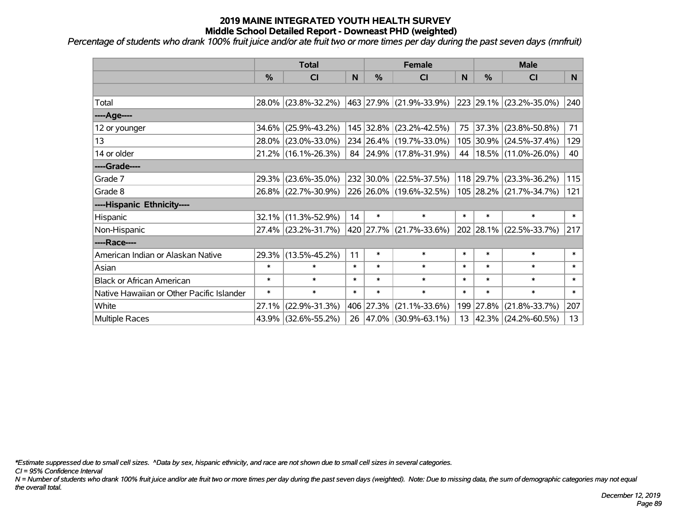*Percentage of students who drank 100% fruit juice and/or ate fruit two or more times per day during the past seven days (mnfruit)*

|                                           | <b>Total</b>  |                                             |        | <b>Female</b> | <b>Male</b>                      |        |           |                             |        |
|-------------------------------------------|---------------|---------------------------------------------|--------|---------------|----------------------------------|--------|-----------|-----------------------------|--------|
|                                           | $\frac{0}{0}$ | <b>CI</b>                                   | N      | $\frac{9}{6}$ | <b>CI</b>                        | N      | %         | <b>CI</b>                   | N.     |
|                                           |               |                                             |        |               |                                  |        |           |                             |        |
| Total                                     |               | 28.0% (23.8%-32.2%)                         |        |               | $ 463 27.9\%  (21.9\% - 33.9\%)$ |        |           | 223 29.1% (23.2%-35.0%)     | 240    |
| ----Age----                               |               |                                             |        |               |                                  |        |           |                             |        |
| 12 or younger                             | 34.6%         | $(25.9\% - 43.2\%)$                         |        |               | 145 32.8% (23.2%-42.5%)          |        | 75 37.3%  | $(23.8\% - 50.8\%)$         | 71     |
| 13                                        |               | 28.0% (23.0%-33.0%)                         |        |               | 234 26.4% (19.7%-33.0%)          |        |           | 105 30.9% (24.5%-37.4%)     | 129    |
| 14 or older                               |               | 21.2% (16.1%-26.3%)                         |        |               | 84 24.9% (17.8%-31.9%)           | 44     |           | 18.5% (11.0%-26.0%)         | 40     |
| ----Grade----                             |               |                                             |        |               |                                  |        |           |                             |        |
| Grade 7                                   | 29.3%         | $(23.6\% - 35.0\%)$                         |        |               | 232 30.0% (22.5%-37.5%)          |        | 118 29.7% | $(23.3\% - 36.2\%)$         | 115    |
| Grade 8                                   |               | 26.8% (22.7%-30.9%) 226 26.0% (19.6%-32.5%) |        |               |                                  |        |           | 105 28.2% (21.7%-34.7%)     | 121    |
| ----Hispanic Ethnicity----                |               |                                             |        |               |                                  |        |           |                             |        |
| Hispanic                                  | 32.1%         | $(11.3\% - 52.9\%)$                         | 14     | $\ast$        | $\ast$                           | $\ast$ | $\ast$    | $\ast$                      | $\ast$ |
| Non-Hispanic                              |               | 27.4% (23.2%-31.7%)                         |        |               | 420 27.7% (21.7%-33.6%)          |        |           | 202 28.1% (22.5%-33.7%)     | 217    |
| ----Race----                              |               |                                             |        |               |                                  |        |           |                             |        |
| American Indian or Alaskan Native         | 29.3%         | $(13.5\% - 45.2\%)$                         | 11     | $\ast$        | $\ast$                           | $\ast$ | $\ast$    | $\ast$                      | $\ast$ |
| Asian                                     | $\ast$        | $\ast$                                      | $\ast$ | $\ast$        | $\ast$                           | $\ast$ | $\ast$    | $\ast$                      | $\ast$ |
| <b>Black or African American</b>          | $\ast$        | $\ast$                                      | $\ast$ | $\ast$        | $\ast$                           | $\ast$ | $\ast$    | $\ast$                      | $\ast$ |
| Native Hawaiian or Other Pacific Islander | $\ast$        | $\ast$                                      | $\ast$ | $\ast$        | $\ast$                           | $\ast$ | $\ast$    | $\ast$                      | $\ast$ |
| White                                     | 27.1%         | $(22.9\% - 31.3\%)$                         |        | 406 27.3%     | $(21.1\% - 33.6\%)$              |        | 199 27.8% | $(21.8\% - 33.7\%)$         | 207    |
| Multiple Races                            |               | 43.9% (32.6%-55.2%)                         |        |               | 26 47.0% (30.9%-63.1%)           |        |           | 13 $ 42.3\% $ (24.2%-60.5%) | 13     |

*\*Estimate suppressed due to small cell sizes. ^Data by sex, hispanic ethnicity, and race are not shown due to small cell sizes in several categories.*

*CI = 95% Confidence Interval*

*N = Number of students who drank 100% fruit juice and/or ate fruit two or more times per day during the past seven days (weighted). Note: Due to missing data, the sum of demographic categories may not equal the overall total.*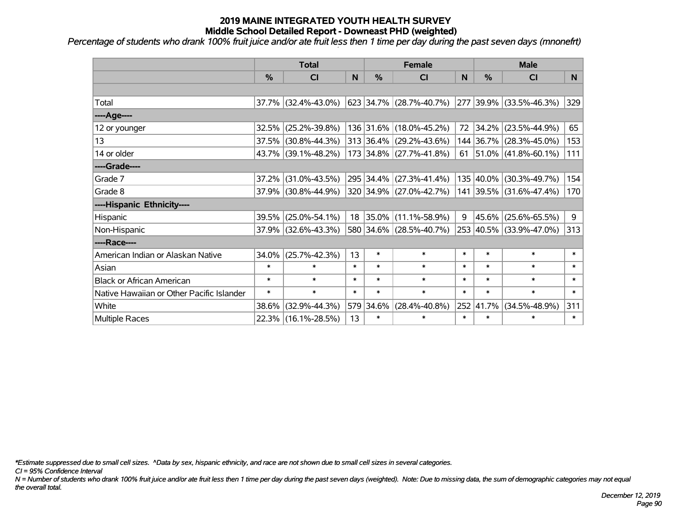*Percentage of students who drank 100% fruit juice and/or ate fruit less then 1 time per day during the past seven days (mnonefrt)*

|                                           | <b>Total</b>  |                        |        | <b>Female</b> |                                 | <b>Male</b> |           |                            |          |
|-------------------------------------------|---------------|------------------------|--------|---------------|---------------------------------|-------------|-----------|----------------------------|----------|
|                                           | $\frac{0}{0}$ | <b>CI</b>              | N      | $\frac{9}{6}$ | CI                              | N           | %         | <b>CI</b>                  | <b>N</b> |
|                                           |               |                        |        |               |                                 |             |           |                            |          |
| Total                                     |               | $37.7\%$ (32.4%-43.0%) |        |               | $623$ 34.7% (28.7%-40.7%)       |             |           | 277 39.9% (33.5%-46.3%)    | 329      |
| ----Age----                               |               |                        |        |               |                                 |             |           |                            |          |
| 12 or younger                             | 32.5%         | $(25.2\% - 39.8\%)$    |        |               | 136 31.6% (18.0%-45.2%)         | 72          | 34.2%     | $(23.5\% - 44.9\%)$        | 65       |
| 13                                        | 37.5%         | $(30.8\% - 44.3\%)$    |        |               | $313 36.4\%  (29.2\% - 43.6\%)$ |             |           | 144 36.7% (28.3%-45.0%)    | 153      |
| 14 or older                               |               | 43.7% (39.1%-48.2%)    |        |               | 173 34.8% (27.7%-41.8%)         |             |           | 61   51.0%   (41.8%-60.1%) | 111      |
| ----Grade----                             |               |                        |        |               |                                 |             |           |                            |          |
| Grade 7                                   | 37.2%         | $(31.0\% - 43.5\%)$    |        |               | 295 34.4% (27.3%-41.4%)         |             | 135 40.0% | $(30.3\% - 49.7\%)$        | 154      |
| Grade 8                                   |               | 37.9% (30.8%-44.9%)    |        |               | 320 34.9% (27.0%-42.7%)         |             |           | 141 39.5% (31.6%-47.4%)    | 170      |
| ----Hispanic Ethnicity----                |               |                        |        |               |                                 |             |           |                            |          |
| Hispanic                                  | 39.5%         | $(25.0\% - 54.1\%)$    |        |               | 18 35.0% (11.1%-58.9%)          | 9           | 45.6%     | $(25.6\% - 65.5\%)$        | 9        |
| Non-Hispanic                              |               | 37.9% (32.6%-43.3%)    |        |               | 580 34.6% (28.5%-40.7%)         |             |           | 253 40.5% (33.9%-47.0%)    | 313      |
| ----Race----                              |               |                        |        |               |                                 |             |           |                            |          |
| American Indian or Alaskan Native         | 34.0%         | $(25.7\% - 42.3\%)$    | 13     | $\ast$        | $\ast$                          | $\ast$      | $\ast$    | $\ast$                     | $\ast$   |
| Asian                                     | $\ast$        | $\ast$                 | $\ast$ | $\ast$        | $\ast$                          | $\ast$      | $\ast$    | $\ast$                     | $\ast$   |
| <b>Black or African American</b>          | $\ast$        | $\ast$                 | $\ast$ | $\ast$        | $\ast$                          | $\ast$      | $\ast$    | $\ast$                     | $\ast$   |
| Native Hawaiian or Other Pacific Islander | $\ast$        | $\ast$                 | $\ast$ | $\ast$        | $\ast$                          | $\ast$      | $\ast$    | $\ast$                     | $\ast$   |
| White                                     | 38.6%         | $(32.9\% - 44.3\%)$    |        | 579 34.6%     | $(28.4\% - 40.8\%)$             |             | 252 41.7% | $(34.5\% - 48.9\%)$        | 311      |
| Multiple Races                            |               | 22.3% (16.1%-28.5%)    | 13     | $\ast$        | $\ast$                          | $\ast$      | $\ast$    | $\ast$                     | $\ast$   |

*\*Estimate suppressed due to small cell sizes. ^Data by sex, hispanic ethnicity, and race are not shown due to small cell sizes in several categories.*

*CI = 95% Confidence Interval*

*N = Number of students who drank 100% fruit juice and/or ate fruit less then 1 time per day during the past seven days (weighted). Note: Due to missing data, the sum of demographic categories may not equal the overall total.*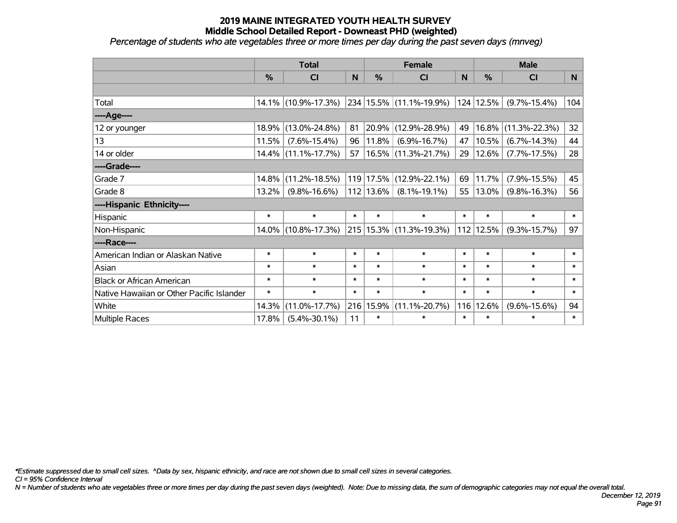*Percentage of students who ate vegetables three or more times per day during the past seven days (mnveg)*

|                                           | <b>Total</b>  |                        |        |               | <b>Female</b>            |          | <b>Male</b> |                     |        |  |
|-------------------------------------------|---------------|------------------------|--------|---------------|--------------------------|----------|-------------|---------------------|--------|--|
|                                           | $\frac{0}{0}$ | <b>CI</b>              | N      | $\frac{0}{0}$ | <b>CI</b>                | <b>N</b> | %           | <b>CI</b>           | N.     |  |
|                                           |               |                        |        |               |                          |          |             |                     |        |  |
| Total                                     |               | 14.1% (10.9%-17.3%)    |        |               | 234 15.5% (11.1%-19.9%)  |          | 124 12.5%   | $(9.7\% - 15.4\%)$  | 104    |  |
| ----Age----                               |               |                        |        |               |                          |          |             |                     |        |  |
| 12 or younger                             | 18.9%         | $(13.0\% - 24.8\%)$    | 81     | 20.9%         | $(12.9\% - 28.9\%)$      | 49       | 16.8%       | $(11.3\% - 22.3\%)$ | 32     |  |
| 13                                        | 11.5%         | $(7.6\% - 15.4\%)$     | 96     | $11.8\%$      | $(6.9\% - 16.7\%)$       | 47       | 10.5%       | $(6.7\% - 14.3\%)$  | 44     |  |
| 14 or older                               |               | $14.4\%$ (11.1%-17.7%) | 57     |               | $ 16.5\% $ (11.3%-21.7%) | 29       | $12.6\%$    | $(7.7\% - 17.5\%)$  | 28     |  |
| ----Grade----                             |               |                        |        |               |                          |          |             |                     |        |  |
| Grade 7                                   | 14.8%         | $(11.2\% - 18.5\%)$    |        | $119$ 17.5%   | $(12.9\% - 22.1\%)$      | 69       | 11.7%       | $(7.9\% - 15.5\%)$  | 45     |  |
| Grade 8                                   | 13.2%         | $(9.8\% - 16.6\%)$     |        | $112$   13.6% | $(8.1\% - 19.1\%)$       | 55       | 13.0%       | $(9.8\% - 16.3\%)$  | 56     |  |
| ----Hispanic Ethnicity----                |               |                        |        |               |                          |          |             |                     |        |  |
| Hispanic                                  | $\ast$        | $\ast$                 | $\ast$ | $\ast$        | $\ast$                   | $\ast$   | $\ast$      | $\ast$              | $\ast$ |  |
| Non-Hispanic                              |               | 14.0% (10.8%-17.3%)    |        |               | 215 15.3% (11.3%-19.3%)  | 112      | 12.5%       | $(9.3\% - 15.7\%)$  | 97     |  |
| ----Race----                              |               |                        |        |               |                          |          |             |                     |        |  |
| American Indian or Alaskan Native         | $\ast$        | $\ast$                 | $\ast$ | $\ast$        | $\ast$                   | $\ast$   | $\ast$      | $\ast$              | $\ast$ |  |
| Asian                                     | $\ast$        | $\ast$                 | $\ast$ | $\ast$        | $\ast$                   | $\ast$   | $\ast$      | $\ast$              | $\ast$ |  |
| <b>Black or African American</b>          | $\ast$        | $\ast$                 | $\ast$ | $\ast$        | $\ast$                   | $\ast$   | $\ast$      | $\ast$              | $\ast$ |  |
| Native Hawaiian or Other Pacific Islander | $\ast$        | $\ast$                 | $\ast$ | $\ast$        | $\ast$                   | $\ast$   | $\ast$      | $\ast$              | $\ast$ |  |
| White                                     | 14.3%         | $(11.0\% - 17.7\%)$    | 216    | 15.9%         | $(11.1\% - 20.7\%)$      | 116      | 12.6%       | $(9.6\% - 15.6\%)$  | 94     |  |
| Multiple Races                            | 17.8%         | $(5.4\% - 30.1\%)$     | 11     | $\ast$        | $\ast$                   | $\ast$   | $\ast$      | $\ast$              | $\ast$ |  |

*\*Estimate suppressed due to small cell sizes. ^Data by sex, hispanic ethnicity, and race are not shown due to small cell sizes in several categories.*

*CI = 95% Confidence Interval*

*N = Number of students who ate vegetables three or more times per day during the past seven days (weighted). Note: Due to missing data, the sum of demographic categories may not equal the overall total.*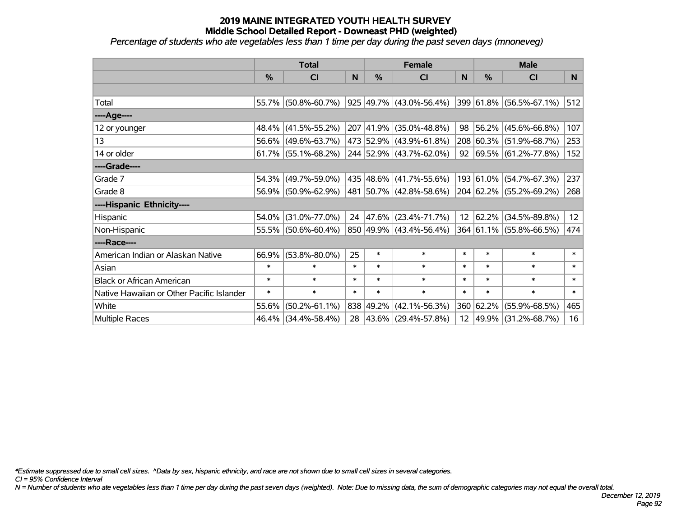*Percentage of students who ate vegetables less than 1 time per day during the past seven days (mnoneveg)*

|                                           | <b>Total</b> |                     |        |           | <b>Female</b>           | <b>Male</b>      |               |                                 |                 |
|-------------------------------------------|--------------|---------------------|--------|-----------|-------------------------|------------------|---------------|---------------------------------|-----------------|
|                                           | %            | CI                  | N      | %         | <b>CI</b>               | N                | $\frac{0}{0}$ | <b>CI</b>                       | N <sub>1</sub>  |
|                                           |              |                     |        |           |                         |                  |               |                                 |                 |
| Total                                     |              | 55.7% (50.8%-60.7%) |        |           | 925 49.7% (43.0%-56.4%) |                  |               | 399 61.8% (56.5%-67.1%)         | 512             |
| ----Age----                               |              |                     |        |           |                         |                  |               |                                 |                 |
| 12 or younger                             | 48.4%        | $(41.5\% - 55.2\%)$ |        | 207 41.9% | $(35.0\% - 48.8\%)$     | 98               | 56.2%         | $(45.6\% - 66.8\%)$             | 107             |
| 13                                        |              | 56.6% (49.6%-63.7%) |        |           | 473 52.9% (43.9%-61.8%) |                  |               | 208 60.3% (51.9%-68.7%)         | 253             |
| 14 or older                               |              | 61.7% (55.1%-68.2%) |        |           | 244 52.9% (43.7%-62.0%) |                  |               | 92 $ 69.5\%  (61.2\% - 77.8\%)$ | 152             |
| ----Grade----                             |              |                     |        |           |                         |                  |               |                                 |                 |
| Grade 7                                   | 54.3%        | $(49.7\% - 59.0\%)$ |        |           | 435 48.6% (41.7%-55.6%) |                  | 193 61.0%     | $(54.7\% - 67.3\%)$             | 237             |
| Grade 8                                   |              | 56.9% (50.9%-62.9%) |        |           | 481 50.7% (42.8%-58.6%) |                  |               | 204 62.2% (55.2%-69.2%)         | 268             |
| ----Hispanic Ethnicity----                |              |                     |        |           |                         |                  |               |                                 |                 |
| Hispanic                                  | 54.0%        | $(31.0\% - 77.0\%)$ | 24     | 47.6%     | $(23.4\% - 71.7\%)$     | 12 <sup>12</sup> | 62.2%         | $(34.5\% - 89.8\%)$             | 12 <sub>2</sub> |
| Non-Hispanic                              |              | 55.5% (50.6%-60.4%) |        |           | 850 49.9% (43.4%-56.4%) |                  |               | 364 61.1% (55.8%-66.5%)         | 474             |
| ----Race----                              |              |                     |        |           |                         |                  |               |                                 |                 |
| American Indian or Alaskan Native         | 66.9%        | $(53.8\% - 80.0\%)$ | 25     | $\ast$    | $\ast$                  | $\ast$           | $\ast$        | $\ast$                          | $\ast$          |
| Asian                                     | $\ast$       | $\ast$              | $\ast$ | $\ast$    | $\ast$                  | $\ast$           | $\ast$        | $\ast$                          | $\ast$          |
| <b>Black or African American</b>          | $\ast$       | $\ast$              | $\ast$ | $\ast$    | $\ast$                  | $\ast$           | $\ast$        | $\ast$                          | $\ast$          |
| Native Hawaiian or Other Pacific Islander | $\ast$       | $\ast$              | $\ast$ | $\ast$    | $\ast$                  | $\ast$           | $\ast$        | $\ast$                          | $\pmb{\ast}$    |
| White                                     | 55.6%        | $(50.2\% - 61.1\%)$ |        | 838 49.2% | $(42.1\% - 56.3\%)$     |                  | 360 62.2%     | $(55.9\% - 68.5\%)$             | 465             |
| Multiple Races                            |              | 46.4% (34.4%-58.4%) |        |           | 28 43.6% (29.4%-57.8%)  |                  | 12 49.9%      | $(31.2\% - 68.7\%)$             | 16              |

*\*Estimate suppressed due to small cell sizes. ^Data by sex, hispanic ethnicity, and race are not shown due to small cell sizes in several categories.*

*CI = 95% Confidence Interval*

*N = Number of students who ate vegetables less than 1 time per day during the past seven days (weighted). Note: Due to missing data, the sum of demographic categories may not equal the overall total.*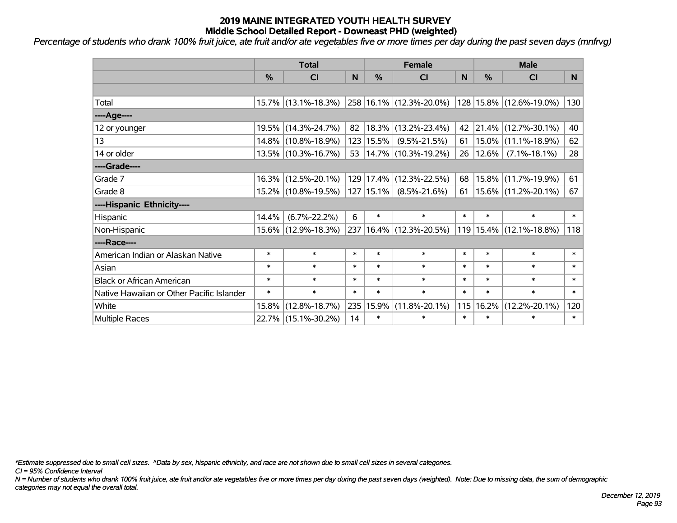*Percentage of students who drank 100% fruit juice, ate fruit and/or ate vegetables five or more times per day during the past seven days (mnfrvg)*

|                                           | <b>Total</b>  |                     |        |               | <b>Female</b>                    |           | <b>Male</b>   |                         |              |  |
|-------------------------------------------|---------------|---------------------|--------|---------------|----------------------------------|-----------|---------------|-------------------------|--------------|--|
|                                           | $\frac{0}{0}$ | <b>CI</b>           | N      | $\frac{0}{0}$ | <b>CI</b>                        | N         | $\frac{0}{0}$ | <b>CI</b>               | N            |  |
|                                           |               |                     |        |               |                                  |           |               |                         |              |  |
| Total                                     |               | 15.7% (13.1%-18.3%) |        |               | 258 16.1% (12.3%-20.0%)          |           |               | 128 15.8% (12.6%-19.0%) | 130          |  |
| ----Age----                               |               |                     |        |               |                                  |           |               |                         |              |  |
| 12 or younger                             |               | 19.5% (14.3%-24.7%) | 82     | 18.3%         | $(13.2\% - 23.4\%)$              |           |               | 42 21.4% (12.7%-30.1%)  | 40           |  |
| 13                                        |               | 14.8% (10.8%-18.9%) |        | 123 15.5%     | $(9.5\% - 21.5\%)$               | $61 \mid$ |               | $15.0\%$ (11.1%-18.9%)  | 62           |  |
| 14 or older                               |               | 13.5% (10.3%-16.7%) |        |               | 53   14.7%   $(10.3\% - 19.2\%)$ | 26        |               | $12.6\%$ (7.1%-18.1%)   | 28           |  |
| ----Grade----                             |               |                     |        |               |                                  |           |               |                         |              |  |
| Grade 7                                   |               | 16.3% (12.5%-20.1%) |        | 129 17.4%     | $(12.3\% - 22.5\%)$              | 68        | 15.8%         | $(11.7\% - 19.9\%)$     | 61           |  |
| Grade 8                                   |               | 15.2% (10.8%-19.5%) |        | $127$   15.1% | $(8.5\% - 21.6\%)$               | 61        |               | 15.6% (11.2%-20.1%)     | 67           |  |
| ----Hispanic Ethnicity----                |               |                     |        |               |                                  |           |               |                         |              |  |
| Hispanic                                  | 14.4%         | $(6.7\% - 22.2\%)$  | 6      | $\ast$        | $\ast$                           | $\ast$    | $\ast$        | $\ast$                  | $\ast$       |  |
| Non-Hispanic                              |               | 15.6% (12.9%-18.3%) |        |               | 237   16.4%   (12.3%-20.5%)      |           |               | 119 15.4% (12.1%-18.8%) | 118          |  |
| ----Race----                              |               |                     |        |               |                                  |           |               |                         |              |  |
| American Indian or Alaskan Native         | $\ast$        | $\ast$              | $\ast$ | $\ast$        | $\ast$                           | $\ast$    | $\ast$        | $\ast$                  | $\ast$       |  |
| Asian                                     | $\ast$        | $\ast$              | $\ast$ | $\ast$        | $\ast$                           | $\ast$    | $\ast$        | $\ast$                  | $\ast$       |  |
| <b>Black or African American</b>          | $\ast$        | $\ast$              | $\ast$ | $\ast$        | $\ast$                           | $\ast$    | $\ast$        | $\ast$                  | $\ast$       |  |
| Native Hawaiian or Other Pacific Islander | $\ast$        | $\ast$              | $\ast$ | $\ast$        | $\ast$                           | $\ast$    | $\ast$        | $\ast$                  | $\pmb{\ast}$ |  |
| White                                     | 15.8%         | $(12.8\% - 18.7\%)$ | 235    | 15.9%         | $(11.8\% - 20.1\%)$              | 115       | 16.2%         | $(12.2\% - 20.1\%)$     | 120          |  |
| <b>Multiple Races</b>                     |               | 22.7% (15.1%-30.2%) | 14     | $\ast$        | $\ast$                           | $\ast$    | $\ast$        | $\ast$                  | $\ast$       |  |

*\*Estimate suppressed due to small cell sizes. ^Data by sex, hispanic ethnicity, and race are not shown due to small cell sizes in several categories.*

*CI = 95% Confidence Interval*

*N = Number of students who drank 100% fruit juice, ate fruit and/or ate vegetables five or more times per day during the past seven days (weighted). Note: Due to missing data, the sum of demographic categories may not equal the overall total.*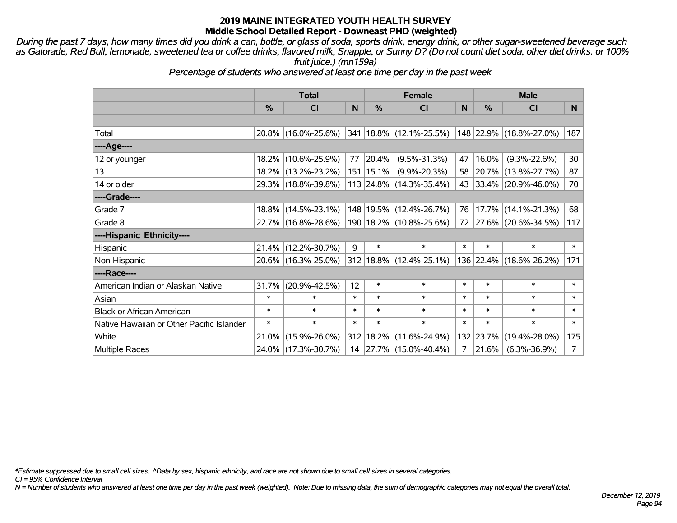*During the past 7 days, how many times did you drink a can, bottle, or glass of soda, sports drink, energy drink, or other sugar-sweetened beverage such as Gatorade, Red Bull, lemonade, sweetened tea or coffee drinks, flavored milk, Snapple, or Sunny D? (Do not count diet soda, other diet drinks, or 100% fruit juice.) (mn159a)*

*Percentage of students who answered at least one time per day in the past week*

|                                           | <b>Total</b> |                     |        | <b>Female</b> | <b>Male</b>                      |        |           |                         |                 |
|-------------------------------------------|--------------|---------------------|--------|---------------|----------------------------------|--------|-----------|-------------------------|-----------------|
|                                           | %            | <b>CI</b>           | N      | $\frac{9}{6}$ | <b>CI</b>                        | N      | %         | <b>CI</b>               | N.              |
|                                           |              |                     |        |               |                                  |        |           |                         |                 |
| Total                                     |              | 20.8% (16.0%-25.6%) |        |               | $ 341 18.8\%  (12.1\% - 25.5\%)$ |        |           | 148 22.9% (18.8%-27.0%) | 187             |
| ----Age----                               |              |                     |        |               |                                  |        |           |                         |                 |
| 12 or younger                             | 18.2%        | $(10.6\% - 25.9\%)$ | 77     | 20.4%         | $(9.5\% - 31.3\%)$               | 47     | 16.0%     | $(9.3\% - 22.6\%)$      | 30 <sup>°</sup> |
| 13                                        |              | 18.2% (13.2%-23.2%) |        | $151$   15.1% | $(9.9\% - 20.3\%)$               |        | 58 20.7%  | $(13.8\% - 27.7\%)$     | 87              |
| 14 or older                               |              | 29.3% (18.8%-39.8%) |        |               | 113 24.8% (14.3%-35.4%)          |        |           | 43 33.4% (20.9%-46.0%)  | 70              |
| ----Grade----                             |              |                     |        |               |                                  |        |           |                         |                 |
| Grade 7                                   | $18.8\%$     | $(14.5\% - 23.1\%)$ |        |               | 148   19.5%   (12.4%-26.7%)      | 76     | 17.7%     | $(14.1\% - 21.3\%)$     | 68              |
| Grade 8                                   |              | 22.7% (16.8%-28.6%) |        |               | 190   18.2%   (10.8%-25.6%)      |        |           | 72 27.6% (20.6%-34.5%)  | 117             |
| ----Hispanic Ethnicity----                |              |                     |        |               |                                  |        |           |                         |                 |
| Hispanic                                  | 21.4%        | $(12.2\% - 30.7\%)$ | 9      | $\ast$        | $\ast$                           | $\ast$ | $\ast$    | $\ast$                  | $\ast$          |
| Non-Hispanic                              |              | 20.6% (16.3%-25.0%) |        |               | $312 18.8\%  (12.4\% - 25.1\%)$  |        |           | 136 22.4% (18.6%-26.2%) | 171             |
| ----Race----                              |              |                     |        |               |                                  |        |           |                         |                 |
| American Indian or Alaskan Native         | 31.7%        | $(20.9\% - 42.5\%)$ | 12     | $\ast$        | $\ast$                           | $\ast$ | $\ast$    | $\ast$                  | $\ast$          |
| Asian                                     | $\ast$       | $\ast$              | $\ast$ | $\ast$        | $\ast$                           | $\ast$ | $\ast$    | $\ast$                  | $\ast$          |
| <b>Black or African American</b>          | $\ast$       | $\ast$              | $\ast$ | $\ast$        | $\ast$                           | $\ast$ | $\ast$    | $\ast$                  | $\ast$          |
| Native Hawaiian or Other Pacific Islander | $\ast$       | $\ast$              | $\ast$ | $\ast$        | $\ast$                           | $\ast$ | $\ast$    | $\ast$                  | $\ast$          |
| White                                     | 21.0%        | $(15.9\% - 26.0\%)$ |        |               | 312 18.2% (11.6%-24.9%)          |        | 132 23.7% | $(19.4\% - 28.0\%)$     | 175             |
| <b>Multiple Races</b>                     |              | 24.0% (17.3%-30.7%) |        |               | 14 27.7% (15.0%-40.4%)           | 7      | 21.6%     | $(6.3\% - 36.9\%)$      | 7 <sup>1</sup>  |

*\*Estimate suppressed due to small cell sizes. ^Data by sex, hispanic ethnicity, and race are not shown due to small cell sizes in several categories.*

*CI = 95% Confidence Interval*

*N = Number of students who answered at least one time per day in the past week (weighted). Note: Due to missing data, the sum of demographic categories may not equal the overall total.*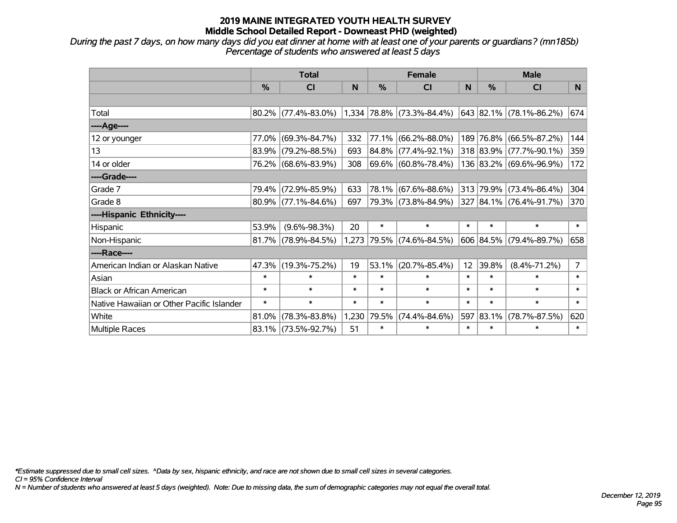*During the past 7 days, on how many days did you eat dinner at home with at least one of your parents or guardians? (mn185b) Percentage of students who answered at least 5 days*

|                                           | <b>Total</b>  |                        |        | <b>Female</b> |                                   | <b>Male</b> |               |                         |                |
|-------------------------------------------|---------------|------------------------|--------|---------------|-----------------------------------|-------------|---------------|-------------------------|----------------|
|                                           | $\frac{0}{0}$ | <b>CI</b>              | N      | %             | <b>CI</b>                         | N           | $\frac{0}{0}$ | <b>CI</b>               | N.             |
|                                           |               |                        |        |               |                                   |             |               |                         |                |
| Total                                     |               | $80.2\%$ (77.4%-83.0%) |        |               | $(1,334 78.8\% (73.3\% - 84.4\%)$ |             |               | 643 82.1% (78.1%-86.2%) | 674            |
| ----Age----                               |               |                        |        |               |                                   |             |               |                         |                |
| 12 or younger                             | 77.0%         | $(69.3\% - 84.7\%)$    | 332    | 77.1%         | $(66.2\% - 88.0\%)$               |             |               | 189 76.8% (66.5%-87.2%) | 144            |
| 13                                        |               | 83.9% (79.2%-88.5%)    | 693    | 84.8%         | $(77.4\% - 92.1\%)$               |             |               | 318 83.9% (77.7%-90.1%) | 359            |
| 14 or older                               |               | 76.2% (68.6%-83.9%)    | 308    |               | 69.6% (60.8%-78.4%)               |             |               | 136 83.2% (69.6%-96.9%) | 172            |
| ----Grade----                             |               |                        |        |               |                                   |             |               |                         |                |
| Grade 7                                   |               | 79.4% (72.9%-85.9%)    | 633    | 78.1%         | $(67.6\% - 88.6\%)$               |             |               | 313 79.9% (73.4%-86.4%) | 304            |
| Grade 8                                   |               | $80.9\%$ (77.1%-84.6%) | 697    |               | 79.3% (73.8%-84.9%)               |             |               | 327 84.1% (76.4%-91.7%) | 370            |
| ----Hispanic Ethnicity----                |               |                        |        |               |                                   |             |               |                         |                |
| Hispanic                                  | 53.9%         | $(9.6\% - 98.3\%)$     | 20     | $\ast$        | $\ast$                            | $\ast$      | $\ast$        | $\ast$                  | $\ast$         |
| Non-Hispanic                              |               | $81.7\%$ (78.9%-84.5%) | 1,273  |               | 79.5% (74.6%-84.5%)               |             |               | 606 84.5% (79.4%-89.7%) | 658            |
| ----Race----                              |               |                        |        |               |                                   |             |               |                         |                |
| American Indian or Alaskan Native         |               | 47.3% (19.3%-75.2%)    | 19     | 53.1%         | $(20.7\% - 85.4\%)$               | 12          | 39.8%         | $(8.4\% - 71.2\%)$      | $\overline{7}$ |
| Asian                                     | $\ast$        | $\ast$                 | $\ast$ | $\ast$        | $\ast$                            | $\ast$      | $\ast$        | $\ast$                  | $\ast$         |
| <b>Black or African American</b>          | $\ast$        | $\ast$                 | $\ast$ | $\ast$        | $\ast$                            | $\ast$      | $\ast$        | $\ast$                  | $\ast$         |
| Native Hawaiian or Other Pacific Islander | $\ast$        | $\ast$                 | $\ast$ | $\ast$        | $\ast$                            | $\ast$      | $\ast$        | $\ast$                  | $\ast$         |
| White                                     | 81.0%         | $(78.3\% - 83.8\%)$    | 1,230  | 79.5%         | $(74.4\% - 84.6\%)$               |             | 597 83.1%     | $(78.7\% - 87.5\%)$     | 620            |
| Multiple Races                            |               | 83.1% (73.5%-92.7%)    | 51     | $\ast$        | $\ast$                            | $\ast$      | $\ast$        | $\ast$                  | $\ast$         |

*\*Estimate suppressed due to small cell sizes. ^Data by sex, hispanic ethnicity, and race are not shown due to small cell sizes in several categories.*

*CI = 95% Confidence Interval*

*N = Number of students who answered at least 5 days (weighted). Note: Due to missing data, the sum of demographic categories may not equal the overall total.*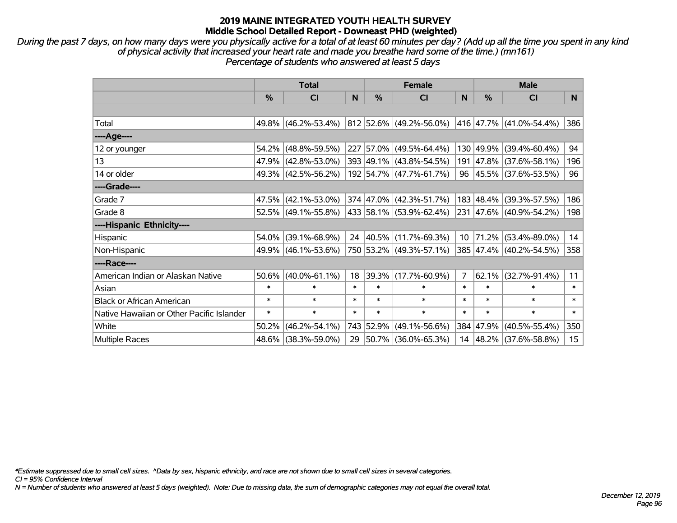*During the past 7 days, on how many days were you physically active for a total of at least 60 minutes per day? (Add up all the time you spent in any kind of physical activity that increased your heart rate and made you breathe hard some of the time.) (mn161) Percentage of students who answered at least 5 days*

|                                           | <b>Total</b>  |                        |        | <b>Female</b> | <b>Male</b>              |        |               |                         |                  |
|-------------------------------------------|---------------|------------------------|--------|---------------|--------------------------|--------|---------------|-------------------------|------------------|
|                                           | $\frac{0}{0}$ | CI                     | N      | %             | <b>CI</b>                | N      | $\frac{0}{0}$ | <b>CI</b>               | N                |
|                                           |               |                        |        |               |                          |        |               |                         |                  |
| Total                                     |               | 49.8% (46.2%-53.4%)    |        |               | 812 52.6% (49.2%-56.0%)  |        |               | 416 47.7% (41.0%-54.4%) | 386              |
| ----Age----                               |               |                        |        |               |                          |        |               |                         |                  |
| 12 or younger                             |               | 54.2% (48.8%-59.5%)    |        |               | 227 57.0% (49.5%-64.4%)  |        | 130 49.9%     | $(39.4\% - 60.4\%)$     | 94               |
| 13                                        |               | 47.9% (42.8%-53.0%)    |        |               | 393 49.1% (43.8%-54.5%)  |        |               | 191 47.8% (37.6%-58.1%) | 196              |
| 14 or older                               |               | 49.3% (42.5%-56.2%)    |        |               | 192 54.7% (47.7%-61.7%)  |        |               | 96 45.5% (37.6%-53.5%)  | 96               |
| ----Grade----                             |               |                        |        |               |                          |        |               |                         |                  |
| Grade 7                                   |               | 47.5% (42.1%-53.0%)    |        |               | 374 47.0% (42.3%-51.7%)  |        | 183 48.4%     | $(39.3\% - 57.5\%)$     | 186              |
| Grade 8                                   |               | $52.5\%$ (49.1%-55.8%) |        |               | 433 58.1% (53.9%-62.4%)  |        |               | 231 47.6% (40.9%-54.2%) | 198              |
| ----Hispanic Ethnicity----                |               |                        |        |               |                          |        |               |                         |                  |
| Hispanic                                  |               | 54.0% (39.1%-68.9%)    |        | 24 40.5%      | $(11.7\% - 69.3\%)$      | 10     | $ 71.2\% $    | $(53.4\% - 89.0\%)$     | 14               |
| Non-Hispanic                              |               | 49.9% (46.1%-53.6%)    |        |               | 750 53.2% (49.3%-57.1%)  |        |               | 385 47.4% (40.2%-54.5%) | 358              |
| ----Race----                              |               |                        |        |               |                          |        |               |                         |                  |
| American Indian or Alaskan Native         |               | $50.6\%$ (40.0%-61.1%) | 18     | 39.3%         | $(17.7\% - 60.9\%)$      | 7      | 62.1%         | $(32.7\% - 91.4\%)$     | 11               |
| Asian                                     | $\ast$        | $\ast$                 | $\ast$ | $\ast$        | $\ast$                   | $\ast$ | $\ast$        | $\ast$                  | $\ast$           |
| <b>Black or African American</b>          | $\ast$        | $\ast$                 | $\ast$ | $\ast$        | $\ast$                   | $\ast$ | $\ast$        | $\ast$                  | $\ast$           |
| Native Hawaiian or Other Pacific Islander | $\ast$        | $\ast$                 | $\ast$ | $\ast$        | $\ast$                   | $\ast$ | $\ast$        | $\ast$                  | $\ast$           |
| White                                     | $50.2\%$      | $(46.2\% - 54.1\%)$    |        | 743 52.9%     | $(49.1\% - 56.6\%)$      |        | 384 47.9%     | $(40.5\% - 55.4\%)$     | 350              |
| Multiple Races                            |               | 48.6% (38.3%-59.0%)    | 29     |               | $ 50.7\% $ (36.0%-65.3%) |        |               | 14 48.2% (37.6%-58.8%)  | 15 <sub>15</sub> |

*\*Estimate suppressed due to small cell sizes. ^Data by sex, hispanic ethnicity, and race are not shown due to small cell sizes in several categories.*

*CI = 95% Confidence Interval*

*N = Number of students who answered at least 5 days (weighted). Note: Due to missing data, the sum of demographic categories may not equal the overall total.*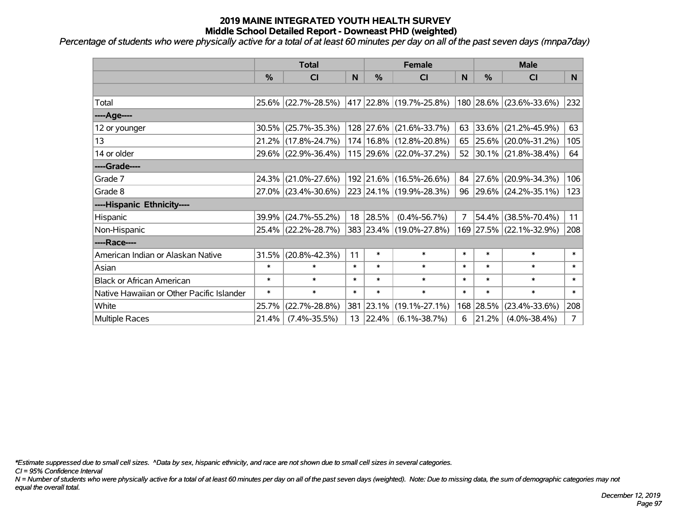*Percentage of students who were physically active for a total of at least 60 minutes per day on all of the past seven days (mnpa7day)*

|                                           | <b>Total</b>  |                                             |        |                  | <b>Female</b>                   | <b>Male</b> |               |                         |              |
|-------------------------------------------|---------------|---------------------------------------------|--------|------------------|---------------------------------|-------------|---------------|-------------------------|--------------|
|                                           | $\frac{0}{0}$ | <b>CI</b>                                   | N      | $\frac{0}{0}$    | <b>CI</b>                       | N           | $\frac{0}{0}$ | <b>CI</b>               | N.           |
|                                           |               |                                             |        |                  |                                 |             |               |                         |              |
| Total                                     |               | 25.6% (22.7%-28.5%)                         |        |                  | $ 417 22.8\% (19.7\% - 25.8\%)$ |             |               | 180 28.6% (23.6%-33.6%) | 232          |
| ----Age----                               |               |                                             |        |                  |                                 |             |               |                         |              |
| 12 or younger                             | $30.5\%$      | $(25.7\% - 35.3\%)$                         |        |                  | 128 27.6% (21.6%-33.7%)         | 63          | 33.6%         | $(21.2\% - 45.9\%)$     | 63           |
| 13                                        |               | 21.2% (17.8%-24.7%)                         |        |                  | $174 16.8\%  (12.8\% - 20.8\%)$ |             |               | 65 25.6% (20.0%-31.2%)  | 105          |
| 14 or older                               |               | 29.6% (22.9%-36.4%)                         |        |                  | $115$ 29.6% (22.0%-37.2%)       |             |               | 52 30.1% (21.8%-38.4%)  | 64           |
| ----Grade----                             |               |                                             |        |                  |                                 |             |               |                         |              |
| Grade 7                                   | $24.3\%$      | $(21.0\% - 27.6\%)$                         |        |                  | 192 21.6% (16.5%-26.6%)         | 84          | 27.6%         | $(20.9\% - 34.3\%)$     | 106          |
| Grade 8                                   |               | 27.0% (23.4%-30.6%) 223 24.1% (19.9%-28.3%) |        |                  |                                 |             |               | 96 29.6% (24.2%-35.1%)  | 123          |
| ----Hispanic Ethnicity----                |               |                                             |        |                  |                                 |             |               |                         |              |
| Hispanic                                  | 39.9%         | $(24.7\% - 55.2\%)$                         | 18     | 28.5%            | $(0.4\% - 56.7\%)$              | 7           | 54.4%         | $(38.5\% - 70.4\%)$     | 11           |
| Non-Hispanic                              |               | 25.4% (22.2%-28.7%)                         |        |                  | 383 23.4% (19.0%-27.8%)         |             |               | 169 27.5% (22.1%-32.9%) | 208          |
| ----Race----                              |               |                                             |        |                  |                                 |             |               |                         |              |
| American Indian or Alaskan Native         | 31.5%         | $(20.8\% - 42.3\%)$                         | 11     | $\ast$           | $\ast$                          | $\ast$      | $\ast$        | $\ast$                  | $\ast$       |
| Asian                                     | $\ast$        | $\ast$                                      | $\ast$ | $\ast$           | $\ast$                          | $\ast$      | $\ast$        | $\ast$                  | $\ast$       |
| <b>Black or African American</b>          | $\ast$        | $\ast$                                      | $\ast$ | $\ast$           | $\ast$                          | $\ast$      | $\ast$        | $\ast$                  | $\ast$       |
| Native Hawaiian or Other Pacific Islander | $\ast$        | $\ast$                                      | $\ast$ | $\ast$           | $\ast$                          | $\ast$      | $\ast$        | $\ast$                  | $\pmb{\ast}$ |
| White                                     | 25.7%         | $(22.7\% - 28.8\%)$                         |        | 381 23.1%        | $(19.1\% - 27.1\%)$             |             | 168 28.5%     | $(23.4\% - 33.6\%)$     | 208          |
| <b>Multiple Races</b>                     | 21.4%         | $(7.4\% - 35.5\%)$                          |        | $13 \mid 22.4\%$ | $(6.1\% - 38.7\%)$              | 6           | 21.2%         | $(4.0\% - 38.4\%)$      | 7            |

*\*Estimate suppressed due to small cell sizes. ^Data by sex, hispanic ethnicity, and race are not shown due to small cell sizes in several categories.*

*CI = 95% Confidence Interval*

*N = Number of students who were physically active for a total of at least 60 minutes per day on all of the past seven days (weighted). Note: Due to missing data, the sum of demographic categories may not equal the overall total.*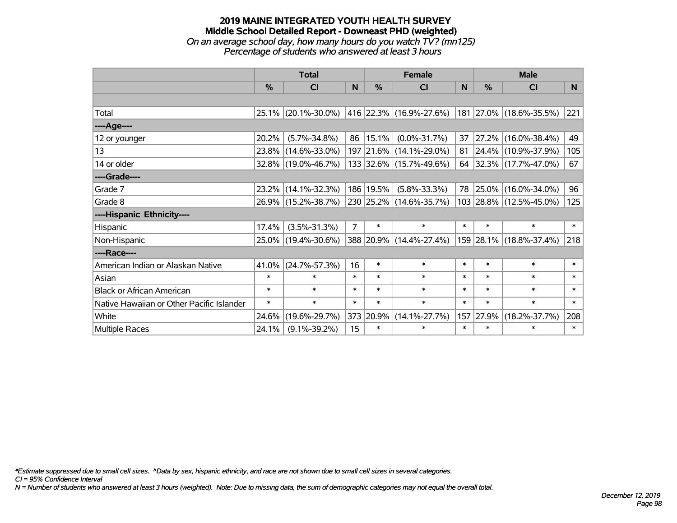#### **2019 MAINE INTEGRATED YOUTH HEALTH SURVEY Middle School Detailed Report - Downeast PHD (weighted)** *On an average school day, how many hours do you watch TV? (mn125) Percentage of students who answered at least 3 hours*

|                                           | <b>Total</b>  |                     |                |               | <b>Female</b>               | <b>Male</b> |        |                         |                |
|-------------------------------------------|---------------|---------------------|----------------|---------------|-----------------------------|-------------|--------|-------------------------|----------------|
|                                           | $\frac{0}{0}$ | CI                  | N.             | $\frac{0}{0}$ | CI                          | <b>N</b>    | %      | <b>CI</b>               | N <sub>1</sub> |
|                                           |               |                     |                |               |                             |             |        |                         |                |
| Total                                     |               | 25.1% (20.1%-30.0%) |                |               | 416   22.3%   (16.9%-27.6%) |             |        | 181 27.0% (18.6%-35.5%) | 221            |
| ----Age----                               |               |                     |                |               |                             |             |        |                         |                |
| 12 or younger                             | 20.2%         | $(5.7\% - 34.8\%)$  |                | 86   15.1%    | $(0.0\% - 31.7\%)$          | 37          | 27.2%  | $(16.0\% - 38.4\%)$     | 49             |
| 13                                        |               | 23.8% (14.6%-33.0%) |                |               | 197 21.6% (14.1%-29.0%)     | 81          |        | 24.4% (10.9%-37.9%)     | 105            |
| 14 or older                               |               | 32.8% (19.0%-46.7%) |                |               | 133 32.6% (15.7%-49.6%)     |             |        | 64 32.3% (17.7%-47.0%)  | 67             |
| ----Grade----                             |               |                     |                |               |                             |             |        |                         |                |
| Grade 7                                   |               | 23.2% (14.1%-32.3%) |                | 186 19.5%     | $(5.8\% - 33.3\%)$          | 78          | 25.0%  | $(16.0\% - 34.0\%)$     | 96             |
| Grade 8                                   |               | 26.9% (15.2%-38.7%) |                |               | 230 25.2% (14.6%-35.7%)     |             |        | 103 28.8% (12.5%-45.0%) | 125            |
| ----Hispanic Ethnicity----                |               |                     |                |               |                             |             |        |                         |                |
| Hispanic                                  | 17.4%         | $(3.5\% - 31.3\%)$  | $\overline{7}$ | $\ast$        | $\ast$                      | $\ast$      | $\ast$ | $\ast$                  | $\ast$         |
| Non-Hispanic                              |               | 25.0% (19.4%-30.6%) |                |               | 388 20.9% (14.4%-27.4%)     |             |        | 159 28.1% (18.8%-37.4%) | 218            |
| ----Race----                              |               |                     |                |               |                             |             |        |                         |                |
| American Indian or Alaskan Native         | 41.0%         | $(24.7\% - 57.3\%)$ | 16             | $\ast$        | $\ast$                      | $\ast$      | $\ast$ | $\ast$                  | $\ast$         |
| Asian                                     | $\ast$        | $\ast$              | $\ast$         | $\ast$        | $\ast$                      | $\ast$      | $\ast$ | $\ast$                  | $\ast$         |
| <b>Black or African American</b>          | $\ast$        | $\ast$              | $\ast$         | $\ast$        | $\ast$                      | $\ast$      | $\ast$ | $\ast$                  | $\ast$         |
| Native Hawaiian or Other Pacific Islander | $\ast$        | $\ast$              | $\ast$         | $\ast$        | $\ast$                      | $\ast$      | $\ast$ | $\ast$                  | $\ast$         |
| White                                     | 24.6%         | $(19.6\% - 29.7\%)$ | 373            | 20.9%         | $(14.1\% - 27.7\%)$         | 157         | 27.9%  | $(18.2\% - 37.7\%)$     | 208            |
| <b>Multiple Races</b>                     | 24.1%         | $(9.1\% - 39.2\%)$  | 15             | $\ast$        | $\ast$                      | $\ast$      | $\ast$ | $\ast$                  | $\ast$         |

*\*Estimate suppressed due to small cell sizes. ^Data by sex, hispanic ethnicity, and race are not shown due to small cell sizes in several categories.*

*CI = 95% Confidence Interval*

*N = Number of students who answered at least 3 hours (weighted). Note: Due to missing data, the sum of demographic categories may not equal the overall total.*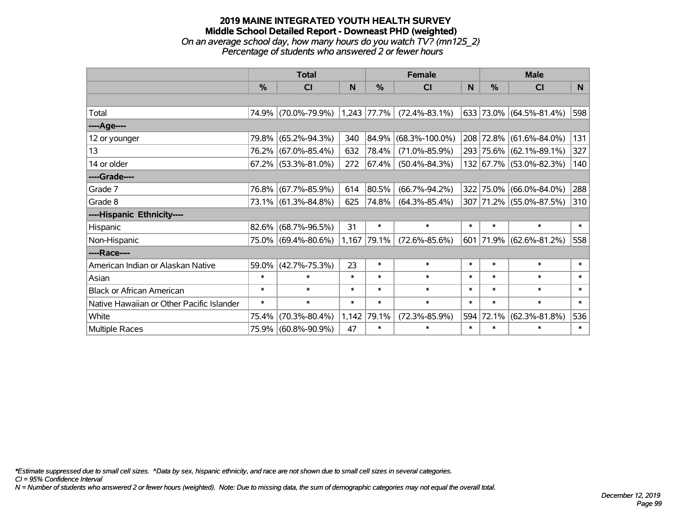## **2019 MAINE INTEGRATED YOUTH HEALTH SURVEY Middle School Detailed Report - Downeast PHD (weighted)** *On an average school day, how many hours do you watch TV? (mn125\_2) Percentage of students who answered 2 or fewer hours*

|                                           | <b>Total</b> |                        |        |               | <b>Female</b>        | <b>Male</b> |               |                         |        |
|-------------------------------------------|--------------|------------------------|--------|---------------|----------------------|-------------|---------------|-------------------------|--------|
|                                           | %            | CI                     | N      | $\frac{0}{0}$ | <b>CI</b>            | N           | $\frac{0}{0}$ | <b>CI</b>               | N      |
|                                           |              |                        |        |               |                      |             |               |                         |        |
| Total                                     | 74.9%        | $(70.0\% - 79.9\%)$    |        | $1,243$ 77.7% | $(72.4\% - 83.1\%)$  |             |               | 633 73.0% (64.5%-81.4%) | 598    |
| ----Age----                               |              |                        |        |               |                      |             |               |                         |        |
| 12 or younger                             | 79.8%        | $(65.2\% - 94.3\%)$    | 340    |               | 84.9% (68.3%-100.0%) |             |               | 208 72.8% (61.6%-84.0%) | 131    |
| 13                                        | 76.2%        | $(67.0\% - 85.4\%)$    | 632    | 78.4%         | $(71.0\% - 85.9\%)$  |             |               | 293 75.6% (62.1%-89.1%) | 327    |
| 14 or older                               |              | $67.2\%$ (53.3%-81.0%) | 272    | $ 67.4\% $    | $(50.4\% - 84.3\%)$  |             |               | 132 67.7% (53.0%-82.3%) | 140    |
| ----Grade----                             |              |                        |        |               |                      |             |               |                         |        |
| Grade 7                                   | 76.8%        | $(67.7\% - 85.9\%)$    | 614    | 80.5%         | $(66.7\% - 94.2\%)$  | 322         |               | 75.0% (66.0%-84.0%)     | 288    |
| Grade 8                                   |              | 73.1% (61.3%-84.8%)    | 625    | 74.8%         | $(64.3\% - 85.4\%)$  |             |               | 307 71.2% (55.0%-87.5%) | 310    |
| ----Hispanic Ethnicity----                |              |                        |        |               |                      |             |               |                         |        |
| Hispanic                                  | 82.6%        | $(68.7\% - 96.5\%)$    | 31     | $\ast$        | $\ast$               | $\ast$      | ∗             | $\ast$                  | $\ast$ |
| Non-Hispanic                              |              | 75.0% (69.4%-80.6%)    |        | 1,167 79.1%   | $(72.6\% - 85.6\%)$  |             |               | 601 71.9% (62.6%-81.2%) | 558    |
| ----Race----                              |              |                        |        |               |                      |             |               |                         |        |
| American Indian or Alaskan Native         | 59.0%        | $(42.7\% - 75.3\%)$    | 23     | $\ast$        | $\ast$               | $\ast$      | $\ast$        | $\ast$                  | $\ast$ |
| Asian                                     | $\ast$       | $\ast$                 | $\ast$ | $\ast$        | $\ast$               | $\ast$      | $\ast$        | $\ast$                  | $\ast$ |
| <b>Black or African American</b>          | $\ast$       | $\ast$                 | $\ast$ | $\ast$        | $\ast$               | $\ast$      | $\ast$        | $\ast$                  | $\ast$ |
| Native Hawaiian or Other Pacific Islander | $\ast$       | $\ast$                 | $\ast$ | $\ast$        | $\ast$               | $\ast$      | $\ast$        | $\ast$                  | $\ast$ |
| White                                     | 75.4%        | $(70.3\% - 80.4\%)$    | 1,142  | 79.1%         | $(72.3\% - 85.9\%)$  | 594         | 72.1%         | $(62.3\% - 81.8\%)$     | 536    |
| Multiple Races                            | 75.9%        | $(60.8\% - 90.9\%)$    | 47     | $\ast$        | $\ast$               | $\ast$      | $\ast$        | $\ast$                  | $\ast$ |

*\*Estimate suppressed due to small cell sizes. ^Data by sex, hispanic ethnicity, and race are not shown due to small cell sizes in several categories.*

*CI = 95% Confidence Interval*

*N = Number of students who answered 2 or fewer hours (weighted). Note: Due to missing data, the sum of demographic categories may not equal the overall total.*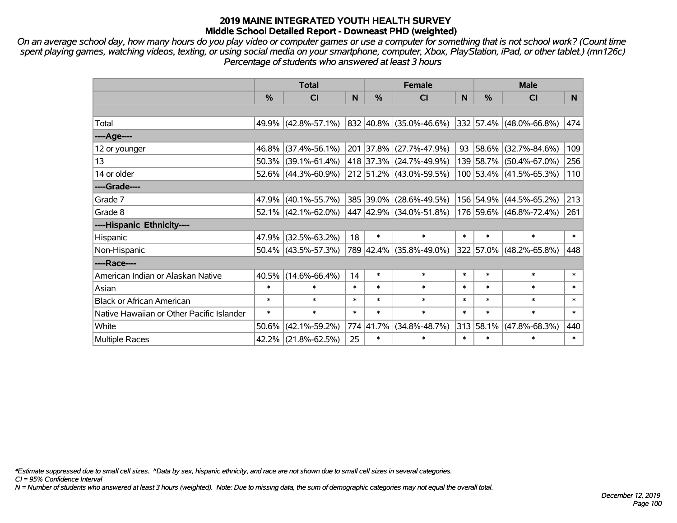*On an average school day, how many hours do you play video or computer games or use a computer for something that is not school work? (Count time spent playing games, watching videos, texting, or using social media on your smartphone, computer, Xbox, PlayStation, iPad, or other tablet.) (mn126c) Percentage of students who answered at least 3 hours*

|                                           | <b>Total</b> |                        |        |        | <b>Female</b>                | <b>Male</b> |           |                              |        |
|-------------------------------------------|--------------|------------------------|--------|--------|------------------------------|-------------|-----------|------------------------------|--------|
|                                           | $\%$         | <b>CI</b>              | N      | $\%$   | <b>CI</b>                    | N           | $\%$      | <b>CI</b>                    | N.     |
|                                           |              |                        |        |        |                              |             |           |                              |        |
| Total                                     |              | 49.9% (42.8%-57.1%)    |        |        | $ 832 40.8\% $ (35.0%-46.6%) |             |           | $ 332 57.4\% $ (48.0%-66.8%) | 474    |
| ----Age----                               |              |                        |        |        |                              |             |           |                              |        |
| 12 or younger                             |              | 46.8% (37.4%-56.1%)    |        |        | 201 37.8% (27.7%-47.9%)      | 93          | 58.6%     | $(32.7\% - 84.6\%)$          | 109    |
| 13                                        |              | $50.3\%$ (39.1%-61.4%) |        |        | 418 37.3% (24.7%-49.9%)      |             | 139 58.7% | $(50.4\% - 67.0\%)$          | 256    |
| 14 or older                               |              | $52.6\%$ (44.3%-60.9%) |        |        | 212 51.2% (43.0%-59.5%)      |             |           | 100 53.4% (41.5%-65.3%)      | 110    |
| ----Grade----                             |              |                        |        |        |                              |             |           |                              |        |
| Grade 7                                   |              | 47.9% (40.1%-55.7%)    |        |        | 385 39.0% (28.6%-49.5%)      |             | 156 54.9% | $(44.5\% - 65.2\%)$          | 213    |
| Grade 8                                   |              | $52.1\%$ (42.1%-62.0%) |        |        | 447 42.9% (34.0%-51.8%)      |             |           | 176 59.6% (46.8%-72.4%)      | 261    |
| ----Hispanic Ethnicity----                |              |                        |        |        |                              |             |           |                              |        |
| Hispanic                                  | 47.9%        | $(32.5\% - 63.2\%)$    | 18     | $\ast$ | $\ast$                       | $\ast$      | $\ast$    | $\ast$                       | $\ast$ |
| Non-Hispanic                              |              | $50.4\%$ (43.5%-57.3%) |        |        | 789 42.4% (35.8%-49.0%)      |             | 322 57.0% | $(48.2\% - 65.8\%)$          | 448    |
| ----Race----                              |              |                        |        |        |                              |             |           |                              |        |
| American Indian or Alaskan Native         |              | $40.5\%$ (14.6%-66.4%) | 14     | $\ast$ | $\ast$                       | $\ast$      | $\ast$    | $\ast$                       | $\ast$ |
| Asian                                     | $\ast$       | $\ast$                 | $\ast$ | $\ast$ | $\ast$                       | $\ast$      | $\ast$    | $\ast$                       | $\ast$ |
| <b>Black or African American</b>          | $\ast$       | $\ast$                 | $\ast$ | $\ast$ | $\ast$                       | $\ast$      | $\ast$    | $\ast$                       | $\ast$ |
| Native Hawaiian or Other Pacific Islander | $\ast$       | $\ast$                 | $\ast$ | $\ast$ | $\ast$                       | $\ast$      | $\ast$    | $\ast$                       | $\ast$ |
| White                                     | 50.6%        | $(42.1\% - 59.2\%)$    | 774    | 41.7%  | $(34.8\% - 48.7\%)$          | 313         | 58.1%     | $(47.8\% - 68.3\%)$          | 440    |
| Multiple Races                            |              | 42.2% (21.8%-62.5%)    | 25     | $\ast$ | $\ast$                       | $\ast$      | $\ast$    | *                            | $\ast$ |

*\*Estimate suppressed due to small cell sizes. ^Data by sex, hispanic ethnicity, and race are not shown due to small cell sizes in several categories.*

*CI = 95% Confidence Interval*

*N = Number of students who answered at least 3 hours (weighted). Note: Due to missing data, the sum of demographic categories may not equal the overall total.*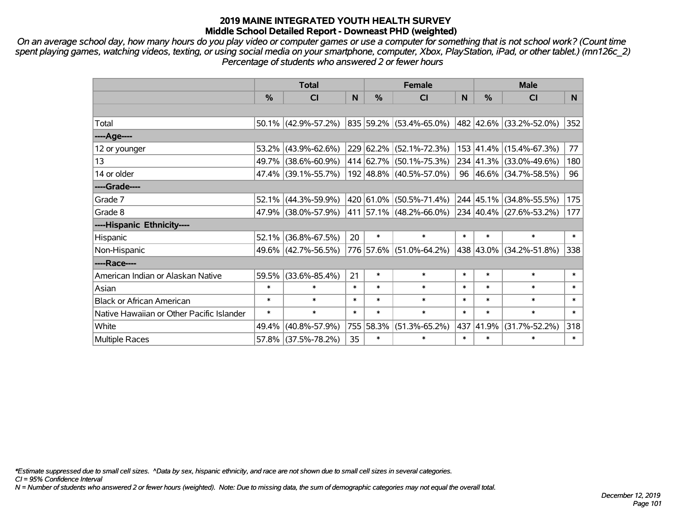*On an average school day, how many hours do you play video or computer games or use a computer for something that is not school work? (Count time spent playing games, watching videos, texting, or using social media on your smartphone, computer, Xbox, PlayStation, iPad, or other tablet.) (mn126c\_2) Percentage of students who answered 2 or fewer hours*

|                                           | <b>Total</b>  |                        |        | <b>Female</b> | <b>Male</b>             |        |           |                         |          |
|-------------------------------------------|---------------|------------------------|--------|---------------|-------------------------|--------|-----------|-------------------------|----------|
|                                           | $\frac{0}{0}$ | C <sub>l</sub>         | N      | $\%$          | CI                      | N      | $\%$      | <b>CI</b>               | <b>N</b> |
|                                           |               |                        |        |               |                         |        |           |                         |          |
| Total                                     |               | $50.1\%$ (42.9%-57.2%) |        |               | 835 59.2% (53.4%-65.0%) |        |           | 482 42.6% (33.2%-52.0%) | 352      |
| ----Age----                               |               |                        |        |               |                         |        |           |                         |          |
| 12 or younger                             |               | 53.2% (43.9%-62.6%)    |        |               | 229 62.2% (52.1%-72.3%) |        | 153 41.4% | $(15.4\% - 67.3\%)$     | 77       |
| 13                                        |               | 49.7% (38.6%-60.9%)    |        |               | 414 62.7% (50.1%-75.3%) |        |           | 234 41.3% (33.0%-49.6%) | 180      |
| 14 or older                               |               | 47.4% (39.1%-55.7%)    |        |               | 192 48.8% (40.5%-57.0%) |        |           | 96 46.6% (34.7%-58.5%)  | 96       |
| ----Grade----                             |               |                        |        |               |                         |        |           |                         |          |
| Grade 7                                   |               | 52.1% (44.3%-59.9%)    |        |               | 420 61.0% (50.5%-71.4%) |        | 244 45.1% | $(34.8\% - 55.5\%)$     | 175      |
| Grade 8                                   |               | 47.9% (38.0%-57.9%)    |        |               | 411 57.1% (48.2%-66.0%) |        |           | 234 40.4% (27.6%-53.2%) | 177      |
| ----Hispanic Ethnicity----                |               |                        |        |               |                         |        |           |                         |          |
| Hispanic                                  | 52.1%         | $(36.8\% - 67.5\%)$    | 20     | $\ast$        | $\ast$                  | $\ast$ | $\ast$    | $\ast$                  | $\ast$   |
| Non-Hispanic                              |               | 49.6% (42.7%-56.5%)    |        |               | 776 57.6% (51.0%-64.2%) |        | 438 43.0% | $(34.2\% - 51.8\%)$     | 338      |
| ----Race----                              |               |                        |        |               |                         |        |           |                         |          |
| American Indian or Alaskan Native         |               | 59.5% (33.6%-85.4%)    | 21     | $\ast$        | $\ast$                  | $\ast$ | $\ast$    | $\ast$                  | $\ast$   |
| Asian                                     | $\ast$        | $\ast$                 | $\ast$ | $\ast$        | $\ast$                  | $\ast$ | $\ast$    | $\ast$                  | $\ast$   |
| <b>Black or African American</b>          | $\ast$        | $\ast$                 | $\ast$ | $\ast$        | $\ast$                  | $\ast$ | $\ast$    | $\ast$                  | $\ast$   |
| Native Hawaiian or Other Pacific Islander | $\ast$        | $\ast$                 | $\ast$ | $\ast$        | $\ast$                  | $\ast$ | $\ast$    | $\ast$                  | $\ast$   |
| White                                     | $49.4\%$      | $(40.8\% - 57.9\%)$    |        | 755 58.3%     | $(51.3\% - 65.2\%)$     | 437    | 41.9%     | $(31.7\% - 52.2\%)$     | 318      |
| Multiple Races                            |               | 57.8% (37.5%-78.2%)    | 35     | $\ast$        | $\ast$                  | $\ast$ | $\ast$    | $\ast$                  | $\ast$   |

*\*Estimate suppressed due to small cell sizes. ^Data by sex, hispanic ethnicity, and race are not shown due to small cell sizes in several categories.*

*CI = 95% Confidence Interval*

*N = Number of students who answered 2 or fewer hours (weighted). Note: Due to missing data, the sum of demographic categories may not equal the overall total.*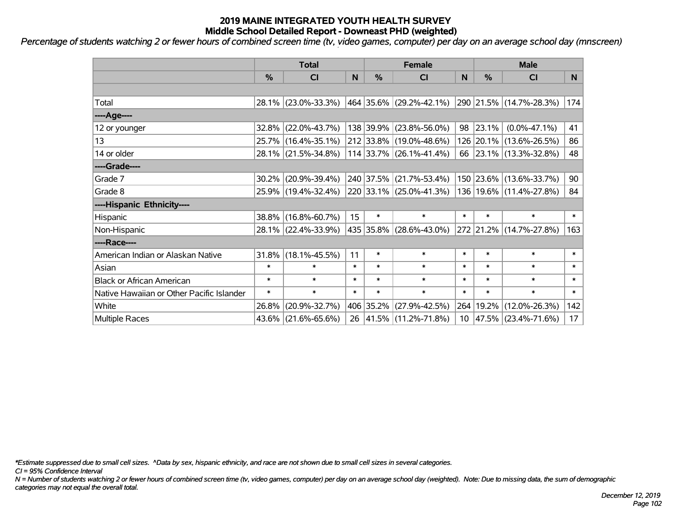*Percentage of students watching 2 or fewer hours of combined screen time (tv, video games, computer) per day on an average school day (mnscreen)*

|                                           | <b>Total</b>  |                        |        |           | <b>Female</b>           | <b>Male</b> |        |                             |        |
|-------------------------------------------|---------------|------------------------|--------|-----------|-------------------------|-------------|--------|-----------------------------|--------|
|                                           | $\frac{0}{0}$ | CI                     | N      | %         | <b>CI</b>               | N           | %      | <b>CI</b>                   | N.     |
|                                           |               |                        |        |           |                         |             |        |                             |        |
| Total                                     |               | 28.1% (23.0%-33.3%)    |        |           | 464 35.6% (29.2%-42.1%) |             |        | 290 21.5% (14.7%-28.3%)     | 174    |
| ----Age----                               |               |                        |        |           |                         |             |        |                             |        |
| 12 or younger                             |               | $32.8\%$ (22.0%-43.7%) |        |           | 138 39.9% (23.8%-56.0%) | 98          | 23.1%  | $(0.0\% - 47.1\%)$          | 41     |
| 13                                        |               | 25.7% (16.4%-35.1%)    |        |           | 212 33.8% (19.0%-48.6%) |             |        | 126 20.1% (13.6%-26.5%)     | 86     |
| 14 or older                               |               | 28.1% (21.5%-34.8%)    |        |           | 114 33.7% (26.1%-41.4%) |             |        | 66 23.1% (13.3%-32.8%)      | 48     |
| ----Grade----                             |               |                        |        |           |                         |             |        |                             |        |
| Grade 7                                   | $30.2\%$      | $(20.9\% - 39.4\%)$    |        |           | 240 37.5% (21.7%-53.4%) |             |        | 150 23.6% (13.6%-33.7%)     | 90     |
| Grade 8                                   |               | 25.9% (19.4%-32.4%)    |        |           | 220 33.1% (25.0%-41.3%) |             |        | 136   19.6%   (11.4%-27.8%) | 84     |
| ----Hispanic Ethnicity----                |               |                        |        |           |                         |             |        |                             |        |
| Hispanic                                  |               | 38.8% (16.8%-60.7%)    | 15     | $\ast$    | $\ast$                  | $\ast$      | $\ast$ | $\ast$                      | $\ast$ |
| Non-Hispanic                              |               | 28.1% (22.4%-33.9%)    |        |           | 435 35.8% (28.6%-43.0%) |             |        | 272 21.2% (14.7%-27.8%)     | 163    |
| ----Race----                              |               |                        |        |           |                         |             |        |                             |        |
| American Indian or Alaskan Native         |               | $31.8\%$ (18.1%-45.5%) | 11     | $\ast$    | $\ast$                  | $\ast$      | $\ast$ | $\ast$                      | $\ast$ |
| Asian                                     | $\ast$        | $\ast$                 | $\ast$ | $\ast$    | $\ast$                  | $\ast$      | $\ast$ | $\ast$                      | $\ast$ |
| <b>Black or African American</b>          | $\ast$        | $\ast$                 | $\ast$ | $\ast$    | $\ast$                  | $\ast$      | $\ast$ | $\ast$                      | $\ast$ |
| Native Hawaiian or Other Pacific Islander | $\ast$        | $\ast$                 | $\ast$ | $\ast$    | $\ast$                  | $\ast$      | $\ast$ | $\ast$                      | $\ast$ |
| White                                     | 26.8%         | $(20.9\% - 32.7\%)$    |        | 406 35.2% | $(27.9\% - 42.5\%)$     | 264         | 19.2%  | $(12.0\% - 26.3\%)$         | 142    |
| <b>Multiple Races</b>                     |               | 43.6% (21.6%-65.6%)    |        |           | 26 41.5% (11.2%-71.8%)  |             |        | $10$  47.5% (23.4%-71.6%)   | 17     |

*\*Estimate suppressed due to small cell sizes. ^Data by sex, hispanic ethnicity, and race are not shown due to small cell sizes in several categories.*

*CI = 95% Confidence Interval*

*N = Number of students watching 2 or fewer hours of combined screen time (tv, video games, computer) per day on an average school day (weighted). Note: Due to missing data, the sum of demographic categories may not equal the overall total.*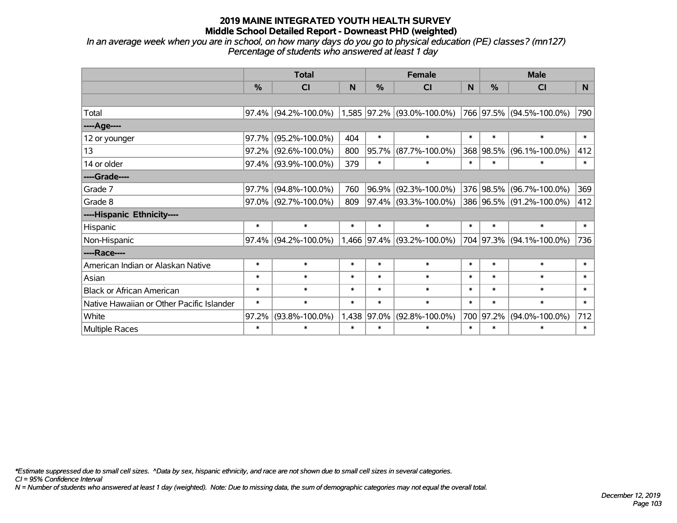*In an average week when you are in school, on how many days do you go to physical education (PE) classes? (mn127) Percentage of students who answered at least 1 day*

|                                           | <b>Total</b> |                      |        |               | <b>Female</b>                | <b>Male</b> |               |                          |        |
|-------------------------------------------|--------------|----------------------|--------|---------------|------------------------------|-------------|---------------|--------------------------|--------|
|                                           | $\%$         | <b>CI</b>            | N      | $\frac{0}{0}$ | C <sub>l</sub>               | N           | $\frac{9}{6}$ | <b>CI</b>                | N      |
|                                           |              |                      |        |               |                              |             |               |                          |        |
| Total                                     | $97.4\%$     | $(94.2\% - 100.0\%)$ |        |               | $1,585$ 97.2% (93.0%-100.0%) |             |               | 766 97.5% (94.5%-100.0%) | 790    |
| ----Age----                               |              |                      |        |               |                              |             |               |                          |        |
| 12 or younger                             | 97.7%        | $(95.2\% - 100.0\%)$ | 404    | $\ast$        | $\ast$                       | $\ast$      | $\ast$        | $\ast$                   | $\ast$ |
| 13                                        | 97.2%        | $(92.6\% - 100.0\%)$ | 800    | 95.7%         | $(87.7\% - 100.0\%)$         |             | 368 98.5%     | $(96.1\% - 100.0\%)$     | 412    |
| 14 or older                               |              | 97.4% (93.9%-100.0%) | 379    | $\ast$        | $\ast$                       | $\ast$      | $\ast$        | $\ast$                   | $\ast$ |
| ----Grade----                             |              |                      |        |               |                              |             |               |                          |        |
| Grade 7                                   | 97.7%        | $(94.8\% - 100.0\%)$ | 760    |               | $96.9\%$ (92.3%-100.0%)      |             |               | 376 98.5% (96.7%-100.0%) | 369    |
| Grade 8                                   |              | 97.0% (92.7%-100.0%) | 809    |               | 97.4% (93.3%-100.0%)         |             |               | 386 96.5% (91.2%-100.0%) | 412    |
| ----Hispanic Ethnicity----                |              |                      |        |               |                              |             |               |                          |        |
| Hispanic                                  | $\ast$       | $\ast$               | $\ast$ | $\ast$        | $\ast$                       | $\ast$      | $\ast$        | $\ast$                   | $\ast$ |
| Non-Hispanic                              | 97.4%        | $(94.2\% - 100.0\%)$ |        |               | 1,466 97.4% (93.2%-100.0%)   |             |               | 704 97.3% (94.1%-100.0%) | 736    |
| ----Race----                              |              |                      |        |               |                              |             |               |                          |        |
| American Indian or Alaskan Native         | $\ast$       | $\ast$               | $\ast$ | $\ast$        | $\ast$                       | $\ast$      | $\ast$        | $\ast$                   | $\ast$ |
| Asian                                     | $\ast$       | $\ast$               | $\ast$ | $\ast$        | $\ast$                       | $\ast$      | $\ast$        | $\ast$                   | $\ast$ |
| <b>Black or African American</b>          | $\ast$       | $\ast$               | $\ast$ | $\ast$        | $\ast$                       | $\ast$      | $\ast$        | $\ast$                   | $\ast$ |
| Native Hawaiian or Other Pacific Islander | $\ast$       | $\ast$               | $\ast$ | $\ast$        | $\ast$                       | $\ast$      | $\ast$        | $\ast$                   | $\ast$ |
| White                                     | 97.2%        | $(93.8\% - 100.0\%)$ | 1,438  | 97.0%         | $(92.8\% - 100.0\%)$         |             | 700 97.2%     | $(94.0\% - 100.0\%)$     | 712    |
| Multiple Races                            | $\ast$       | $\ast$               | $\ast$ | $\ast$        | $\ast$                       | $\ast$      | $\ast$        | $\ast$                   | $\ast$ |

*\*Estimate suppressed due to small cell sizes. ^Data by sex, hispanic ethnicity, and race are not shown due to small cell sizes in several categories.*

*CI = 95% Confidence Interval*

*N = Number of students who answered at least 1 day (weighted). Note: Due to missing data, the sum of demographic categories may not equal the overall total.*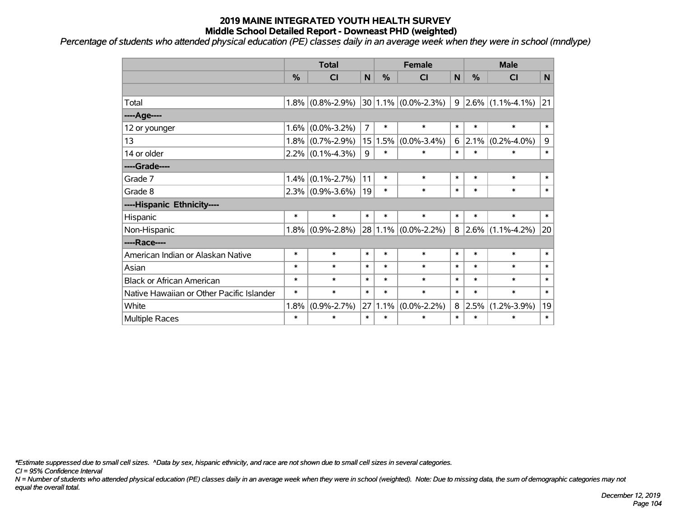*Percentage of students who attended physical education (PE) classes daily in an average week when they were in school (mndlype)*

|                                           | <b>Total</b> |                     |                |        | <b>Female</b>           |        | <b>Male</b>   |                           |                |  |
|-------------------------------------------|--------------|---------------------|----------------|--------|-------------------------|--------|---------------|---------------------------|----------------|--|
|                                           | %            | <b>CI</b>           | N              | %      | <b>CI</b>               | N      | $\frac{0}{0}$ | <b>CI</b>                 | N <sub>1</sub> |  |
|                                           |              |                     |                |        |                         |        |               |                           |                |  |
| Total                                     |              | $1.8\%$ (0.8%-2.9%) |                |        | $30 1.1\% $ (0.0%-2.3%) |        |               | $9 2.6\% (1.1\% - 4.1\%)$ | 21             |  |
| ----Age----                               |              |                     |                |        |                         |        |               |                           |                |  |
| 12 or younger                             | 1.6%         | $(0.0\% - 3.2\%)$   | $\overline{7}$ | $\ast$ | $\ast$                  | $\ast$ | $\ast$        | $\ast$                    | $\ast$         |  |
| 13                                        | $1.8\%$      | $(0.7\% - 2.9\%)$   | 15             | 1.5%   | $(0.0\% - 3.4\%)$       | 6      | 2.1%          | $(0.2\% - 4.0\%)$         | 9              |  |
| 14 or older                               |              | $2.2\%$ (0.1%-4.3%) | 9              | $\ast$ | $\ast$                  | $\ast$ | $\ast$        | $\ast$                    | $\ast$         |  |
| ----Grade----                             |              |                     |                |        |                         |        |               |                           |                |  |
| Grade 7                                   | 1.4%         | $(0.1\% - 2.7\%)$   | 11             | $\ast$ | $\ast$                  | $\ast$ | $\ast$        | $\ast$                    | $\ast$         |  |
| Grade 8                                   |              | $2.3\%$ (0.9%-3.6%) | 19             | $\ast$ | $\ast$                  | $\ast$ | $\ast$        | $\ast$                    | $\ast$         |  |
| ----Hispanic Ethnicity----                |              |                     |                |        |                         |        |               |                           |                |  |
| Hispanic                                  | $\ast$       | $\ast$              | $\ast$         | $\ast$ | $\ast$                  | $\ast$ | $\ast$        | $\ast$                    | $\ast$         |  |
| Non-Hispanic                              | 1.8%         | $(0.9\% - 2.8\%)$   | 28             |        | $1.1\%$ (0.0%-2.2%)     |        | $8 2.6\% $    | $(1.1\% - 4.2\%)$         | 20             |  |
| ----Race----                              |              |                     |                |        |                         |        |               |                           |                |  |
| American Indian or Alaskan Native         | $\ast$       | $\ast$              | $\ast$         | $\ast$ | $\ast$                  | $\ast$ | $\ast$        | $\ast$                    | $\ast$         |  |
| Asian                                     | $\ast$       | $\ast$              | $\ast$         | $\ast$ | $\ast$                  | $\ast$ | $\ast$        | $\ast$                    | $\ast$         |  |
| <b>Black or African American</b>          | $\ast$       | $\ast$              | $\ast$         | $\ast$ | $\ast$                  | $\ast$ | $\ast$        | $\ast$                    | $\ast$         |  |
| Native Hawaiian or Other Pacific Islander | $\ast$       | $\ast$              | $\ast$         | $\ast$ | $\ast$                  | $\ast$ | $\ast$        | $\ast$                    | $\ast$         |  |
| White                                     | 1.8%         | $(0.9\% - 2.7\%)$   | 27             | 1.1%   | $(0.0\% - 2.2\%)$       | 8      | 2.5%          | $(1.2\% - 3.9\%)$         | 19             |  |
| Multiple Races                            | $\ast$       | $\ast$              | $\ast$         | $\ast$ | $\ast$                  | $\ast$ | $\ast$        | $\ast$                    | $\ast$         |  |

*\*Estimate suppressed due to small cell sizes. ^Data by sex, hispanic ethnicity, and race are not shown due to small cell sizes in several categories.*

*CI = 95% Confidence Interval*

*N = Number of students who attended physical education (PE) classes daily in an average week when they were in school (weighted). Note: Due to missing data, the sum of demographic categories may not equal the overall total.*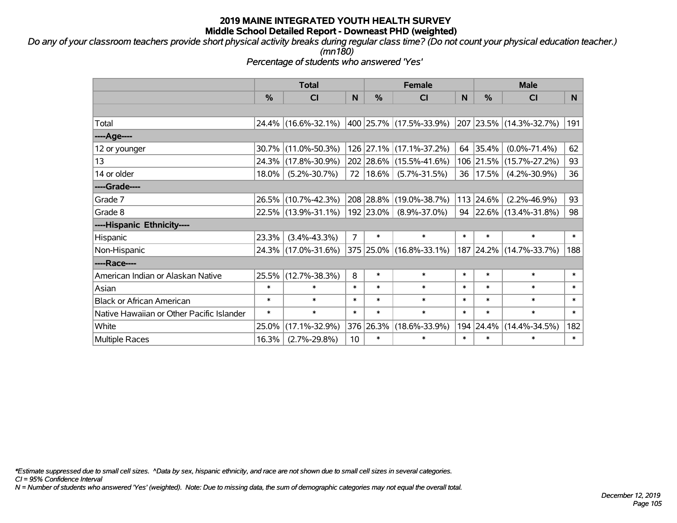*Do any of your classroom teachers provide short physical activity breaks during regular class time? (Do not count your physical education teacher.) (mn180)*

*Percentage of students who answered 'Yes'*

|                                           | <b>Total</b>  |                     |                | <b>Female</b> |                                 |        |           | <b>Male</b>                  |        |  |
|-------------------------------------------|---------------|---------------------|----------------|---------------|---------------------------------|--------|-----------|------------------------------|--------|--|
|                                           | $\frac{0}{0}$ | <b>CI</b>           | N              | $\%$          | <b>CI</b>                       | N      | %         | <b>CI</b>                    | N.     |  |
|                                           |               |                     |                |               |                                 |        |           |                              |        |  |
| Total                                     |               | 24.4% (16.6%-32.1%) |                |               | $ 400 25.7\% (17.5\% - 33.9\%)$ |        |           | 207 23.5% (14.3%-32.7%)      | 191    |  |
| ----Age----                               |               |                     |                |               |                                 |        |           |                              |        |  |
| 12 or younger                             | $30.7\%$      | $(11.0\% - 50.3\%)$ |                |               | 126 27.1% (17.1%-37.2%)         | 64     | 35.4%     | $(0.0\% - 71.4\%)$           | 62     |  |
| 13                                        |               | 24.3% (17.8%-30.9%) |                |               | 202 28.6% (15.5%-41.6%)         |        | 106 21.5% | $(15.7\% - 27.2\%)$          | 93     |  |
| 14 or older                               | 18.0%         | $(5.2\% - 30.7\%)$  |                | 72   18.6%    | $(5.7\% - 31.5\%)$              | 36     | 17.5%     | $(4.2\% - 30.9\%)$           | 36     |  |
| ----Grade----                             |               |                     |                |               |                                 |        |           |                              |        |  |
| Grade 7                                   |               | 26.5% (10.7%-42.3%) |                | 208 28.8%     | $(19.0\% - 38.7\%)$             |        | 113 24.6% | $(2.2\% - 46.9\%)$           | 93     |  |
| Grade 8                                   |               | 22.5% (13.9%-31.1%) |                | 192 23.0%     | $(8.9\% - 37.0\%)$              |        |           | 94 22.6% $(13.4\% - 31.8\%)$ | 98     |  |
| ----Hispanic Ethnicity----                |               |                     |                |               |                                 |        |           |                              |        |  |
| Hispanic                                  | 23.3%         | $(3.4\% - 43.3\%)$  | $\overline{7}$ | $\ast$        | $\ast$                          | $\ast$ | $\ast$    | $\ast$                       | $\ast$ |  |
| Non-Hispanic                              |               | 24.3% (17.0%-31.6%) |                |               | 375 25.0% (16.8%-33.1%)         |        | 187 24.2% | $(14.7\% - 33.7\%)$          | 188    |  |
| ----Race----                              |               |                     |                |               |                                 |        |           |                              |        |  |
| American Indian or Alaskan Native         | 25.5%         | $(12.7\% - 38.3\%)$ | 8              | $\ast$        | $\ast$                          | $\ast$ | $\ast$    | $\ast$                       | $\ast$ |  |
| Asian                                     | $\ast$        | $\ast$              | $\ast$         | $\ast$        | $\ast$                          | $\ast$ | $\ast$    | $\ast$                       | $\ast$ |  |
| <b>Black or African American</b>          | $\ast$        | $\ast$              | $\ast$         | $\ast$        | $\ast$                          | $\ast$ | $\ast$    | $\ast$                       | $\ast$ |  |
| Native Hawaiian or Other Pacific Islander | $\ast$        | $\ast$              | $\ast$         | $\ast$        | $\ast$                          | $\ast$ | $\ast$    | $\ast$                       | $\ast$ |  |
| White                                     | 25.0%         | $(17.1\% - 32.9\%)$ | 376            | 26.3%         | $(18.6\% - 33.9\%)$             |        | 194 24.4% | $(14.4\% - 34.5\%)$          | 182    |  |
| <b>Multiple Races</b>                     | 16.3%         | $(2.7\% - 29.8\%)$  | 10             | $\ast$        | $\ast$                          | $\ast$ | $\ast$    | $\ast$                       | $\ast$ |  |

*\*Estimate suppressed due to small cell sizes. ^Data by sex, hispanic ethnicity, and race are not shown due to small cell sizes in several categories.*

*CI = 95% Confidence Interval*

*N = Number of students who answered 'Yes' (weighted). Note: Due to missing data, the sum of demographic categories may not equal the overall total.*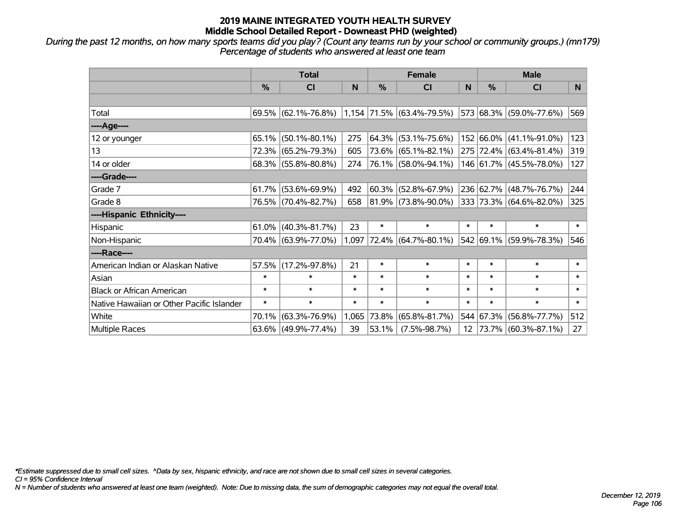*During the past 12 months, on how many sports teams did you play? (Count any teams run by your school or community groups.) (mn179) Percentage of students who answered at least one team*

|                                           | <b>Total</b>  |                                                  |        |             | <b>Female</b>               |        | <b>Male</b>   |                         |                |
|-------------------------------------------|---------------|--------------------------------------------------|--------|-------------|-----------------------------|--------|---------------|-------------------------|----------------|
|                                           | $\frac{0}{0}$ | <b>CI</b>                                        | N      | %           | <b>CI</b>                   | N      | $\frac{0}{0}$ | <b>CI</b>               | N <sub>1</sub> |
|                                           |               |                                                  |        |             |                             |        |               |                         |                |
| Total                                     |               | $69.5\%$ (62.1%-76.8%) 1,154 71.5% (63.4%-79.5%) |        |             |                             |        |               | 573 68.3% (59.0%-77.6%) | 569            |
| ----Age----                               |               |                                                  |        |             |                             |        |               |                         |                |
| 12 or younger                             | 65.1%         | $(50.1\% - 80.1\%)$                              | 275    | 64.3%       | $(53.1\% - 75.6\%)$         |        |               | 152 66.0% (41.1%-91.0%) | 123            |
| 13                                        |               | 72.3% (65.2%-79.3%)                              | 605    |             | 73.6% (65.1%-82.1%)         |        |               | 275 72.4% (63.4%-81.4%) | 319            |
| 14 or older                               |               | $68.3\%$ (55.8%-80.8%)                           | 274    |             | 76.1% (58.0%-94.1%)         |        |               | 146 61.7% (45.5%-78.0%) | 127            |
| ----Grade----                             |               |                                                  |        |             |                             |        |               |                         |                |
| Grade 7                                   | 61.7%         | $(53.6\% - 69.9\%)$                              | 492    | 60.3%       | $(52.8\% - 67.9\%)$         |        |               | 236 62.7% (48.7%-76.7%) | 244            |
| Grade 8                                   |               | 76.5% (70.4%-82.7%)                              | 658    |             | $ 81.9\% $ (73.8%-90.0%)    |        |               | 333 73.3% (64.6%-82.0%) | 325            |
| ----Hispanic Ethnicity----                |               |                                                  |        |             |                             |        |               |                         |                |
| Hispanic                                  | 61.0%         | $(40.3\% - 81.7\%)$                              | 23     | $\ast$      | $\ast$                      | $\ast$ | $\ast$        | $\ast$                  | $\ast$         |
| Non-Hispanic                              |               | 70.4% (63.9%-77.0%)                              |        |             | $1,097$ 72.4% (64.7%-80.1%) |        |               | 542 69.1% (59.9%-78.3%) | 546            |
| ----Race----                              |               |                                                  |        |             |                             |        |               |                         |                |
| American Indian or Alaskan Native         | 57.5%         | $(17.2\% - 97.8\%)$                              | 21     | $\ast$      | $\ast$                      | $\ast$ | $\ast$        | $\ast$                  | $\ast$         |
| Asian                                     | $\ast$        | $\ast$                                           | $\ast$ | $\ast$      | $\ast$                      | $\ast$ | $\ast$        | $\ast$                  | $\ast$         |
| <b>Black or African American</b>          | $\ast$        | $\ast$                                           | $\ast$ | $\ast$      | $\ast$                      | $\ast$ | $\ast$        | $\ast$                  | $\ast$         |
| Native Hawaiian or Other Pacific Islander | $\ast$        | $\ast$                                           | $\ast$ | $\ast$      | $\ast$                      | $\ast$ | $\ast$        | $\ast$                  | $\ast$         |
| White                                     | 70.1%         | $(63.3\% - 76.9\%)$                              |        | 1,065 73.8% | $(65.8\% - 81.7\%)$         | 544    | 67.3%         | $(56.8\% - 77.7\%)$     | 512            |
| Multiple Races                            |               | 63.6% (49.9%-77.4%)                              | 39     | 53.1%       | $(7.5\% - 98.7\%)$          | 12     |               | 73.7% (60.3%-87.1%)     | 27             |

*\*Estimate suppressed due to small cell sizes. ^Data by sex, hispanic ethnicity, and race are not shown due to small cell sizes in several categories.*

*CI = 95% Confidence Interval*

*N = Number of students who answered at least one team (weighted). Note: Due to missing data, the sum of demographic categories may not equal the overall total.*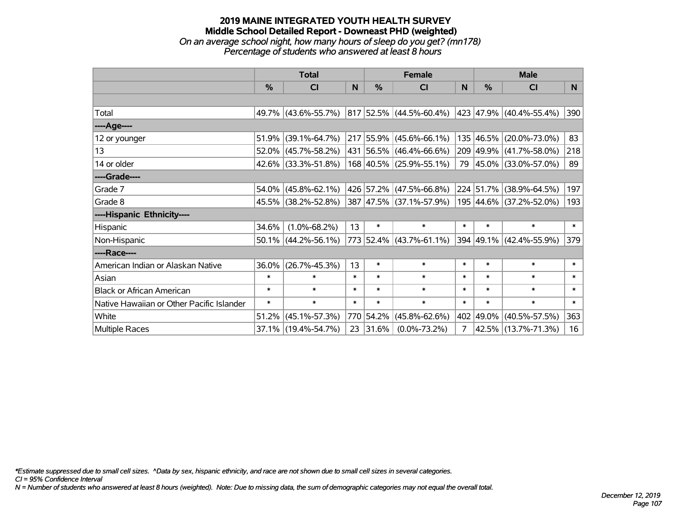#### **2019 MAINE INTEGRATED YOUTH HEALTH SURVEY Middle School Detailed Report - Downeast PHD (weighted)** *On an average school night, how many hours of sleep do you get? (mn178) Percentage of students who answered at least 8 hours*

|                                           | <b>Total</b>  |                        |        |               | <b>Female</b>                | <b>Male</b> |           |                         |        |
|-------------------------------------------|---------------|------------------------|--------|---------------|------------------------------|-------------|-----------|-------------------------|--------|
|                                           | $\frac{0}{0}$ | CI                     | N      | $\frac{9}{6}$ | C <sub>l</sub>               | N           | %         | <b>CI</b>               | N.     |
|                                           |               |                        |        |               |                              |             |           |                         |        |
| Total                                     |               | 49.7% (43.6%-55.7%)    |        |               | $ 817 52.5\% $ (44.5%-60.4%) |             |           | 423 47.9% (40.4%-55.4%) | 390    |
| ----Age----                               |               |                        |        |               |                              |             |           |                         |        |
| 12 or younger                             | 51.9%         | $(39.1\% - 64.7\%)$    |        |               | 217 55.9% (45.6%-66.1%)      |             | 135 46.5% | $(20.0\% - 73.0\%)$     | 83     |
| 13                                        |               | $52.0\%$ (45.7%-58.2%) |        |               | 431 56.5% (46.4%-66.6%)      |             | 209 49.9% | $(41.7\% - 58.0\%)$     | 218    |
| 14 or older                               |               | 42.6% (33.3%-51.8%)    |        |               | 168 40.5% (25.9%-55.1%)      |             |           | 79 45.0% (33.0%-57.0%)  | 89     |
| ----Grade----                             |               |                        |        |               |                              |             |           |                         |        |
| Grade 7                                   |               | $54.0\%$ (45.8%-62.1%) |        |               | 426 57.2% (47.5%-66.8%)      |             | 224 51.7% | $(38.9\% - 64.5\%)$     | 197    |
| Grade 8                                   |               | 45.5% (38.2%-52.8%)    |        |               | 387 47.5% (37.1%-57.9%)      |             |           | 195 44.6% (37.2%-52.0%) | 193    |
| ----Hispanic Ethnicity----                |               |                        |        |               |                              |             |           |                         |        |
| Hispanic                                  | 34.6%         | $(1.0\% - 68.2\%)$     | 13     | $\ast$        | $\ast$                       | $\ast$      | $\ast$    | $\ast$                  | $\ast$ |
| Non-Hispanic                              |               | $50.1\%$ (44.2%-56.1%) |        |               | 773 52.4% (43.7%-61.1%)      |             |           | 394 49.1% (42.4%-55.9%) | 379    |
| ----Race----                              |               |                        |        |               |                              |             |           |                         |        |
| American Indian or Alaskan Native         | 36.0%         | $(26.7\% - 45.3\%)$    | 13     | $\ast$        | $\ast$                       | $\ast$      | $\ast$    | $\ast$                  | $\ast$ |
| Asian                                     | $\ast$        | $\ast$                 | $\ast$ | $\ast$        | $\ast$                       | $\ast$      | $\ast$    | $\ast$                  | $\ast$ |
| <b>Black or African American</b>          | $\ast$        | $\ast$                 | $\ast$ | $\ast$        | $\ast$                       | $\ast$      | $\ast$    | $\ast$                  | $\ast$ |
| Native Hawaiian or Other Pacific Islander | $\ast$        | $\ast$                 | $\ast$ | $\ast$        | $\ast$                       | $\ast$      | $\ast$    | $\ast$                  | $\ast$ |
| White                                     | 51.2%         | $(45.1\% - 57.3\%)$    |        | 770 54.2%     | $(45.8\% - 62.6\%)$          |             | 402 49.0% | $(40.5\% - 57.5\%)$     | 363    |
| Multiple Races                            |               | 37.1% (19.4%-54.7%)    | 23     | 31.6%         | $(0.0\% - 73.2\%)$           | 7           | 42.5%     | $(13.7\% - 71.3\%)$     | 16     |

*\*Estimate suppressed due to small cell sizes. ^Data by sex, hispanic ethnicity, and race are not shown due to small cell sizes in several categories.*

*CI = 95% Confidence Interval*

*N = Number of students who answered at least 8 hours (weighted). Note: Due to missing data, the sum of demographic categories may not equal the overall total.*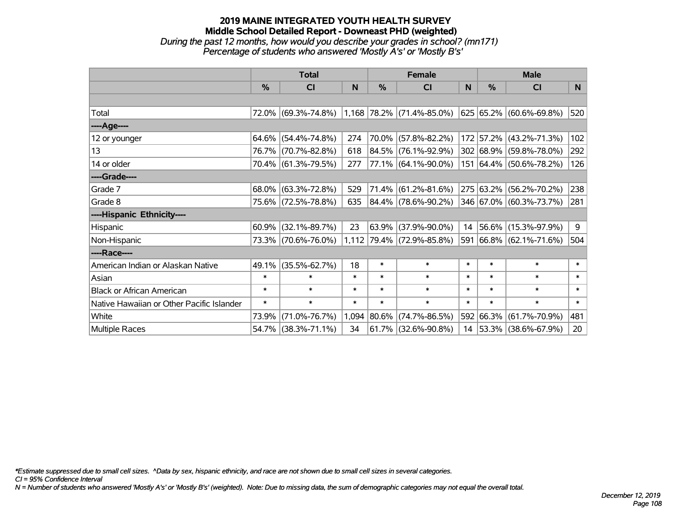## **2019 MAINE INTEGRATED YOUTH HEALTH SURVEY Middle School Detailed Report - Downeast PHD (weighted)** *During the past 12 months, how would you describe your grades in school? (mn171) Percentage of students who answered 'Mostly A's' or 'Mostly B's'*

|                                           | <b>Total</b>  |                     |        |        | <b>Female</b>               |        | <b>Male</b> |                         |        |
|-------------------------------------------|---------------|---------------------|--------|--------|-----------------------------|--------|-------------|-------------------------|--------|
|                                           | $\frac{9}{6}$ | CI                  | N      | %      | CI                          | N      | %           | <b>CI</b>               | N      |
|                                           |               |                     |        |        |                             |        |             |                         |        |
| Total                                     |               | 72.0% (69.3%-74.8%) |        |        | $1,168$ 78.2% (71.4%-85.0%) |        |             | 625 65.2% (60.6%-69.8%) | 520    |
| ----Age----                               |               |                     |        |        |                             |        |             |                         |        |
| 12 or younger                             | 64.6%         | $(54.4\% - 74.8\%)$ | 274    |        | 70.0% (57.8%-82.2%)         |        |             | 172 57.2% (43.2%-71.3%) | 102    |
| 13                                        |               | 76.7% (70.7%-82.8%) | 618    | 84.5%  | $(76.1\% - 92.9\%)$         |        |             | 302 68.9% (59.8%-78.0%) | 292    |
| 14 or older                               |               | 70.4% (61.3%-79.5%) | 277    |        | $ 77.1\% $ (64.1%-90.0%)    |        |             | 151 64.4% (50.6%-78.2%) | 126    |
| ----Grade----                             |               |                     |        |        |                             |        |             |                         |        |
| Grade 7                                   | 68.0%         | $(63.3\% - 72.8\%)$ | 529    | 71.4%  | $(61.2\% - 81.6\%)$         |        | 275 63.2%   | $(56.2\% - 70.2\%)$     | 238    |
| Grade 8                                   |               | 75.6% (72.5%-78.8%) | 635    |        | 84.4% (78.6%-90.2%)         |        |             | 346 67.0% (60.3%-73.7%) | 281    |
| ----Hispanic Ethnicity----                |               |                     |        |        |                             |        |             |                         |        |
| Hispanic                                  | 60.9%         | $(32.1\% - 89.7\%)$ | 23     | 63.9%  | $(37.9\% - 90.0\%)$         | 14     |             | 56.6% (15.3%-97.9%)     | 9      |
| Non-Hispanic                              |               | 73.3% (70.6%-76.0%) |        |        | 1,112 79.4% (72.9%-85.8%)   |        |             | 591 66.8% (62.1%-71.6%) | 504    |
| ----Race----                              |               |                     |        |        |                             |        |             |                         |        |
| American Indian or Alaskan Native         | 49.1%         | $(35.5\% - 62.7\%)$ | 18     | $\ast$ | $\ast$                      | $\ast$ | $\ast$      | $\ast$                  | $\ast$ |
| Asian                                     | $\ast$        | $\ast$              | $\ast$ | $\ast$ | $\ast$                      | $\ast$ | $\ast$      | $\ast$                  | $\ast$ |
| <b>Black or African American</b>          | $\ast$        | $\ast$              | $\ast$ | $\ast$ | $\ast$                      | $\ast$ | $\ast$      | $\ast$                  | $\ast$ |
| Native Hawaiian or Other Pacific Islander | $\ast$        | $\ast$              | $\ast$ | $\ast$ | $\ast$                      | $\ast$ | $\ast$      | $\ast$                  | $\ast$ |
| White                                     | 73.9%         | $(71.0\% - 76.7\%)$ | 1,094  | 80.6%  | $(74.7\% - 86.5\%)$         |        | 592 66.3%   | $(61.7\% - 70.9\%)$     | 481    |
| Multiple Races                            |               | 54.7% (38.3%-71.1%) | 34     |        | 61.7% (32.6%-90.8%)         |        |             | 14 53.3% (38.6%-67.9%)  | 20     |

*\*Estimate suppressed due to small cell sizes. ^Data by sex, hispanic ethnicity, and race are not shown due to small cell sizes in several categories.*

*CI = 95% Confidence Interval*

*N = Number of students who answered 'Mostly A's' or 'Mostly B's' (weighted). Note: Due to missing data, the sum of demographic categories may not equal the overall total.*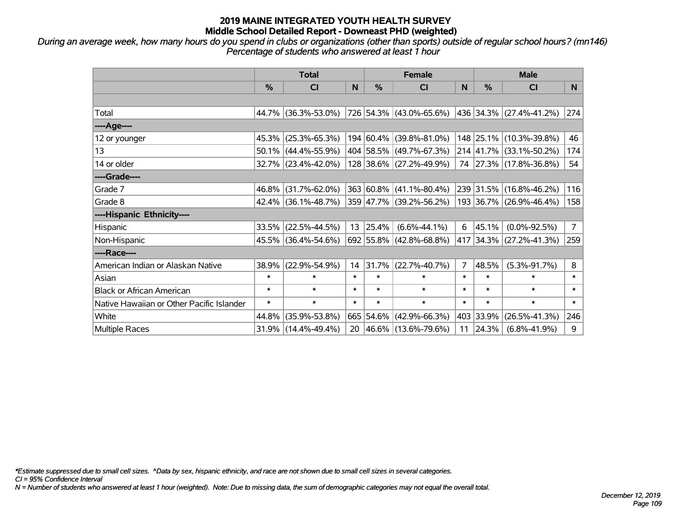*During an average week, how many hours do you spend in clubs or organizations (other than sports) outside of regular school hours? (mn146) Percentage of students who answered at least 1 hour*

|                                           | <b>Total</b>  |                                                |        | <b>Female</b>    |                                |                | <b>Male</b>   |                                  |                |
|-------------------------------------------|---------------|------------------------------------------------|--------|------------------|--------------------------------|----------------|---------------|----------------------------------|----------------|
|                                           | $\frac{0}{0}$ | CI                                             | N      | %                | <b>CI</b>                      | N              | $\frac{0}{0}$ | <b>CI</b>                        | N.             |
|                                           |               |                                                |        |                  |                                |                |               |                                  |                |
| Total                                     |               | 44.7% (36.3%-53.0%)                            |        |                  | 726 54.3% (43.0%-65.6%)        |                |               | $ 436 34.3\%  (27.4\% - 41.2\%)$ | 274            |
| ----Age----                               |               |                                                |        |                  |                                |                |               |                                  |                |
| 12 or younger                             | 45.3%         | $(25.3\% - 65.3\%)$                            |        |                  | 194 60.4% (39.8%-81.0%)        |                |               | 148 25.1% (10.3%-39.8%)          | 46             |
| 13                                        |               | $50.1\%$ (44.4%-55.9%)                         |        |                  | 404 58.5% (49.7%-67.3%)        |                |               | 214 41.7% (33.1%-50.2%)          | 174            |
| 14 or older                               |               | 32.7% (23.4%-42.0%)                            |        |                  | 128 38.6% (27.2%-49.9%)        |                |               | 74 27.3% (17.8%-36.8%)           | 54             |
| ----Grade----                             |               |                                                |        |                  |                                |                |               |                                  |                |
| Grade 7                                   |               | 46.8% (31.7%-62.0%)                            |        |                  | $363 60.8\% (41.1\% - 80.4\%)$ |                |               | 239 31.5% (16.8%-46.2%)          | 116            |
| Grade 8                                   |               | $42.4\%$ (36.1%-48.7%) 359 47.7% (39.2%-56.2%) |        |                  |                                |                |               | 193 36.7% (26.9%-46.4%)          | 158            |
| ----Hispanic Ethnicity----                |               |                                                |        |                  |                                |                |               |                                  |                |
| Hispanic                                  | 33.5%         | $(22.5\% - 44.5\%)$                            |        | $13 \mid 25.4\%$ | $(6.6\% - 44.1\%)$             | 6              | 45.1%         | $(0.0\% - 92.5\%)$               | $\overline{7}$ |
| Non-Hispanic                              |               | 45.5% (36.4%-54.6%)                            |        |                  | 692 55.8% (42.8%-68.8%)        |                |               | 417 34.3% (27.2%-41.3%)          | 259            |
| ----Race----                              |               |                                                |        |                  |                                |                |               |                                  |                |
| American Indian or Alaskan Native         | 38.9%         | $(22.9\% - 54.9\%)$                            | 14     | 31.7%            | $(22.7\% - 40.7\%)$            | $\overline{7}$ | 48.5%         | $(5.3\% - 91.7\%)$               | 8              |
| Asian                                     | $\ast$        | $\ast$                                         | $\ast$ | $\ast$           | $\ast$                         | $\ast$         | $\ast$        | $\ast$                           | $\ast$         |
| <b>Black or African American</b>          | $\ast$        | $\ast$                                         | $\ast$ | $\ast$           | $\ast$                         | $\ast$         | $\ast$        | $\ast$                           | $\ast$         |
| Native Hawaiian or Other Pacific Islander | $\ast$        | $\ast$                                         | $\ast$ | $\ast$           | $\ast$                         | $\ast$         | $\ast$        | $\ast$                           | $\ast$         |
| White                                     | 44.8%         | $(35.9\% - 53.8\%)$                            |        |                  | 665 54.6% (42.9%-66.3%)        |                | 403 33.9%     | $(26.5\% - 41.3\%)$              | 246            |
| Multiple Races                            |               | 31.9% (14.4%-49.4%)                            | 20     |                  | $ 46.6\% $ (13.6%-79.6%)       | 11             | 24.3%         | $(6.8\% - 41.9\%)$               | 9              |

*\*Estimate suppressed due to small cell sizes. ^Data by sex, hispanic ethnicity, and race are not shown due to small cell sizes in several categories.*

*CI = 95% Confidence Interval*

*N = Number of students who answered at least 1 hour (weighted). Note: Due to missing data, the sum of demographic categories may not equal the overall total.*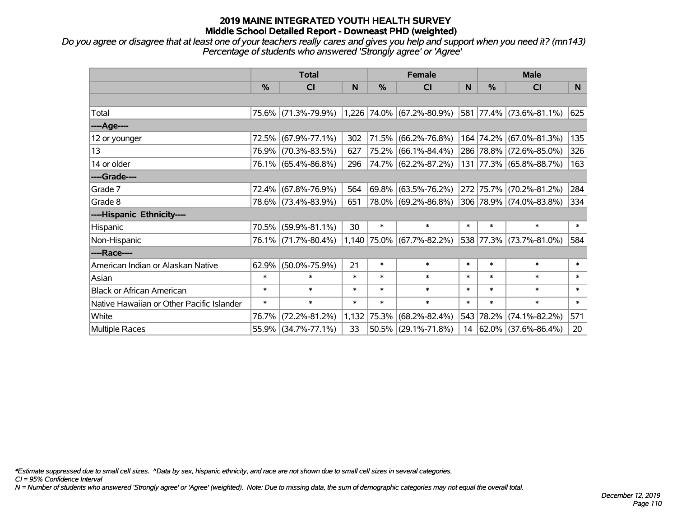*Do you agree or disagree that at least one of your teachers really cares and gives you help and support when you need it? (mn143) Percentage of students who answered 'Strongly agree' or 'Agree'*

|                                           | <b>Total</b>  |                     |        | <b>Female</b> |                             |        | <b>Male</b> |                         |                |
|-------------------------------------------|---------------|---------------------|--------|---------------|-----------------------------|--------|-------------|-------------------------|----------------|
|                                           | $\frac{0}{0}$ | CI                  | N      | %             | <b>CI</b>                   | N      | %           | <b>CI</b>               | N <sub>1</sub> |
|                                           |               |                     |        |               |                             |        |             |                         |                |
| Total                                     |               | 75.6% (71.3%-79.9%) |        |               | $1,226$ 74.0% (67.2%-80.9%) |        |             | 581 77.4% (73.6%-81.1%) | 625            |
| ----Age----                               |               |                     |        |               |                             |        |             |                         |                |
| 12 or younger                             | 72.5%         | $(67.9\% - 77.1\%)$ | 302    | 71.5%         | $(66.2\% - 76.8\%)$         |        |             | 164 74.2% (67.0%-81.3%) | 135            |
| 13                                        |               | 76.9% (70.3%-83.5%) | 627    |               | 75.2% (66.1%-84.4%)         |        |             | 286 78.8% (72.6%-85.0%) | 326            |
| 14 or older                               |               | 76.1% (65.4%-86.8%) | 296    |               | 74.7% (62.2%-87.2%)         |        |             | 131 77.3% (65.8%-88.7%) | 163            |
| ----Grade----                             |               |                     |        |               |                             |        |             |                         |                |
| Grade 7                                   |               | 72.4% (67.8%-76.9%) | 564    | $ 69.8\% $    | $(63.5\% - 76.2\%)$         |        |             | 272 75.7% (70.2%-81.2%) | 284            |
| Grade 8                                   |               | 78.6% (73.4%-83.9%) | 651    |               | 78.0% (69.2%-86.8%)         |        |             | 306 78.9% (74.0%-83.8%) | 334            |
| ----Hispanic Ethnicity----                |               |                     |        |               |                             |        |             |                         |                |
| Hispanic                                  | 70.5%         | $(59.9\% - 81.1\%)$ | 30     | $\ast$        | $\ast$                      | $\ast$ | $\ast$      | $\ast$                  | $\ast$         |
| Non-Hispanic                              |               | 76.1% (71.7%-80.4%) |        |               | 1,140 75.0% (67.7%-82.2%)   |        |             | 538 77.3% (73.7%-81.0%) | 584            |
| ----Race----                              |               |                     |        |               |                             |        |             |                         |                |
| American Indian or Alaskan Native         | 62.9%         | $(50.0\% - 75.9\%)$ | 21     | $\ast$        | $\ast$                      | $\ast$ | $\ast$      | $\ast$                  | $\ast$         |
| Asian                                     | $\ast$        | $\ast$              | $\ast$ | $\ast$        | $\ast$                      | $\ast$ | $\ast$      | $\ast$                  | $\ast$         |
| <b>Black or African American</b>          | $\ast$        | $\ast$              | $\ast$ | $\ast$        | $\ast$                      | $\ast$ | $\ast$      | $\ast$                  | $\ast$         |
| Native Hawaiian or Other Pacific Islander | $\ast$        | $\ast$              | $\ast$ | $\ast$        | $\ast$                      | $\ast$ | $\ast$      | $\ast$                  | $\ast$         |
| White                                     | 76.7%         | $(72.2\% - 81.2\%)$ |        | 1,132 75.3%   | $(68.2\% - 82.4\%)$         |        | 543 78.2%   | $(74.1\% - 82.2\%)$     | 571            |
| Multiple Races                            |               | 55.9% (34.7%-77.1%) | 33     |               | 50.5% (29.1%-71.8%)         | 14     |             | 62.0% (37.6%-86.4%)     | 20             |

*\*Estimate suppressed due to small cell sizes. ^Data by sex, hispanic ethnicity, and race are not shown due to small cell sizes in several categories.*

*CI = 95% Confidence Interval*

*N = Number of students who answered 'Strongly agree' or 'Agree' (weighted). Note: Due to missing data, the sum of demographic categories may not equal the overall total.*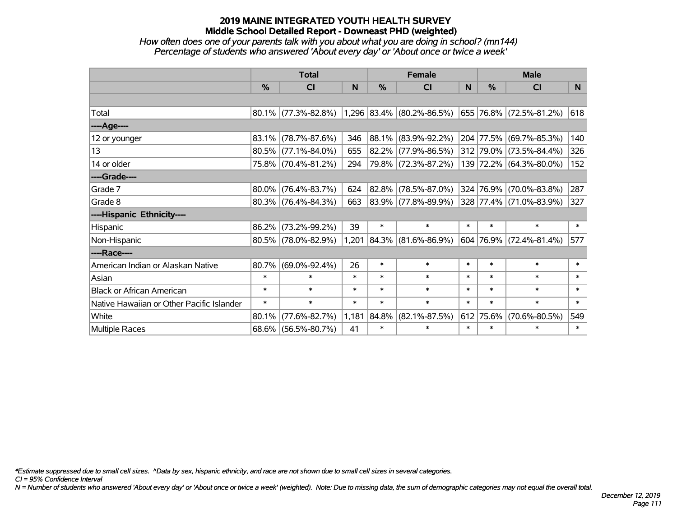### *How often does one of your parents talk with you about what you are doing in school? (mn144) Percentage of students who answered 'About every day' or 'About once or twice a week'*

|                                           | <b>Total</b> |                        |        | <b>Female</b> |                           |        | <b>Male</b> |                         |        |
|-------------------------------------------|--------------|------------------------|--------|---------------|---------------------------|--------|-------------|-------------------------|--------|
|                                           | %            | C <sub>l</sub>         | N      | %             | <b>CI</b>                 | N      | %           | <b>CI</b>               | N.     |
|                                           |              |                        |        |               |                           |        |             |                         |        |
| Total                                     |              | 80.1% (77.3%-82.8%)    |        |               | 1,296 83.4% (80.2%-86.5%) |        |             | 655 76.8% (72.5%-81.2%) | 618    |
| ----Age----                               |              |                        |        |               |                           |        |             |                         |        |
| 12 or younger                             | 83.1%        | $(78.7\% - 87.6\%)$    | 346    |               | 88.1% (83.9%-92.2%)       |        | 204 77.5%   | $(69.7\% - 85.3\%)$     | 140    |
| 13                                        | 80.5%        | $(77.1\% - 84.0\%)$    | 655    |               | $82.2\%$ (77.9%-86.5%)    |        |             | 312 79.0% (73.5%-84.4%) | 326    |
| 14 or older                               |              | 75.8% (70.4%-81.2%)    | 294    |               | 79.8% (72.3%-87.2%)       |        |             | 139 72.2% (64.3%-80.0%) | 152    |
| ----Grade----                             |              |                        |        |               |                           |        |             |                         |        |
| Grade 7                                   | 80.0%        | $(76.4\% - 83.7\%)$    | 624    |               | 82.8% (78.5%-87.0%)       | 324    | 76.9%       | $(70.0\% - 83.8\%)$     | 287    |
| Grade 8                                   |              | $80.3\%$ (76.4%-84.3%) | 663    |               | 83.9% (77.8%-89.9%)       |        |             | 328 77.4% (71.0%-83.9%) | 327    |
| ----Hispanic Ethnicity----                |              |                        |        |               |                           |        |             |                         |        |
| Hispanic                                  | 86.2%        | $(73.2\% - 99.2\%)$    | 39     | $\ast$        | $\ast$                    | $\ast$ | $\ast$      | $\ast$                  | $\ast$ |
| Non-Hispanic                              |              | 80.5% (78.0%-82.9%)    | 1,201  |               | 84.3% (81.6%-86.9%)       |        |             | 604 76.9% (72.4%-81.4%) | 577    |
| ----Race----                              |              |                        |        |               |                           |        |             |                         |        |
| American Indian or Alaskan Native         | 80.7%        | $(69.0\% - 92.4\%)$    | 26     | $\ast$        | $\ast$                    | $\ast$ | $\ast$      | $\ast$                  | $\ast$ |
| Asian                                     | $\ast$       | $\ast$                 | $\ast$ | $\ast$        | $\ast$                    | $\ast$ | $\ast$      | $\ast$                  | $\ast$ |
| <b>Black or African American</b>          | $\ast$       | $\ast$                 | $\ast$ | $\ast$        | $\ast$                    | $\ast$ | $\ast$      | $\ast$                  | $\ast$ |
| Native Hawaiian or Other Pacific Islander | $\ast$       | $\ast$                 | $\ast$ | $\ast$        | $\ast$                    | $\ast$ | $\ast$      | $\ast$                  | $\ast$ |
| White                                     | 80.1%        | $(77.6\% - 82.7\%)$    | 1,181  | 84.8%         | $(82.1\% - 87.5\%)$       | 612    | 75.6%       | $(70.6\% - 80.5\%)$     | 549    |
| Multiple Races                            |              | 68.6% (56.5%-80.7%)    | 41     | $\ast$        | $\ast$                    | $\ast$ | $\ast$      | $\ast$                  | $\ast$ |

*\*Estimate suppressed due to small cell sizes. ^Data by sex, hispanic ethnicity, and race are not shown due to small cell sizes in several categories.*

*CI = 95% Confidence Interval*

*N = Number of students who answered 'About every day' or 'About once or twice a week' (weighted). Note: Due to missing data, the sum of demographic categories may not equal the overall total.*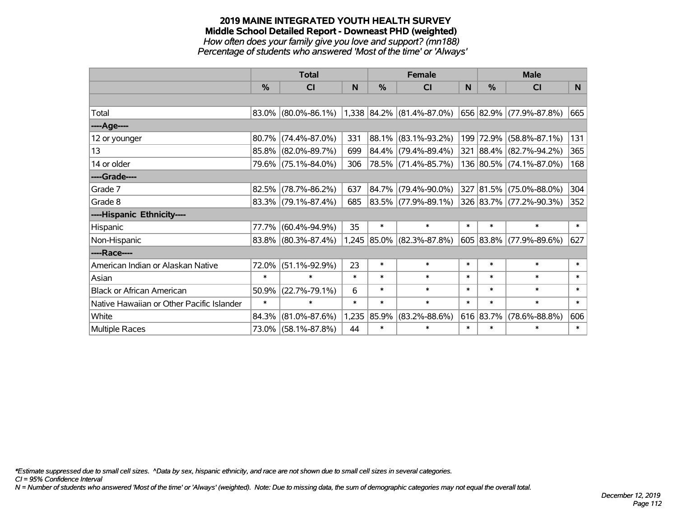#### **2019 MAINE INTEGRATED YOUTH HEALTH SURVEY Middle School Detailed Report - Downeast PHD (weighted)** *How often does your family give you love and support? (mn188) Percentage of students who answered 'Most of the time' or 'Always'*

|                                           | <b>Total</b> |                        |        |        | <b>Female</b>               |        | <b>Male</b>   |                         |        |
|-------------------------------------------|--------------|------------------------|--------|--------|-----------------------------|--------|---------------|-------------------------|--------|
|                                           | %            | CI                     | N      | %      | <b>CI</b>                   | N      | $\frac{0}{0}$ | <b>CI</b>               | N.     |
|                                           |              |                        |        |        |                             |        |               |                         |        |
| Total                                     |              | $83.0\%$ (80.0%-86.1%) |        |        | $1,338$ 84.2% (81.4%-87.0%) |        |               | 656 82.9% (77.9%-87.8%) | 665    |
| ----Age----                               |              |                        |        |        |                             |        |               |                         |        |
| 12 or younger                             | 80.7%        | $(74.4\% - 87.0\%)$    | 331    |        | 88.1% (83.1%-93.2%)         |        |               | 199 72.9% (58.8%-87.1%) | 131    |
| 13                                        |              | 85.8% (82.0%-89.7%)    | 699    |        | 84.4% (79.4%-89.4%)         |        |               | 321 88.4% (82.7%-94.2%) | 365    |
| 14 or older                               |              | 79.6% (75.1%-84.0%)    | 306    |        | 78.5% (71.4%-85.7%)         |        |               | 136 80.5% (74.1%-87.0%) | 168    |
| ----Grade----                             |              |                        |        |        |                             |        |               |                         |        |
| Grade 7                                   | 82.5%        | $(78.7\% - 86.2\%)$    | 637    |        | 84.7% (79.4%-90.0%)         |        |               | 327 81.5% (75.0%-88.0%) | 304    |
| Grade 8                                   |              | $83.3\%$ (79.1%-87.4%) | 685    |        | $ 83.5\% $ (77.9%-89.1%)    |        |               | 326 83.7% (77.2%-90.3%) | 352    |
| ----Hispanic Ethnicity----                |              |                        |        |        |                             |        |               |                         |        |
| Hispanic                                  | 77.7%        | $(60.4\% - 94.9\%)$    | 35     | $\ast$ | $\ast$                      | $\ast$ | $\ast$        | $\ast$                  | $\ast$ |
| Non-Hispanic                              |              | 83.8% (80.3%-87.4%)    |        |        | 1,245 85.0% (82.3%-87.8%)   |        |               | 605 83.8% (77.9%-89.6%) | 627    |
| ----Race----                              |              |                        |        |        |                             |        |               |                         |        |
| American Indian or Alaskan Native         | 72.0%        | $(51.1\% - 92.9\%)$    | 23     | $\ast$ | $\ast$                      | $\ast$ | $\ast$        | $\ast$                  | $\ast$ |
| Asian                                     | $\ast$       | $\ast$                 | $\ast$ | $\ast$ | $\ast$                      | $\ast$ | $\ast$        | $\ast$                  | $\ast$ |
| <b>Black or African American</b>          | 50.9%        | $(22.7\% - 79.1\%)$    | 6      | $\ast$ | $\ast$                      | $\ast$ | $\ast$        | $\ast$                  | $\ast$ |
| Native Hawaiian or Other Pacific Islander | $\ast$       | $\ast$                 | $\ast$ | $\ast$ | $\ast$                      | $\ast$ | $\ast$        | $\ast$                  | $\ast$ |
| White                                     | 84.3%        | $(81.0\% - 87.6\%)$    | 1,235  | 85.9%  | $(83.2\% - 88.6\%)$         |        | 616 83.7%     | $(78.6\% - 88.8\%)$     | 606    |
| Multiple Races                            |              | 73.0% (58.1%-87.8%)    | 44     | $\ast$ | $\ast$                      | $\ast$ | $\ast$        | $\ast$                  | $\ast$ |

*\*Estimate suppressed due to small cell sizes. ^Data by sex, hispanic ethnicity, and race are not shown due to small cell sizes in several categories.*

*CI = 95% Confidence Interval*

*N = Number of students who answered 'Most of the time' or 'Always' (weighted). Note: Due to missing data, the sum of demographic categories may not equal the overall total.*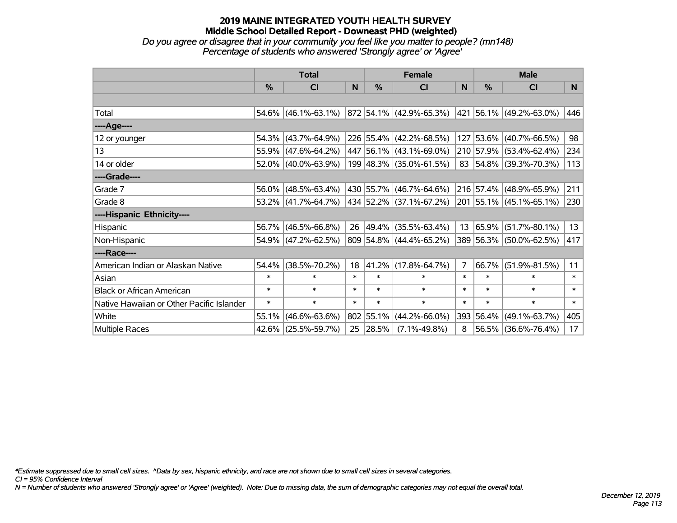*Do you agree or disagree that in your community you feel like you matter to people? (mn148) Percentage of students who answered 'Strongly agree' or 'Agree'*

|                                           | <b>Total</b>  |                                                                     |        | <b>Female</b> |                             |        | <b>Male</b> |                         |                |
|-------------------------------------------|---------------|---------------------------------------------------------------------|--------|---------------|-----------------------------|--------|-------------|-------------------------|----------------|
|                                           | $\frac{0}{0}$ | <b>CI</b>                                                           | N      | %             | <b>CI</b>                   | N      | %           | <b>CI</b>               | N <sub>1</sub> |
|                                           |               |                                                                     |        |               |                             |        |             |                         |                |
| Total                                     |               | 54.6% (46.1%-63.1%) 872 54.1% (42.9%-65.3%) 421 56.1% (49.2%-63.0%) |        |               |                             |        |             |                         | 446            |
| ----Age----                               |               |                                                                     |        |               |                             |        |             |                         |                |
| 12 or younger                             |               | $54.3\%$ (43.7%-64.9%)                                              |        |               | 226 55.4% (42.2%-68.5%)     |        |             | 127 53.6% (40.7%-66.5%) | 98             |
| 13                                        |               | 55.9% (47.6%-64.2%)                                                 |        |               | 447 56.1% (43.1%-69.0%)     |        |             | 210 57.9% (53.4%-62.4%) | 234            |
| 14 or older                               |               | 52.0% (40.0%-63.9%)                                                 |        |               | 199 48.3% (35.0%-61.5%)     |        |             | 83 54.8% (39.3%-70.3%)  | 113            |
| ----Grade----                             |               |                                                                     |        |               |                             |        |             |                         |                |
| Grade 7                                   | 56.0%         | $(48.5\% - 63.4\%)$                                                 |        |               | 430 55.7% (46.7%-64.6%)     |        | $216$ 57.4% | $(48.9\% - 65.9\%)$     | 211            |
| Grade 8                                   |               | $53.2\%$ (41.7%-64.7%)                                              |        |               | 434   52.2%   (37.1%-67.2%) |        |             | 201 55.1% (45.1%-65.1%) | 230            |
| ----Hispanic Ethnicity----                |               |                                                                     |        |               |                             |        |             |                         |                |
| Hispanic                                  |               | 56.7% (46.5%-66.8%)                                                 | 26     | 49.4%         | $(35.5\% - 63.4\%)$         |        | 13 65.9%    | $(51.7\% - 80.1\%)$     | 13             |
| Non-Hispanic                              |               | 54.9% (47.2%-62.5%)                                                 |        |               | 809 54.8% (44.4%-65.2%)     |        |             | 389 56.3% (50.0%-62.5%) | 417            |
| ----Race----                              |               |                                                                     |        |               |                             |        |             |                         |                |
| American Indian or Alaskan Native         | 54.4%         | $(38.5\% - 70.2\%)$                                                 | 18     | 41.2%         | $(17.8\% - 64.7\%)$         | 7      | 66.7%       | $(51.9\% - 81.5\%)$     | 11             |
| Asian                                     | $\ast$        | $\ast$                                                              | $\ast$ | $\ast$        | $\ast$                      | $\ast$ | $\ast$      | $\ast$                  | $\ast$         |
| <b>Black or African American</b>          | $\ast$        | $\ast$                                                              | $\ast$ | $\ast$        | $\ast$                      | $\ast$ | $\ast$      | $\ast$                  | $\ast$         |
| Native Hawaiian or Other Pacific Islander | $\ast$        | $\ast$                                                              | $\ast$ | $\ast$        | $\ast$                      | $\ast$ | $\ast$      | $\ast$                  | $\ast$         |
| White                                     | 55.1%         | $(46.6\% - 63.6\%)$                                                 | 802    | 55.1%         | $(44.2\% - 66.0\%)$         | 393    | 56.4%       | $(49.1\% - 63.7\%)$     | 405            |
| <b>Multiple Races</b>                     |               | 42.6% (25.5%-59.7%)                                                 | 25     | 28.5%         | $(7.1\% - 49.8\%)$          | 8      |             | 56.5% (36.6%-76.4%)     | 17             |

*\*Estimate suppressed due to small cell sizes. ^Data by sex, hispanic ethnicity, and race are not shown due to small cell sizes in several categories.*

*CI = 95% Confidence Interval*

*N = Number of students who answered 'Strongly agree' or 'Agree' (weighted). Note: Due to missing data, the sum of demographic categories may not equal the overall total.*